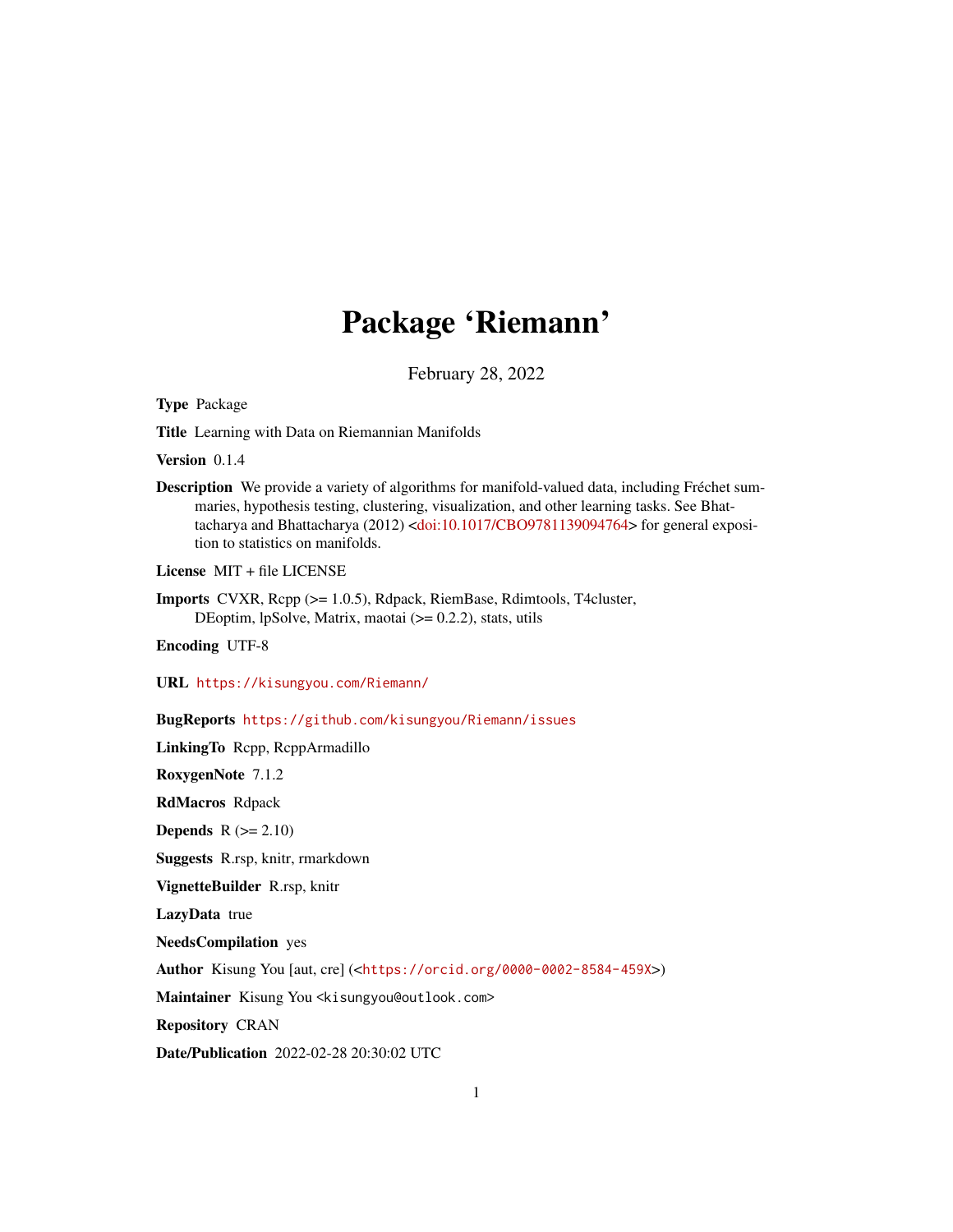# Package 'Riemann'

February 28, 2022

<span id="page-0-0"></span>Type Package

Title Learning with Data on Riemannian Manifolds

Version 0.1.4

Description We provide a variety of algorithms for manifold-valued data, including Fréchet summaries, hypothesis testing, clustering, visualization, and other learning tasks. See Bhattacharya and Bhattacharya (2012) [<doi:10.1017/CBO9781139094764>](https://doi.org/10.1017/CBO9781139094764) for general exposition to statistics on manifolds.

License MIT + file LICENSE

Imports CVXR, Rcpp (>= 1.0.5), Rdpack, RiemBase, Rdimtools, T4cluster, DEoptim, lpSolve, Matrix, maotai (>= 0.2.2), stats, utils

Encoding UTF-8

URL <https://kisungyou.com/Riemann/>

BugReports <https://github.com/kisungyou/Riemann/issues>

LinkingTo Rcpp, RcppArmadillo

RoxygenNote 7.1.2

RdMacros Rdpack

Depends  $R (= 2.10)$ 

Suggests R.rsp, knitr, rmarkdown

VignetteBuilder R.rsp, knitr

LazyData true

NeedsCompilation yes

Author Kisung You [aut, cre] (<<https://orcid.org/0000-0002-8584-459X>>)

Maintainer Kisung You <kisungyou@outlook.com>

Repository CRAN

Date/Publication 2022-02-28 20:30:02 UTC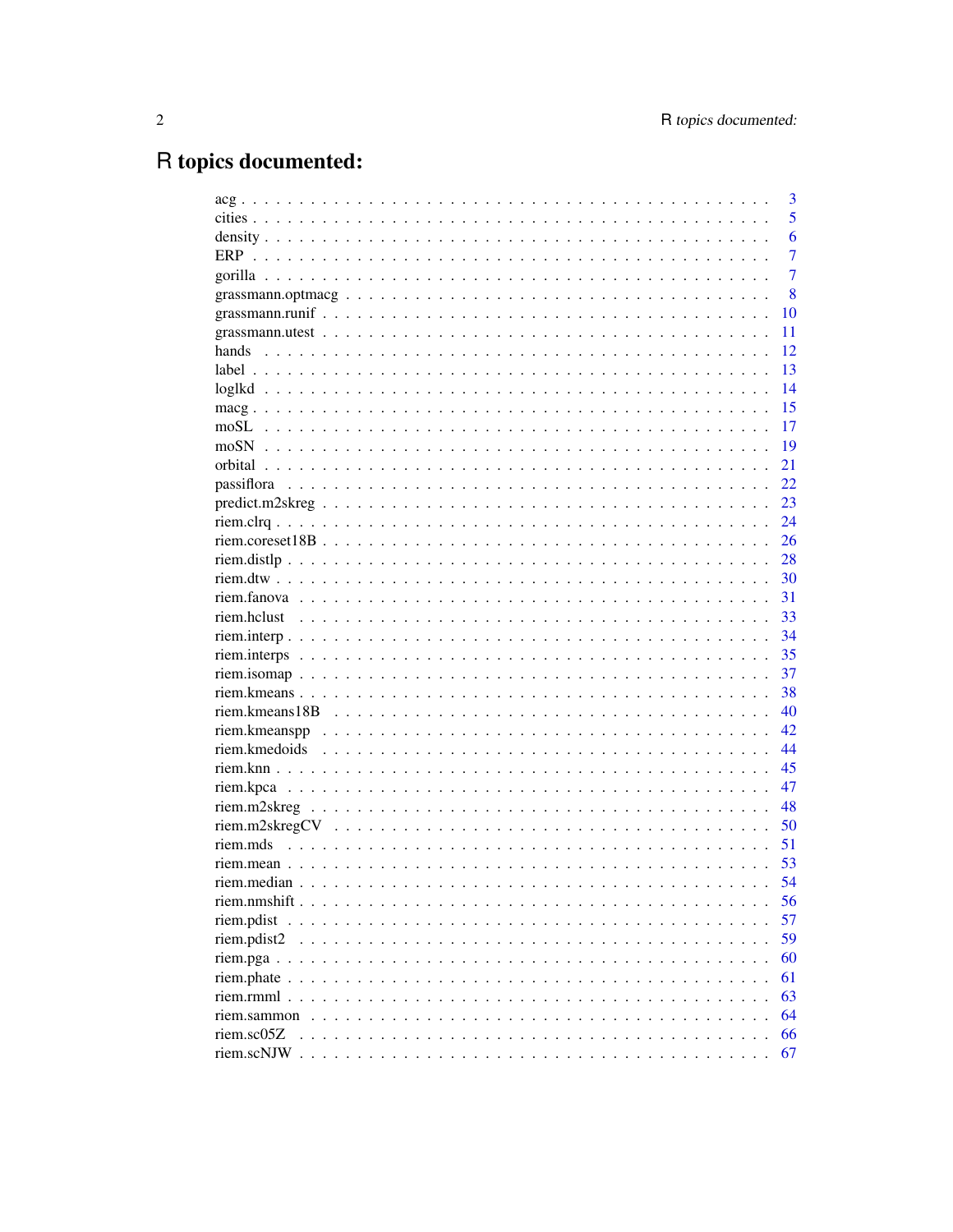# R topics documented:

|                | 3              |
|----------------|----------------|
|                | 5              |
|                | 6              |
| <b>ERP</b>     | $\overline{7}$ |
|                | $\overline{7}$ |
|                | 8              |
|                | 10             |
|                | 11             |
|                | 12             |
|                | 13             |
|                | 14             |
|                | 15             |
|                | 17             |
|                | 19             |
|                | 21             |
|                | 22             |
|                | 23             |
|                | 24             |
|                | 26             |
|                | 28             |
|                | 30             |
|                | 31             |
|                | 33             |
|                | 34             |
|                | 35             |
|                | 37             |
|                | 38             |
|                | 40             |
|                | 42             |
|                | 44             |
|                | 45             |
|                | 47             |
|                | 48             |
|                | 50             |
|                | 51             |
|                | 53             |
|                | 54             |
|                | 56             |
| riem.pdist     | 57             |
| riem.pdist2    | 59             |
|                | 60             |
|                | 61             |
| $riem.$ $rmm1$ | 63             |
| riem.sammon    | 64             |
| riem.sc05Z     | 66             |
| riem.scNJW.    | 67             |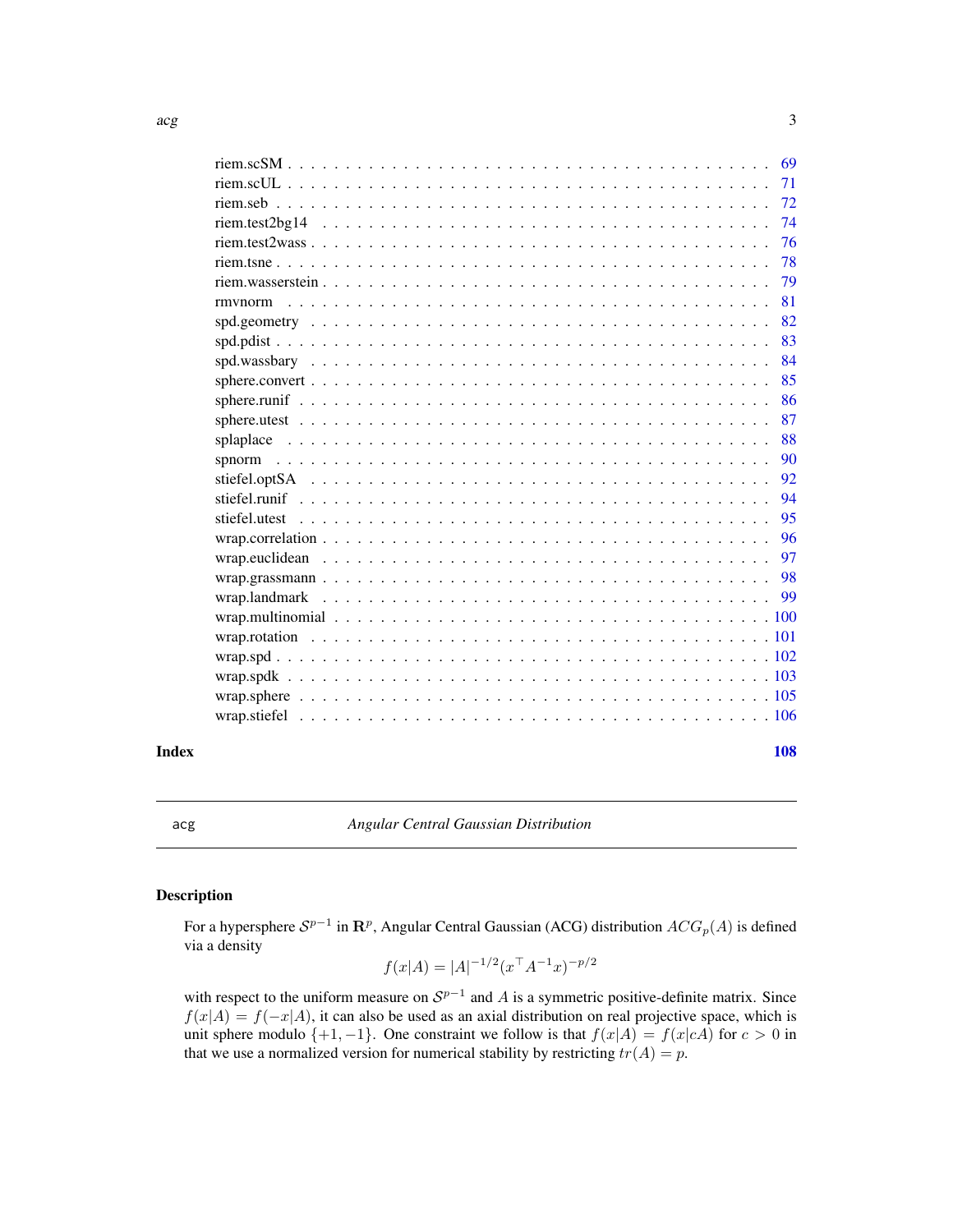<span id="page-2-0"></span>

|                | 69 |
|----------------|----|
|                | 71 |
|                |    |
|                | 74 |
|                | 76 |
|                | 78 |
|                | 79 |
| rmynorm        | 81 |
|                | 82 |
|                | 83 |
|                | 84 |
|                | 85 |
|                | 86 |
|                | 87 |
|                | 88 |
|                | 90 |
|                | 92 |
|                | 94 |
| stiefel.utest  | 95 |
|                | 96 |
| wrap.euclidean | 97 |
|                | 98 |
|                |    |
|                |    |
|                |    |
|                |    |
|                |    |
|                |    |
|                |    |
|                |    |

# $\blacksquare$  Index  $\blacksquare$

<span id="page-2-1"></span>acg *Angular Central Gaussian Distribution*

# Description

For a hypersphere  $S^{p-1}$  in  ${\bf R}^p$ , Angular Central Gaussian (ACG) distribution  $ACG_p(A)$  is defined via a density

$$
f(x|A) = |A|^{-1/2} (x^{\top} A^{-1} x)^{-p/2}
$$

with respect to the uniform measure on  $S^{p-1}$  and A is a symmetric positive-definite matrix. Since  $f(x|A) = f(-x|A)$ , it can also be used as an axial distribution on real projective space, which is unit sphere modulo  $\{+1, -1\}$ . One constraint we follow is that  $f(x|A) = f(x|cA)$  for  $c > 0$  in that we use a normalized version for numerical stability by restricting  $tr(A) = p$ .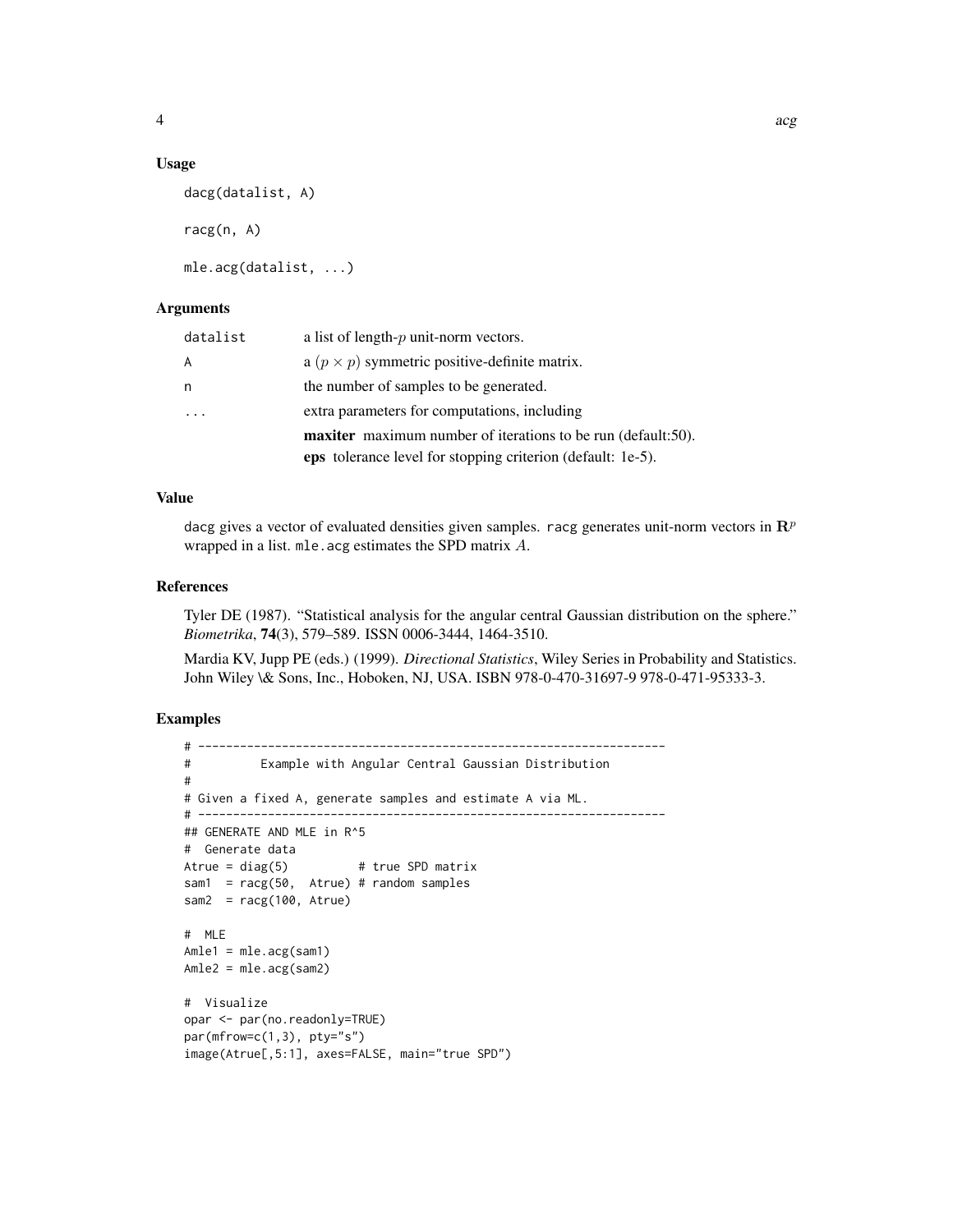#### Usage

dacg(datalist, A)

racg(n, A)

mle.acg(datalist, ...)

## Arguments

| datalist | a list of length- $p$ unit-norm vectors.                            |
|----------|---------------------------------------------------------------------|
| A        | a $(p \times p)$ symmetric positive-definite matrix.                |
| n        | the number of samples to be generated.                              |
|          | extra parameters for computations, including                        |
|          | <b>maxiter</b> maximum number of iterations to be run (default:50). |
|          | eps tolerance level for stopping criterion (default: 1e-5).         |

# Value

dacg gives a vector of evaluated densities given samples. racg generates unit-norm vectors in  $\mathbb{R}^p$ wrapped in a list. mle.acg estimates the SPD matrix A.

#### References

Tyler DE (1987). "Statistical analysis for the angular central Gaussian distribution on the sphere." *Biometrika*, 74(3), 579–589. ISSN 0006-3444, 1464-3510.

Mardia KV, Jupp PE (eds.) (1999). *Directional Statistics*, Wiley Series in Probability and Statistics. John Wiley \& Sons, Inc., Hoboken, NJ, USA. ISBN 978-0-470-31697-9 978-0-471-95333-3.

```
# -------------------------------------------------------------------
# Example with Angular Central Gaussian Distribution
#
# Given a fixed A, generate samples and estimate A via ML.
# -------------------------------------------------------------------
## GENERATE AND MLE in R^5
# Generate data
Atrue = diag(5) # true SPD matrix
sam1 = racg(50, Atrue) # random samples
sam2 = racy(100, Atrue)# MLE
Amle1 = mle.acg(sam1)
Amle2 = mle.acg(sam2)
# Visualize
opar <- par(no.readonly=TRUE)
par(mfrow=c(1,3), pty='s")image(Atrue[,5:1], axes=FALSE, main="true SPD")
```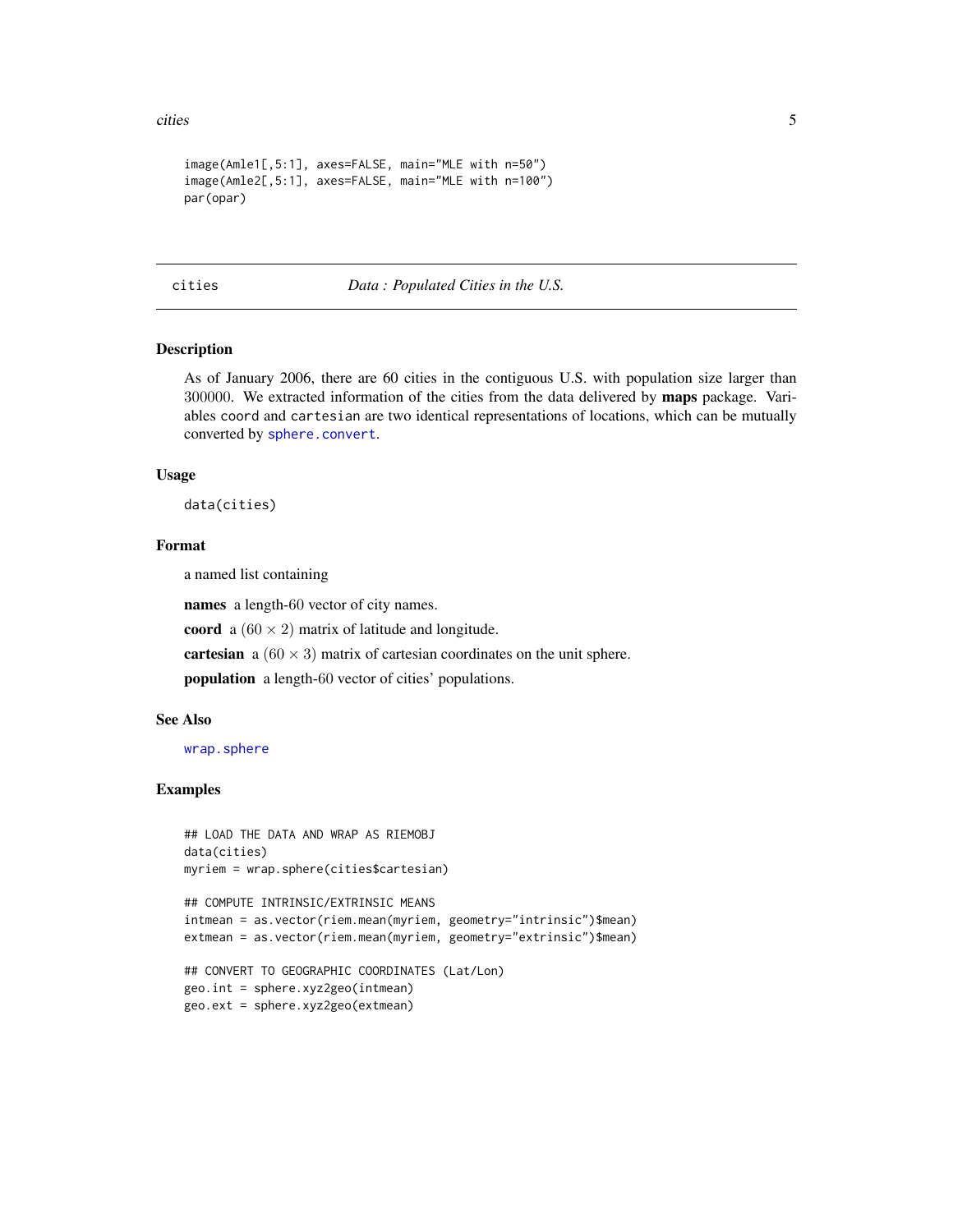<span id="page-4-0"></span>cities 5

```
image(Amle1[,5:1], axes=FALSE, main="MLE with n=50")
image(Amle2[,5:1], axes=FALSE, main="MLE with n=100")
par(opar)
```
cities *Data : Populated Cities in the U.S.*

# Description

As of January 2006, there are 60 cities in the contiguous U.S. with population size larger than 300000. We extracted information of the cities from the data delivered by maps package. Variables coord and cartesian are two identical representations of locations, which can be mutually converted by [sphere.convert](#page-84-1).

#### Usage

data(cities)

#### Format

a named list containing

names a length-60 vector of city names.

coord a  $(60 \times 2)$  matrix of latitude and longitude.

cartesian a  $(60 \times 3)$  matrix of cartesian coordinates on the unit sphere.

population a length-60 vector of cities' populations.

# See Also

[wrap.sphere](#page-104-1)

```
## LOAD THE DATA AND WRAP AS RIEMOBJ
data(cities)
myriem = wrap.sphere(cities$cartesian)
```

```
## COMPUTE INTRINSIC/EXTRINSIC MEANS
intmean = as.vector(riem.mean(myriem, geometry="intrinsic")$mean)
extmean = as.vector(riem.mean(myriem, geometry="extrinsic")$mean)
```

```
## CONVERT TO GEOGRAPHIC COORDINATES (Lat/Lon)
geo.int = sphere.xyz2geo(intmean)
geo.ext = sphere.xyz2geo(extmean)
```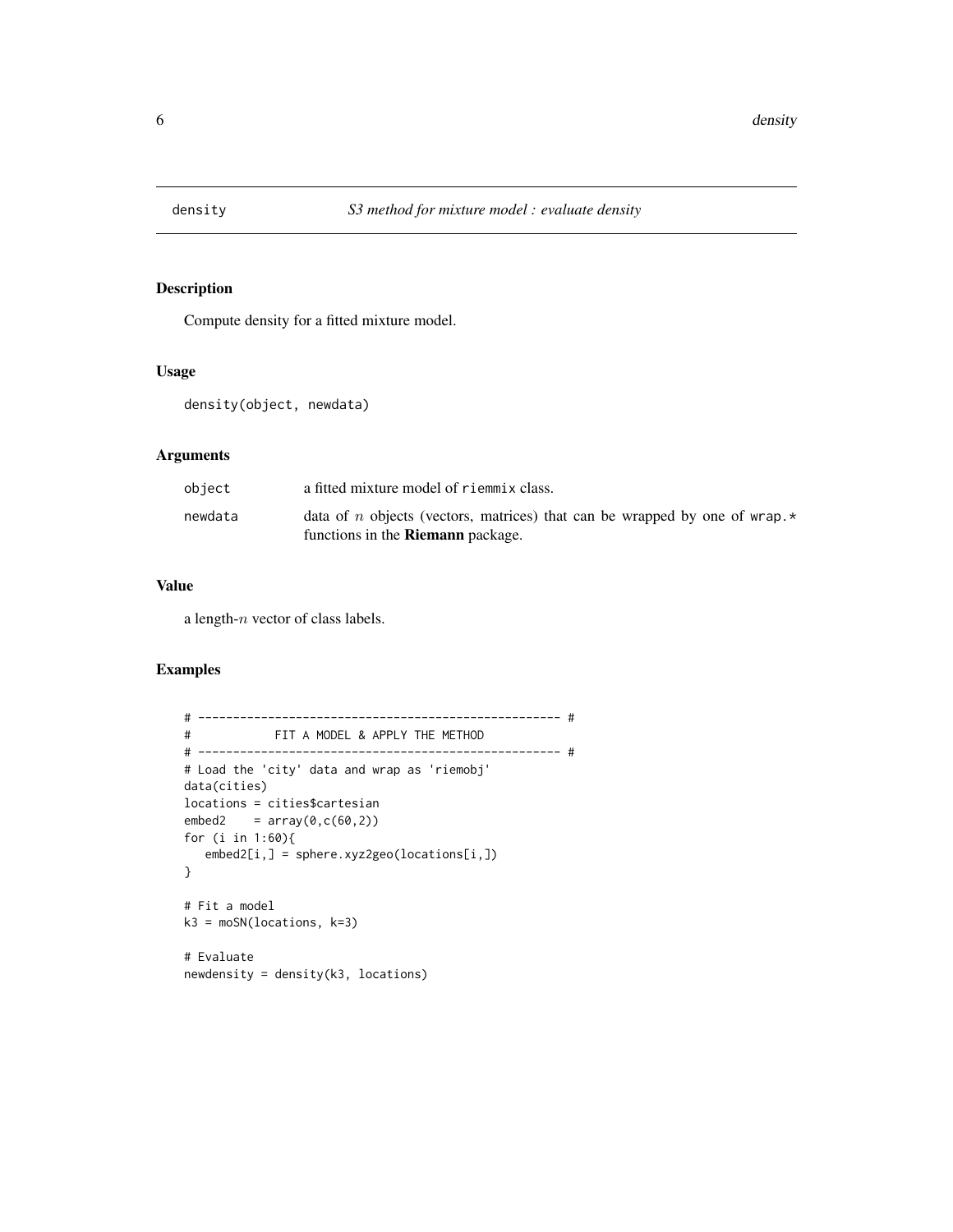<span id="page-5-0"></span>

# Description

Compute density for a fitted mixture model.

#### Usage

density(object, newdata)

# Arguments

| object  | a fitted mixture model of riemmix class.                                                                                      |
|---------|-------------------------------------------------------------------------------------------------------------------------------|
| newdata | data of n objects (vectors, matrices) that can be wrapped by one of wrap. $\star$<br>functions in the <b>Riemann</b> package. |

# Value

a length-n vector of class labels.

```
# ---------------------------------------------------- #
# FIT A MODEL & APPLY THE METHOD
# ---------------------------------------------------- #
# Load the 'city' data and wrap as 'riemobj'
data(cities)
locations = cities$cartesian
embed2 = array(0, c(60, 2))for (i in 1:60){
  embed2[i,] = sphere.xyz2geo(locations[i,])
}
# Fit a model
k3 = moSN(locations, k=3)
# Evaluate
newdensity = density(k3, locations)
```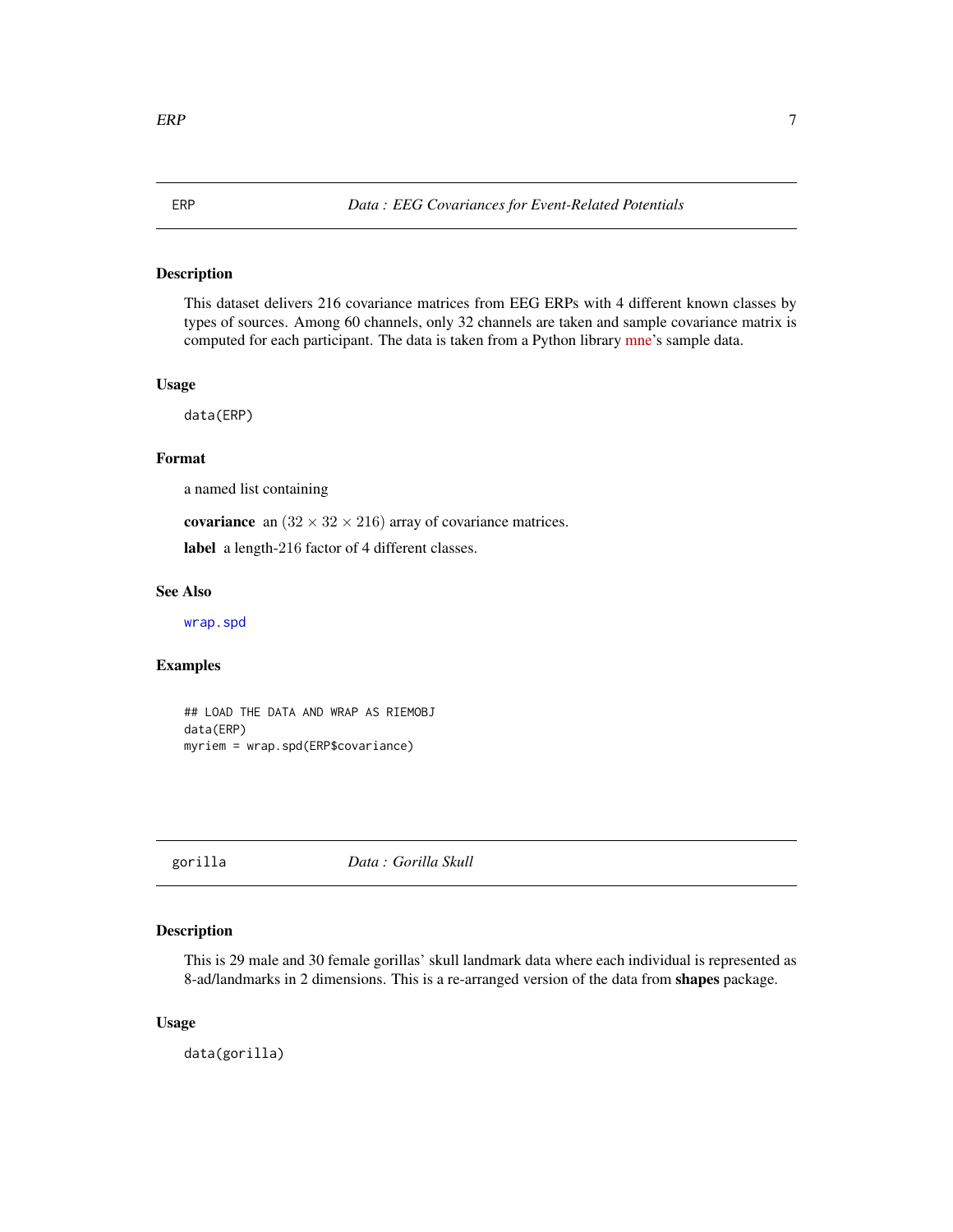# Description

This dataset delivers 216 covariance matrices from EEG ERPs with 4 different known classes by types of sources. Among 60 channels, only 32 channels are taken and sample covariance matrix is computed for each participant. The data is taken from a Python library [mne'](https://mne.tools/stable/generated/mne.datasets.sample.data_path.html#mne.datasets.sample.data_path)s sample data.

<span id="page-6-0"></span>ERP *Data : EEG Covariances for Event-Related Potentials*

# Usage

data(ERP)

#### Format

a named list containing

covariance an  $(32 \times 32 \times 216)$  array of covariance matrices.

label a length-216 factor of 4 different classes.

# See Also

[wrap.spd](#page-101-1)

# Examples

```
## LOAD THE DATA AND WRAP AS RIEMOBJ
data(ERP)
myriem = wrap.spd(ERP$covariance)
```
#### gorilla *Data : Gorilla Skull*

# Description

This is 29 male and 30 female gorillas' skull landmark data where each individual is represented as 8-ad/landmarks in 2 dimensions. This is a re-arranged version of the data from shapes package.

#### Usage

data(gorilla)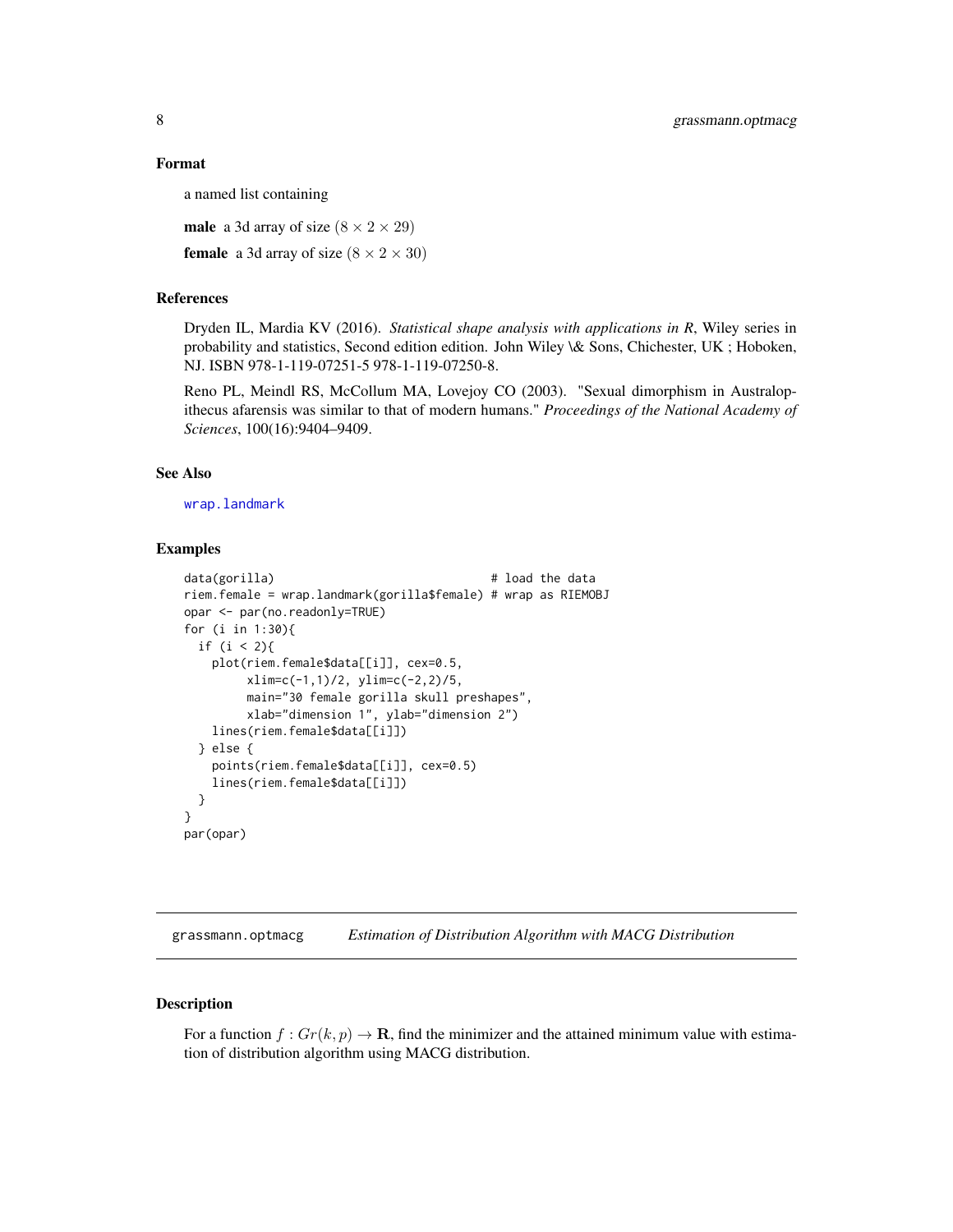#### <span id="page-7-0"></span>Format

a named list containing

**male** a 3d array of size  $(8 \times 2 \times 29)$ 

**female** a 3d array of size  $(8 \times 2 \times 30)$ 

#### References

Dryden IL, Mardia KV (2016). *Statistical shape analysis with applications in R*, Wiley series in probability and statistics, Second edition edition. John Wiley \& Sons, Chichester, UK ; Hoboken, NJ. ISBN 978-1-119-07251-5 978-1-119-07250-8.

Reno PL, Meindl RS, McCollum MA, Lovejoy CO (2003). "Sexual dimorphism in Australopithecus afarensis was similar to that of modern humans." *Proceedings of the National Academy of Sciences*, 100(16):9404–9409.

## See Also

[wrap.landmark](#page-98-1)

#### Examples

```
data(gorilla) # load the data
riem.female = wrap.landmark(gorilla$female) # wrap as RIEMOBJ
opar <- par(no.readonly=TRUE)
for (i in 1:30){
 if (i < 2){
   plot(riem.female$data[[i]], cex=0.5,
        xlim=c(-1,1)/2, ylim=c(-2,2)/5,
        main="30 female gorilla skull preshapes",
        xlab="dimension 1", ylab="dimension 2")
   lines(riem.female$data[[i]])
 } else {
   points(riem.female$data[[i]], cex=0.5)
   lines(riem.female$data[[i]])
 }
}
par(opar)
```
grassmann.optmacg *Estimation of Distribution Algorithm with MACG Distribution*

#### Description

For a function  $f: Gr(k, p) \to \mathbf{R}$ , find the minimizer and the attained minimum value with estimation of distribution algorithm using MACG distribution.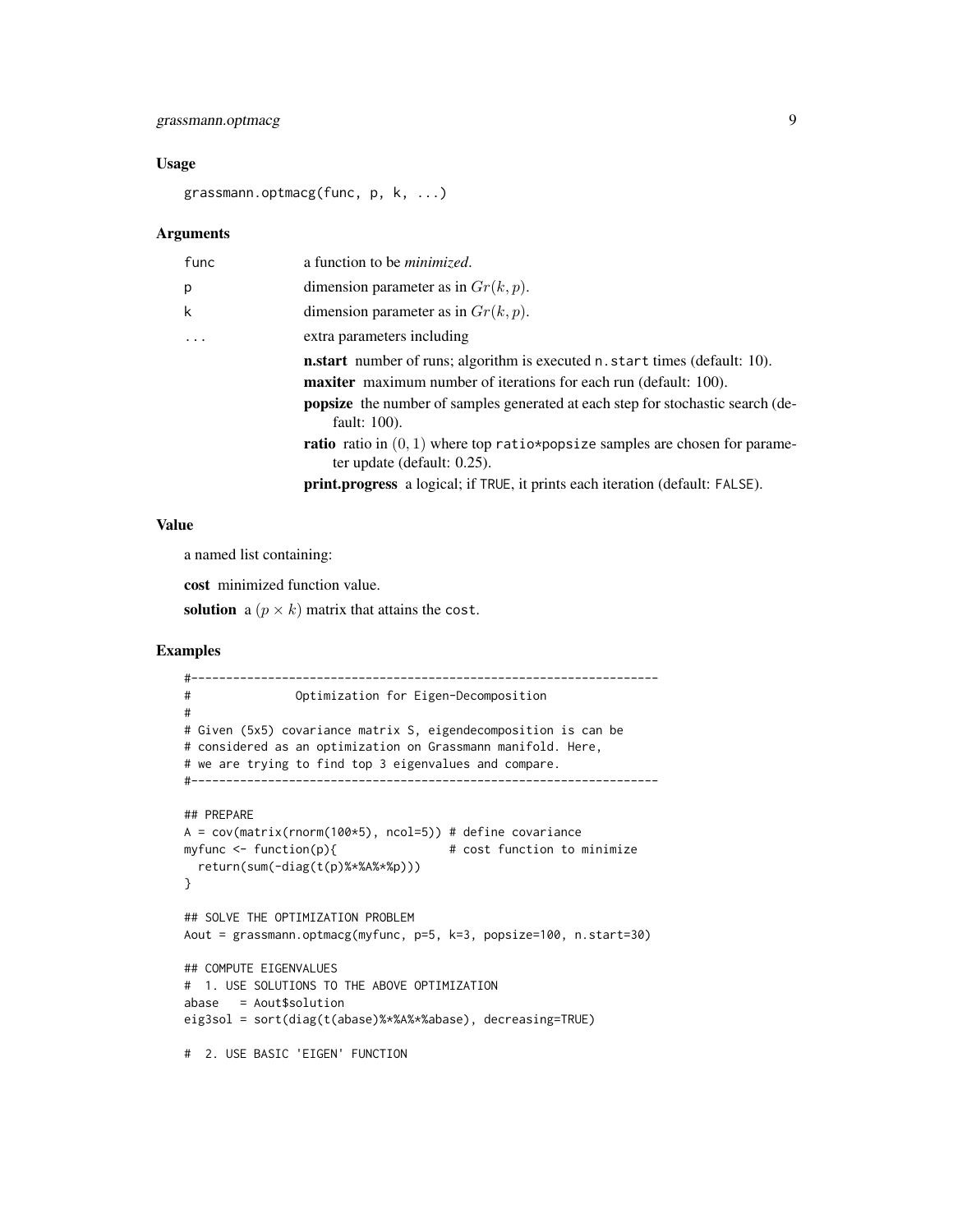# grassmann.optmacg 9

# Usage

grassmann.optmacg(func, p, k, ...)

#### Arguments

| func     | a function to be <i>minimized</i> .                                                                                     |
|----------|-------------------------------------------------------------------------------------------------------------------------|
| p        | dimension parameter as in $Gr(k, p)$ .                                                                                  |
| k        | dimension parameter as in $Gr(k, p)$ .                                                                                  |
| $\ddots$ | extra parameters including                                                                                              |
|          | <b>n.start</b> number of runs; algorithm is executed n.start times (default: 10).                                       |
|          | <b>maxiter</b> maximum number of iterations for each run (default: 100).                                                |
|          | <b>popsize</b> the number of samples generated at each step for stochastic search (de-<br>fault: 100).                  |
|          | <b>ratio</b> ratio in $(0, 1)$ where top ratio*popsize samples are chosen for parame-<br>ter update (default: $0.25$ ). |
|          | print.progress a logical; if TRUE, it prints each iteration (default: FALSE).                                           |

#### Value

a named list containing:

cost minimized function value.

solution a  $(p \times k)$  matrix that attains the cost.

```
#-------------------------------------------------------------------
# Optimization for Eigen-Decomposition
#
# Given (5x5) covariance matrix S, eigendecomposition is can be
# considered as an optimization on Grassmann manifold. Here,
# we are trying to find top 3 eigenvalues and compare.
#-------------------------------------------------------------------
## PREPARE
A = cov(matrix(rnorm(100*5), ncol=5)) # define covariance
myfunc \le function(p){ \qquad # cost function to minimize
 return(sum(-diag(t(p)%*%A%*%p)))
}
## SOLVE THE OPTIMIZATION PROBLEM
Aout = grassmann.optmacg(myfunc, p=5, k=3, popsize=100, n.start=30)
## COMPUTE EIGENVALUES
# 1. USE SOLUTIONS TO THE ABOVE OPTIMIZATION
abase = Aout$solution
eig3sol = sort(diag(t(abase)%*%A%*%abase), decreasing=TRUE)
# 2. USE BASIC 'EIGEN' FUNCTION
```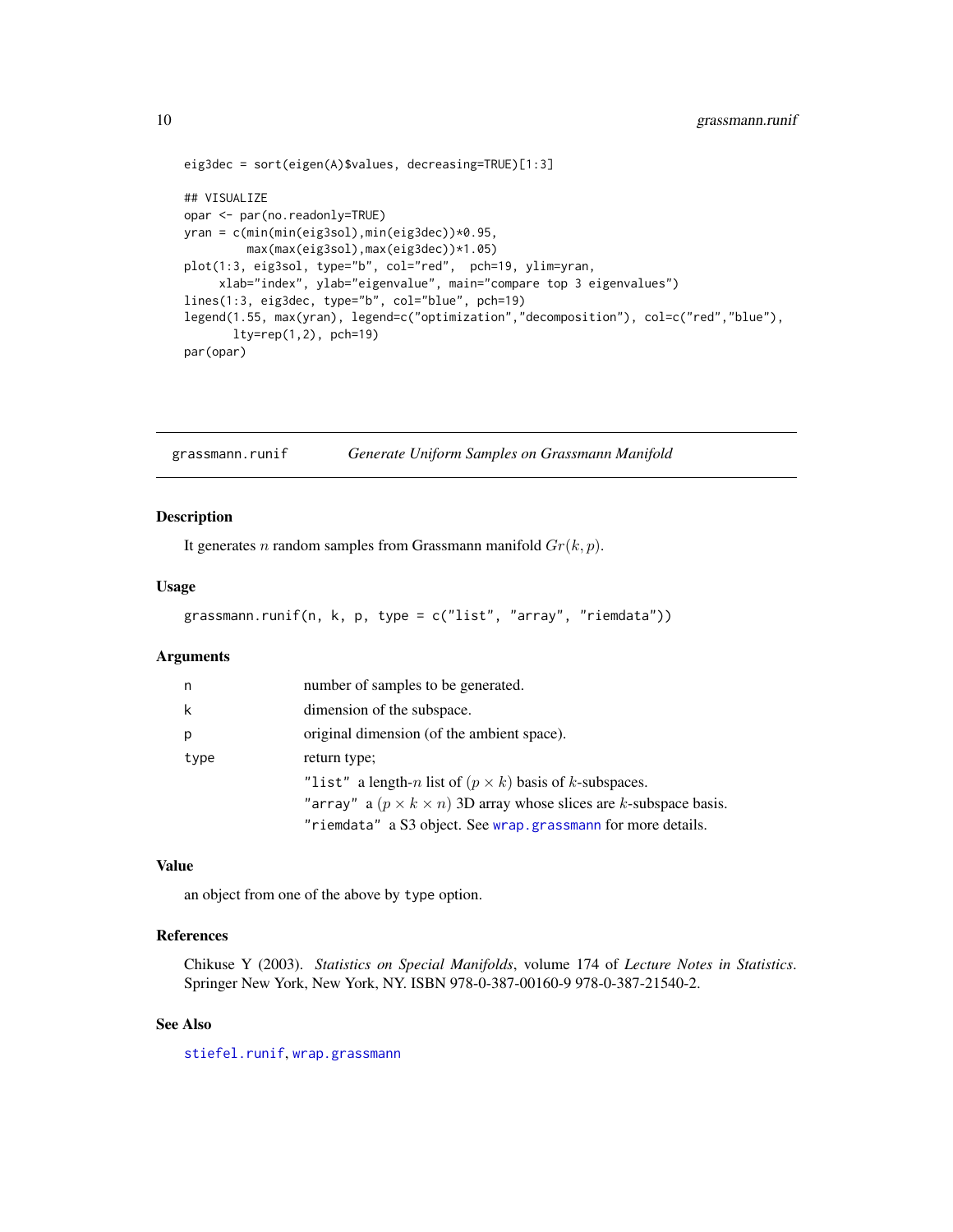```
eig3dec = sort(eigen(A)$values, decreasing=TRUE)[1:3]
## VISUALIZE
opar <- par(no.readonly=TRUE)
yran = c(min(min(eig3sol),min(eig3dec))*0.95,
        max(max(eig3sol),max(eig3dec))*1.05)
plot(1:3, eig3sol, type="b", col="red", pch=19, ylim=yran,
     xlab="index", ylab="eigenvalue", main="compare top 3 eigenvalues")
lines(1:3, eig3dec, type="b", col="blue", pch=19)
legend(1.55, max(yran), legend=c("optimization","decomposition"), col=c("red","blue"),
       lty=rep(1,2), pch=19)
par(opar)
```
grassmann.runif *Generate Uniform Samples on Grassmann Manifold*

#### Description

It generates *n* random samples from Grassmann manifold  $Gr(k, p)$ .

#### Usage

```
grassmann.runif(n, k, p, type = c("list", "array", "riemdata"))
```
#### Arguments

| n    | number of samples to be generated.                                            |
|------|-------------------------------------------------------------------------------|
| k    | dimension of the subspace.                                                    |
| p    | original dimension (of the ambient space).                                    |
| type | return type;                                                                  |
|      | "list" a length-n list of $(p \times k)$ basis of k-subspaces.                |
|      | "array" a $(p \times k \times n)$ 3D array whose slices are k-subspace basis. |
|      | "riemdata" a S3 object. See wrap.grassmann for more details.                  |

# Value

an object from one of the above by type option.

# References

Chikuse Y (2003). *Statistics on Special Manifolds*, volume 174 of *Lecture Notes in Statistics*. Springer New York, New York, NY. ISBN 978-0-387-00160-9 978-0-387-21540-2.

# See Also

[stiefel.runif](#page-93-1), [wrap.grassmann](#page-97-1)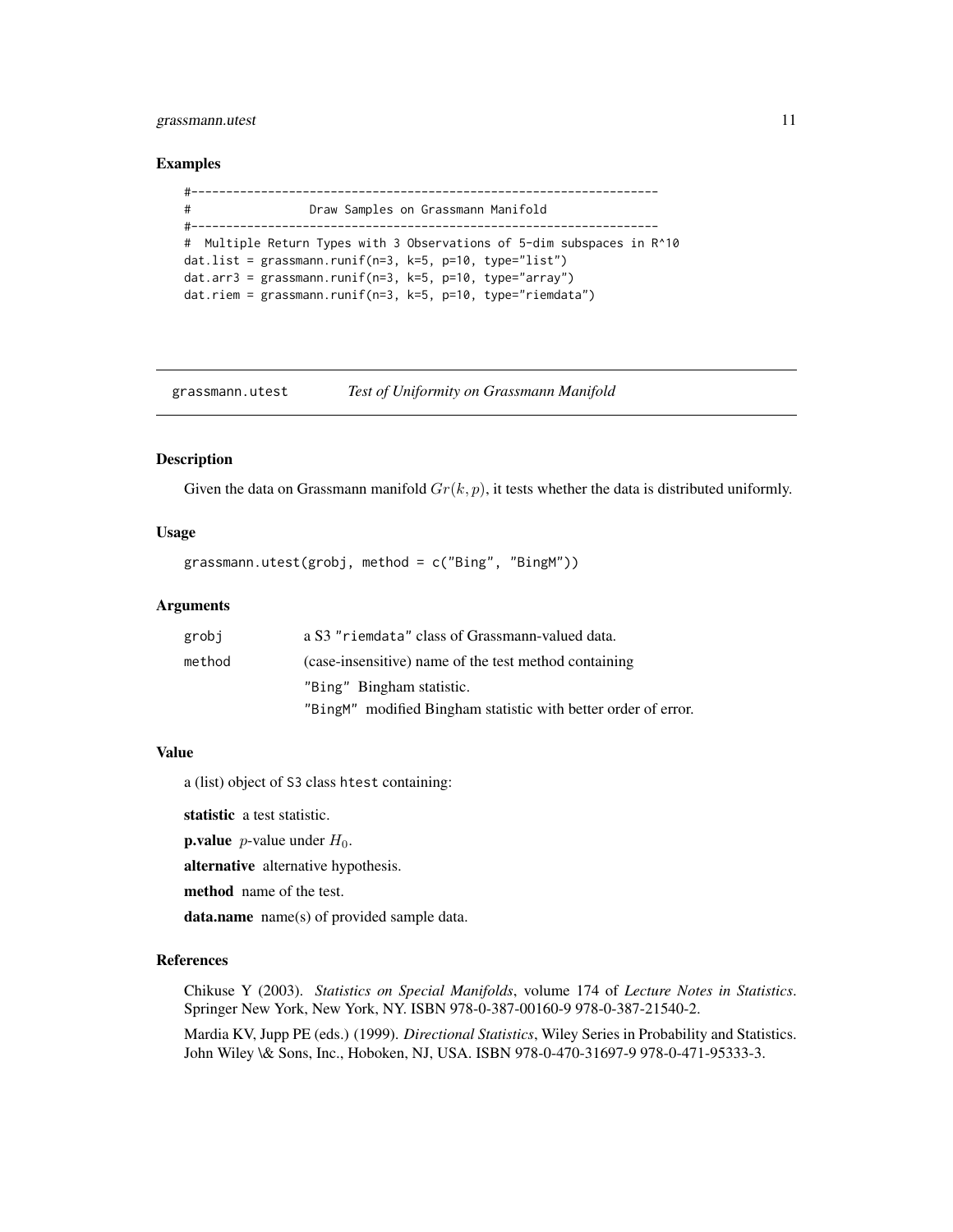# <span id="page-10-0"></span>grassmann.utest 11

#### Examples

```
#-------------------------------------------------------------------
# Draw Samples on Grassmann Manifold
#-------------------------------------------------------------------
# Multiple Return Types with 3 Observations of 5-dim subspaces in R^10
dat.list = grassmann.runif(n=3, k=5, p=10, type="list")
dat.arr3 = grassmann.runif(n=3, k=5, p=10, type="array")
dat.riem = grassmann.runif(n=3, k=5, p=10, type="riemdata")
```
grassmann.utest *Test of Uniformity on Grassmann Manifold*

#### Description

Given the data on Grassmann manifold  $Gr(k, p)$ , it tests whether the data is distributed uniformly.

#### Usage

grassmann.utest(grobj, method = c("Bing", "BingM"))

### Arguments

| grobj  | a S3 "riemdata" class of Grassmann-valued data.                |
|--------|----------------------------------------------------------------|
| method | (case-insensitive) name of the test method containing          |
|        | "Bing" Bingham statistic.                                      |
|        | "BingM" modified Bingham statistic with better order of error. |

## Value

a (list) object of S3 class htest containing:

statistic a test statistic.

```
p.value p-value under H_0.
```
alternative alternative hypothesis.

method name of the test.

data.name name(s) of provided sample data.

#### References

Chikuse Y (2003). *Statistics on Special Manifolds*, volume 174 of *Lecture Notes in Statistics*. Springer New York, New York, NY. ISBN 978-0-387-00160-9 978-0-387-21540-2.

Mardia KV, Jupp PE (eds.) (1999). *Directional Statistics*, Wiley Series in Probability and Statistics. John Wiley \& Sons, Inc., Hoboken, NJ, USA. ISBN 978-0-470-31697-9 978-0-471-95333-3.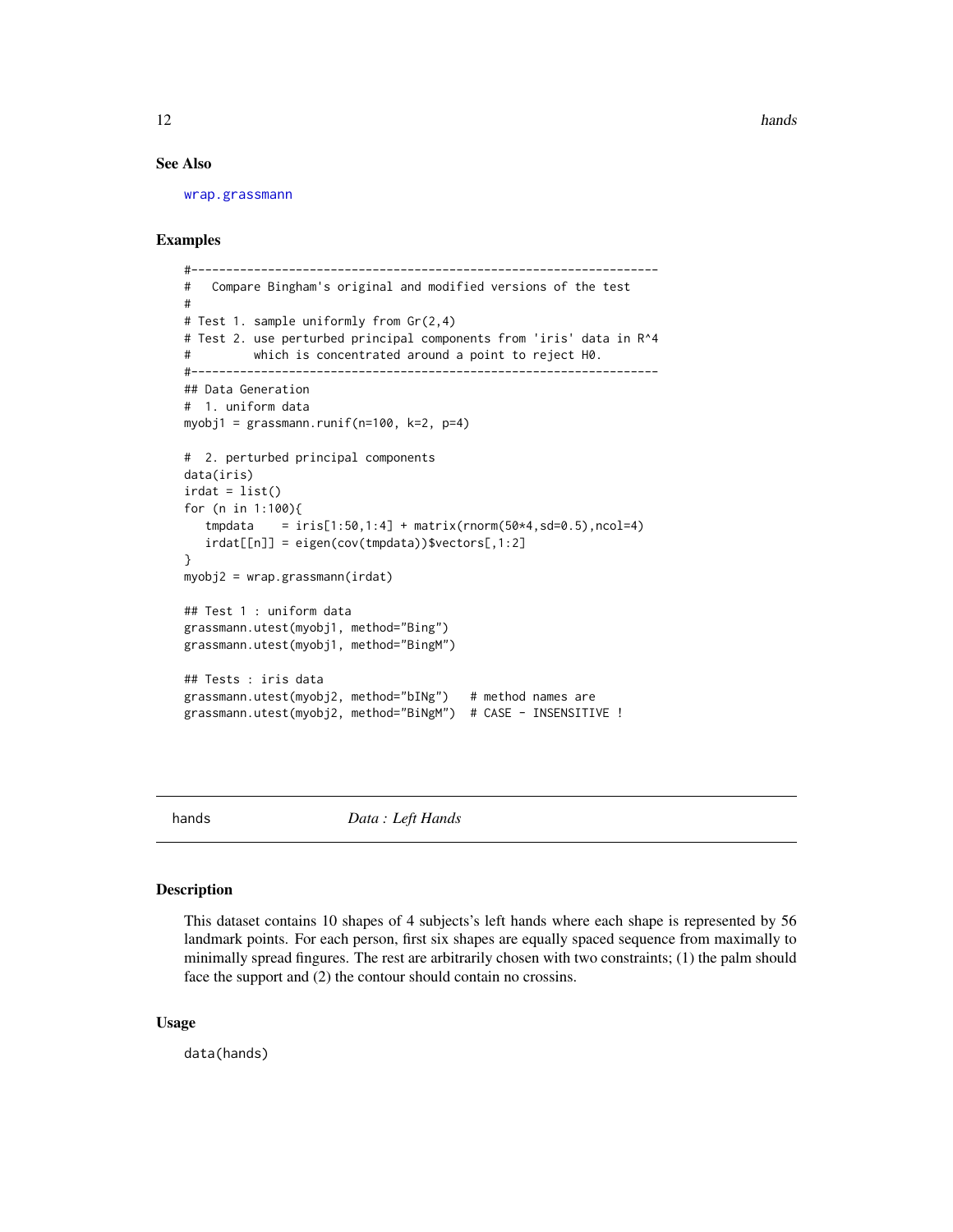<span id="page-11-0"></span>12 hands and the contract of the contract of the contract of the contract of the contract of the contract of the contract of the contract of the contract of the contract of the contract of the contract of the contract of t

#### See Also

[wrap.grassmann](#page-97-1)

# Examples

```
#-------------------------------------------------------------------
# Compare Bingham's original and modified versions of the test
#
# Test 1. sample uniformly from Gr(2,4)
# Test 2. use perturbed principal components from 'iris' data in R^4
# which is concentrated around a point to reject H0.
#-------------------------------------------------------------------
## Data Generation
# 1. uniform data
myobj1 =grassmann.runif(n=100, k=2, p=4)
# 2. perturbed principal components
data(iris)
irdat = list()for (n in 1:100){
   tmpdata = iris[1:50,1:4] + matrix(rnorm(50*4, sd=0.5),ncol=4)irdat[[n]] = eigen(cov(tmpdata))$vectors[,1:2]
}
myobj2 = wrap.grassmann(irdat)
## Test 1 : uniform data
grassmann.utest(myobj1, method="Bing")
grassmann.utest(myobj1, method="BingM")
## Tests : iris data
grassmann.utest(myobj2, method="bINg") # method names are
grassmann.utest(myobj2, method="BiNgM") # CASE - INSENSITIVE !
```
hands *Data : Left Hands*

#### **Description**

This dataset contains 10 shapes of 4 subjects's left hands where each shape is represented by 56 landmark points. For each person, first six shapes are equally spaced sequence from maximally to minimally spread fingures. The rest are arbitrarily chosen with two constraints; (1) the palm should face the support and (2) the contour should contain no crossins.

#### Usage

data(hands)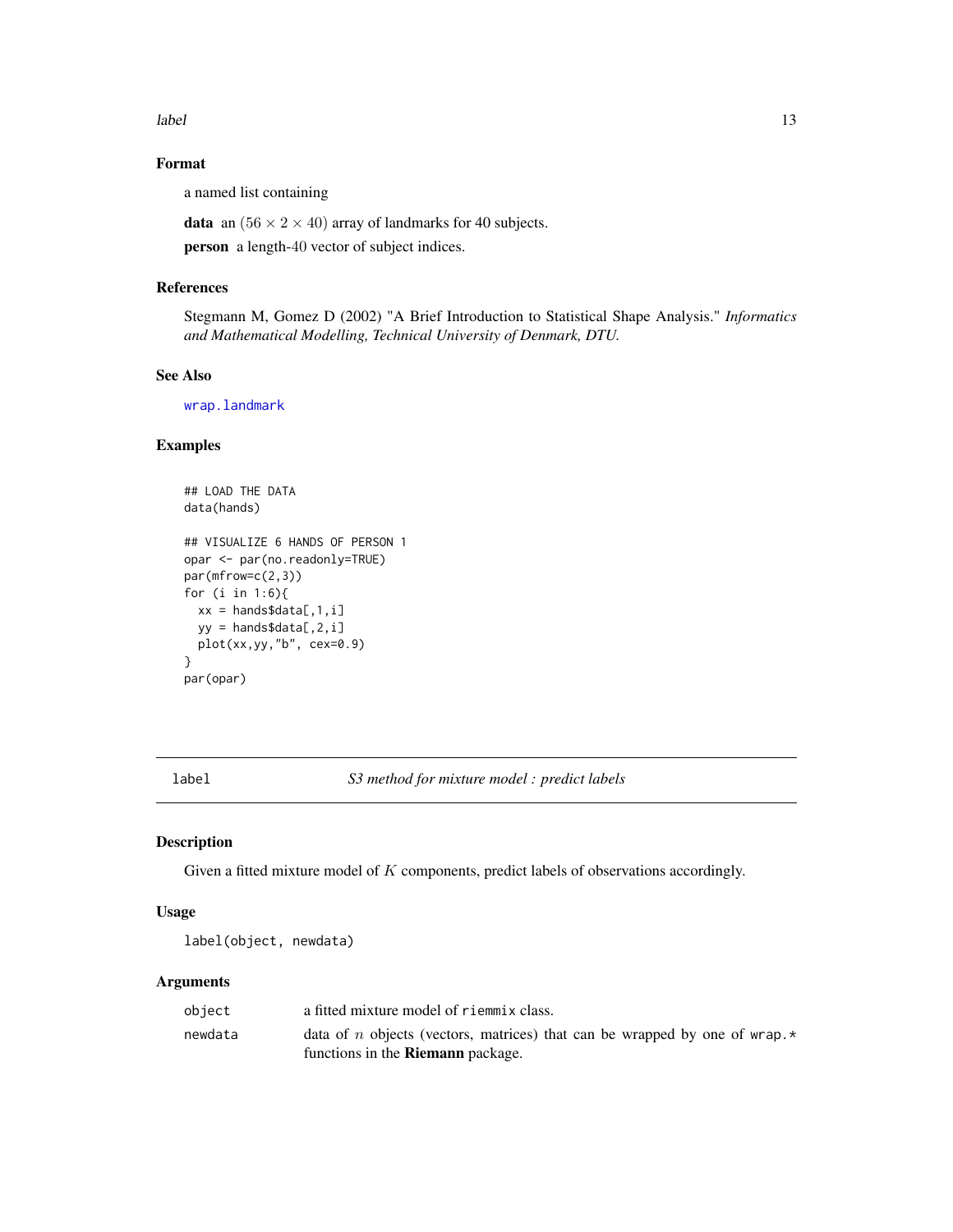<span id="page-12-0"></span>label 13

# Format

a named list containing

**data** an  $(56 \times 2 \times 40)$  array of landmarks for 40 subjects.

person a length-40 vector of subject indices.

#### References

Stegmann M, Gomez D (2002) "A Brief Introduction to Statistical Shape Analysis." *Informatics and Mathematical Modelling, Technical University of Denmark, DTU.*

# See Also

[wrap.landmark](#page-98-1)

# Examples

```
## LOAD THE DATA
data(hands)
## VISUALIZE 6 HANDS OF PERSON 1
opar <- par(no.readonly=TRUE)
par(mfrow=c(2,3))
for (i in 1:6){
  xx = hands$data[,1,i]
  yy = hands$data[,2,i]
  plot(xx,yy,"b", cex=0.9)
}
par(opar)
```
label *S3 method for mixture model : predict labels*

#### Description

Given a fitted mixture model of  $K$  components, predict labels of observations accordingly.

#### Usage

```
label(object, newdata)
```
#### Arguments

| obiect  | a fitted mixture model of riemmix class.                                                 |
|---------|------------------------------------------------------------------------------------------|
| newdata | data of <i>n</i> objects (vectors, matrices) that can be wrapped by one of wrap. $\star$ |
|         | functions in the <b>Riemann</b> package.                                                 |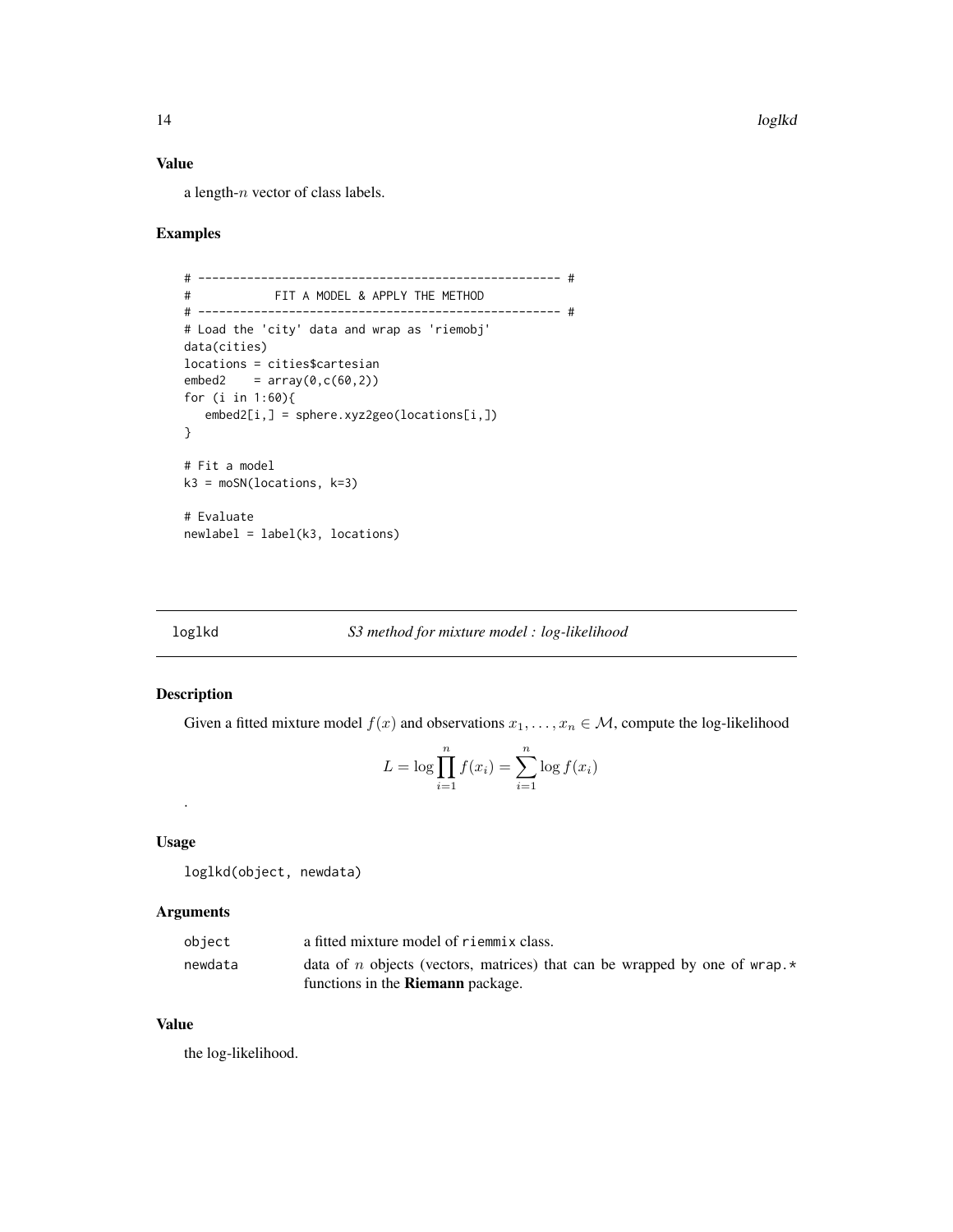# <span id="page-13-0"></span>Value

a length-n vector of class labels.

# Examples

```
# ---------------------------------------------------- #
# FIT A MODEL & APPLY THE METHOD
# ---------------------------------------------------- #
# Load the 'city' data and wrap as 'riemobj'
data(cities)
locations = cities$cartesian
embed2 = array(0, c(60, 2))for (i in 1:60){
  embed2[i,] = sphere.xyz2geo(locations[i,])
}
# Fit a model
k3 = moSN(locations, k=3)# Evaluate
newlabel = label(k3, locations)
```
# loglkd *S3 method for mixture model : log-likelihood*

# Description

Given a fitted mixture model  $f(x)$  and observations  $x_1, \ldots, x_n \in \mathcal{M}$ , compute the log-likelihood

$$
L = \log \prod_{i=1}^{n} f(x_i) = \sum_{i=1}^{n} \log f(x_i)
$$

Usage

.

loglkd(object, newdata)

# Arguments

| object  | a fitted mixture model of riemmix class.                                                 |
|---------|------------------------------------------------------------------------------------------|
| newdata | data of <i>n</i> objects (vectors, matrices) that can be wrapped by one of wrap. $\star$ |
|         | functions in the <b>Riemann</b> package.                                                 |

# Value

the log-likelihood.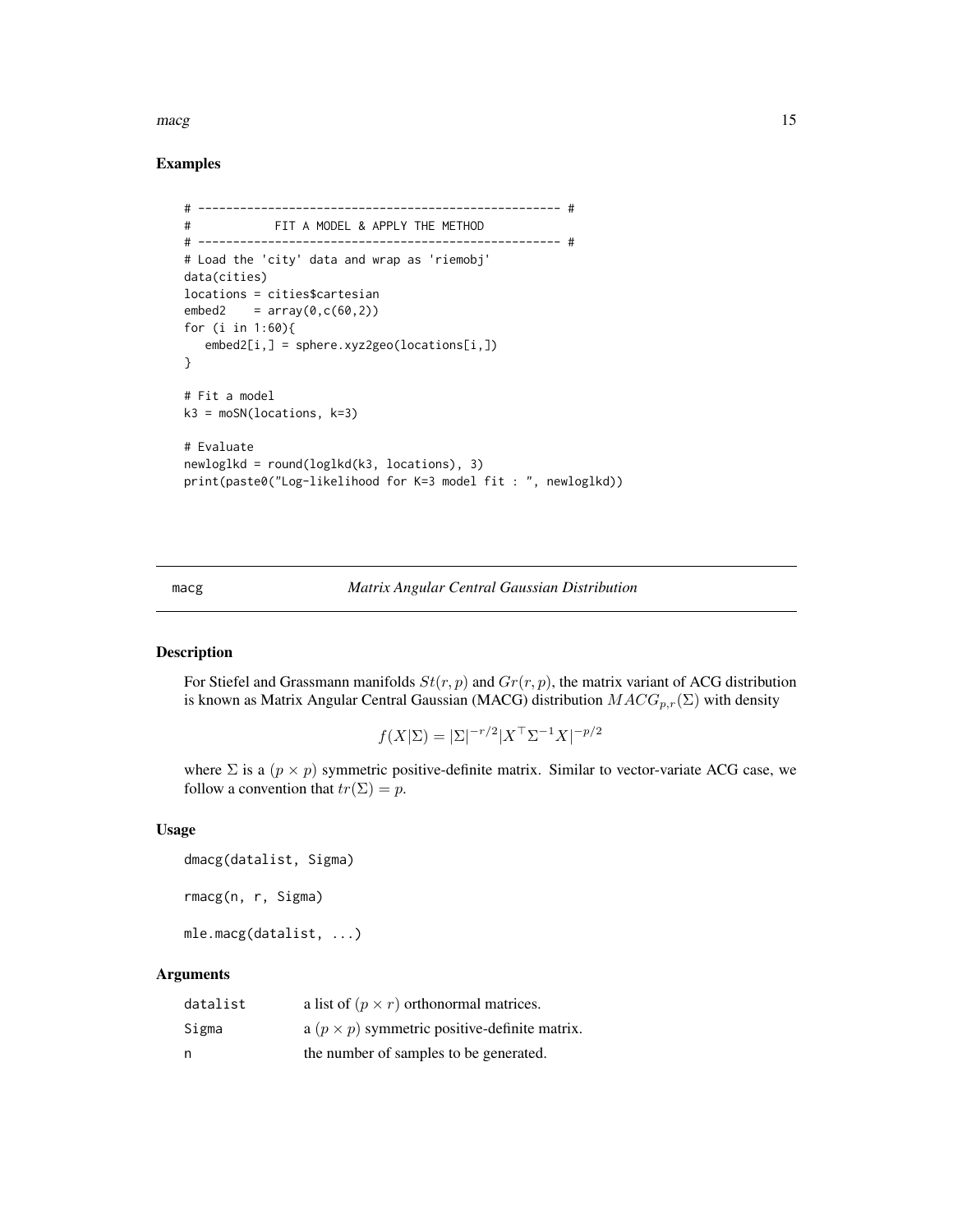#### <span id="page-14-0"></span> $\omega$  macg and  $\omega$  15

# Examples

```
# ---------------------------------------------------- #
# FIT A MODEL & APPLY THE METHOD
# ---------------------------------------------------- #
# Load the 'city' data and wrap as 'riemobj'
data(cities)
locations = cities$cartesian
embed2 = array(0, c(60, 2))for (i in 1:60){
  embed2[i,] = sphere.xyz2geo(locations[i,])
}
# Fit a model
k3 = moSN(locations, k=3)# Evaluate
newloglkd = round(loglkd(k3, locations), 3)
print(paste0("Log-likelihood for K=3 model fit : ", newloglkd))
```
#### macg *Matrix Angular Central Gaussian Distribution*

#### Description

For Stiefel and Grassmann manifolds  $St(r, p)$  and  $Gr(r, p)$ , the matrix variant of ACG distribution is known as Matrix Angular Central Gaussian (MACG) distribution  $MACG_{p,r}(\Sigma)$  with density

$$
f(X|\Sigma) = |\Sigma|^{-r/2} |X^\top \Sigma^{-1} X|^{-p/2}
$$

where  $\Sigma$  is a  $(p \times p)$  symmetric positive-definite matrix. Similar to vector-variate ACG case, we follow a convention that  $tr(\Sigma) = p$ .

# Usage

```
dmacg(datalist, Sigma)
rmacg(n, r, Sigma)
mle.macg(datalist, ...)
```
# Arguments

| datalist | a list of $(p \times r)$ orthonormal matrices.       |
|----------|------------------------------------------------------|
| Sigma    | a $(p \times p)$ symmetric positive-definite matrix. |
| n        | the number of samples to be generated.               |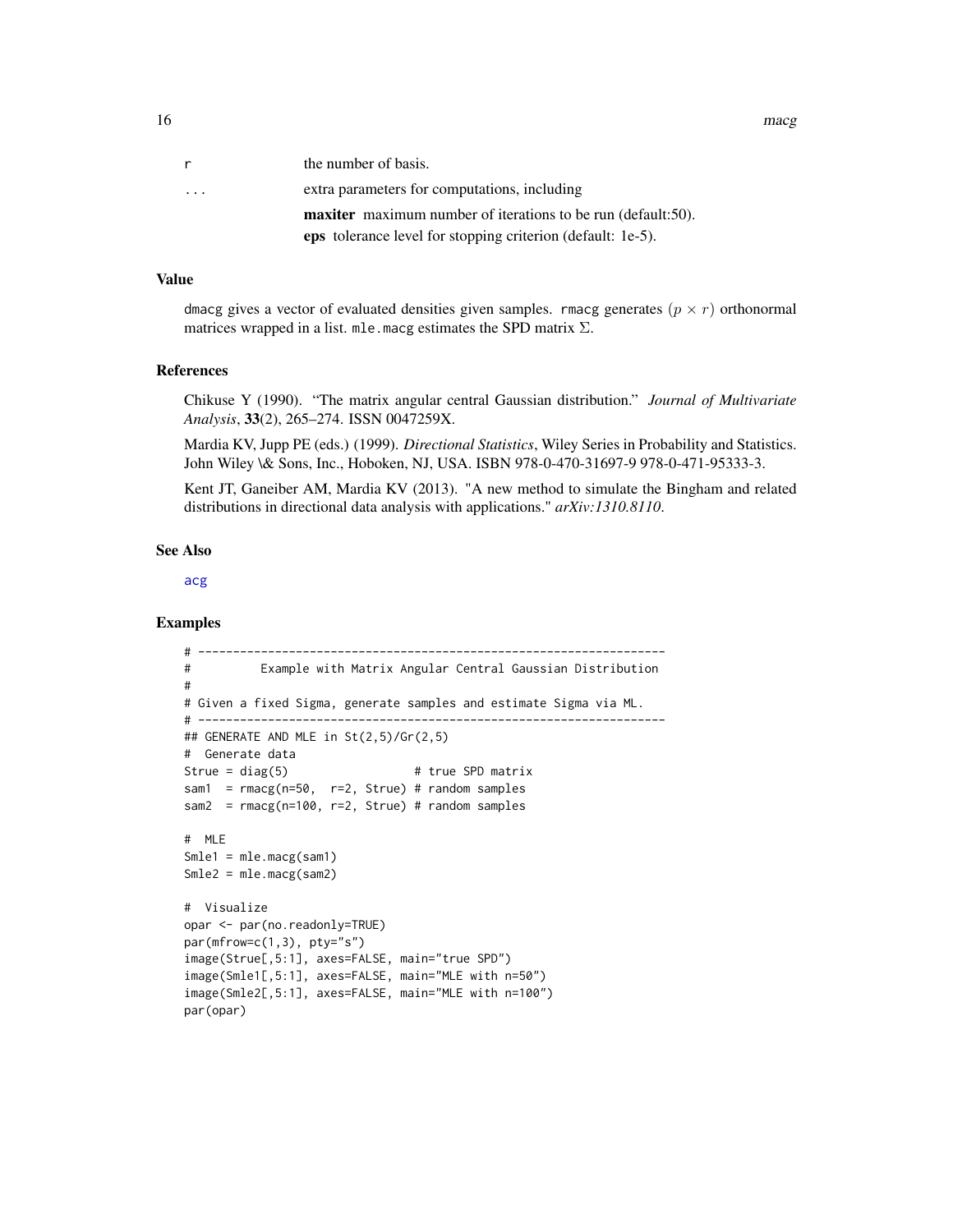16 macging the matrix of the matrix of the matrix of the matrix of the matrix of the matrix of the matrix of the matrix of the matrix of the matrix of the matrix of the matrix of the matrix of the matrix of the matrix of t

| r.                      | the number of basis.                                                |
|-------------------------|---------------------------------------------------------------------|
| $\cdot$ $\cdot$ $\cdot$ | extra parameters for computations, including                        |
|                         | <b>maxiter</b> maximum number of iterations to be run (default:50). |
|                         | <b>eps</b> tolerance level for stopping criterion (default: 1e-5).  |

#### Value

dmacg gives a vector of evaluated densities given samples. rmacg generates  $(p \times r)$  orthonormal matrices wrapped in a list. mle.macg estimates the SPD matrix  $\Sigma$ .

#### References

Chikuse Y (1990). "The matrix angular central Gaussian distribution." *Journal of Multivariate Analysis*, 33(2), 265–274. ISSN 0047259X.

Mardia KV, Jupp PE (eds.) (1999). *Directional Statistics*, Wiley Series in Probability and Statistics. John Wiley \& Sons, Inc., Hoboken, NJ, USA. ISBN 978-0-470-31697-9 978-0-471-95333-3.

Kent JT, Ganeiber AM, Mardia KV (2013). "A new method to simulate the Bingham and related distributions in directional data analysis with applications." *arXiv:1310.8110*.

#### See Also

[acg](#page-2-1)

```
# -------------------------------------------------------------------
# Example with Matrix Angular Central Gaussian Distribution
#
# Given a fixed Sigma, generate samples and estimate Sigma via ML.
# -------------------------------------------------------------------
## GENERATE AND MLE in St(2,5)/Gr(2,5)
# Generate data
Strue = diag(5) # true SPD matrix
sam1 = rmacg(n=50, r=2, Strue) # random samples
sam2 = rmacg(n=100, r=2, Strue) # random samples
# MLE
Smle1 = mle.macg(sam1)
Smle2 = mle.macg(sam2)
# Visualize
opar <- par(no.readonly=TRUE)
par(mfrow=c(1,3), pty="s")
image(Strue[,5:1], axes=FALSE, main="true SPD")
image(Smle1[,5:1], axes=FALSE, main="MLE with n=50")
image(Smle2[,5:1], axes=FALSE, main="MLE with n=100")
par(opar)
```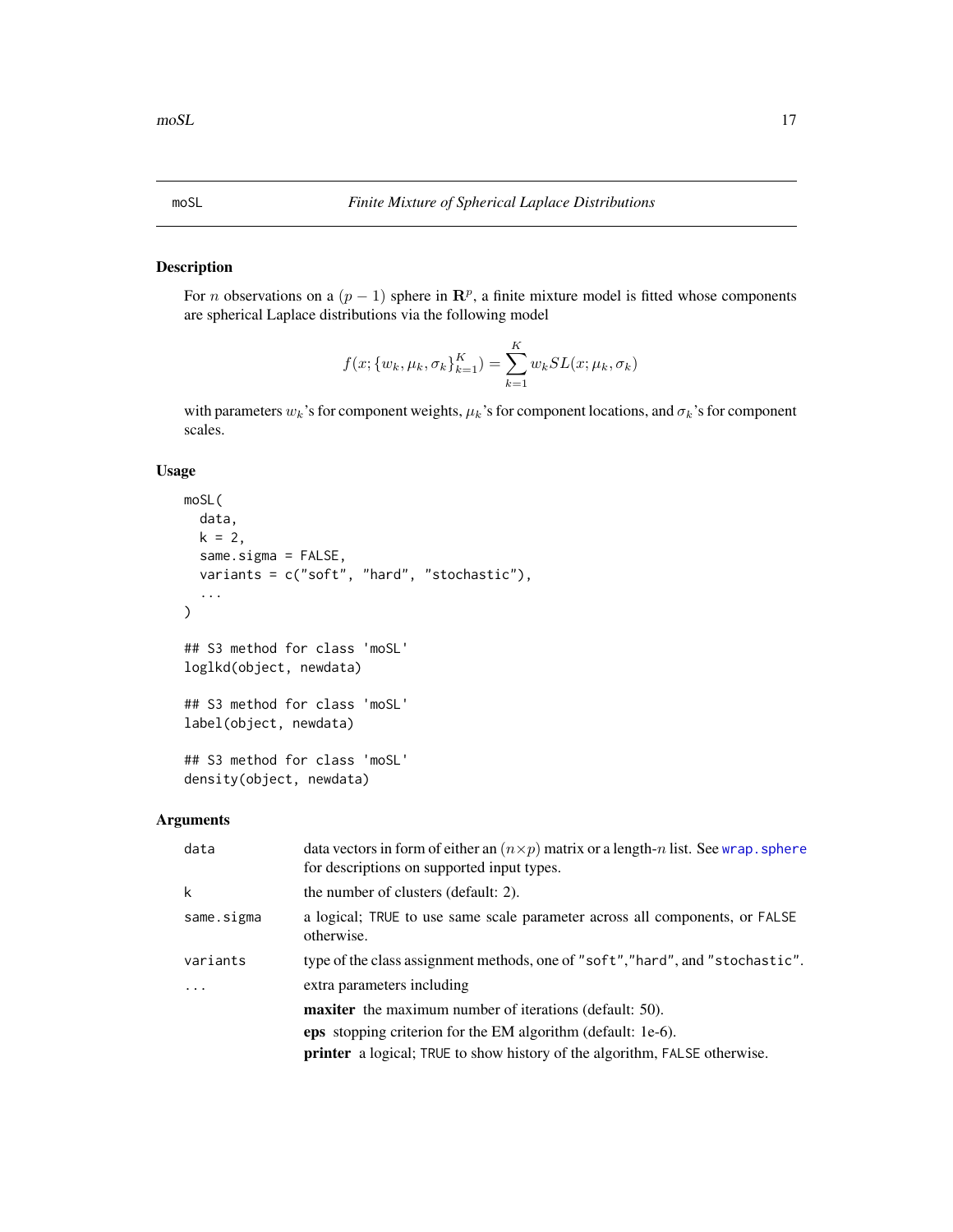# Description

For *n* observations on a  $(p - 1)$  sphere in  $\mathbb{R}^p$ , a finite mixture model is fitted whose components are spherical Laplace distributions via the following model

$$
f(x; \{w_k, \mu_k, \sigma_k\}_{k=1}^K) = \sum_{k=1}^K w_k SL(x; \mu_k, \sigma_k)
$$

with parameters  $w_k$ 's for component weights,  $\mu_k$ 's for component locations, and  $\sigma_k$ 's for component scales.

# Usage

```
moSL(
 data,
 k = 2,same.sigma = FALSE,
 variants = c("soft", "hard", "stochastic"),
  ...
)
## S3 method for class 'moSL'
loglkd(object, newdata)
## S3 method for class 'moSL'
label(object, newdata)
## S3 method for class 'moSL'
density(object, newdata)
```
# Arguments

| data                    | data vectors in form of either an $(n \times p)$ matrix or a length-n list. See wrap, sphere<br>for descriptions on supported input types. |
|-------------------------|--------------------------------------------------------------------------------------------------------------------------------------------|
| k                       | the number of clusters (default: 2).                                                                                                       |
| same.sigma              | a logical; TRUE to use same scale parameter across all components, or FALSE<br>otherwise.                                                  |
| variants                | type of the class assignment methods, one of "soft","hard", and "stochastic".                                                              |
| $\cdot$ $\cdot$ $\cdot$ | extra parameters including                                                                                                                 |
|                         | <b>maxiter</b> the maximum number of iterations (default: 50).                                                                             |
|                         | <b>eps</b> stopping criterion for the EM algorithm (default: 1e-6).                                                                        |
|                         | <b>printer</b> a logical; TRUE to show history of the algorithm, FALSE otherwise.                                                          |

<span id="page-16-1"></span><span id="page-16-0"></span>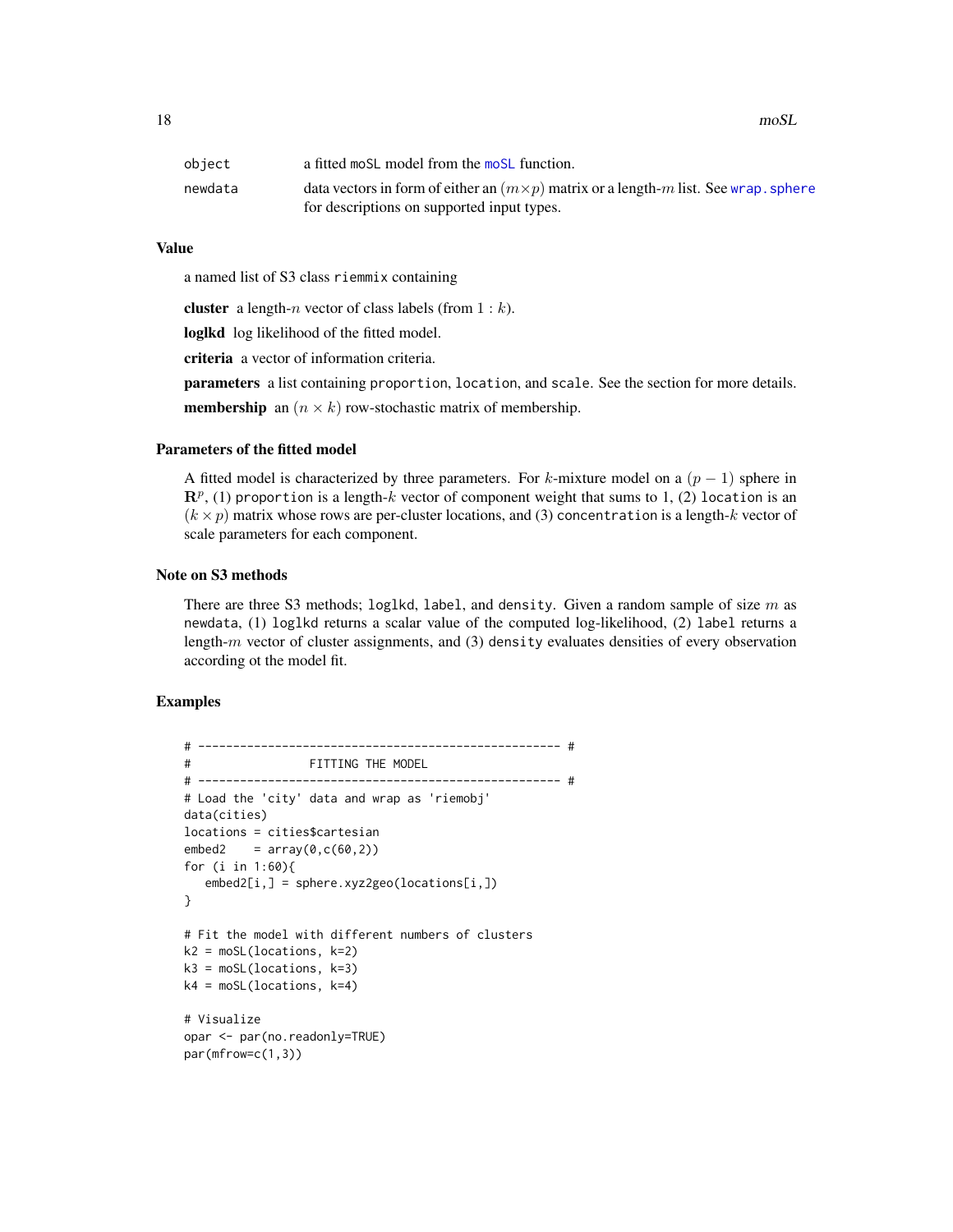18 moSL

| object  | a fitted most model from the most function.                                                  |
|---------|----------------------------------------------------------------------------------------------|
| newdata | data vectors in form of either an $(m \times p)$ matrix or a length-m list. See wrap, sphere |
|         | for descriptions on supported input types.                                                   |

# Value

a named list of S3 class riemmix containing

**cluster** a length-*n* vector of class labels (from  $1 : k$ ).

loglkd log likelihood of the fitted model.

criteria a vector of information criteria.

parameters a list containing proportion, location, and scale. See the section for more details. **membership** an  $(n \times k)$  row-stochastic matrix of membership.

# Parameters of the fitted model

A fitted model is characterized by three parameters. For k-mixture model on a  $(p - 1)$  sphere in  $\mathbf{R}^p$ , (1) proportion is a length-k vector of component weight that sums to 1, (2) location is an  $(k \times p)$  matrix whose rows are per-cluster locations, and (3) concentration is a length-k vector of scale parameters for each component.

# Note on S3 methods

There are three S3 methods; loglkd, label, and density. Given a random sample of size  $m$  as newdata, (1) loglkd returns a scalar value of the computed log-likelihood, (2) label returns a length- $m$  vector of cluster assignments, and (3) density evaluates densities of every observation according ot the model fit.

```
# ---------------------------------------------------- #
# FITTING THE MODEL
# ---------------------------------------------------- #
# Load the 'city' data and wrap as 'riemobj'
data(cities)
locations = cities$cartesian
embed2 = array(0, c(60, 2))for (i in 1:60){
   embed2[i,] = sphere.xyz2geo(locations[i,])
}
# Fit the model with different numbers of clusters
k2 = \text{moSL}(\text{locations}, k=2)k3 = \text{moSL}(\text{locations}, k=3)k4 = \text{mol}(\text{locations}, k=4)# Visualize
opar <- par(no.readonly=TRUE)
par(mfrow=c(1,3))
```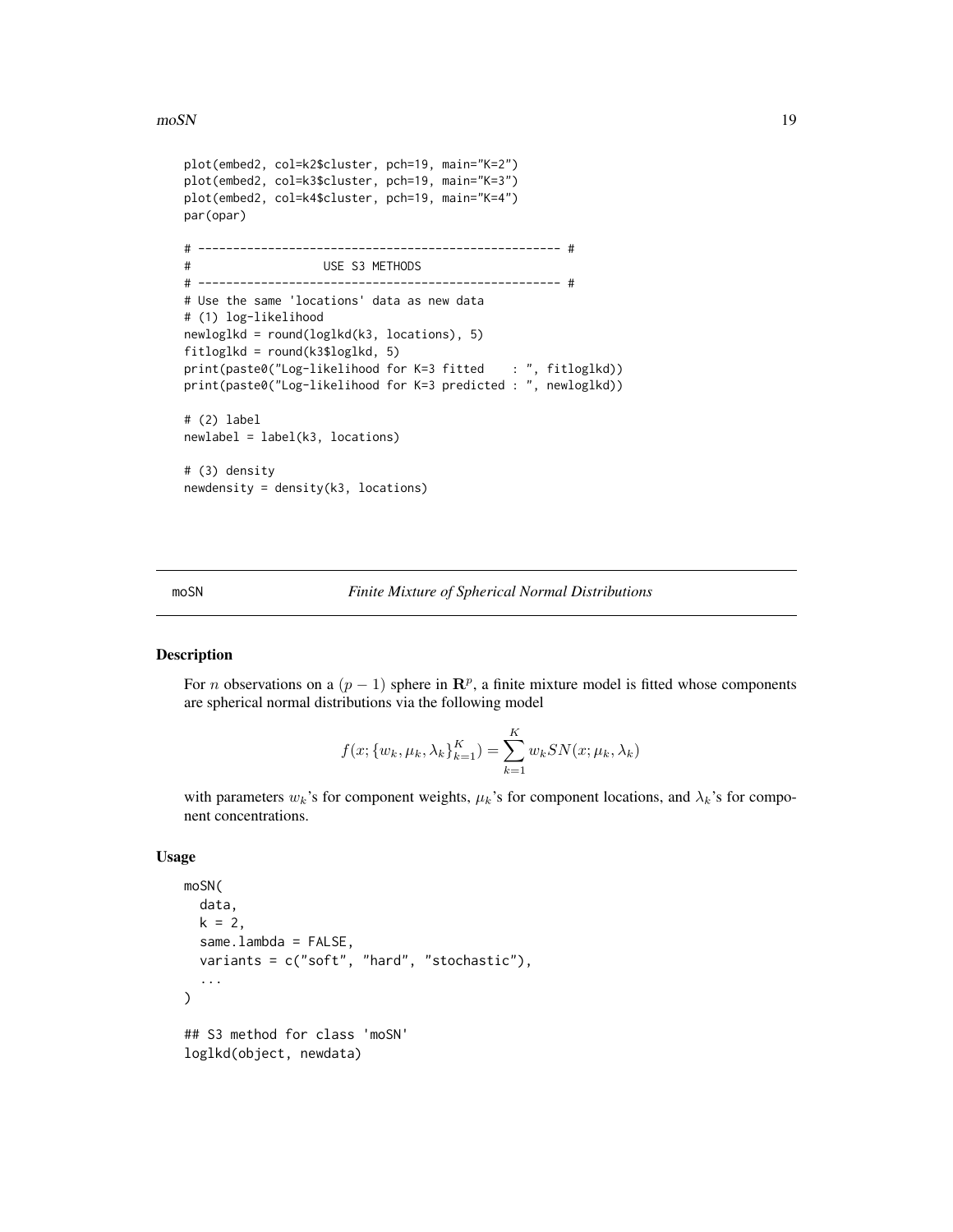#### <span id="page-18-0"></span> $\text{m}$ oSN 19

```
plot(embed2, col=k2$cluster, pch=19, main="K=2")
plot(embed2, col=k3$cluster, pch=19, main="K=3")
plot(embed2, col=k4$cluster, pch=19, main="K=4")
par(opar)
# ---------------------------------------------------- #
# USE S3 METHODS
# ---------------------------------------------------- #
# Use the same 'locations' data as new data
# (1) log-likelihood
newloglkd = round(loglkd(k3, locations), 5)
fitloglkd = round(k3$loglkd, 5)
print(paste0("Log-likelihood for K=3 fitted : ", fitloglkd))
print(paste0("Log-likelihood for K=3 predicted : ", newloglkd))
# (2) label
newlabel = label(k3, locations)
# (3) density
newdensity = density(k3, locations)
```
<span id="page-18-1"></span>moSN *Finite Mixture of Spherical Normal Distributions*

#### Description

For *n* observations on a  $(p - 1)$  sphere in  $\mathbb{R}^p$ , a finite mixture model is fitted whose components are spherical normal distributions via the following model

$$
f(x; \{w_k, \mu_k, \lambda_k\}_{k=1}^K) = \sum_{k=1}^K w_k SN(x; \mu_k, \lambda_k)
$$

with parameters  $w_k$ 's for component weights,  $\mu_k$ 's for component locations, and  $\lambda_k$ 's for component concentrations.

#### Usage

```
moSN(
  data,
  k = 2,
  same.lambda = FALSE,
  variants = c("soft", "hard", "stochastic"),
  ...
\lambda## S3 method for class 'moSN'
loglkd(object, newdata)
```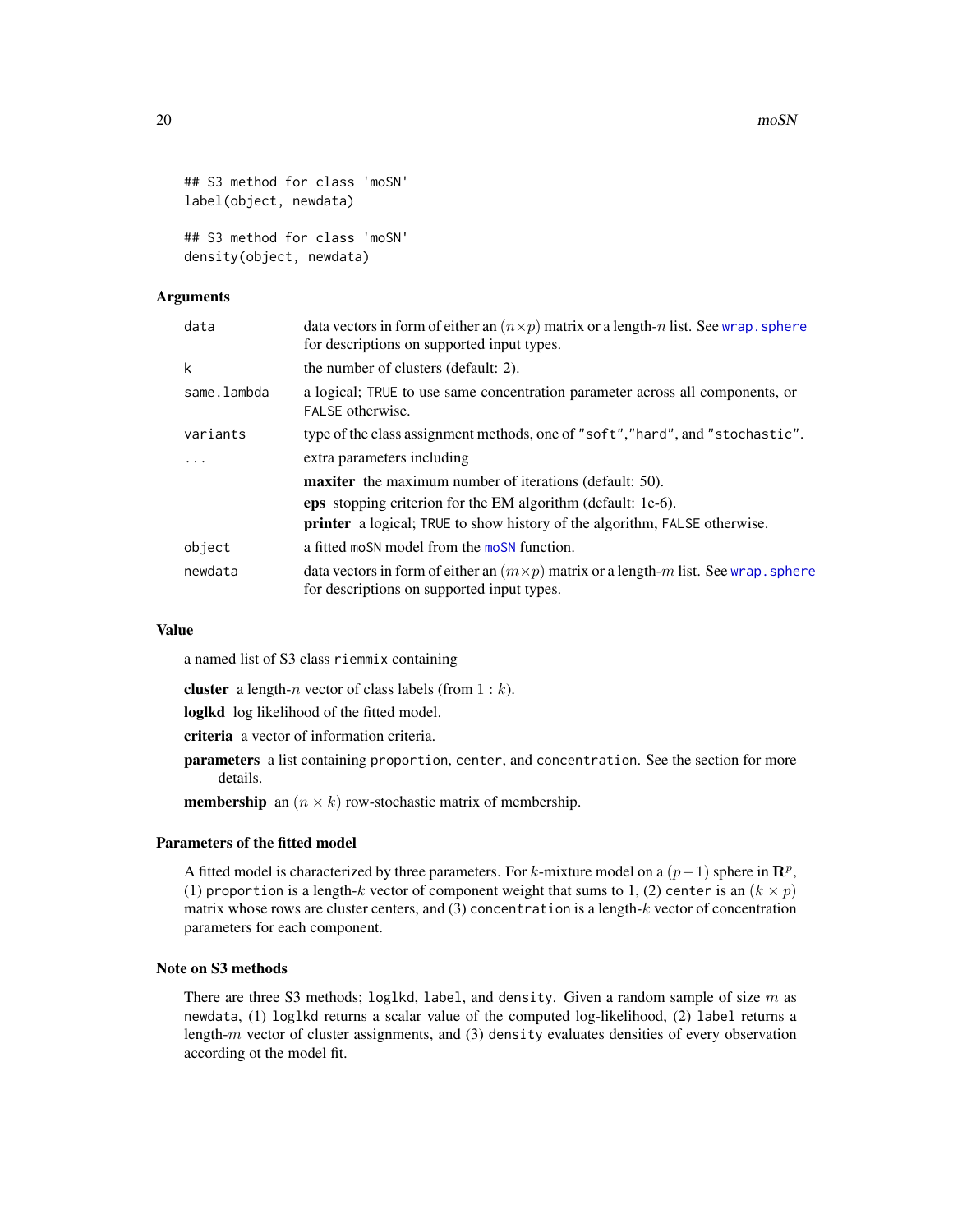```
## S3 method for class 'moSN'
label(object, newdata)
```
## S3 method for class 'moSN' density(object, newdata)

#### Arguments

| data        | data vectors in form of either an $(n \times p)$ matrix or a length-n list. See wrap, sphere<br>for descriptions on supported input types. |
|-------------|--------------------------------------------------------------------------------------------------------------------------------------------|
| k           | the number of clusters (default: 2).                                                                                                       |
| same.lambda | a logical; TRUE to use same concentration parameter across all components, or<br>FALSE otherwise.                                          |
| variants    | type of the class assignment methods, one of "soft","hard", and "stochastic".                                                              |
| $\ddots$    | extra parameters including                                                                                                                 |
|             | <b>maxiter</b> the maximum number of iterations (default: 50).                                                                             |
|             | <b>eps</b> stopping criterion for the EM algorithm (default: 1e-6).                                                                        |
|             | <b>printer</b> a logical; TRUE to show history of the algorithm, FALSE otherwise.                                                          |
| object      | a fitted moSN model from the moSN function.                                                                                                |
| newdata     | data vectors in form of either an $(m \times p)$ matrix or a length-m list. See wrap. sphere<br>for descriptions on supported input types. |

#### Value

a named list of S3 class riemmix containing

**cluster** a length-*n* vector of class labels (from  $1 : k$ ).

loglkd log likelihood of the fitted model.

criteria a vector of information criteria.

- parameters a list containing proportion, center, and concentration. See the section for more details.
- **membership** an  $(n \times k)$  row-stochastic matrix of membership.

#### Parameters of the fitted model

A fitted model is characterized by three parameters. For k-mixture model on a  $(p-1)$  sphere in  $\mathbb{R}^p$ , (1) proportion is a length-k vector of component weight that sums to 1, (2) center is an  $(k \times p)$ matrix whose rows are cluster centers, and  $(3)$  concentration is a length- $k$  vector of concentration parameters for each component.

# Note on S3 methods

There are three S3 methods; loglkd, label, and density. Given a random sample of size  $m$  as newdata, (1) loglkd returns a scalar value of the computed log-likelihood, (2) label returns a length- $m$  vector of cluster assignments, and (3) density evaluates densities of every observation according ot the model fit.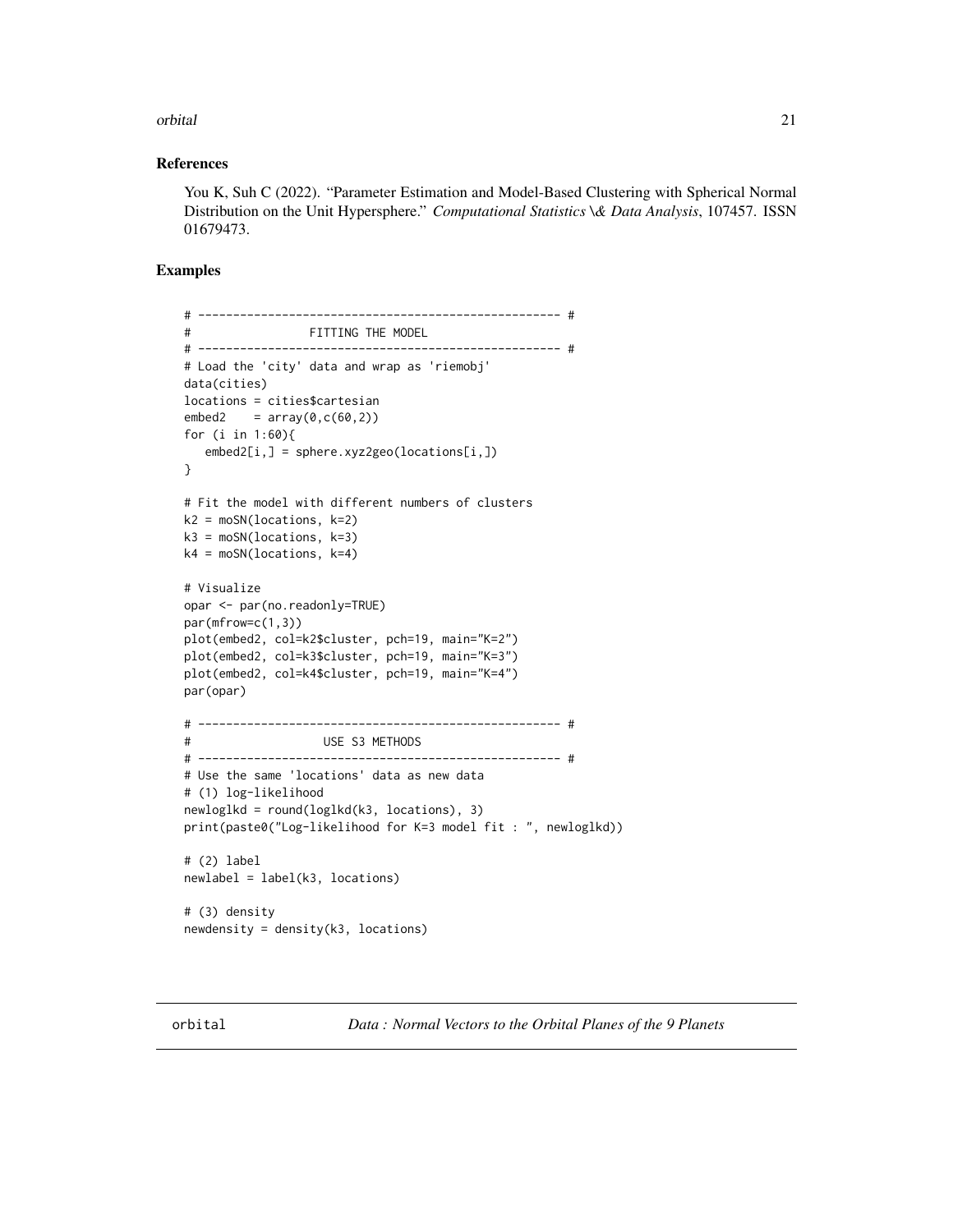#### <span id="page-20-0"></span>orbital 21

#### References

You K, Suh C (2022). "Parameter Estimation and Model-Based Clustering with Spherical Normal Distribution on the Unit Hypersphere." *Computational Statistics \& Data Analysis*, 107457. ISSN 01679473.

# Examples

```
# ---------------------------------------------------- #
# FITTING THE MODEL
# ---------------------------------------------------- #
# Load the 'city' data and wrap as 'riemobj'
data(cities)
locations = cities$cartesian
embed2 = array(0, c(60, 2))for (i in 1:60){
   embed2[i,] = sphere.xyz2geo(locations[i,])
}
# Fit the model with different numbers of clusters
k2 = moSN(locations, k=2)k3 = moSN(locations, k=3)k4 = moSN(locations, k=4)
# Visualize
opar <- par(no.readonly=TRUE)
par(mfrow=c(1,3))
plot(embed2, col=k2$cluster, pch=19, main="K=2")
plot(embed2, col=k3$cluster, pch=19, main="K=3")
plot(embed2, col=k4$cluster, pch=19, main="K=4")
par(opar)
# ---------------------------------------------------- #
# USE S3 METHODS
# ---------------------------------------------------- #
# Use the same 'locations' data as new data
# (1) log-likelihood
newloglkd = round(loglkd(k3, locations), 3)
print(paste0("Log-likelihood for K=3 model fit : ", newloglkd))
# (2) label
newlabel = label(k3, locations)
# (3) density
newdensity = density(k3, locations)
```
orbital *Data : Normal Vectors to the Orbital Planes of the 9 Planets*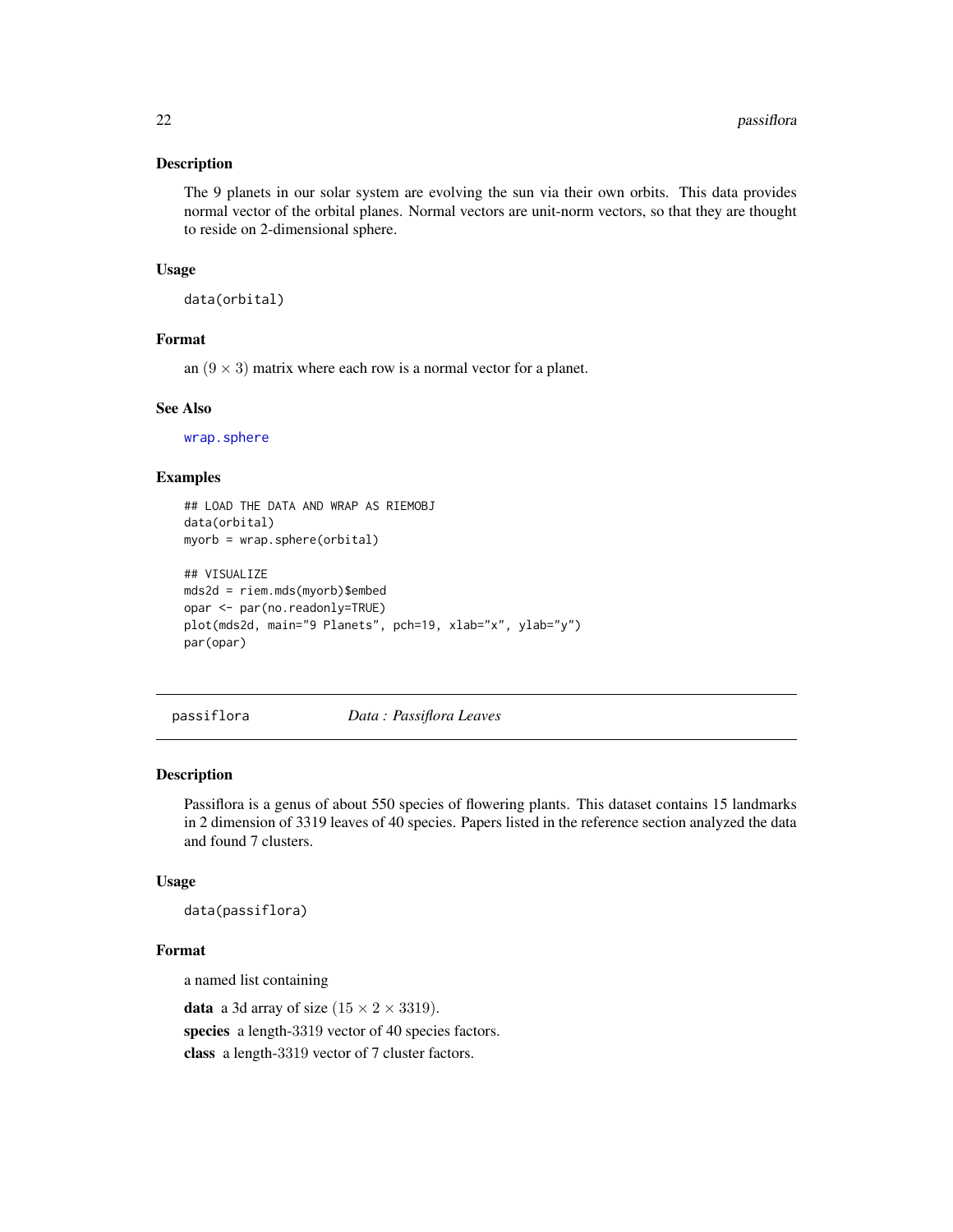#### <span id="page-21-0"></span>Description

The 9 planets in our solar system are evolving the sun via their own orbits. This data provides normal vector of the orbital planes. Normal vectors are unit-norm vectors, so that they are thought to reside on 2-dimensional sphere.

#### Usage

data(orbital)

# Format

an  $(9 \times 3)$  matrix where each row is a normal vector for a planet.

# See Also

[wrap.sphere](#page-104-1)

# Examples

```
## LOAD THE DATA AND WRAP AS RIEMOBJ
data(orbital)
myorb = wrap.sphere(orbital)
## VISUALIZE
mds2d = riem.mds(myorb)$embed
opar <- par(no.readonly=TRUE)
plot(mds2d, main="9 Planets", pch=19, xlab="x", ylab="y")
par(opar)
```
passiflora *Data : Passiflora Leaves*

#### Description

Passiflora is a genus of about 550 species of flowering plants. This dataset contains 15 landmarks in 2 dimension of 3319 leaves of 40 species. Papers listed in the reference section analyzed the data and found 7 clusters.

#### Usage

data(passiflora)

# Format

a named list containing

**data** a 3d array of size  $(15 \times 2 \times 3319)$ . species a length-3319 vector of 40 species factors. class a length-3319 vector of 7 cluster factors.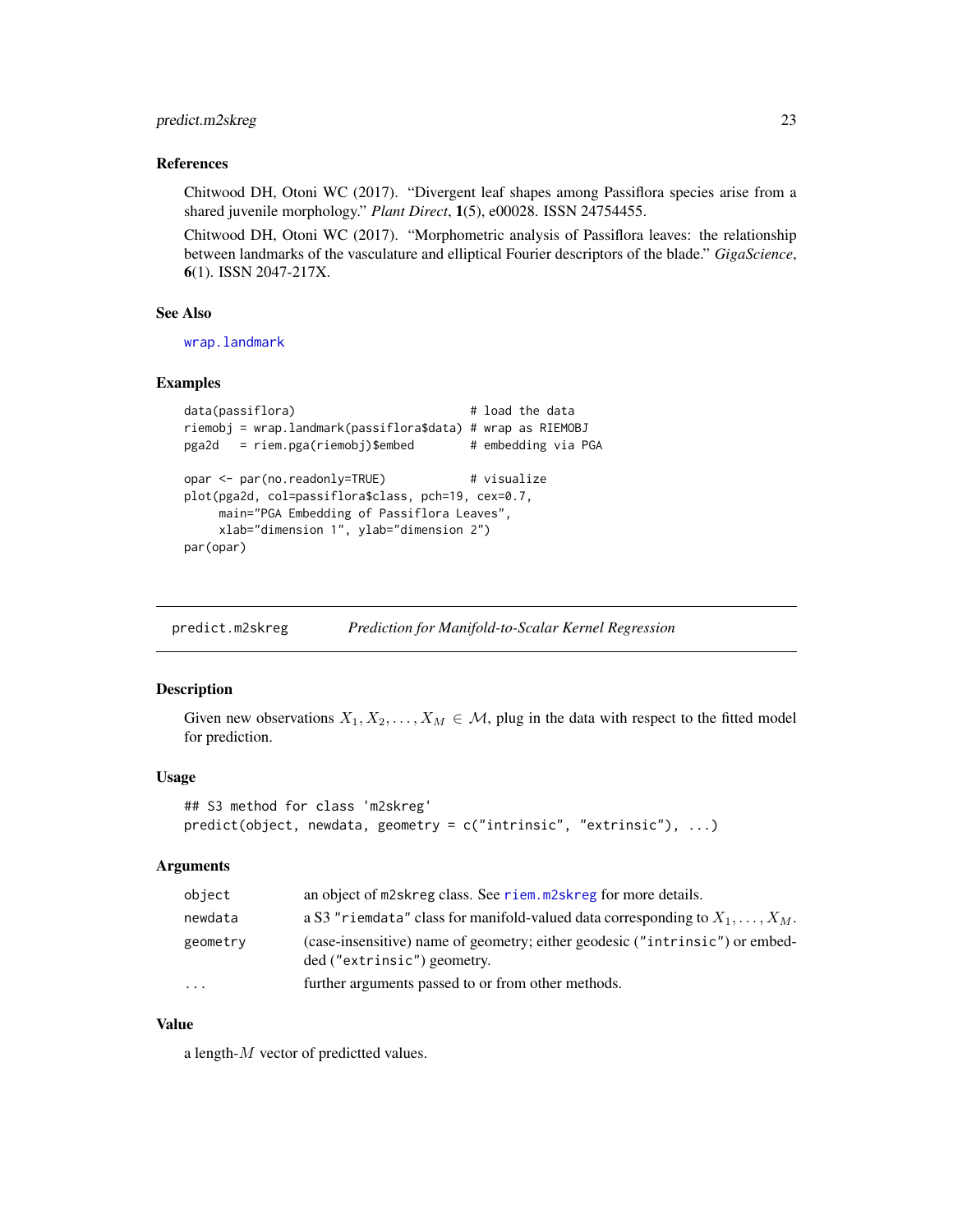# <span id="page-22-0"></span>predict.m2skreg 23

#### References

Chitwood DH, Otoni WC (2017). "Divergent leaf shapes among Passiflora species arise from a shared juvenile morphology." *Plant Direct*, 1(5), e00028. ISSN 24754455.

Chitwood DH, Otoni WC (2017). "Morphometric analysis of Passiflora leaves: the relationship between landmarks of the vasculature and elliptical Fourier descriptors of the blade." *GigaScience*, 6(1). ISSN 2047-217X.

#### See Also

[wrap.landmark](#page-98-1)

#### Examples

```
data(passiflora) # load the data
riemobj = wrap.landmark(passiflora$data) # wrap as RIEMOBJ
pga2d = riem.pga(riemobj)$embed # embedding via PGA
opar <- par(no.readonly=TRUE) # visualize
plot(pga2d, col=passiflora$class, pch=19, cex=0.7,
    main="PGA Embedding of Passiflora Leaves",
    xlab="dimension 1", ylab="dimension 2")
par(opar)
```
predict.m2skreg *Prediction for Manifold-to-Scalar Kernel Regression*

#### Description

Given new observations  $X_1, X_2, \ldots, X_M \in \mathcal{M}$ , plug in the data with respect to the fitted model for prediction.

#### Usage

```
## S3 method for class 'm2skreg'
predict(object, newdata, geometry = c("intrinsic", "extrinsic"), ...)
```
#### Arguments

| object   | an object of m2skreg class. See riem. m2skreg for more details.                                             |
|----------|-------------------------------------------------------------------------------------------------------------|
| newdata  | a S3 "riemdata" class for manifold-valued data corresponding to $X_1, \ldots, X_M$ .                        |
| geometry | (case-insensitive) name of geometry; either geodesic ("intrinsic") or embed-<br>ded ("extrinsic") geometry. |
| $\cdots$ | further arguments passed to or from other methods.                                                          |

#### Value

a length-M vector of predictted values.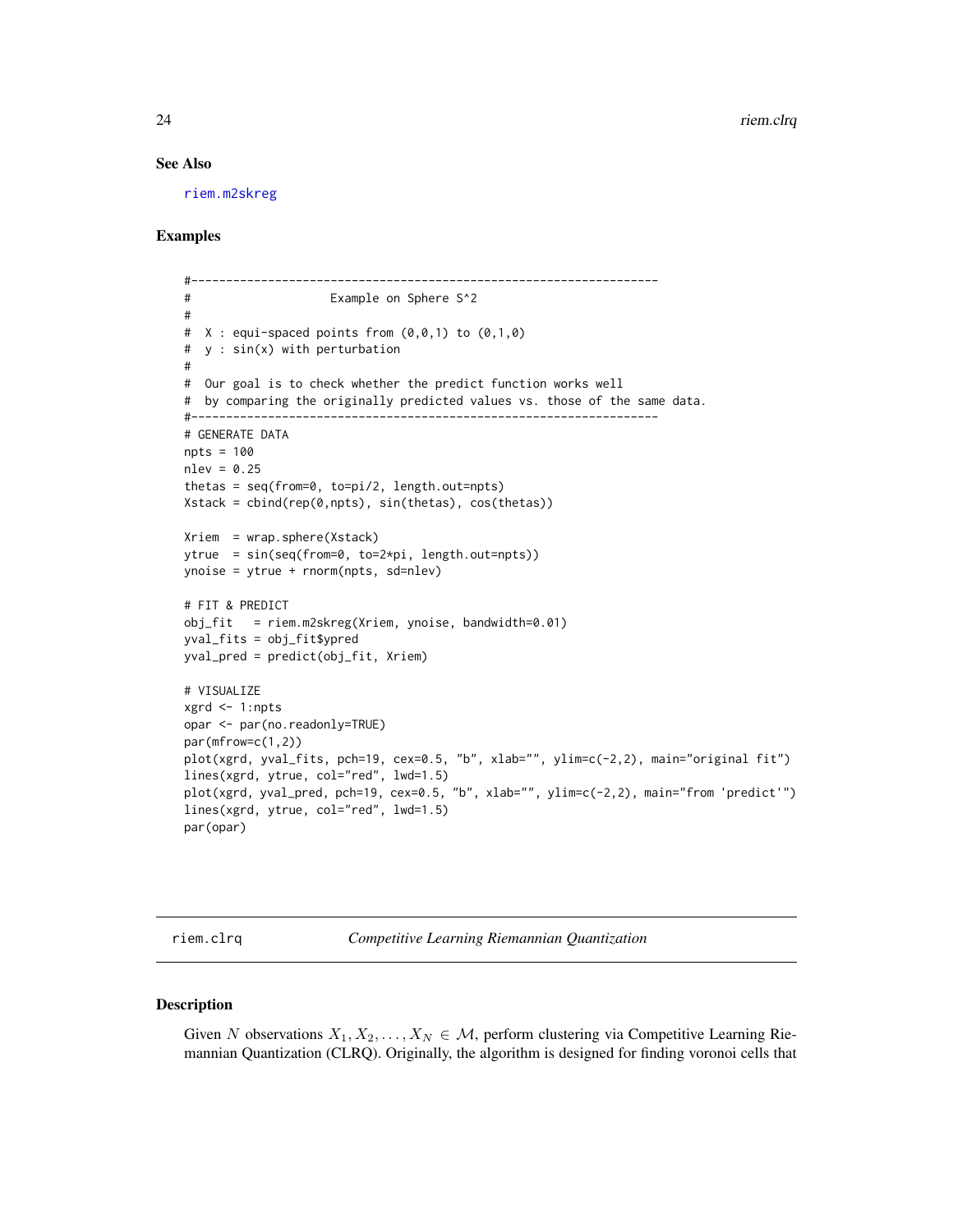#### See Also

[riem.m2skreg](#page-47-1)

## Examples

```
#-------------------------------------------------------------------
# Example on Sphere S^2
#
# X : equi-space points from (0,0,1) to (0,1,0)# y : sin(x) with perturbation
#
# Our goal is to check whether the predict function works well
# by comparing the originally predicted values vs. those of the same data.
#-------------------------------------------------------------------
# GENERATE DATA
npts = 100
nlev = 0.25thetas = seq(from=0, to=pi/2, length.out=npts)
Xstack = cbind(rep(0,npts), sin(thetas), cos(thetas))
Xriem = wrap.sphere(Xstack)
ytrue = sin(seq(from=0, to=2*pi, length.out=npts))
ynoise = ytrue + rnorm(npts, sd=nlev)
# FIT & PREDICT
obj_fit = riem.m2skreg(Xriem, ynoise, bandwidth=0.01)
yval_fits = obj_fit$ypred
yval_pred = predict(obj_fit, Xriem)
# VISUALIZE
xgrd <- 1:npts
opar <- par(no.readonly=TRUE)
par(mfrow=c(1,2))
plot(xgrd, yval_fits, pch=19, cex=0.5, "b", xlab="", ylim=c(-2,2), main="original fit")
lines(xgrd, ytrue, col="red", lwd=1.5)
plot(xgrd, yval_pred, pch=19, cex=0.5, "b", xlab="", ylim=c(-2,2), main="from 'predict'")
lines(xgrd, ytrue, col="red", lwd=1.5)
par(opar)
```
riem.clrq *Competitive Learning Riemannian Quantization*

# Description

Given N observations  $X_1, X_2, \ldots, X_N \in \mathcal{M}$ , perform clustering via Competitive Learning Riemannian Quantization (CLRQ). Originally, the algorithm is designed for finding voronoi cells that

<span id="page-23-0"></span>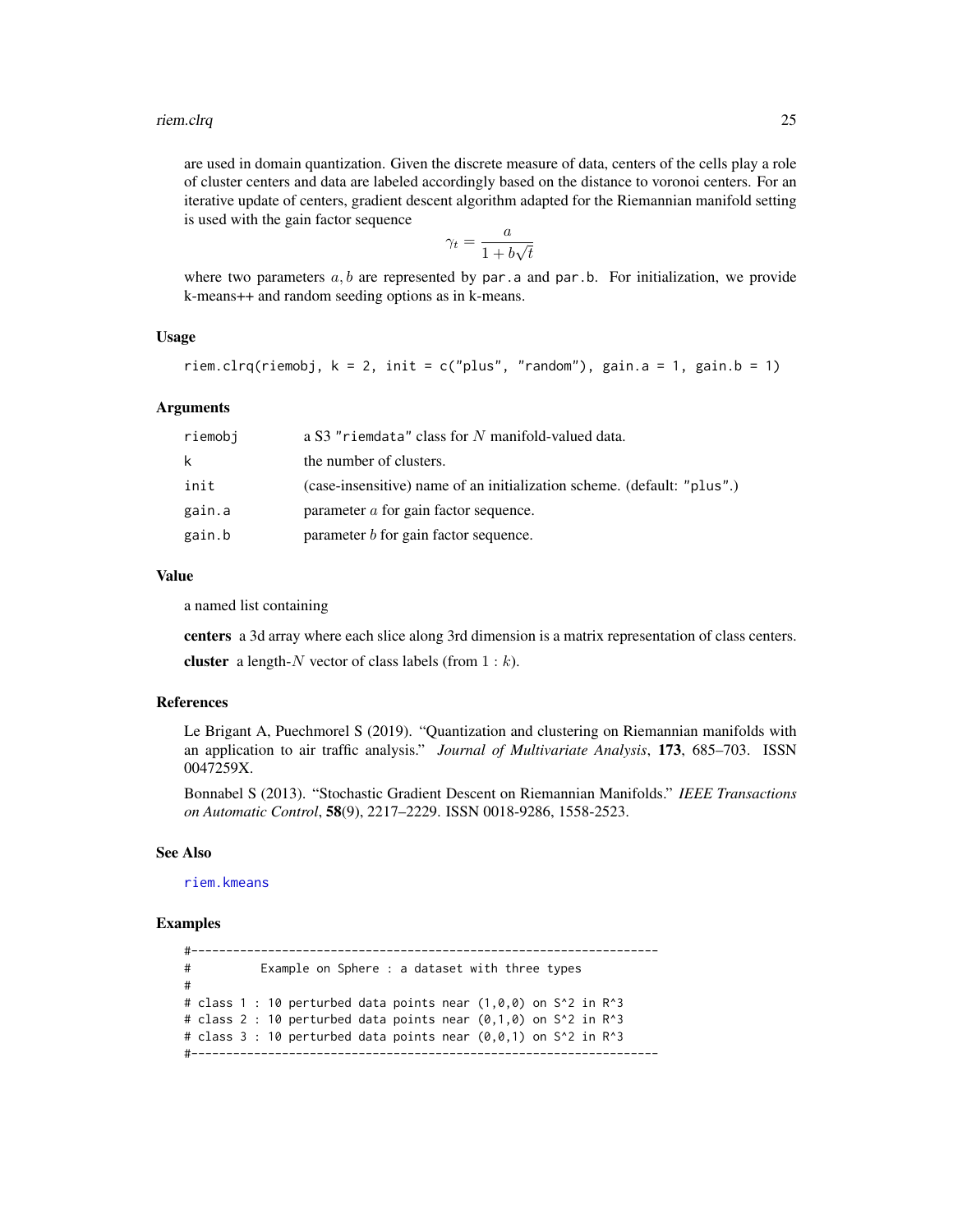are used in domain quantization. Given the discrete measure of data, centers of the cells play a role of cluster centers and data are labeled accordingly based on the distance to voronoi centers. For an iterative update of centers, gradient descent algorithm adapted for the Riemannian manifold setting is used with the gain factor sequence

$$
\gamma_t = \frac{a}{1 + b\sqrt{t}}
$$

where two parameters  $a, b$  are represented by par. a and par. b. For initialization, we provide k-means++ and random seeding options as in k-means.

# Usage

```
riem.clrq(riemobj, k = 2, init = c("plus", "random"), gain.a = 1, gain.b = 1)
```
#### Arguments

| riemobi | a S3 "riemdata" class for N manifold-valued data.                       |
|---------|-------------------------------------------------------------------------|
| k       | the number of clusters.                                                 |
| init    | (case-insensitive) name of an initialization scheme. (default: "plus".) |
| gain.a  | parameter <i>a</i> for gain factor sequence.                            |
| gain.b  | parameter $b$ for gain factor sequence.                                 |

#### Value

a named list containing

centers a 3d array where each slice along 3rd dimension is a matrix representation of class centers. cluster a length-N vector of class labels (from  $1 : k$ ).

#### References

Le Brigant A, Puechmorel S (2019). "Quantization and clustering on Riemannian manifolds with an application to air traffic analysis." *Journal of Multivariate Analysis*, 173, 685–703. ISSN 0047259X.

Bonnabel S (2013). "Stochastic Gradient Descent on Riemannian Manifolds." *IEEE Transactions on Automatic Control*, 58(9), 2217–2229. ISSN 0018-9286, 1558-2523.

#### See Also

[riem.kmeans](#page-37-1)

## Examples

#------------------------------------------------------------------- # Example on Sphere : a dataset with three types # # class 1 : 10 perturbed data points near  $(1,0,0)$  on S^2 in R^3 # class 2 : 10 perturbed data points near  $(0,1,0)$  on S^2 in R^3 # class  $3 : 10$  perturbed data points near  $(0,0,1)$  on  $S^2$  in R<sup>^3</sup> #-------------------------------------------------------------------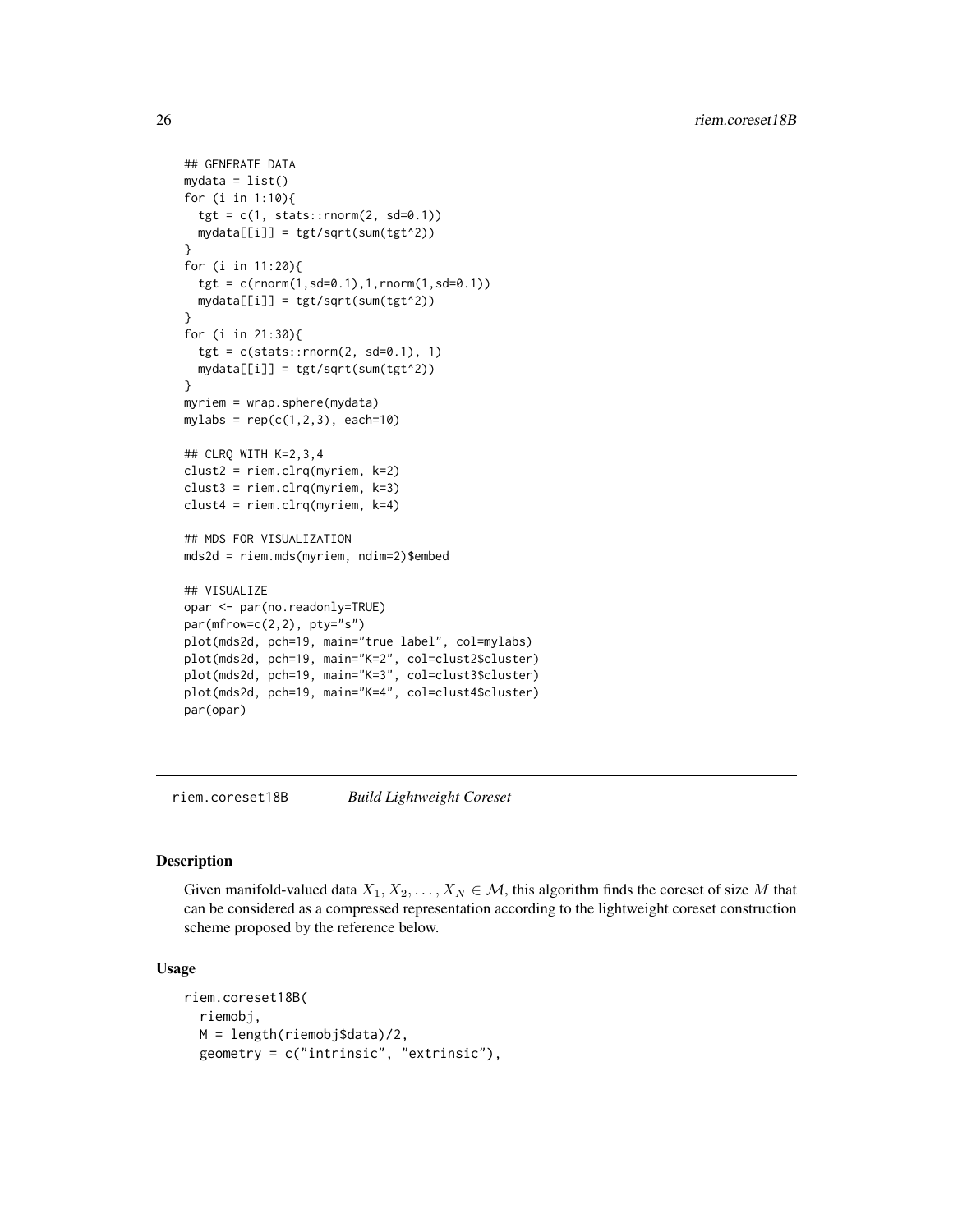```
## GENERATE DATA
mydata = list()for (i in 1:10){
 tgt = c(1, stats::rnorm(2, sd=0.1))mydata[[i]] = tgt/sqrt(sum(tgt^2))
}
for (i in 11:20){
 tgt = c(rnorm(1,sd=0.1),1,rnorm(1,sd=0.1))
 mydata[[i]] = tgt/sqrt(sum(tgt^2))
}
for (i in 21:30){
 tgt = c(stats::rnorm(2, sd=0.1), 1)mydata[[i]] = tgt/sqrt(sum(tgt^2))
}
myriem = wrap.sphere(mydata)
mylabs = rep(c(1, 2, 3), each=10)## CLRQ WITH K=2,3,4
clust2 = riem.clrq(myriem, k=2)
clust3 = riem.clrq(myriem, k=3)
clust4 = riem.clrq(myriem, k=4)
## MDS FOR VISUALIZATION
mds2d = riem.mds(myriem, ndim=2)$embed
## VISUALIZE
opar <- par(no.readonly=TRUE)
par(mfrow=c(2,2), pty="s")plot(mds2d, pch=19, main="true label", col=mylabs)
plot(mds2d, pch=19, main="K=2", col=clust2$cluster)
plot(mds2d, pch=19, main="K=3", col=clust3$cluster)
plot(mds2d, pch=19, main="K=4", col=clust4$cluster)
par(opar)
```
riem.coreset18B *Build Lightweight Coreset*

#### Description

Given manifold-valued data  $X_1, X_2, \ldots, X_N \in \mathcal{M}$ , this algorithm finds the coreset of size M that can be considered as a compressed representation according to the lightweight coreset construction scheme proposed by the reference below.

#### Usage

```
riem.coreset18B(
  riemobj,
 M = length(riemobj$data)/2,
 geometry = c("intrinsic", "extrinsic"),
```
<span id="page-25-0"></span>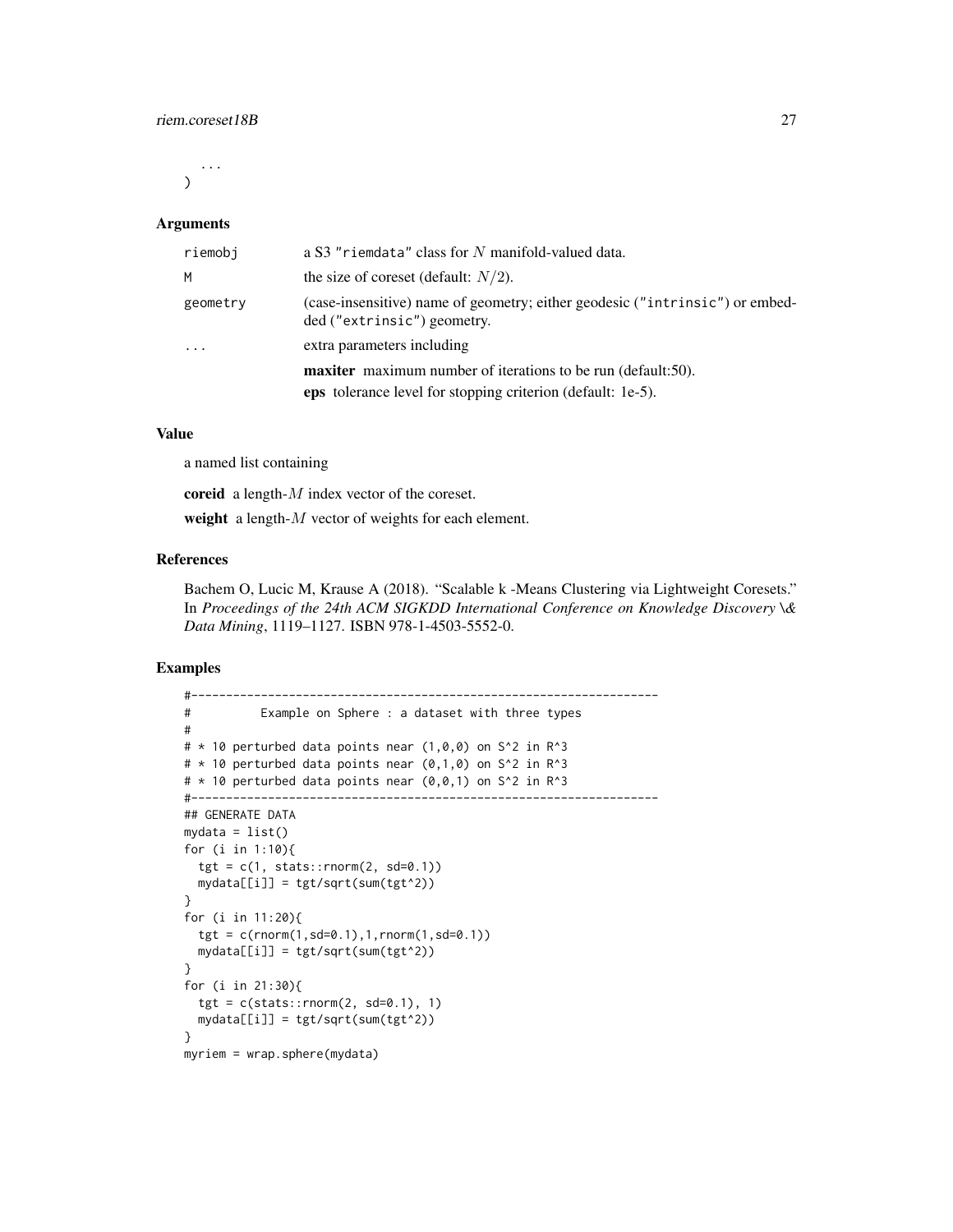...  $\lambda$ 

#### Arguments

| riemobi  | a S3 "riemdata" class for N manifold-valued data.                                                                                         |
|----------|-------------------------------------------------------------------------------------------------------------------------------------------|
| M        | the size of coreset (default: $N/2$ ).                                                                                                    |
| geometry | (case-insensitive) name of geometry; either geodesic ("intrinsic") or embed-<br>ded ("extrinsic") geometry.                               |
| $\cdot$  | extra parameters including                                                                                                                |
|          | <b>maxiter</b> maximum number of iterations to be run (default:50).<br><b>eps</b> tolerance level for stopping criterion (default: 1e-5). |
|          |                                                                                                                                           |

## Value

a named list containing

coreid a length- $M$  index vector of the coreset.

weight a length-M vector of weights for each element.

# References

Bachem O, Lucic M, Krause A (2018). "Scalable k -Means Clustering via Lightweight Coresets." In *Proceedings of the 24th ACM SIGKDD International Conference on Knowledge Discovery \& Data Mining*, 1119–1127. ISBN 978-1-4503-5552-0.

```
#-------------------------------------------------------------------
# Example on Sphere : a dataset with three types
#
\# * 10 perturbed data points near (1,0,0) on S^2 in R^3
\# * 10 perturbed data points near (0,1,0) on S^2 in R^3
# * 10 perturbed data points near (0,0,1) on S^2 in R<sup>^3</sup>
#-------------------------------------------------------------------
## GENERATE DATA
mydata = list()for (i in 1:10){
  tgt = c(1, stats::rnorm(2, sd=0.1))mydata[[i]] = tgt/sqrt(sum(tgt^2))
}
for (i in 11:20){
  tgt = c(rnorm(1, sd=0.1), 1, rnorm(1, sd=0.1))mydata[[i]] = tgt/sqrt(sum(tgt^2))
}
for (i in 21:30){
  tgt = c(stats::rnorm(2, sd=0.1), 1)mydata[[i]] = tgt/sqrt(sum(tgt^2))
}
myriem = wrap.sphere(mydata)
```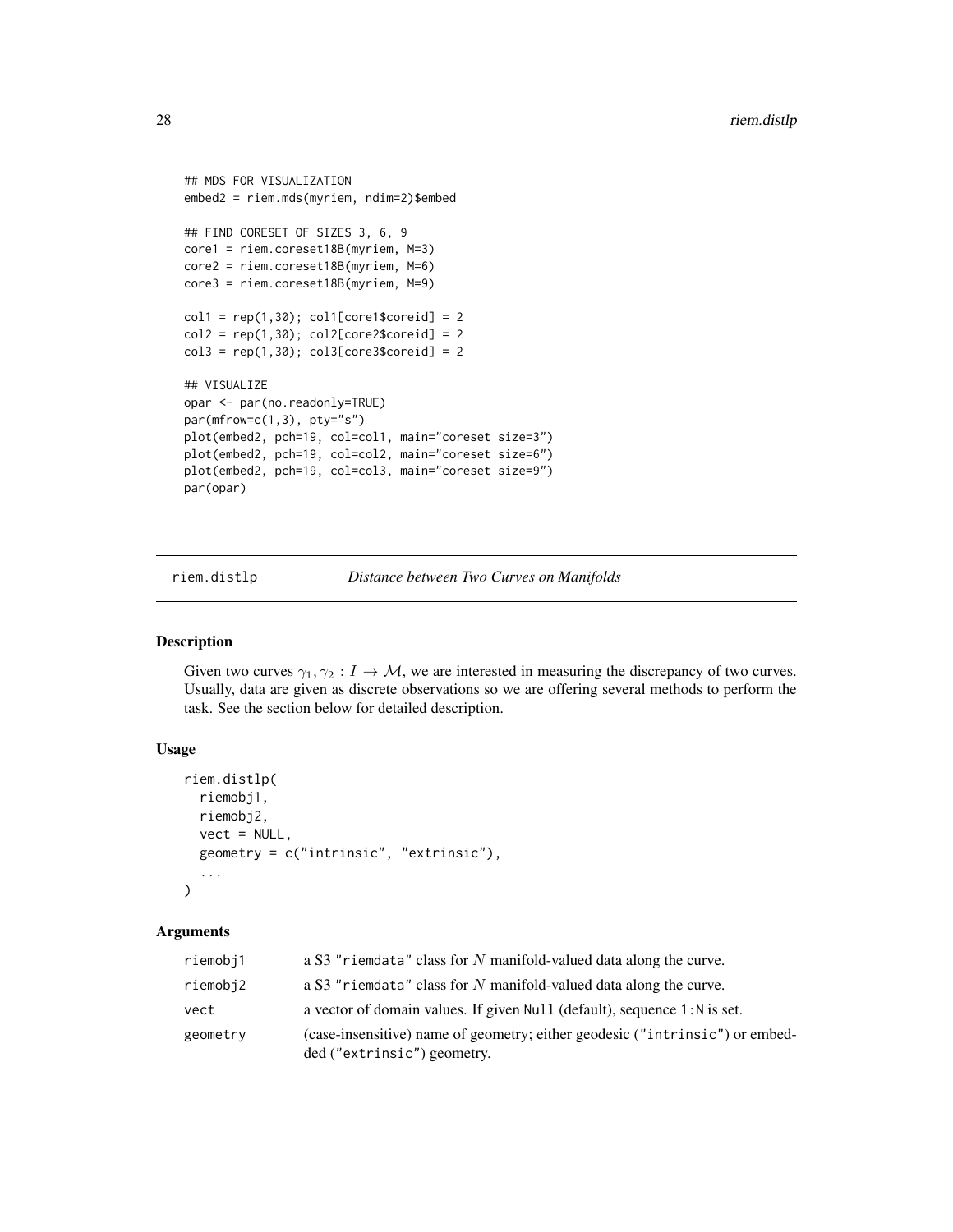```
## MDS FOR VISUALIZATION
embed2 = riem.mds(myriem, ndim=2)$embed
## FIND CORESET OF SIZES 3, 6, 9
core1 = riem.coreset18B(myriem, M=3)
core2 = riem.coreset18B(myriem, M=6)
core3 = riem.coreset18B(myriem, M=9)
coll = rep(1,30); col1[core1$coreid] = 2col2 = rep(1,30); col2[core2$coreid] = 2col3 = rep(1,30); col3[core3$coreid] = 2## VISUALIZE
opar <- par(no.readonly=TRUE)
par(mfrow=c(1,3), pty="s")
plot(embed2, pch=19, col=col1, main="coreset size=3")
plot(embed2, pch=19, col=col2, main="coreset size=6")
plot(embed2, pch=19, col=col3, main="coreset size=9")
par(opar)
```
riem.distlp *Distance between Two Curves on Manifolds*

# Description

Given two curves  $\gamma_1, \gamma_2 : I \to M$ , we are interested in measuring the discrepancy of two curves. Usually, data are given as discrete observations so we are offering several methods to perform the task. See the section below for detailed description.

#### Usage

```
riem.distlp(
 riemobj1,
  riemobj2,
 vect = NULL,geometry = c("intrinsic", "extrinsic"),
  ...
)
```
# Arguments

| riemobj1 | a S3 "riemdata" class for $N$ manifold-valued data along the curve.                                         |
|----------|-------------------------------------------------------------------------------------------------------------|
| riemobj2 | a S3 "riemdata" class for $N$ manifold-valued data along the curve.                                         |
| vect     | a vector of domain values. If given Null (default), sequence 1: N is set.                                   |
| geometry | (case-insensitive) name of geometry; either geodesic ("intrinsic") or embed-<br>ded ("extrinsic") geometry. |

<span id="page-27-0"></span>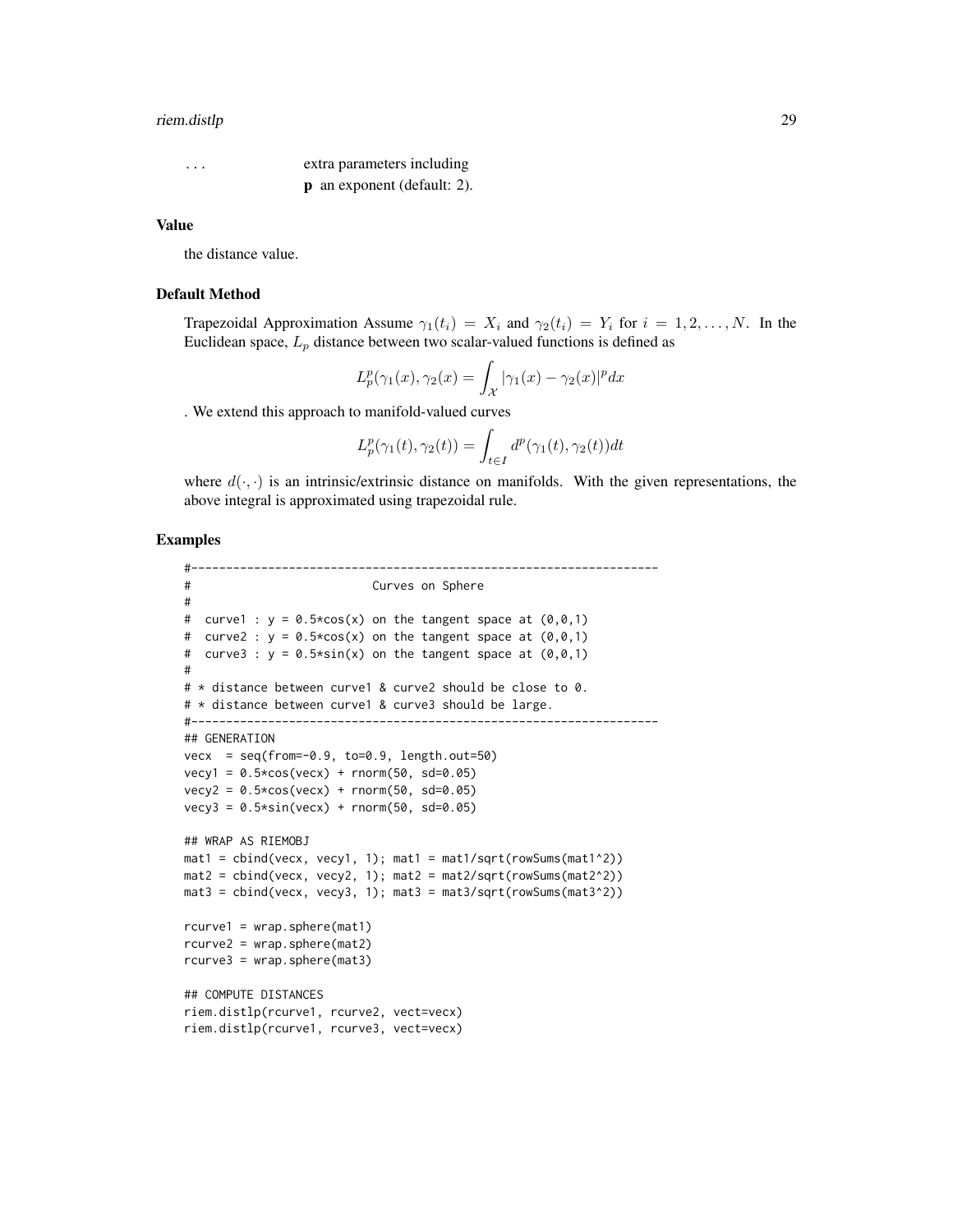#### riem.distlp 29

... extra parameters including p an exponent (default: 2).

#### Value

the distance value.

#### Default Method

Trapezoidal Approximation Assume  $\gamma_1(t_i) = X_i$  and  $\gamma_2(t_i) = Y_i$  for  $i = 1, 2, \ldots, N$ . In the Euclidean space,  $L_p$  distance between two scalar-valued functions is defined as

$$
L_p^p(\gamma_1(x), \gamma_2(x) = \int_{\mathcal{X}} |\gamma_1(x) - \gamma_2(x)|^p dx
$$

. We extend this approach to manifold-valued curves

$$
L_p^p(\gamma_1(t), \gamma_2(t)) = \int_{t \in I} d^p(\gamma_1(t), \gamma_2(t)) dt
$$

where  $d(\cdot, \cdot)$  is an intrinsic/extrinsic distance on manifolds. With the given representations, the above integral is approximated using trapezoidal rule.

```
#-------------------------------------------------------------------
# Curves on Sphere
#
# curve1 : y = 0.5 \times cos(x) on the tangent space at (0,0,1)# curve2 : y = 0.5 \times cos(x) on the tangent space at (0,0,1)# curve3 : y = 0.5*sin(x) on the tangent space at (0,0,1)#
# * distance between curve1 & curve2 should be close to 0.
# * distance between curve1 & curve3 should be large.
#-------------------------------------------------------------------
## GENERATION
vecx = seq(from=-0.9, to=0.9, length.out=50)
vecy1 = 0.5 * cos(vecx) + rnorm(50, sd=0.05)vecy2 = 0.5 * cos(vecx) + rnorm(50, sd=0.05)vecy3 = 0.5*sin(vecx) + rnorm(50, sd=0.05)## WRAP AS RIEMOBJ
mat1 = \text{cbind}(vecx, vec1, 1); mat1 = mat1/sqrt(rowSums(max1^2))mat2 = \text{cbind}(vecx, vecy2, 1); mat2 = mat2/sqrt(rowSums(max2^2))mat3 = cbind(vecx, vecy3, 1); mat3 = mat3/sqrt(rowSums(mat3^2))
rcurve1 = wrap.sphere(mat1)
rcurve2 = wrap.sphere(mat2)
rcurve3 = wrap.sphere(mat3)
## COMPUTE DISTANCES
riem.distlp(rcurve1, rcurve2, vect=vecx)
riem.distlp(rcurve1, rcurve3, vect=vecx)
```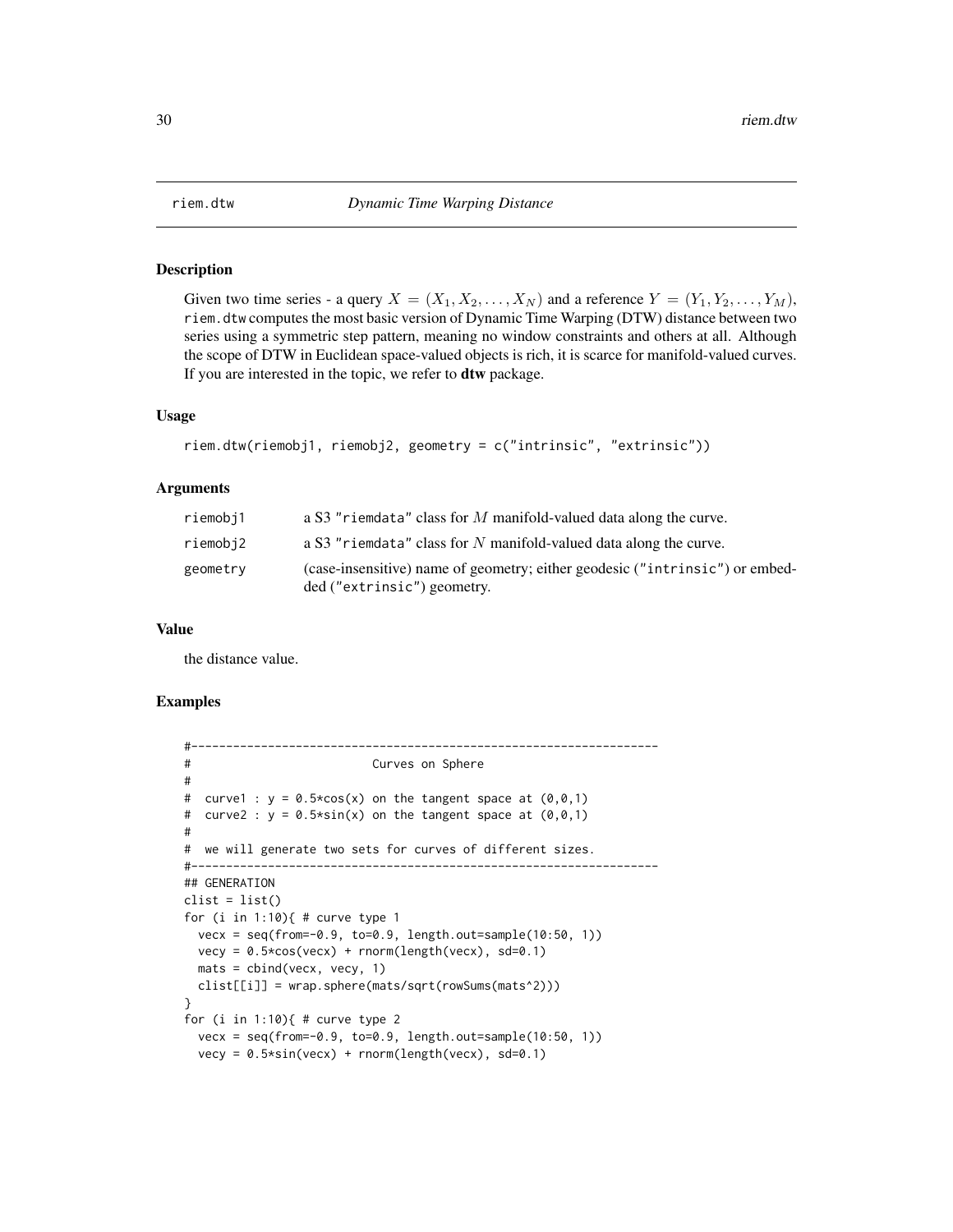<span id="page-29-0"></span>

#### Description

Given two time series - a query  $X = (X_1, X_2, \ldots, X_N)$  and a reference  $Y = (Y_1, Y_2, \ldots, Y_M)$ , riem.dtw computes the most basic version of Dynamic Time Warping (DTW) distance between two series using a symmetric step pattern, meaning no window constraints and others at all. Although the scope of DTW in Euclidean space-valued objects is rich, it is scarce for manifold-valued curves. If you are interested in the topic, we refer to dtw package.

# Usage

```
riem.dtw(riemobj1, riemobj2, geometry = c("intrinsic", "extrinsic"))
```
#### Arguments

| riemobj1 | a S3 "riemdata" class for $M$ manifold-valued data along the curve.                                         |
|----------|-------------------------------------------------------------------------------------------------------------|
| riemobj2 | a S3 "riemdata" class for N manifold-valued data along the curve.                                           |
| geometry | (case-insensitive) name of geometry; either geodesic ("intrinsic") or embed-<br>ded ("extrinsic") geometry. |

#### Value

the distance value.

```
#-------------------------------------------------------------------
# Curves on Sphere
#
# curve1 : y = 0.5 \times cos(x) on the tangent space at (0,0,1)# curve2 : y = 0.5*sin(x) on the tangent space at (0,0,1)#
# we will generate two sets for curves of different sizes.
#-------------------------------------------------------------------
## GENERATION
clist = list()
for (i in 1:10){ # curve type 1
 vecx = seq(from=-0.9, to=0.9, length.out=sample(10:50, 1))
 vecy = 0.5 * cos(vecx) + rnorm(length(vecx), sd=0.1)mats = cbind(vecx, vecy, 1)
 clist[[i]] = wrap.sphere(mats/sqrt(rowSums(mats^2)))
}
for (i in 1:10){ # curve type 2
 vecx = seq(from=-0.9, to=0.9, length.out=sample(10:50, 1))
 vecy = 0.5*sin(vecx) + rnorm(length(vecx), sd=0.1)
```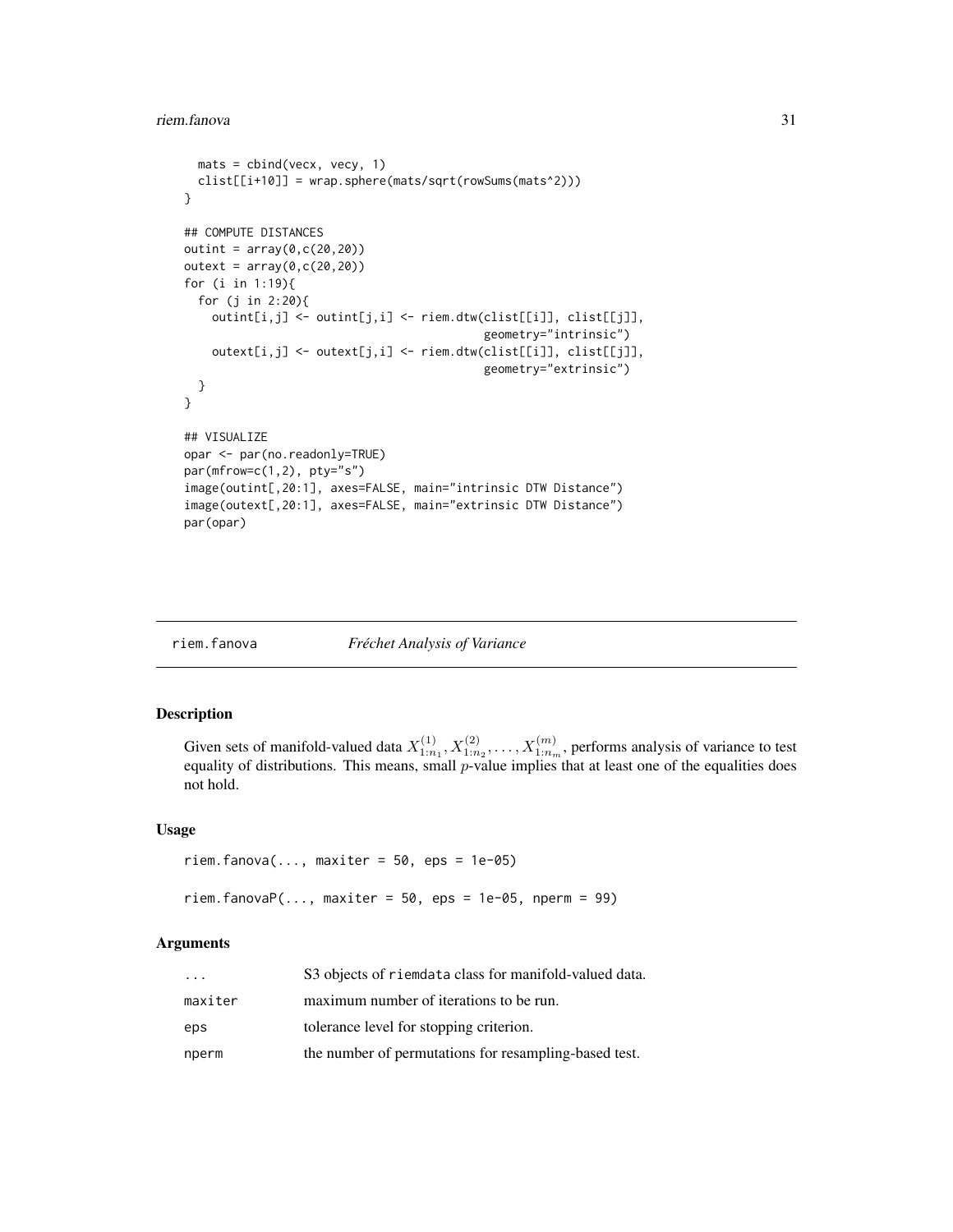```
mats = chind(vecx, vecy, 1)clist[[i+10]] = wrap.sphere(mats/sqrt(rowSums(mats^2)))
}
## COMPUTE DISTANCES
outint = array(0, c(20, 20))outext = array(0, c(20, 20))for (i in 1:19){
  for (j in 2:20){
    outint[i,j] <- outint[j,i] <- riem.dtw(clist[[i]], clist[[j]],
                                           geometry="intrinsic")
    outext[i,j] <- outext[j,i] <- riem.dtw(clist[[i]], clist[[j]],
                                           geometry="extrinsic")
 }
}
## VISUALIZE
opar <- par(no.readonly=TRUE)
par(mfrow=c(1,2), pty="s")
image(outint[,20:1], axes=FALSE, main="intrinsic DTW Distance")
image(outext[,20:1], axes=FALSE, main="extrinsic DTW Distance")
par(opar)
```
#### riem.fanova *Fréchet Analysis of Variance*

#### Description

Given sets of manifold-valued data  $X_{1:n_1}^{(1)}, X_{1:n_2}^{(2)}, \ldots, X_{1:n_m}^{(m)}$ , performs analysis of variance to test equality of distributions. This means, small  $p$ -value implies that at least one of the equalities does not hold.

# Usage

```
riem.fanova(..., maxiter = 50, eps = 1e-05)
riem.fanovaP(\ldots, \text{maxiter} = 50, \text{eps} = 1e-05, \text{nperm} = 99)
```
#### Arguments

| $\cdot$ $\cdot$ $\cdot$ | S3 objects of riemdata class for manifold-valued data. |
|-------------------------|--------------------------------------------------------|
| maxiter                 | maximum number of iterations to be run.                |
| eps                     | tolerance level for stopping criterion.                |
| nperm                   | the number of permutations for resampling-based test.  |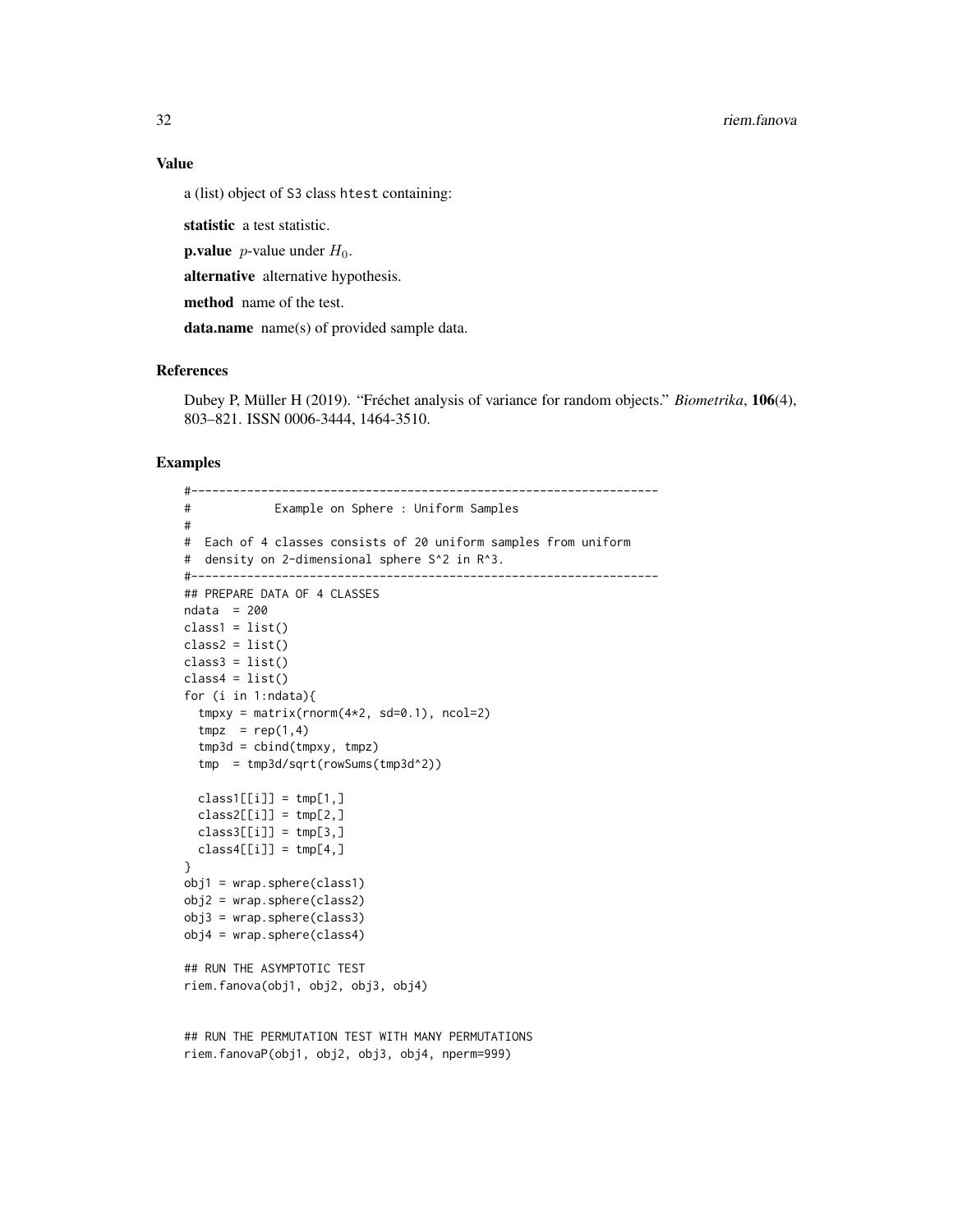32 riem.fanova

a (list) object of S3 class htest containing:

statistic a test statistic.

**p.value** *p*-value under  $H_0$ .

alternative alternative hypothesis.

method name of the test.

data.name name(s) of provided sample data.

# References

Dubey P, Müller H (2019). "Fréchet analysis of variance for random objects." *Biometrika*, 106(4), 803–821. ISSN 0006-3444, 1464-3510.

```
#-------------------------------------------------------------------
# Example on Sphere : Uniform Samples
#
# Each of 4 classes consists of 20 uniform samples from uniform
# density on 2-dimensional sphere S^2 in R^3.
#-------------------------------------------------------------------
## PREPARE DATA OF 4 CLASSES
ndata = 200
class1 = list()class2 = list()class3 = list()class4 = list()for (i in 1:ndata){
  tmpxy = matrix(rnorm(4*2, sd=0.1), ncol=2)tmpz = rep(1,4)tmp3d = chind(tmpxy, tmpz)tmp = tmp3d/sqrt(rowSums(tmp3d^2))
  class1[[i]] = tmp[1,]class2[[i]] = tmp[2,]class3[[i]] = tmp[3,]class4[[i]] = tmp[4, ]}
obj1 = wrap.sphere(class1)
obj2 = wrap.sphere(class2)
obj3 = wrap.sphere(class3)
obj4 = wrap.sphere(class4)
## RUN THE ASYMPTOTIC TEST
riem.fanova(obj1, obj2, obj3, obj4)
## RUN THE PERMUTATION TEST WITH MANY PERMUTATIONS
```

```
riem.fanovaP(obj1, obj2, obj3, obj4, nperm=999)
```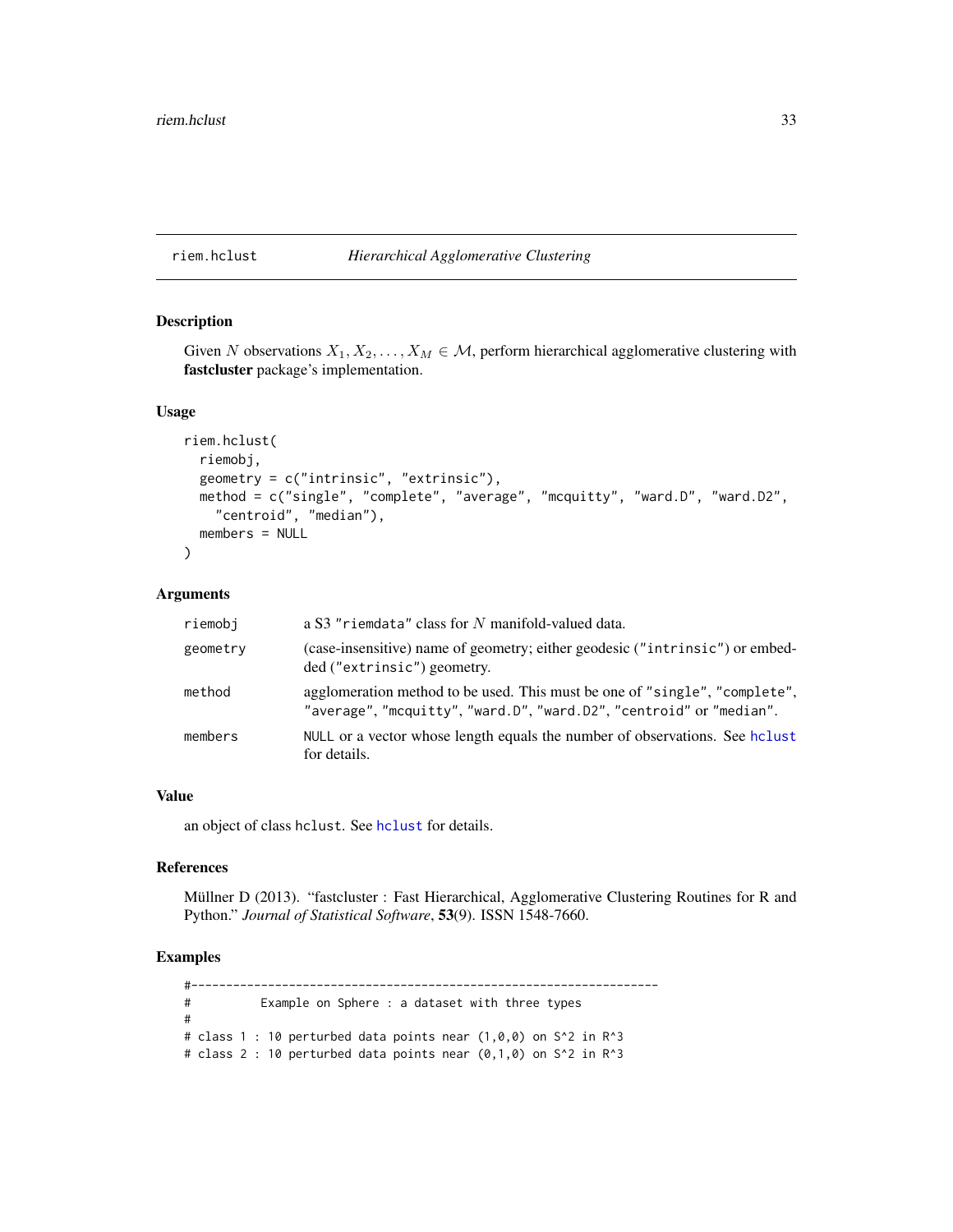# <span id="page-32-0"></span>riem.hclust *Hierarchical Agglomerative Clustering*

# Description

Given N observations  $X_1, X_2, \ldots, X_M \in \mathcal{M}$ , perform hierarchical agglomerative clustering with fastcluster package's implementation.

# Usage

```
riem.hclust(
  riemobj,
  geometry = c("intrinsic", "extrinsic"),
  method = c("single", "complete", "average", "mcquitty", "ward.D", "ward.D2",
    "centroid", "median"),
  members = NULL
)
```
#### Arguments

| riemobi  | a S3 "riemdata" class for N manifold-valued data.                                                                                                 |
|----------|---------------------------------------------------------------------------------------------------------------------------------------------------|
| geometry | (case-insensitive) name of geometry; either geodesic ("intrinsic") or embed-<br>ded ("extrinsic") geometry.                                       |
| method   | agglomeration method to be used. This must be one of "single", "complete",<br>"average", "mcquitty", "ward.D", "ward.D2", "centroid" or "median". |
| members  | NULL or a vector whose length equals the number of observations. See holust<br>for details.                                                       |

# Value

an object of class hclust. See [hclust](#page-0-0) for details.

# References

Müllner D (2013). "fastcluster : Fast Hierarchical, Agglomerative Clustering Routines for R and Python." *Journal of Statistical Software*, 53(9). ISSN 1548-7660.

# Examples

#------------------------------------------------------------------- # Example on Sphere : a dataset with three types # # class 1 : 10 perturbed data points near  $(1,0,0)$  on S^2 in R^3 # class 2 : 10 perturbed data points near (0,1,0) on S^2 in R^3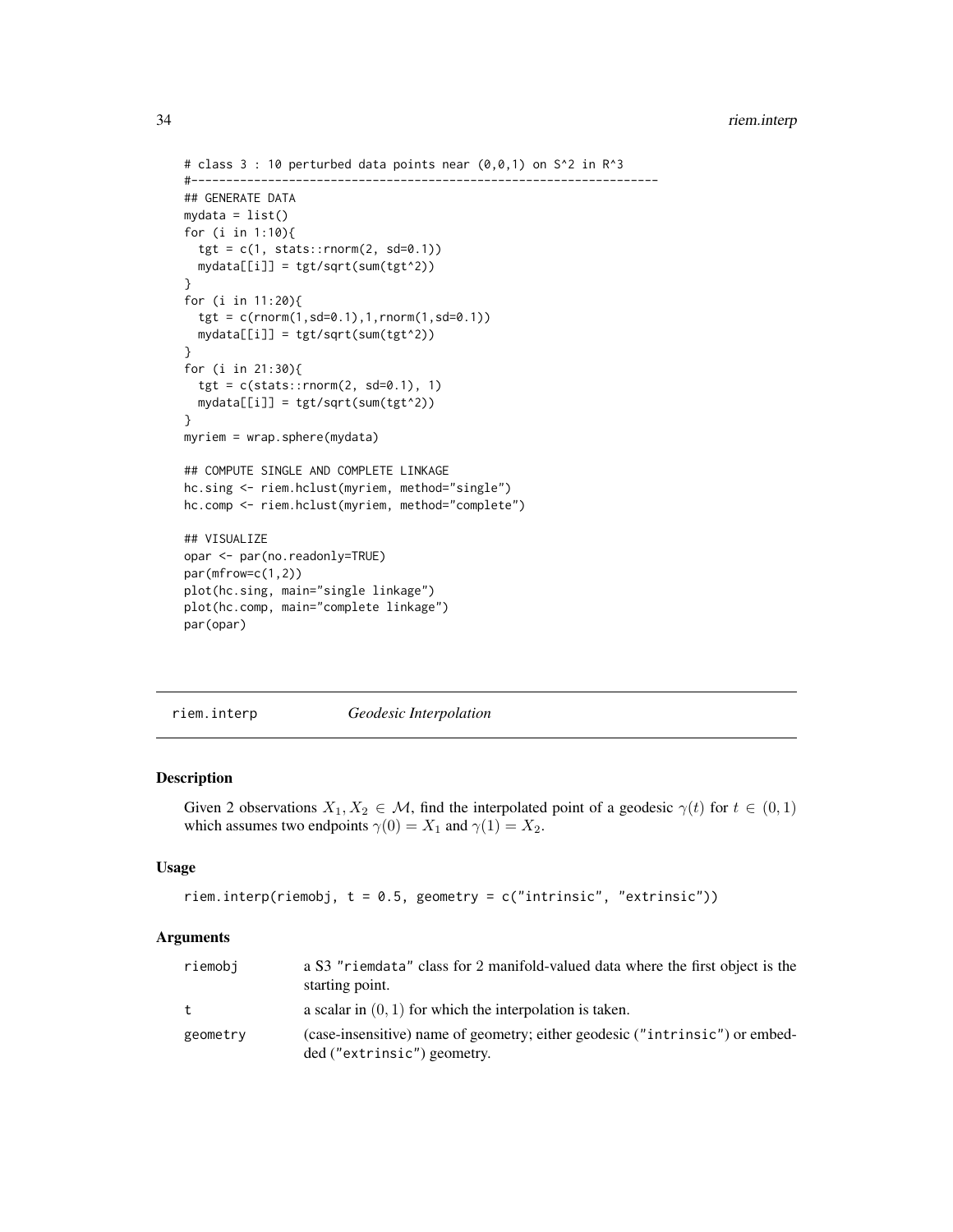```
# class 3 : 10 perturbed data points near (0,0,1) on S^2 in R^3
#-------------------------------------------------------------------
## GENERATE DATA
mydata = list()for (i in 1:10){
 tgt = c(1, stats::rnorm(2, sd=0.1))mydata[[i]] = tgt/sqrt(sum(tgt^2))
}
for (i in 11:20){
  tgt = c(rnorm(1, sd=0.1), 1, rnorm(1, sd=0.1))mydata[[i]] = tgt/sqrt(sum(tgt^2))
}
for (i in 21:30){
  tgt = c(stat::rnorm(2, sd=0.1), 1)mydata[[i]] = tgt/sqrt(sum(tgt^2))
}
myriem = wrap.sphere(mydata)
## COMPUTE SINGLE AND COMPLETE LINKAGE
hc.sing <- riem.hclust(myriem, method="single")
hc.comp <- riem.hclust(myriem, method="complete")
## VISUALIZE
opar <- par(no.readonly=TRUE)
par(mfrow=c(1,2))
plot(hc.sing, main="single linkage")
plot(hc.comp, main="complete linkage")
par(opar)
```
riem.interp *Geodesic Interpolation*

# Description

Given 2 observations  $X_1, X_2 \in \mathcal{M}$ , find the interpolated point of a geodesic  $\gamma(t)$  for  $t \in (0,1)$ which assumes two endpoints  $\gamma(0) = X_1$  and  $\gamma(1) = X_2$ .

## Usage

```
riem.interp(riemobj, t = 0.5, geometry = c("intrinsic", "extrinsic"))
```
#### Arguments

| riemobi  | a S3 "riemdata" class for 2 manifold-valued data where the first object is the<br>starting point.           |
|----------|-------------------------------------------------------------------------------------------------------------|
| t        | a scalar in $(0, 1)$ for which the interpolation is taken.                                                  |
| geometry | (case-insensitive) name of geometry; either geodesic ("intrinsic") or embed-<br>ded ("extrinsic") geometry. |

<span id="page-33-0"></span>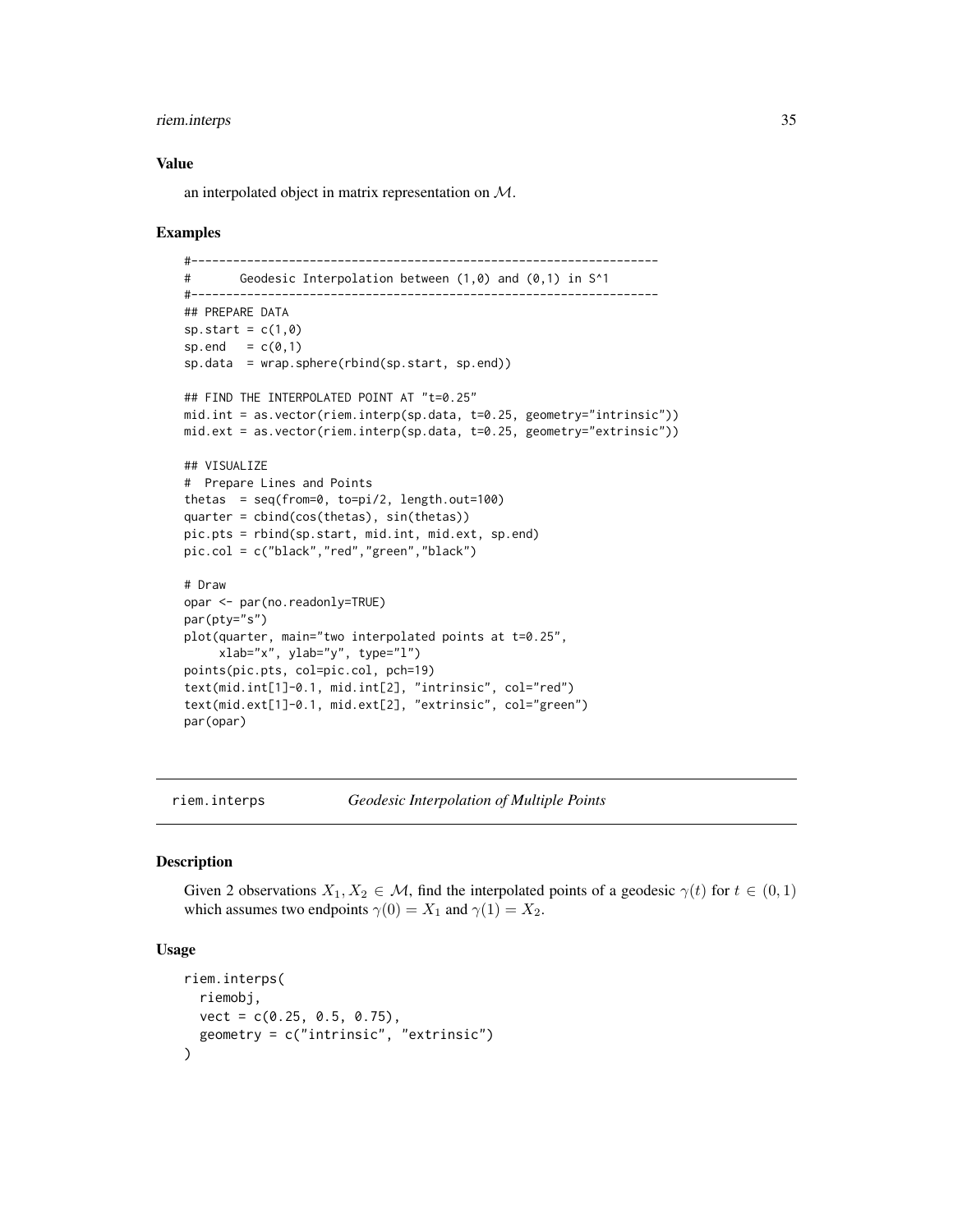# <span id="page-34-0"></span>riem.interps 35

#### Value

an interpolated object in matrix representation on M.

# Examples

```
#-------------------------------------------------------------------
# Geodesic Interpolation between (1,0) and (0,1) in S^1
#-------------------------------------------------------------------
## PREPARE DATA
sp.start = c(1,0)sp.end = c(0,1)sp.data = wrap.sphere(rbind(sp.start, sp.end))
## FIND THE INTERPOLATED POINT AT "t=0.25"
mid.int = as.vector(riem.interp(sp.data, t=0.25, geometry="intrinsic"))
mid.ext = as.vector(riem.interp(sp.data, t=0.25, geometry="extrinsic"))
## VISUALIZE
# Prepare Lines and Points
thetas = seq(from=0, to=pi/2, length.out=100)
quarter = cbind(cos(thetas), sin(thetas))
pic.pts = rbind(sp.start, mid.int, mid.ext, sp.end)
pic.col = c("black","red","green","black")
# Draw
opar <- par(no.readonly=TRUE)
par(pty="s")
plot(quarter, main="two interpolated points at t=0.25",
     xlab="x", ylab="y", type="l")
points(pic.pts, col=pic.col, pch=19)
text(mid.int[1]-0.1, mid.int[2], "intrinsic", col="red")
text(mid.ext[1]-0.1, mid.ext[2], "extrinsic", col="green")
par(opar)
```

```
riem.interps Geodesic Interpolation of Multiple Points
```
#### Description

Given 2 observations  $X_1, X_2 \in \mathcal{M}$ , find the interpolated points of a geodesic  $\gamma(t)$  for  $t \in (0,1)$ which assumes two endpoints  $\gamma(0) = X_1$  and  $\gamma(1) = X_2$ .

#### Usage

```
riem.interps(
  riemobj,
  vect = c(0.25, 0.5, 0.75),
  geometry = c("intrinsic", "extrinsic")
)
```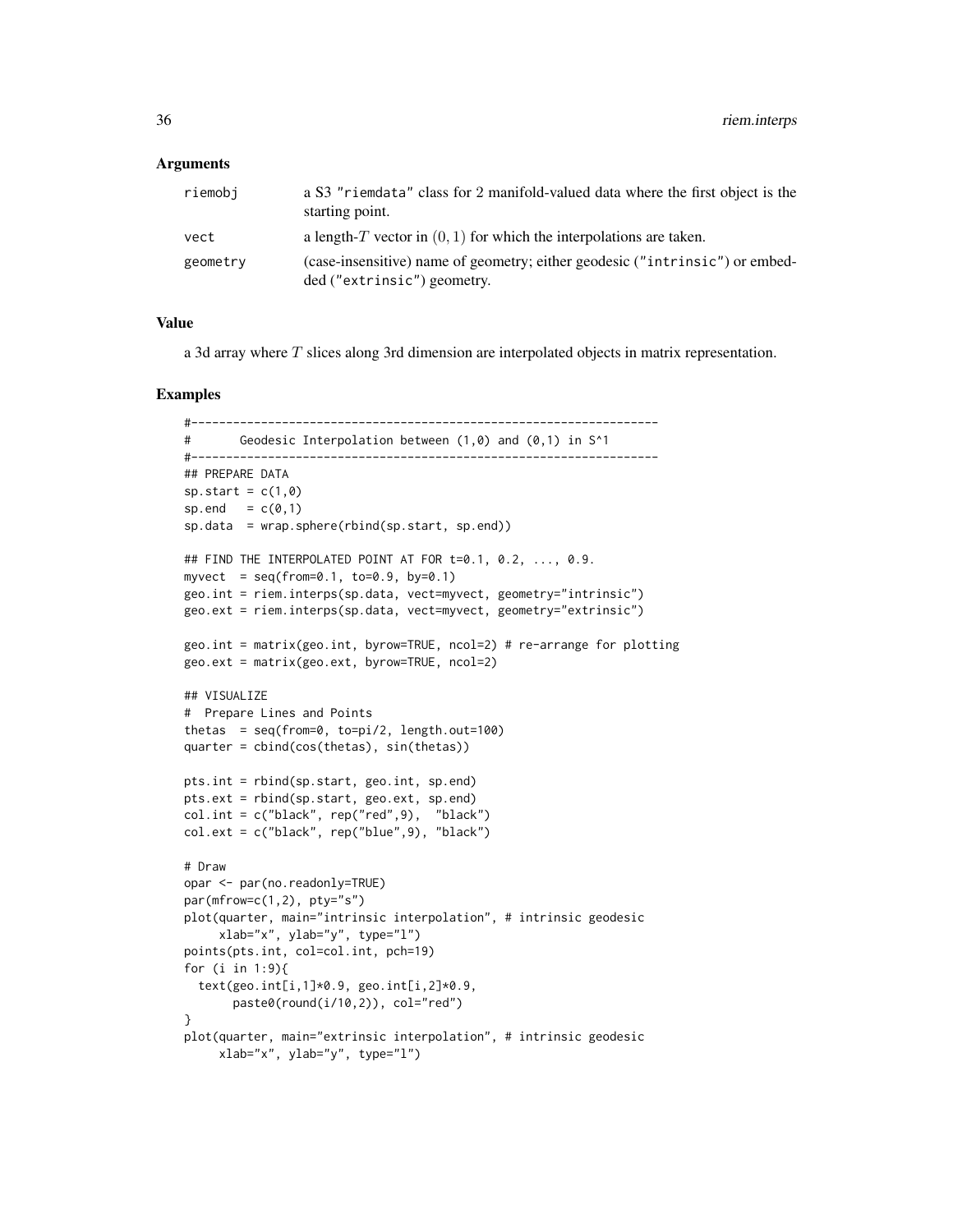#### Arguments

| riemobi  | a S3 "riemdata" class for 2 manifold-valued data where the first object is the<br>starting point.           |
|----------|-------------------------------------------------------------------------------------------------------------|
| vect     | a length-T vector in $(0, 1)$ for which the interpolations are taken.                                       |
| geometry | (case-insensitive) name of geometry; either geodesic ("intrinsic") or embed-<br>ded ("extrinsic") geometry. |

#### Value

a 3d array where  $T$  slices along 3rd dimension are interpolated objects in matrix representation.

```
#-------------------------------------------------------------------
# Geodesic Interpolation between (1,0) and (0,1) in S^1
#-------------------------------------------------------------------
## PREPARE DATA
sp.start = c(1, 0)sp.end = c(0,1)sp.data = wrap.sphere(rbind(sp.start, sp.end))
## FIND THE INTERPOLATED POINT AT FOR t=0.1, 0.2, ..., 0.9.
myvect = seq(from=0.1, to=0.9, by=0.1)geo.int = riem.interps(sp.data, vect=myvect, geometry="intrinsic")
geo.ext = riem.interps(sp.data, vect=myvect, geometry="extrinsic")
geo.int = matrix(geo.int, byrow=TRUE, ncol=2) # re-arrange for plotting
geo.ext = matrix(geo.ext, byrow=TRUE, ncol=2)
## VISUALIZE
# Prepare Lines and Points
thetas = seq(from=0, to=pi/2, length.out=100)
quarter = cbind(cos(thetas), sin(thetas))
pts.int = rbind(sp.start, geo.int, sp.end)
pts.ext = rbind(sp.start, geo.ext, sp.end)
col.int = c("black", rep("red",9), "black")
col.ext = c("black", rep("blue",9), "black")
# Draw
opar <- par(no.readonly=TRUE)
par(mfrow=c(1,2), pty="s")
plot(quarter, main="intrinsic interpolation", # intrinsic geodesic
     xlab="x", ylab="y", type="l")
points(pts.int, col=col.int, pch=19)
for (i in 1:9){
  text(geo.int[i,1]*0.9, geo.int[i,2]*0.9,
       paste0(round(i/10,2)), col="red")
}
plot(quarter, main="extrinsic interpolation", # intrinsic geodesic
     xlab="x", ylab="y", type="l")
```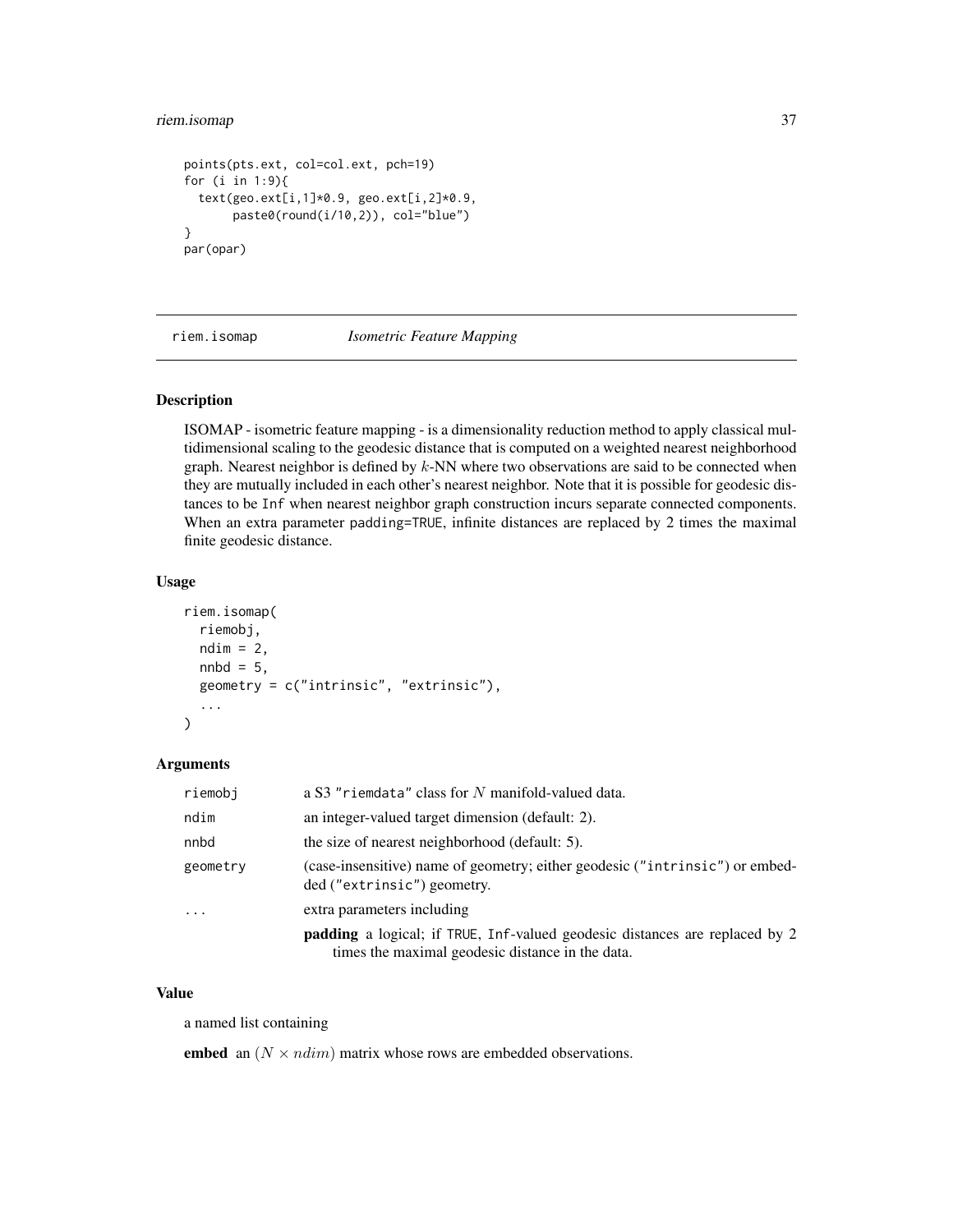## riem.isomap 37

```
points(pts.ext, col=col.ext, pch=19)
for (i in 1:9){
  text(geo.ext[i,1]*0.9, geo.ext[i,2]*0.9,
       paste0(round(i/10,2)), col="blue")
}
par(opar)
```
riem.isomap *Isometric Feature Mapping*

## Description

ISOMAP - isometric feature mapping - is a dimensionality reduction method to apply classical multidimensional scaling to the geodesic distance that is computed on a weighted nearest neighborhood graph. Nearest neighbor is defined by  $k$ -NN where two observations are said to be connected when they are mutually included in each other's nearest neighbor. Note that it is possible for geodesic distances to be Inf when nearest neighbor graph construction incurs separate connected components. When an extra parameter padding=TRUE, infinite distances are replaced by 2 times the maximal finite geodesic distance.

#### Usage

```
riem.isomap(
  riemobj,
  ndim = 2,
 nnbd = 5,
 geometry = c("intrinsic", "extrinsic"),
  ...
)
```
### Arguments

| riemobi  | a S3 "riemdata" class for N manifold-valued data.                                                                                      |
|----------|----------------------------------------------------------------------------------------------------------------------------------------|
| ndim     | an integer-valued target dimension (default: 2).                                                                                       |
| nnbd     | the size of nearest neighborhood (default: 5).                                                                                         |
| geometry | (case-insensitive) name of geometry; either geodesic ("intrinsic") or embed-<br>ded ("extrinsic") geometry.                            |
| $\cdots$ | extra parameters including                                                                                                             |
|          | <b>padding</b> a logical; if TRUE, Inf-valued geodesic distances are replaced by 2<br>times the maximal geodesic distance in the data. |

## Value

a named list containing

embed an  $(N \times ndim)$  matrix whose rows are embedded observations.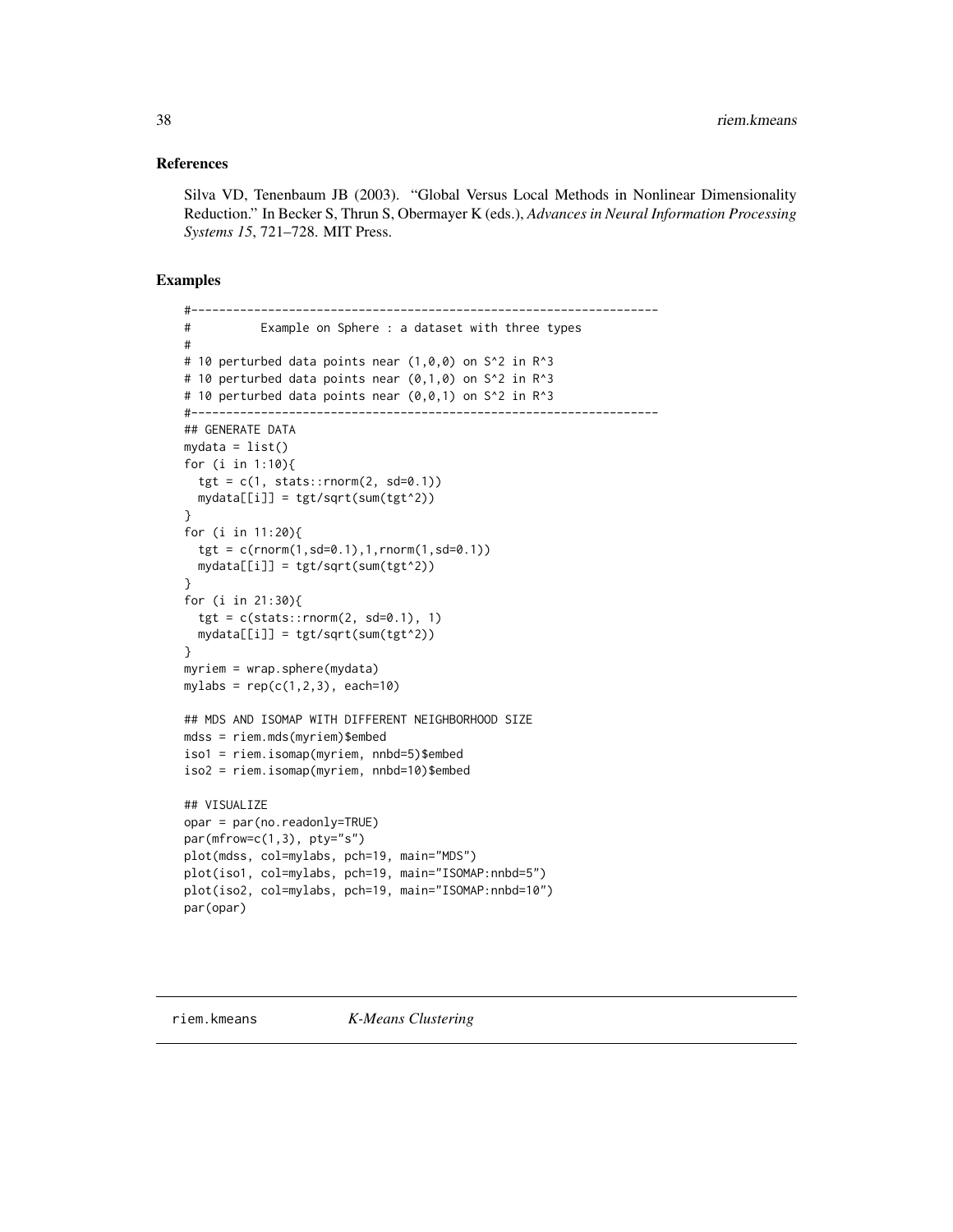#### References

Silva VD, Tenenbaum JB (2003). "Global Versus Local Methods in Nonlinear Dimensionality Reduction." In Becker S, Thrun S, Obermayer K (eds.), *Advances in Neural Information Processing Systems 15*, 721–728. MIT Press.

```
#-------------------------------------------------------------------
# Example on Sphere : a dataset with three types
#
# 10 perturbed data points near (1, 0, 0) on S^2 in R^3# 10 perturbed data points near (0,1,0) on S^2 in R^3
# 10 perturbed data points near (0,0,1) on S^2 in R^3
#-------------------------------------------------------------------
## GENERATE DATA
mydata = list()for (i in 1:10){
  tgt = c(1, stats::rnorm(2, sd=0.1))mydata[[i]] = tgt/sqrt(sum(tgt^2))
}
for (i in 11:20){
  tgt = c(rnorm(1, sd=0.1), 1, rnorm(1, sd=0.1))mydata[[i]] = tgt/sqrt(sum(tgt^2))
}
for (i in 21:30){
  tgt = c(stats::rnorm(2, sd=0.1), 1)mydata[[i]] = tgt/sqrt(sum(tgt^2))
}
myriem = wrap.sphere(mydata)
mylabs = rep(c(1, 2, 3), each=10)## MDS AND ISOMAP WITH DIFFERENT NEIGHBORHOOD SIZE
mdss = riem.mds(myriem)$embed
iso1 = riem.isomap(myriem, nnbd=5)$embed
iso2 = riem.isomap(myriem, nnbd=10)$embed
## VISUALIZE
opar = par(no.readonly=TRUE)
par(mfrow=c(1,3), pty="s")
plot(mdss, col=mylabs, pch=19, main="MDS")
plot(iso1, col=mylabs, pch=19, main="ISOMAP:nnbd=5")
plot(iso2, col=mylabs, pch=19, main="ISOMAP:nnbd=10")
par(opar)
```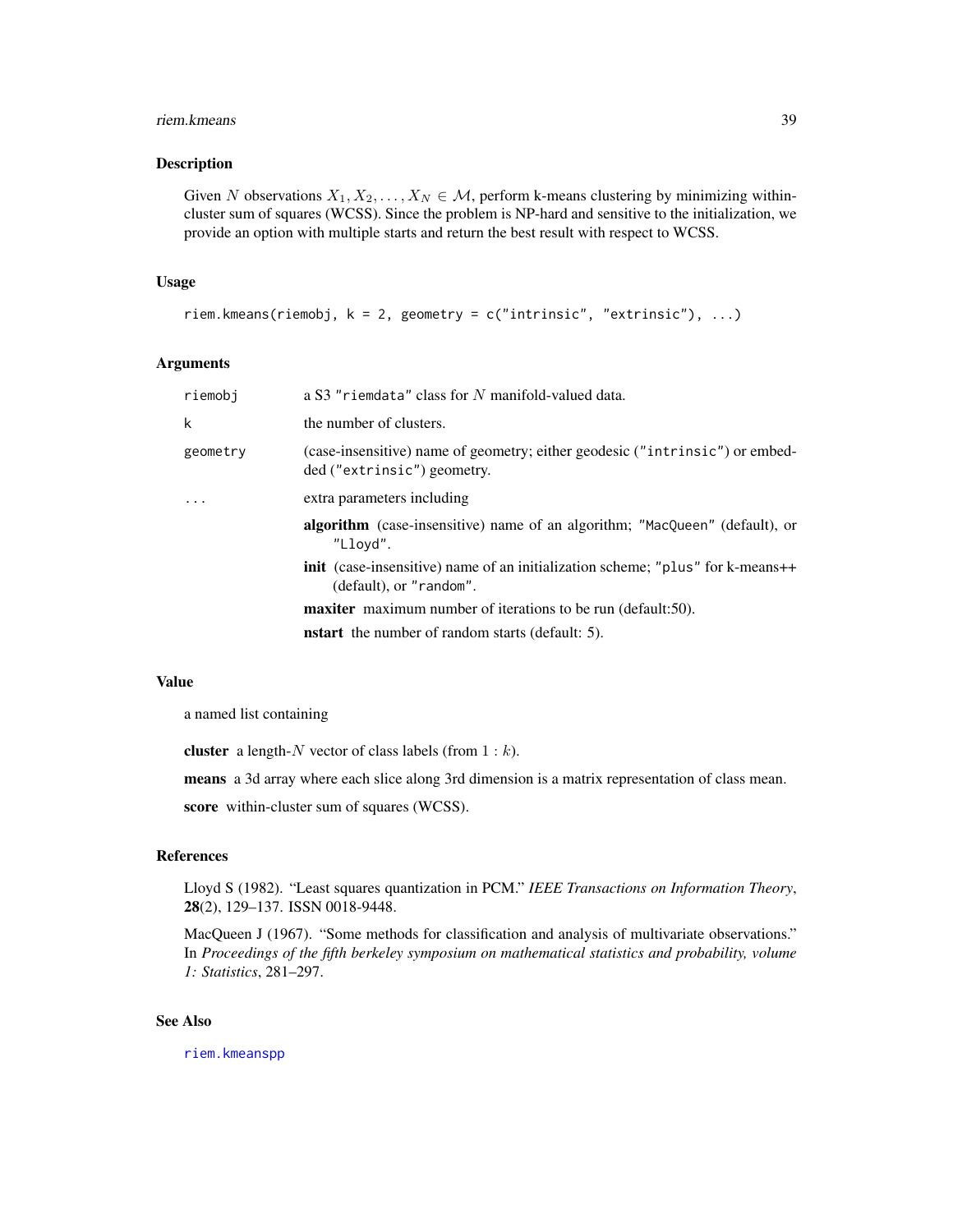#### riem.kmeans 39

### Description

Given N observations  $X_1, X_2, \ldots, X_N \in \mathcal{M}$ , perform k-means clustering by minimizing withincluster sum of squares (WCSS). Since the problem is NP-hard and sensitive to the initialization, we provide an option with multiple starts and return the best result with respect to WCSS.

## Usage

```
riem.kmeans(riemobj, k = 2, geometry = c("intrinsic", "extrinsic"), ...)
```
### Arguments

| riemobi  | a S3 "riemdata" class for N manifold-valued data.                                                                   |
|----------|---------------------------------------------------------------------------------------------------------------------|
| k        | the number of clusters.                                                                                             |
| geometry | (case-insensitive) name of geometry; either geodesic ("intrinsic") or embed-<br>ded ("extrinsic") geometry.         |
| .        | extra parameters including                                                                                          |
|          | algorithm (case-insensitive) name of an algorithm; "MacQueen" (default), or<br>"Llovd".                             |
|          | <b>init</b> (case-insensitive) name of an initialization scheme; "plus" for k-means++<br>$(default)$ , or "random". |
|          | <b>maxiter</b> maximum number of iterations to be run (default:50).                                                 |
|          | <b>nstart</b> the number of random starts (default: 5).                                                             |

#### Value

a named list containing

cluster a length- $N$  vector of class labels (from  $1 : k$ ).

means a 3d array where each slice along 3rd dimension is a matrix representation of class mean.

score within-cluster sum of squares (WCSS).

## References

Lloyd S (1982). "Least squares quantization in PCM." *IEEE Transactions on Information Theory*, 28(2), 129–137. ISSN 0018-9448.

MacQueen J (1967). "Some methods for classification and analysis of multivariate observations." In *Proceedings of the fifth berkeley symposium on mathematical statistics and probability, volume 1: Statistics*, 281–297.

### See Also

[riem.kmeanspp](#page-41-0)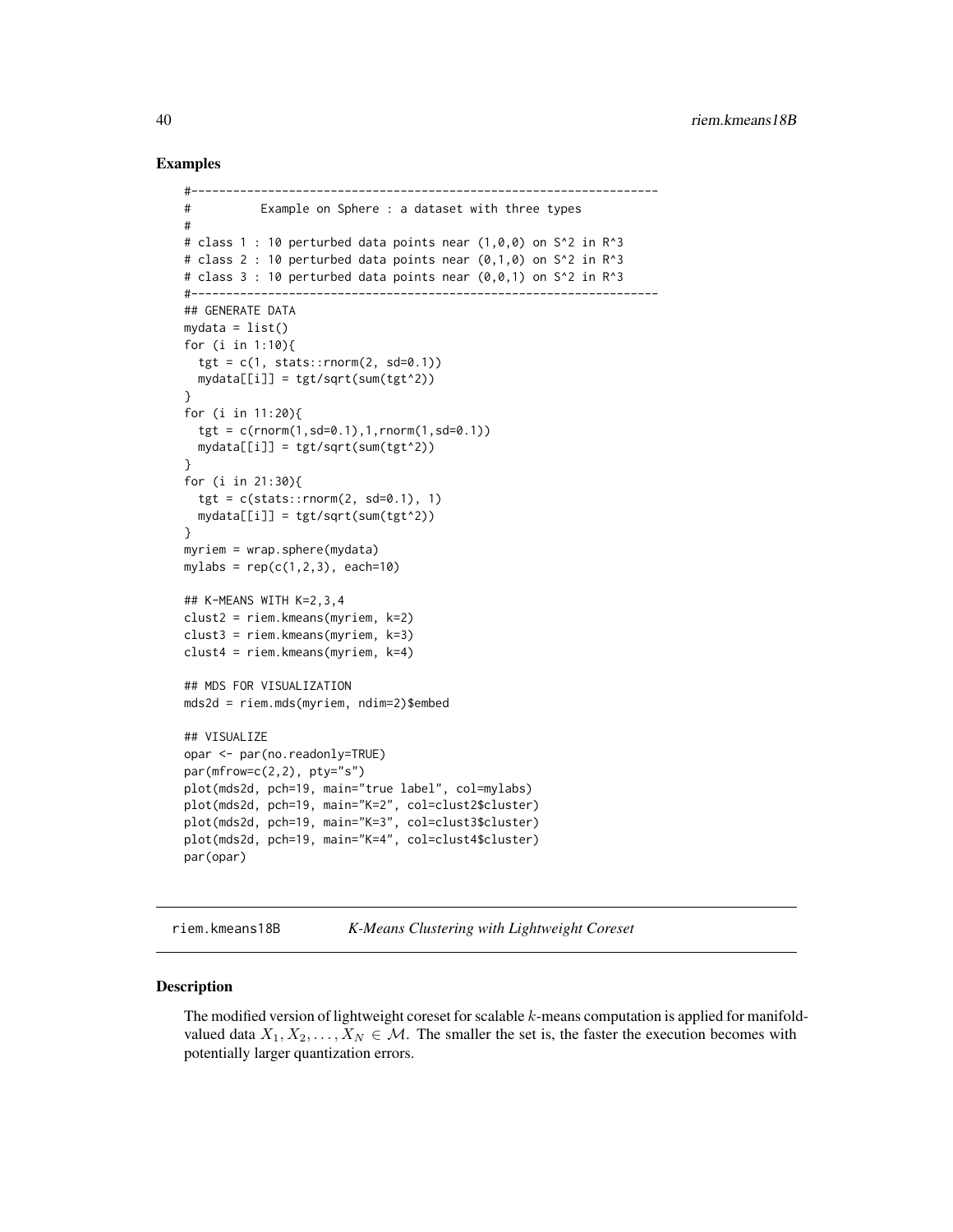## Examples

```
#-------------------------------------------------------------------
# Example on Sphere : a dataset with three types
#
# class 1 : 10 perturbed data points near (1,0,0) on S<sup>^2</sup> in R<sup>^3</sup>
# class 2 : 10 perturbed data points near (0,1,0) on S<sup>^2</sup> in R<sup>^3</sup>
# class 3 : 10 perturbed data points near (0,0,1) on S^2 in R^3
#-------------------------------------------------------------------
## GENERATE DATA
mydata = list()for (i in 1:10){
  tgt = c(1, stats::rnorm(2, sd=0.1))mydata[[i]] = tgt/sqrt(sum(tgt^2))
}
for (i in 11:20){
  tgt = c(rnorm(1, sd=0.1), 1, rnorm(1, sd=0.1))mydata[[i]] = tgt/sqrt(sum(tgt^2))
}
for (i in 21:30){
  tgt = c(stats::rnorm(2, sd=0.1), 1)mydata[[i]] = tgt/sqrt(sum(tgt^2))
}
myriem = wrap.sphere(mydata)
mylabs = rep(c(1, 2, 3), each=10)## K-MEANS WITH K=2,3,4
clust2 = riem.kmeans(myriem, k=2)
clust3 = riem.kmeans(myriem, k=3)
clust4 = riem.kmeans(myriem, k=4)
## MDS FOR VISUALIZATION
mds2d = riem.mds(myriem, ndim=2)$embed
## VISUALIZE
opar <- par(no.readonly=TRUE)
par(mfrow=c(2,2), pty="s")plot(mds2d, pch=19, main="true label", col=mylabs)
plot(mds2d, pch=19, main="K=2", col=clust2$cluster)
plot(mds2d, pch=19, main="K=3", col=clust3$cluster)
plot(mds2d, pch=19, main="K=4", col=clust4$cluster)
par(opar)
```
riem.kmeans18B *K-Means Clustering with Lightweight Coreset*

### Description

The modified version of lightweight coreset for scalable  $k$ -means computation is applied for manifoldvalued data  $X_1, X_2, \ldots, X_N \in \mathcal{M}$ . The smaller the set is, the faster the execution becomes with potentially larger quantization errors.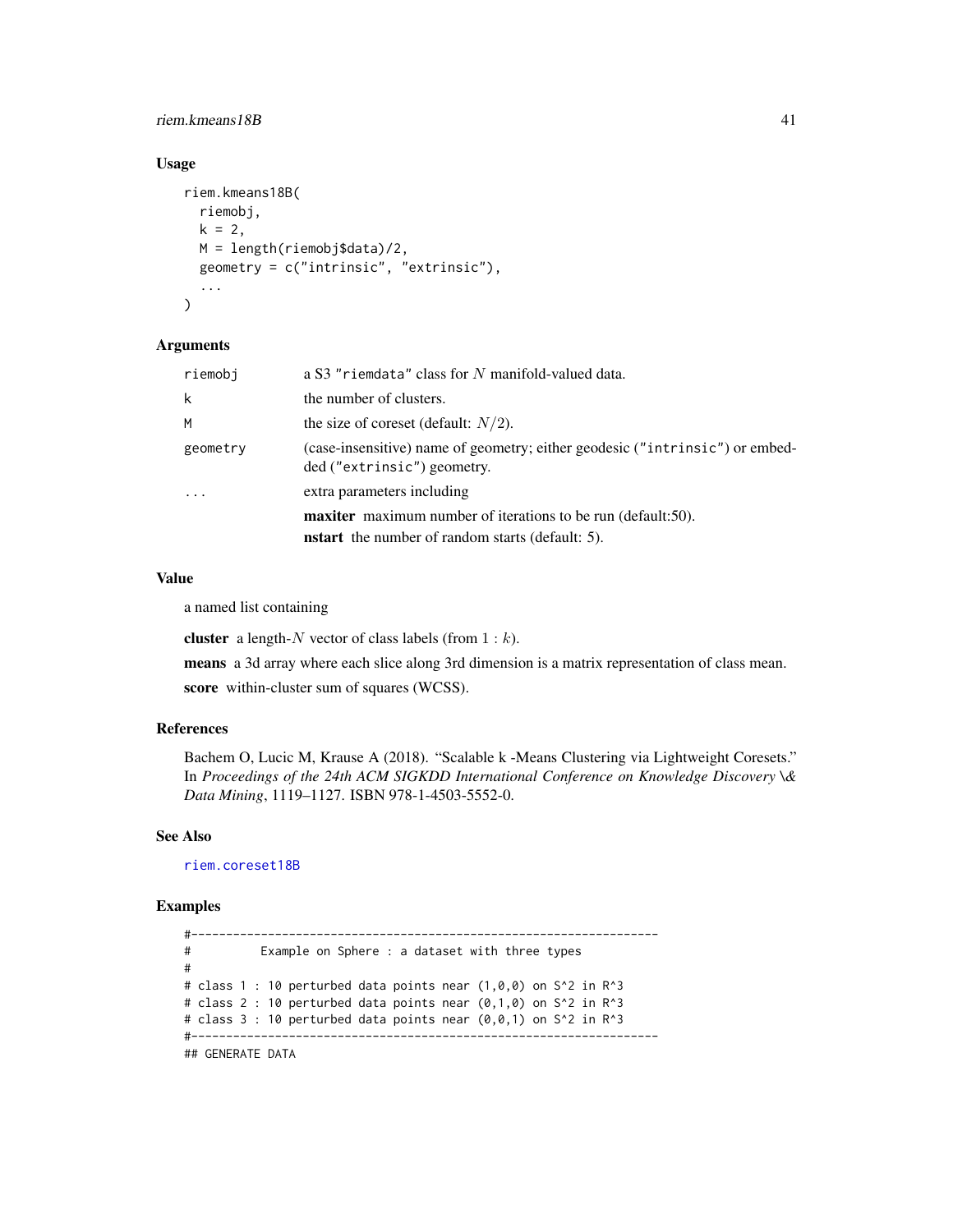## riem.kmeans18B 41

## Usage

```
riem.kmeans18B(
  riemobj,
 k = 2,
 M = length(riemobj$data)/2,
 geometry = c("intrinsic", "extrinsic"),
  ...
)
```
#### Arguments

| riemobi  | a S3 "riemdata" class for N manifold-valued data.                                                           |
|----------|-------------------------------------------------------------------------------------------------------------|
| k        | the number of clusters.                                                                                     |
| М        | the size of coreset (default: $N/2$ ).                                                                      |
| geometry | (case-insensitive) name of geometry; either geodesic ("intrinsic") or embed-<br>ded ("extrinsic") geometry. |
| $\ddots$ | extra parameters including                                                                                  |
|          | <b>maxiter</b> maximum number of iterations to be run (default:50).                                         |
|          | <b>nstart</b> the number of random starts (default: 5).                                                     |

### Value

a named list containing

**cluster** a length-N vector of class labels (from  $1 : k$ ).

means a 3d array where each slice along 3rd dimension is a matrix representation of class mean. score within-cluster sum of squares (WCSS).

# References

Bachem O, Lucic M, Krause A (2018). "Scalable k -Means Clustering via Lightweight Coresets." In *Proceedings of the 24th ACM SIGKDD International Conference on Knowledge Discovery \& Data Mining*, 1119–1127. ISBN 978-1-4503-5552-0.

# See Also

[riem.coreset18B](#page-25-0)

```
#-------------------------------------------------------------------
# Example on Sphere : a dataset with three types
#
# class 1 : 10 perturbed data points near (1,0,0) on S^2 in R^3
# class 2 : 10 perturbed data points near (0,1,0) on S^2 in R^3
# class 3 : 10 perturbed data points near (0,0,1) on S^2 in R<sup>^3</sup>
#-------------------------------------------------------------------
## GENERATE DATA
```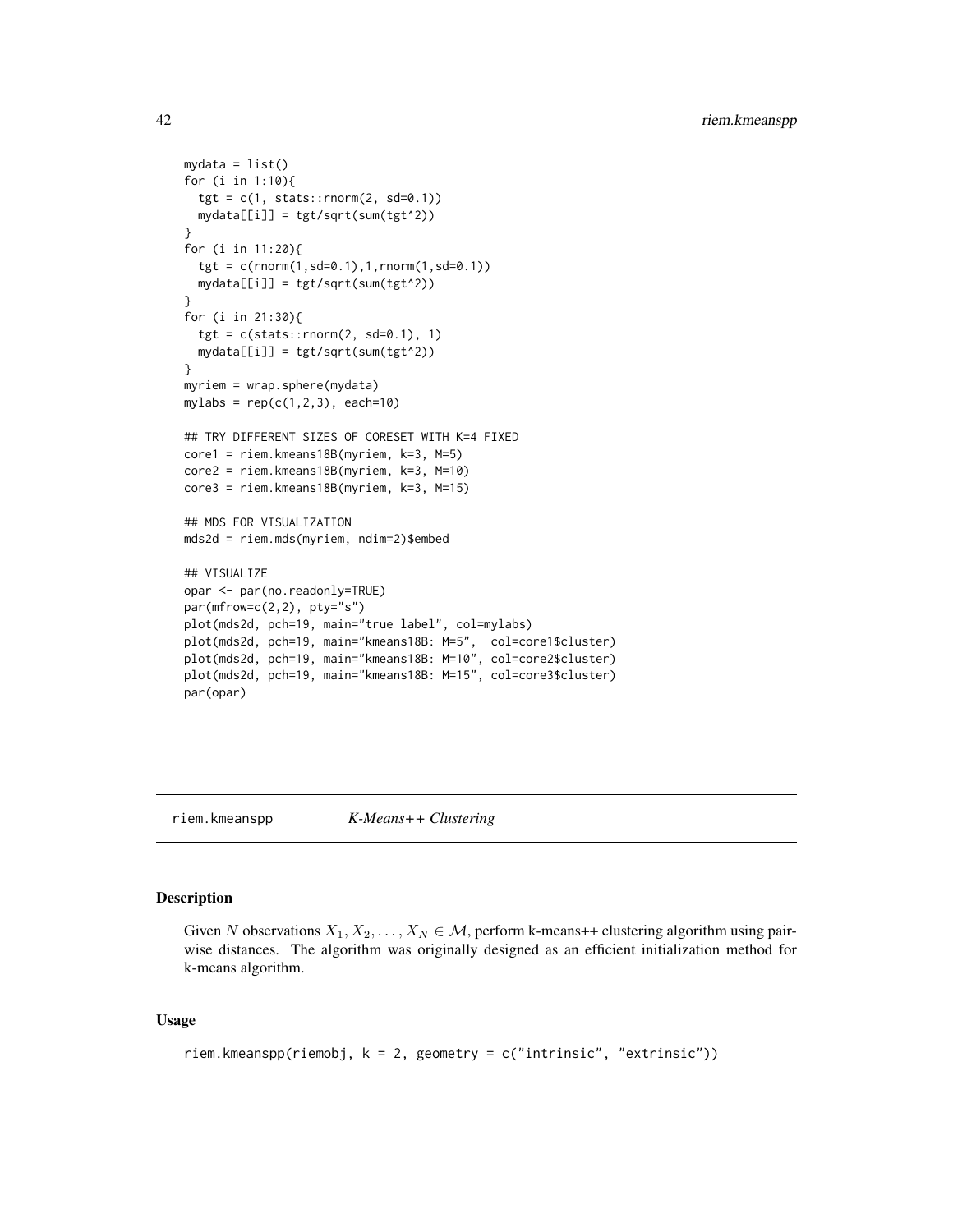```
mydata = list()for (i in 1:10){
  tgt = c(1, stats::rnorm(2, sd=0.1))mydata[[i]] = tgt/sqrt(sum(tgt^2))
}
for (i in 11:20){
  tgt = c(rnorm(1, sd=0.1), 1, rnorm(1, sd=0.1))mydata[[i]] = tgt/sqrt(sum(tgt^2))
}
for (i in 21:30){
  tgt = c(stats::rnorm(2, sd=0.1), 1)mydata[[i]] = tgt/sqrt(sum(tgt^2))
}
myriem = wrap.sphere(mydata)
mylabs = rep(c(1, 2, 3), each=10)## TRY DIFFERENT SIZES OF CORESET WITH K=4 FIXED
core1 = riem.kmeans18B(myriem, k=3, M=5)
core2 = riem.kmeans18B(myriem, k=3, M=10)
core3 = riem.kmeans18B(myriem, k=3, M=15)
## MDS FOR VISUALIZATION
mds2d = riem.mds(myriem, ndim=2)$embed
## VISUALIZE
opar <- par(no.readonly=TRUE)
par(mfrow=c(2,2), pty="s")plot(mds2d, pch=19, main="true label", col=mylabs)
plot(mds2d, pch=19, main="kmeans18B: M=5", col=core1$cluster)
plot(mds2d, pch=19, main="kmeans18B: M=10", col=core2$cluster)
plot(mds2d, pch=19, main="kmeans18B: M=15", col=core3$cluster)
par(opar)
```
<span id="page-41-0"></span>riem.kmeanspp *K-Means++ Clustering*

# **Description**

Given N observations  $X_1, X_2, \ldots, X_N \in \mathcal{M}$ , perform k-means++ clustering algorithm using pairwise distances. The algorithm was originally designed as an efficient initialization method for k-means algorithm.

### Usage

```
riem.kmeanspp(riemobj, k = 2, geometry = c("intrinsic", "extrinsic"))
```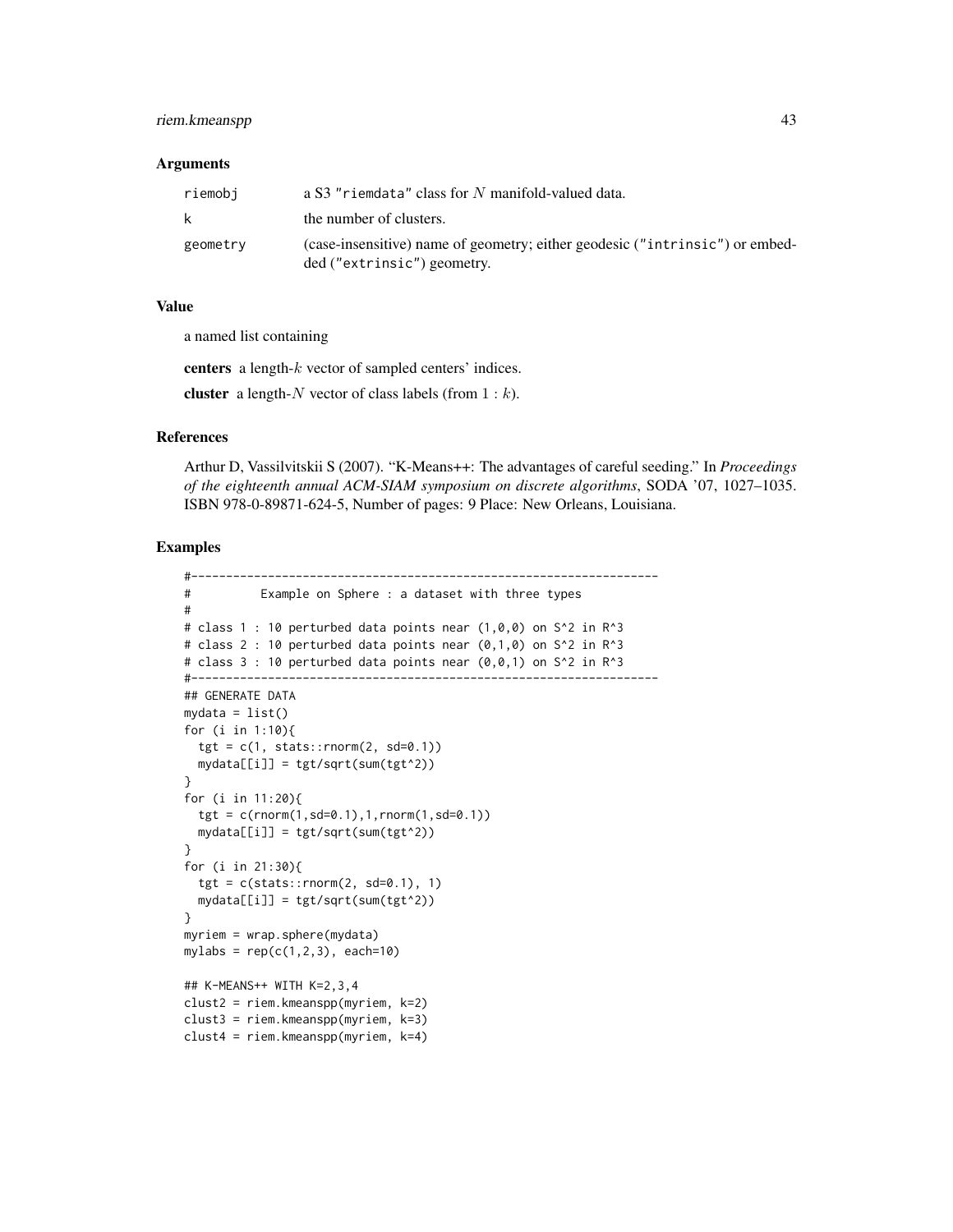## riem.kmeanspp 43

#### Arguments

| riemobi  | a S3 "riemdata" class for N manifold-valued data.                                                           |
|----------|-------------------------------------------------------------------------------------------------------------|
| k        | the number of clusters.                                                                                     |
| geometry | (case-insensitive) name of geometry; either geodesic ("intrinsic") or embed-<br>ded ("extrinsic") geometry. |

## Value

a named list containing

centers a length-k vector of sampled centers' indices.

cluster a length- $N$  vector of class labels (from  $1 : k$ ).

## References

Arthur D, Vassilvitskii S (2007). "K-Means++: The advantages of careful seeding." In *Proceedings of the eighteenth annual ACM-SIAM symposium on discrete algorithms*, SODA '07, 1027–1035. ISBN 978-0-89871-624-5, Number of pages: 9 Place: New Orleans, Louisiana.

```
#-------------------------------------------------------------------
# Example on Sphere : a dataset with three types
#
# class 1 : 10 perturbed data points near (1,0,0) on S<sup>^2</sup> in R<sup>^3</sup>
# class 2 : 10 perturbed data points near (0,1,0) on S<sup>^2</sup> in R<sup>^3</sup>
# class 3 : 10 perturbed data points near (0,0,1) on S<sup>2</sup> in R<sup>2</sup>3
#-------------------------------------------------------------------
## GENERATE DATA
mydata = list()for (i in 1:10){
  tgt = c(1, stats::rnorm(2, sd=0.1))mydata[[i]] = tgt/sqrt(sum(tgt^2))
}
for (i in 11:20){
  tgt = c(rnorm(1,sd=0.1),1,rnorm(1,sd=0.1))
  mydata[[i]] = tgt/sqrt(sum(tgt^2))
}
for (i in 21:30){
  tgt = c(stats::rnorm(2, sd=0.1), 1)mydata[[i]] = tgt/sqrt(sum(tgt^2))
}
myriem = wrap.sphere(mydata)
mylabs = rep(c(1, 2, 3), each=10)## K-MEANS++ WITH K=2,3,4
clust2 = riem.kmeanspp(myriem, k=2)
clust3 = riem.kmeanspp(myriem, k=3)
clust4 = riem.kmeanspp(myriem, k=4)
```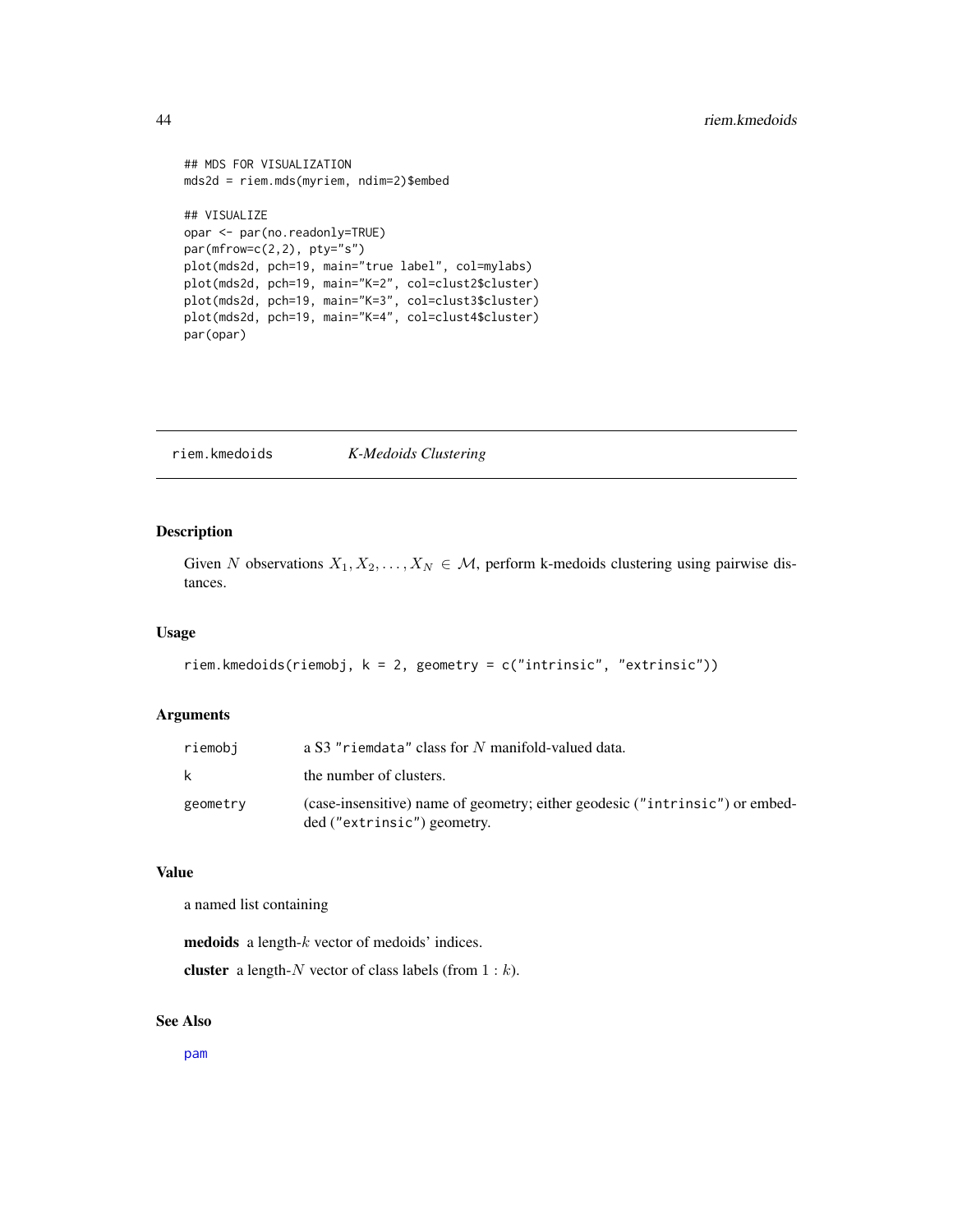```
## MDS FOR VISUALIZATION
mds2d = riem.mds(myriem, ndim=2)$embed
## VISUALIZE
opar <- par(no.readonly=TRUE)
par(mfrow=c(2,2), pty="s")
plot(mds2d, pch=19, main="true label", col=mylabs)
plot(mds2d, pch=19, main="K=2", col=clust2$cluster)
plot(mds2d, pch=19, main="K=3", col=clust3$cluster)
plot(mds2d, pch=19, main="K=4", col=clust4$cluster)
par(opar)
```
riem.kmedoids *K-Medoids Clustering*

# Description

Given N observations  $X_1, X_2, \ldots, X_N \in \mathcal{M}$ , perform k-medoids clustering using pairwise distances.

# Usage

```
riem.kmedoids(riemobj, k = 2, geometry = c("intrinsic", "extrinsic"))
```
### Arguments

| riemobi  | a S3 "riemdata" class for N manifold-valued data.                                                           |
|----------|-------------------------------------------------------------------------------------------------------------|
| k        | the number of clusters.                                                                                     |
| geometry | (case-insensitive) name of geometry; either geodesic ("intrinsic") or embed-<br>ded ("extrinsic") geometry. |

# Value

a named list containing

medoids a length-k vector of medoids' indices.

cluster a length- $N$  vector of class labels (from  $1 : k$ ).

# See Also

[pam](#page-0-0)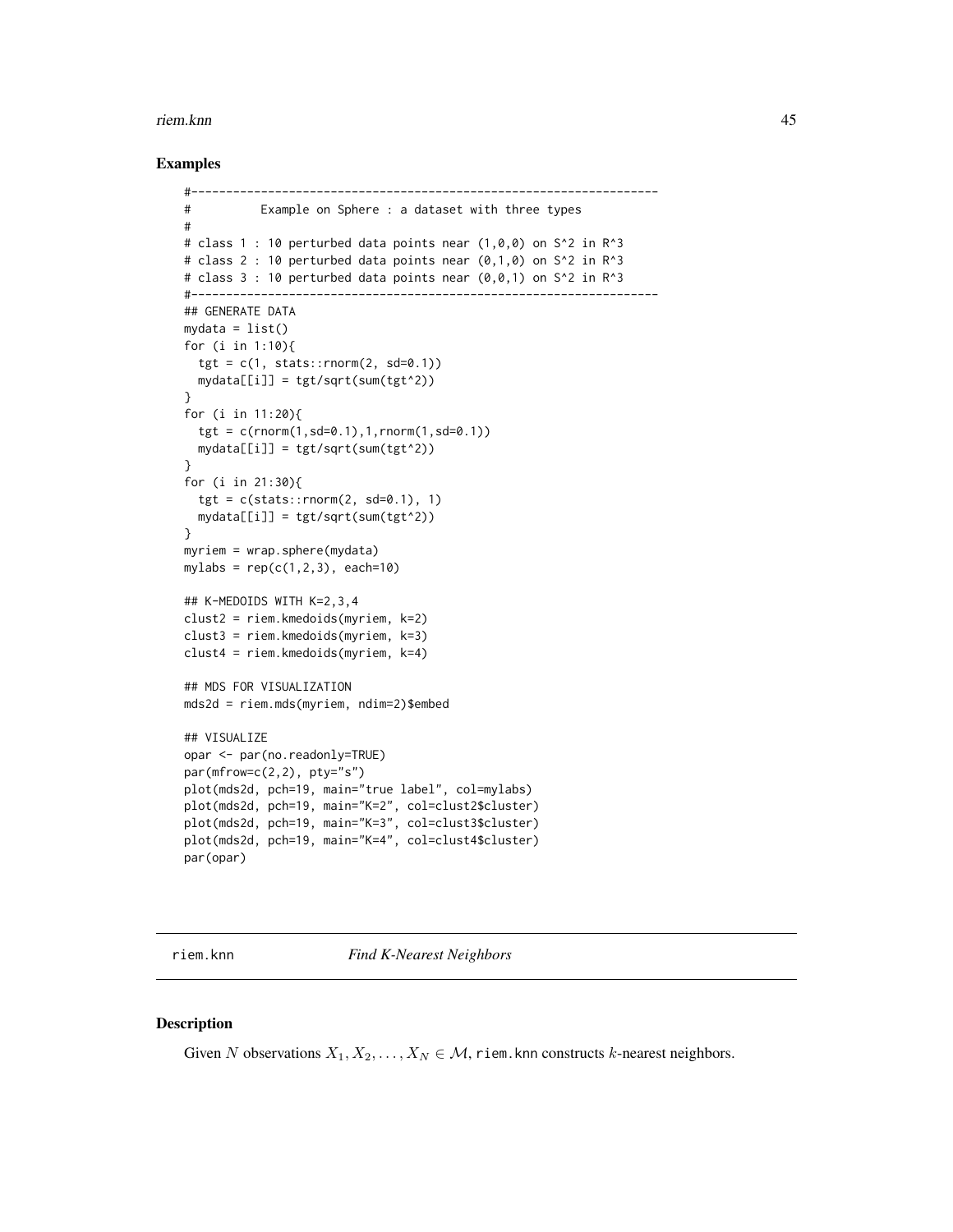#### riem.knn 45

## Examples

```
#-------------------------------------------------------------------
# Example on Sphere : a dataset with three types
#
# class 1 : 10 perturbed data points near (1,0,0) on S^2 in R^3
# class 2 : 10 perturbed data points near (0,1,0) on S^2 in R^3
# class 3 : 10 perturbed data points near (0,0,1) on S^2 in R^3
#-------------------------------------------------------------------
## GENERATE DATA
mydata = list()for (i in 1:10){
  tgt = c(1, stats::rnorm(2, sd=0.1))mydata[[i]] = tgt/sqrt(sum(tgt^2))
}
for (i in 11:20){
  tgt = c(rnorm(1, sd=0.1), 1, rnorm(1, sd=0.1)mydata[[i]] = tgt/sqrt(sum(tgt^2))
}
for (i in 21:30){
  tgt = c(stats::rnorm(2, sd=0.1), 1)mydata[[i]] = tgt/sqrt(sum(tgt^2))
}
myriem = wrap.sphere(mydata)
mylabs = rep(c(1, 2, 3), each=10)## K-MEDOIDS WITH K=2,3,4
clust2 = riem.kmedoids(myriem, k=2)
clust3 = riem.kmedoids(myriem, k=3)
clust4 = riem.kmedoids(myriem, k=4)
## MDS FOR VISUALIZATION
mds2d = riem.mds(myriem, ndim=2)$embed
## VISUALIZE
opar <- par(no.readonly=TRUE)
par(mfrow=c(2,2), pty="s")
plot(mds2d, pch=19, main="true label", col=mylabs)
plot(mds2d, pch=19, main="K=2", col=clust2$cluster)
plot(mds2d, pch=19, main="K=3", col=clust3$cluster)
plot(mds2d, pch=19, main="K=4", col=clust4$cluster)
par(opar)
```
riem.knn *Find K-Nearest Neighbors*

### Description

Given N observations  $X_1, X_2, \ldots, X_N \in \mathcal{M}$ , riem. knn constructs k-nearest neighbors.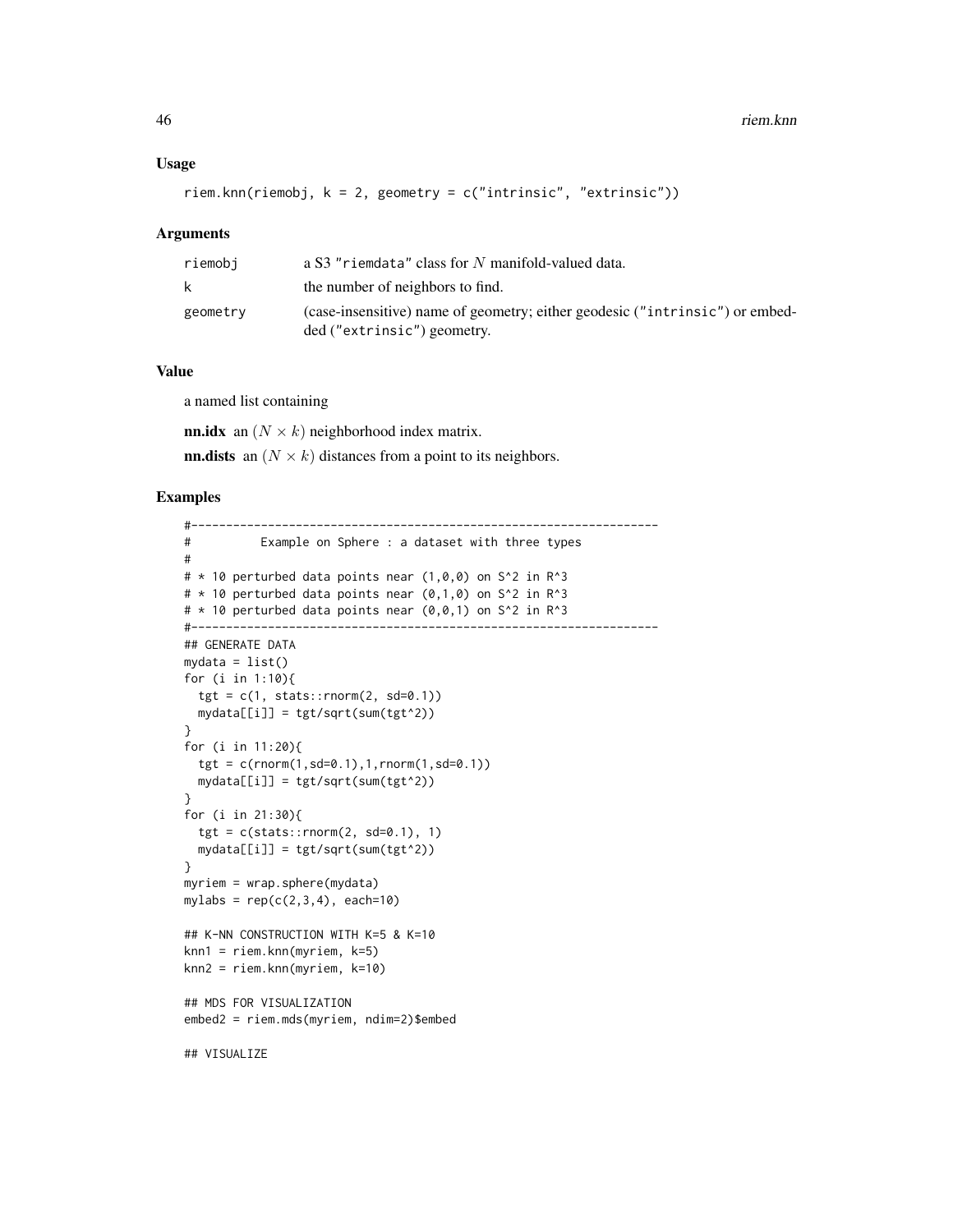```
riem.knn(riemobj, k = 2, geometry = c("intrinsic", "extrinsic"))
```
#### Arguments

| riemobi  | a S3 "riemdata" class for N manifold-valued data.                                                           |
|----------|-------------------------------------------------------------------------------------------------------------|
|          | the number of neighbors to find.                                                                            |
| geometry | (case-insensitive) name of geometry; either geodesic ("intrinsic") or embed-<br>ded ("extrinsic") geometry. |

## Value

a named list containing

**nn.idx** an  $(N \times k)$  neighborhood index matrix.

**nn.dists** an  $(N \times k)$  distances from a point to its neighbors.

```
#-------------------------------------------------------------------
# Example on Sphere : a dataset with three types
#
# * 10 perturbed data points near (1,0,0) on S^2 in R^3
# * 10 perturbed data points near (0,1,0) on S^2 in R^3
# * 10 perturbed data points near (0,0,1) on S^2 in R^3
#-------------------------------------------------------------------
## GENERATE DATA
mydata = list()for (i in 1:10){
  tgt = c(1, stats::rnorm(2, sd=0.1))mydata[[i]] = tgt/sqrt(sum(tgt^2))
}
for (i in 11:20){
  tgt = c(rnorm(1,sd=0.1),1,rnorm(1,sd=0.1))
  mydata[[i]] = tgt/sqrt(sum(tgt^2))
}
for (i in 21:30){
  tgt = c(stats::rnorm(2, sd=0.1), 1)mydata[[i]] = tgt/sqrt(sum(tgt^2))
}
myriem = wrap.sphere(mydata)
mylabs = rep(c(2,3,4), each=10)## K-NN CONSTRUCTION WITH K=5 & K=10
knn1 = riem.knn(myriem, k=5)knn2 = riem.knn(myriem, k=10)
## MDS FOR VISUALIZATION
embed2 = riem.mds(myriem, ndim=2)$embed
## VISUALIZE
```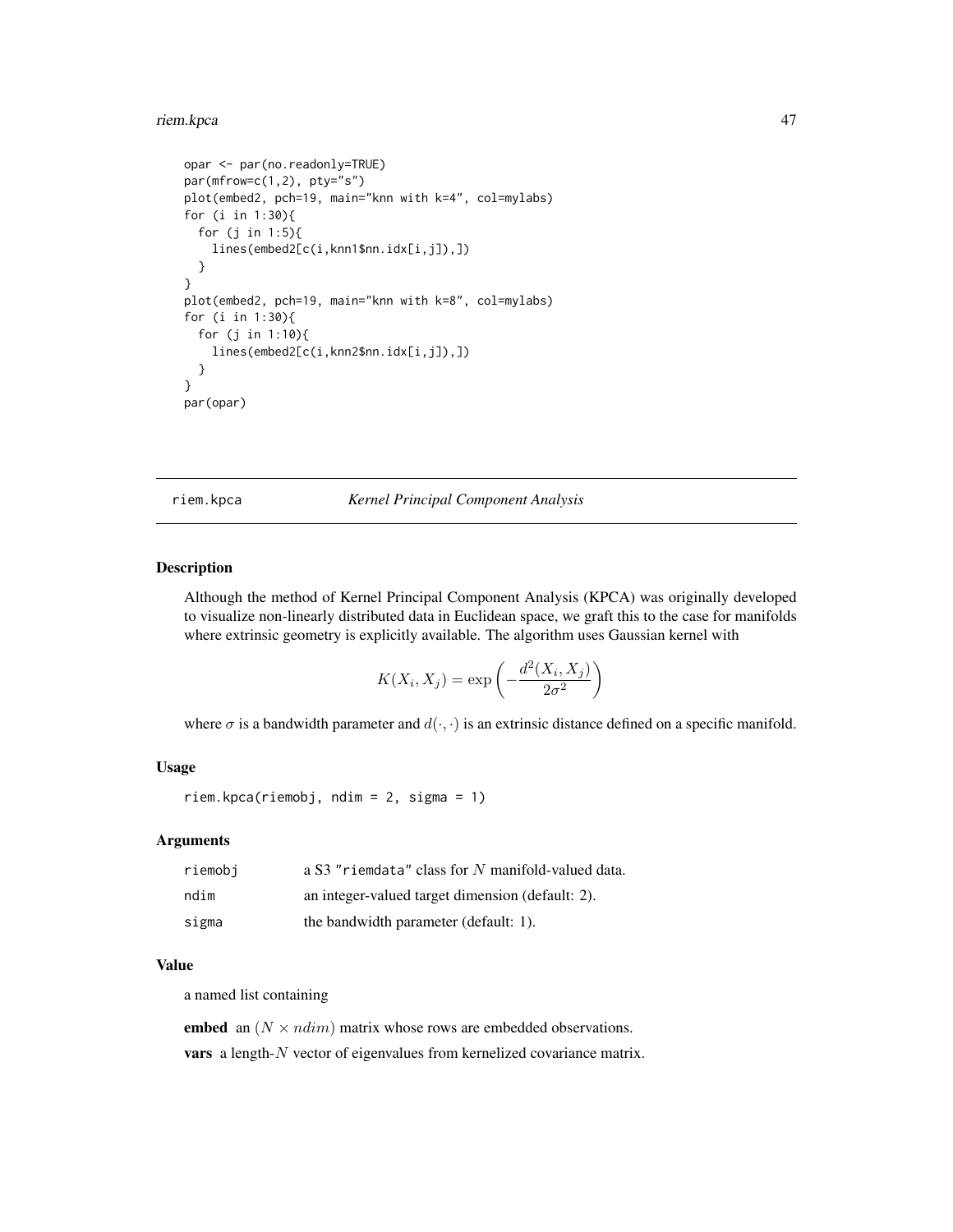#### riem.kpca 47

```
opar <- par(no.readonly=TRUE)
par(mfrow=c(1,2), pty="s")
plot(embed2, pch=19, main="knn with k=4", col=mylabs)
for (i in 1:30){
  for (j in 1:5){
    lines(embed2[c(i,knn1$nn.idx[i,j]),])
  }
}
plot(embed2, pch=19, main="knn with k=8", col=mylabs)
for (i in 1:30){
  for (j in 1:10){
    lines(embed2[c(i,knn2$nn.idx[i,j]),])
  }
}
par(opar)
```
riem.kpca *Kernel Principal Component Analysis*

## Description

Although the method of Kernel Principal Component Analysis (KPCA) was originally developed to visualize non-linearly distributed data in Euclidean space, we graft this to the case for manifolds where extrinsic geometry is explicitly available. The algorithm uses Gaussian kernel with

$$
K(X_i, X_j) = \exp\left(-\frac{d^2(X_i, X_j)}{2\sigma^2}\right)
$$

where  $\sigma$  is a bandwidth parameter and  $d(\cdot, \cdot)$  is an extrinsic distance defined on a specific manifold.

## Usage

```
riem.kpca(riemobj, ndim = 2, sigma = 1)
```
### Arguments

| riemobi | a S3 "riemdata" class for N manifold-valued data. |
|---------|---------------------------------------------------|
| ndim    | an integer-valued target dimension (default: 2).  |
| sigma   | the bandwidth parameter (default: 1).             |

### Value

a named list containing

embed an  $(N \times ndim)$  matrix whose rows are embedded observations. vars a length-N vector of eigenvalues from kernelized covariance matrix.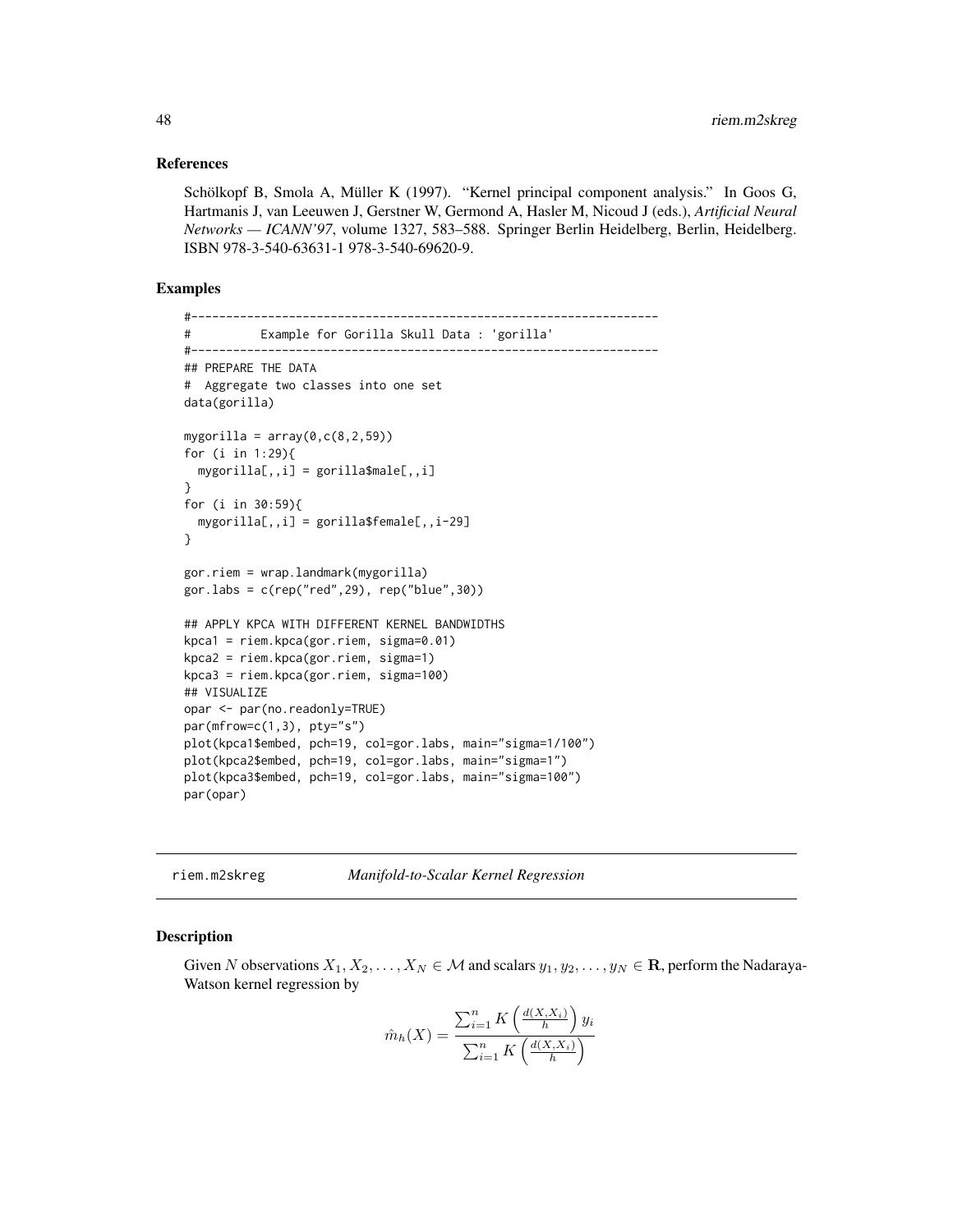### References

Schölkopf B, Smola A, Müller K (1997). "Kernel principal component analysis." In Goos G, Hartmanis J, van Leeuwen J, Gerstner W, Germond A, Hasler M, Nicoud J (eds.), *Artificial Neural Networks — ICANN'97*, volume 1327, 583–588. Springer Berlin Heidelberg, Berlin, Heidelberg. ISBN 978-3-540-63631-1 978-3-540-69620-9.

## Examples

```
#-------------------------------------------------------------------
# Example for Gorilla Skull Data : 'gorilla'
#-------------------------------------------------------------------
## PREPARE THE DATA
# Aggregate two classes into one set
data(gorilla)
mygorilla = array(0, c(8, 2, 59))for (i in 1:29){
 mygorilla[,,i] = gorilla$male[,,i]
}
for (i in 30:59){
 mygorilla[,,i] = gorilla$female[,,i-29]
}
gor.riem = wrap.landmark(mygorilla)
gor.labs = c(rep("red",29), rep("blue",30))
## APPLY KPCA WITH DIFFERENT KERNEL BANDWIDTHS
kpca1 = riem.kpca(gor.riem, sigma=0.01)
kpca2 = riem.kpca(gor.riem, sigma=1)
kpca3 = riem.kpca(gor.riem, sigma=100)
## VISUALIZE
opar <- par(no.readonly=TRUE)
par(mfrow=c(1,3), pty='s")plot(kpca1$embed, pch=19, col=gor.labs, main="sigma=1/100")
plot(kpca2$embed, pch=19, col=gor.labs, main="sigma=1")
plot(kpca3$embed, pch=19, col=gor.labs, main="sigma=100")
par(opar)
```
riem.m2skreg *Manifold-to-Scalar Kernel Regression*

#### Description

Given N observations  $X_1, X_2, \ldots, X_N \in \mathcal{M}$  and scalars  $y_1, y_2, \ldots, y_N \in \mathbb{R}$ , perform the Nadaraya-Watson kernel regression by

$$
\hat{m}_h(X) = \frac{\sum_{i=1}^n K\left(\frac{d(X,X_i)}{h}\right) y_i}{\sum_{i=1}^n K\left(\frac{d(X,X_i)}{h}\right)}
$$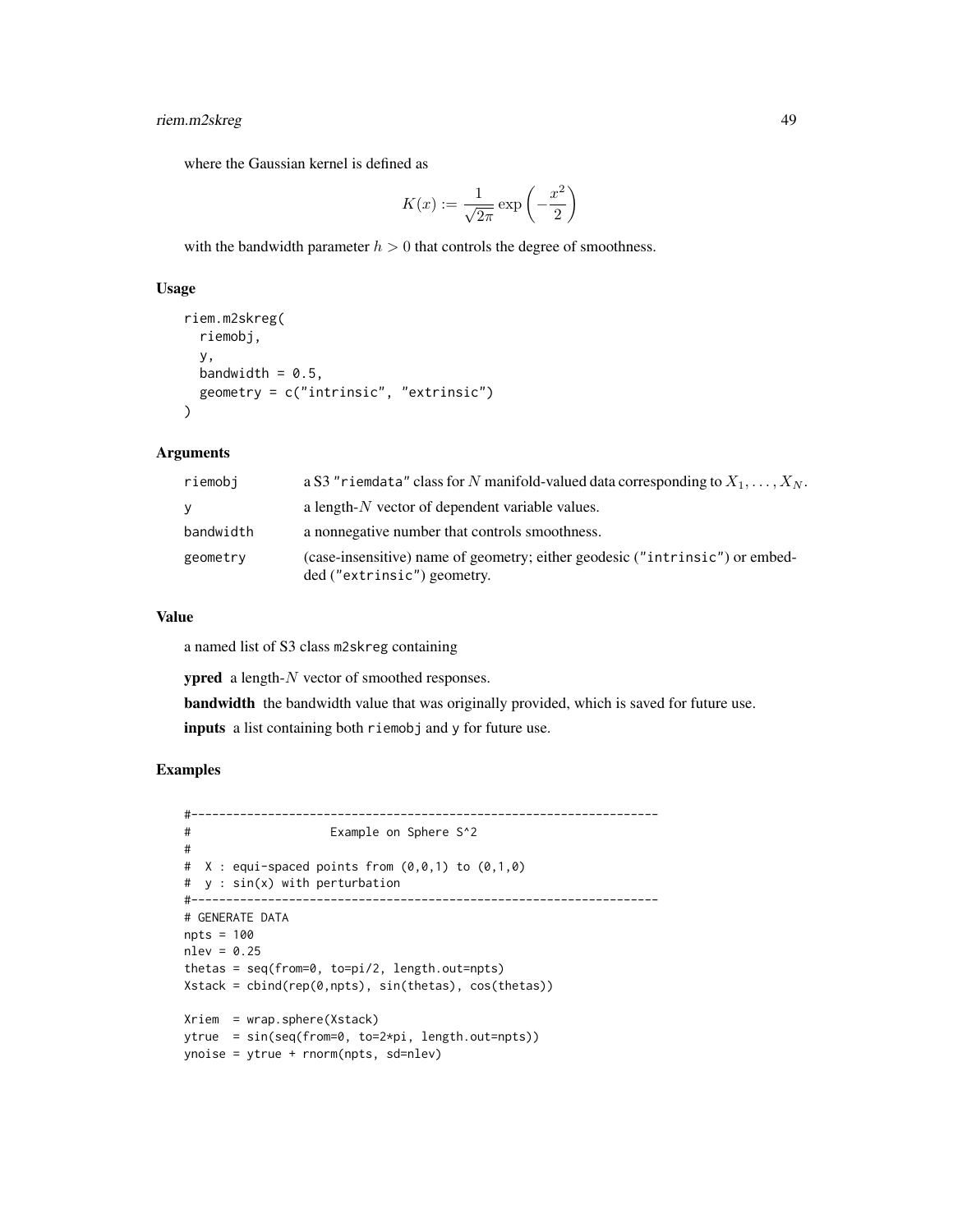# riem.m2skreg 49

where the Gaussian kernel is defined as

$$
K(x):=\frac{1}{\sqrt{2\pi}}\exp\left(-\frac{x^2}{2}\right)
$$

with the bandwidth parameter  $h > 0$  that controls the degree of smoothness.

## Usage

```
riem.m2skreg(
  riemobj,
 y,
 bandwidth = 0.5,
  geometry = c("intrinsic", "extrinsic")
)
```
# Arguments

| riemobi   | a S3 "riemdata" class for N manifold-valued data corresponding to $X_1, \ldots, X_N$ .                      |
|-----------|-------------------------------------------------------------------------------------------------------------|
| V.        | a length- $N$ vector of dependent variable values.                                                          |
| bandwidth | a nonnegative number that controls smoothness.                                                              |
| geometry  | (case-insensitive) name of geometry; either geodesic ("intrinsic") or embed-<br>ded ("extrinsic") geometry. |

## Value

a named list of S3 class m2skreg containing

ypred a length-N vector of smoothed responses.

bandwidth the bandwidth value that was originally provided, which is saved for future use. inputs a list containing both riemobj and y for future use.

```
#-------------------------------------------------------------------
# Example on Sphere S^2
#
# X : equi-space points from (0,0,1) to (0,1,0)# y : sin(x) with perturbation
#-------------------------------------------------------------------
# GENERATE DATA
npts = 100
nlev = 0.25thetas = seq(from=0, to=pi/2, length.out=npts)
Xstack = cbind(rep(0,npts), sin(thetas), cos(thetas))
Xriem = wrap.sphere(Xstack)
ytrue = sin(seq(from=0, to=2*pi, length.out=npts))
ynoise = ytrue + rnorm(npts, sd=nlev)
```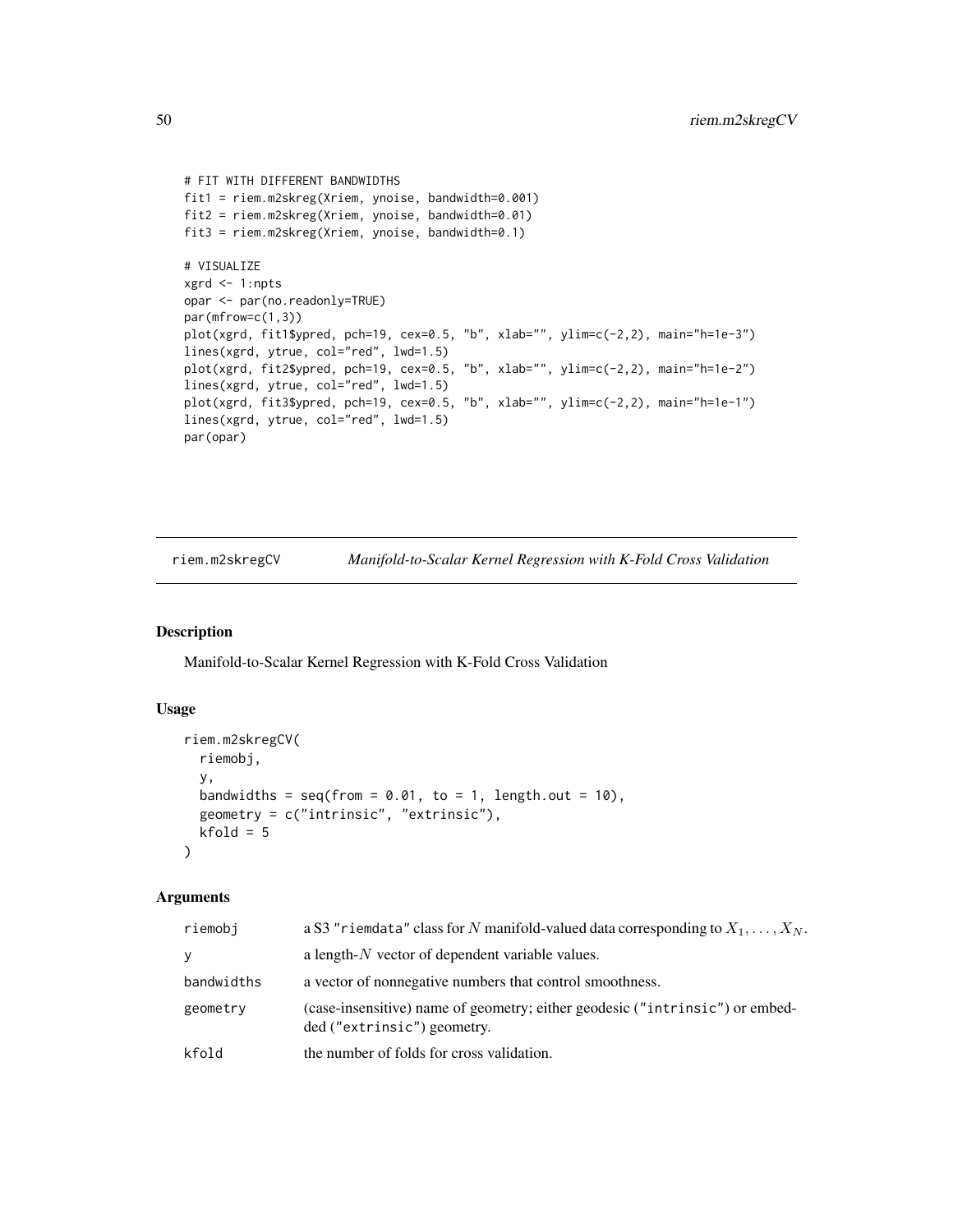```
# FIT WITH DIFFERENT BANDWIDTHS
fit1 = riem.m2skreg(Xriem, ynoise, bandwidth=0.001)
fit2 = riem.m2skreg(Xriem, ynoise, bandwidth=0.01)
fit3 = riem.m2skreg(Xriem, ynoise, bandwidth=0.1)
# VISUALIZE
xgrd <- 1:npts
opar <- par(no.readonly=TRUE)
par(mfrow=c(1,3))
plot(xgrd, fit1$ypred, pch=19, cex=0.5, "b", xlab="", ylim=c(-2,2), main="h=1e-3")
lines(xgrd, ytrue, col="red", lwd=1.5)
plot(xgrd, fit2$ypred, pch=19, cex=0.5, "b", xlab="", ylim=c(-2,2), main="h=1e-2")
lines(xgrd, ytrue, col="red", lwd=1.5)
plot(xgrd, fit3$ypred, pch=19, cex=0.5, "b", xlab="", ylim=c(-2,2), main="h=1e-1")
lines(xgrd, ytrue, col="red", lwd=1.5)
par(opar)
```
riem.m2skregCV *Manifold-to-Scalar Kernel Regression with K-Fold Cross Validation*

## Description

Manifold-to-Scalar Kernel Regression with K-Fold Cross Validation

## Usage

```
riem.m2skregCV(
 riemobj,
  y,
  bandwidths = seq(from = 0.01, to = 1, length.out = 10),
  geometry = c("intrinsic", "extrinsic"),
 kfold = 5\lambda
```
## Arguments

| riemobj    | a S3 "riemdata" class for N manifold-valued data corresponding to $X_1, \ldots, X_N$ .                      |
|------------|-------------------------------------------------------------------------------------------------------------|
| v          | a length- $N$ vector of dependent variable values.                                                          |
| bandwidths | a vector of nonnegative numbers that control smoothness.                                                    |
| geometry   | (case-insensitive) name of geometry; either geodesic ("intrinsic") or embed-<br>ded ("extrinsic") geometry. |
| kfold      | the number of folds for cross validation.                                                                   |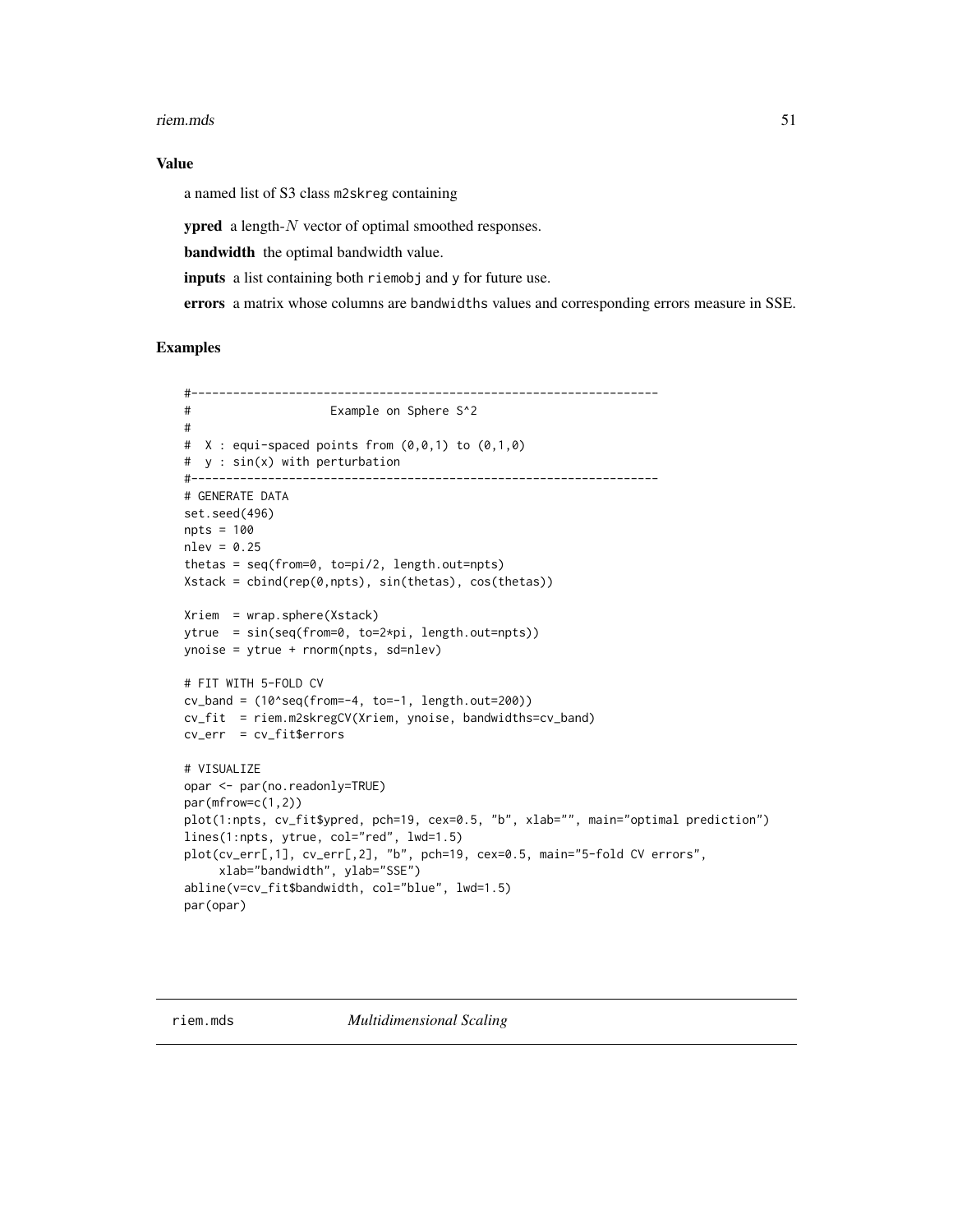#### riem.mds 51

## Value

a named list of S3 class m2skreg containing

ypred a length-N vector of optimal smoothed responses.

bandwidth the optimal bandwidth value.

inputs a list containing both riemobj and y for future use.

errors a matrix whose columns are bandwidths values and corresponding errors measure in SSE.

```
#-------------------------------------------------------------------
# Example on Sphere S^2
#
# X : equi-spaced points from (0,0,1) to (0,1,0)
# y : sin(x) with perturbation
#-------------------------------------------------------------------
# GENERATE DATA
set.seed(496)
npts = 100
nlev = 0.25thetas = seq(from=0, to=pi/2, length.out=npts)
Xstack = cbind(rep(0,npts), sin(thetas), cos(thetas))
Xriem = wrap.sphere(Xstack)
ytrue = sin(seq(from=0, to=2*pi, length.out=npts))
ynoise = ytrue + rnorm(npts, sd=nlev)
# FIT WITH 5-FOLD CV
cv\_band = (10 \text{~seq} (from=-4, to=-1, length.out=200))cv_fit = riem.m2skregCV(Xriem, ynoise, bandwidths=cv_band)
cv_err = cv_fit$errors
# VISUALIZE
opar <- par(no.readonly=TRUE)
par(mfrow=c(1,2))
plot(1:npts, cv_fit$ypred, pch=19, cex=0.5, "b", xlab="", main="optimal prediction")
lines(1:npts, ytrue, col="red", lwd=1.5)
plot(cv_err[,1], cv_err[,2], "b", pch=19, cex=0.5, main="5-fold CV errors",
     xlab="bandwidth", ylab="SSE")
abline(v=cv_fit$bandwidth, col="blue", lwd=1.5)
par(opar)
```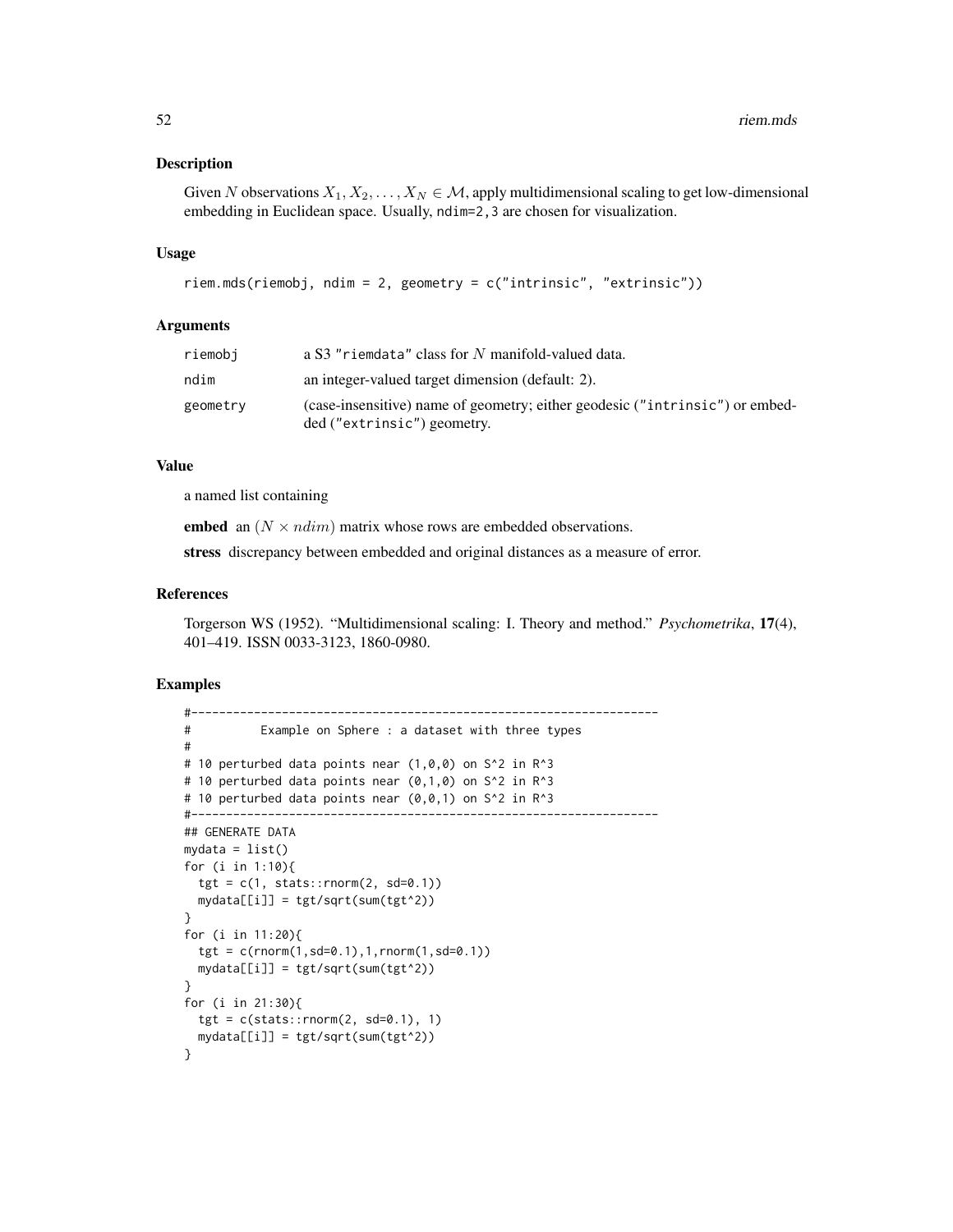### Description

Given N observations  $X_1, X_2, \ldots, X_N \in \mathcal{M}$ , apply multidimensional scaling to get low-dimensional embedding in Euclidean space. Usually, ndim=2,3 are chosen for visualization.

### Usage

```
riem.mds(riemobj, ndim = 2, geometry = c("intrinsic", "extrinsic"))
```
# Arguments

| riemobi  | a S3 "riemdata" class for N manifold-valued data.                                                           |
|----------|-------------------------------------------------------------------------------------------------------------|
| ndim     | an integer-valued target dimension (default: 2).                                                            |
| geometry | (case-insensitive) name of geometry; either geodesic ("intrinsic") or embed-<br>ded ("extrinsic") geometry. |

### Value

a named list containing

embed an  $(N \times ndim)$  matrix whose rows are embedded observations.

stress discrepancy between embedded and original distances as a measure of error.

#### References

Torgerson WS (1952). "Multidimensional scaling: I. Theory and method." *Psychometrika*, 17(4), 401–419. ISSN 0033-3123, 1860-0980.

```
#-------------------------------------------------------------------
# Example on Sphere : a dataset with three types
#
# 10 perturbed data points near (1,0,0) on S^2 in R^3
# 10 perturbed data points near (0,1,0) on S^2 in R^3# 10 perturbed data points near (0,0,1) on S^2 in R^3
#-------------------------------------------------------------------
## GENERATE DATA
mydata = list()for (i in 1:10){
  tgt = c(1, stats::rnorm(2, sd=0.1))mydata[[i]] = tgt/sqrt(sum(tgt^2))
}
for (i in 11:20){
  tgt = c(rnorm(1, sd=0.1), 1, rnorm(1, sd=0.1))mydata[[i]] = tgt/sqrt(sum(tgt^2))
}
for (i in 21:30){
  tgt = c(stats::rnorm(2, sd=0.1), 1)mydata[[i]] = tgt/sqrt(sum(tgt^2))
}
```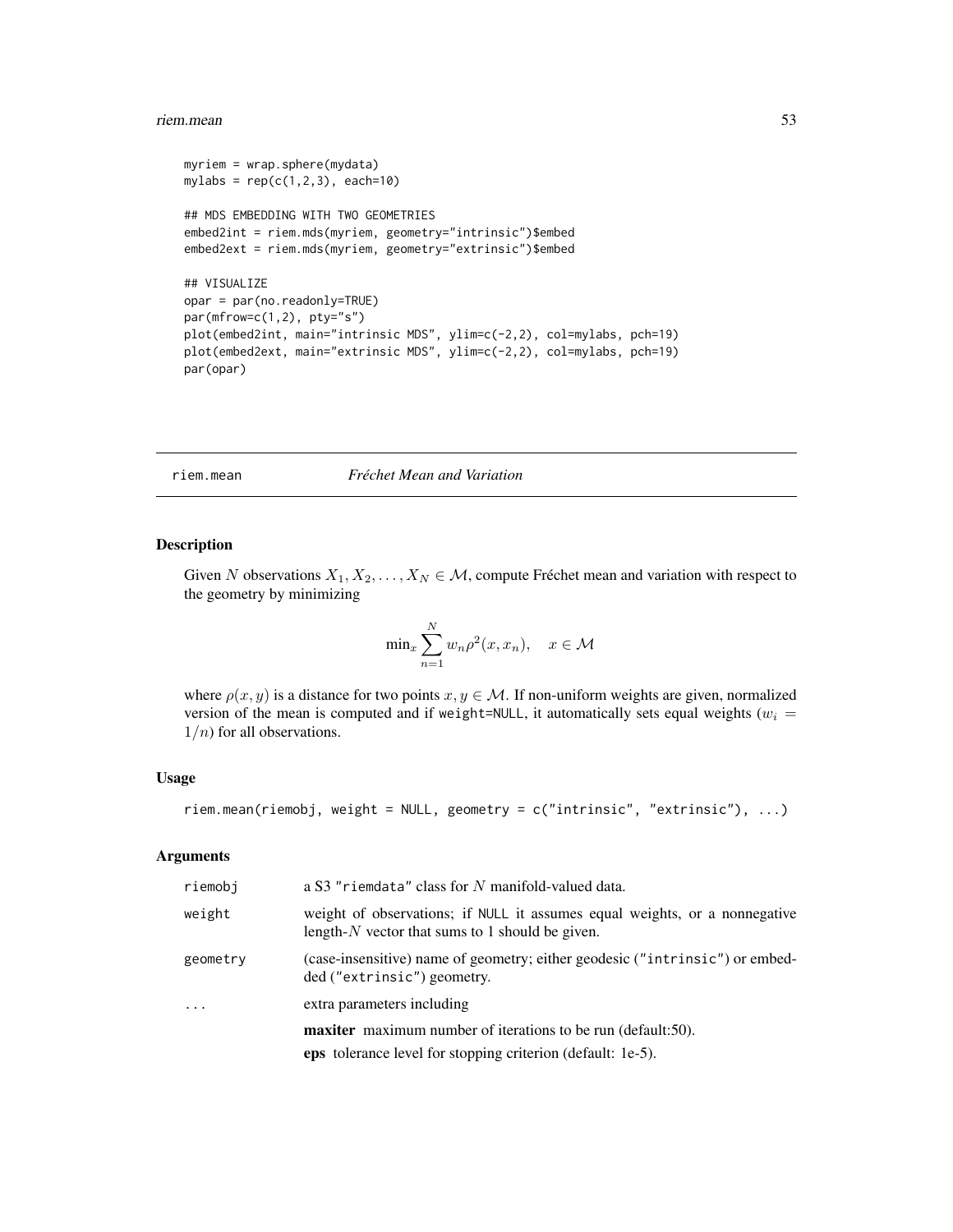#### riem.mean 53

```
myriem = wrap.sphere(mydata)
mylabs = rep(c(1, 2, 3), each=10)## MDS EMBEDDING WITH TWO GEOMETRIES
embed2int = riem.mds(myriem, geometry="intrinsic")$embed
embed2ext = riem.mds(myriem, geometry="extrinsic")$embed
## VISUALIZE
opar = par(no.readonly=TRUE)
par(mfrow=c(1,2), pty="s")plot(embed2int, main="intrinsic MDS", ylim=c(-2,2), col=mylabs, pch=19)
plot(embed2ext, main="extrinsic MDS", ylim=c(-2,2), col=mylabs, pch=19)
par(opar)
```
### riem.mean *Fréchet Mean and Variation*

#### Description

Given N observations  $X_1, X_2, \ldots, X_N \in \mathcal{M}$ , compute Fréchet mean and variation with respect to the geometry by minimizing

$$
\min_{x} \sum_{n=1}^{N} w_n \rho^2(x, x_n), \quad x \in \mathcal{M}
$$

where  $\rho(x, y)$  is a distance for two points  $x, y \in M$ . If non-uniform weights are given, normalized version of the mean is computed and if weight=NULL, it automatically sets equal weights ( $w_i$  =  $1/n$  for all observations.

## Usage

```
riem.mean(riemobj, weight = NULL, geometry = c("intrinsic", "extrinsic"), ...)
```
## Arguments

| riemobj    | a S3 "riemdata" class for N manifold-valued data.                                                                                |
|------------|----------------------------------------------------------------------------------------------------------------------------------|
| weight     | weight of observations; if NULL it assumes equal weights, or a nonnegative<br>length- $N$ vector that sums to 1 should be given. |
| geometry   | (case-insensitive) name of geometry; either geodesic ("intrinsic") or embed-<br>ded ("extrinsic") geometry.                      |
| $\ddots$ . | extra parameters including                                                                                                       |
|            | <b>maxiter</b> maximum number of iterations to be run (default:50).                                                              |
|            | <b>eps</b> tolerance level for stopping criterion (default: 1e-5).                                                               |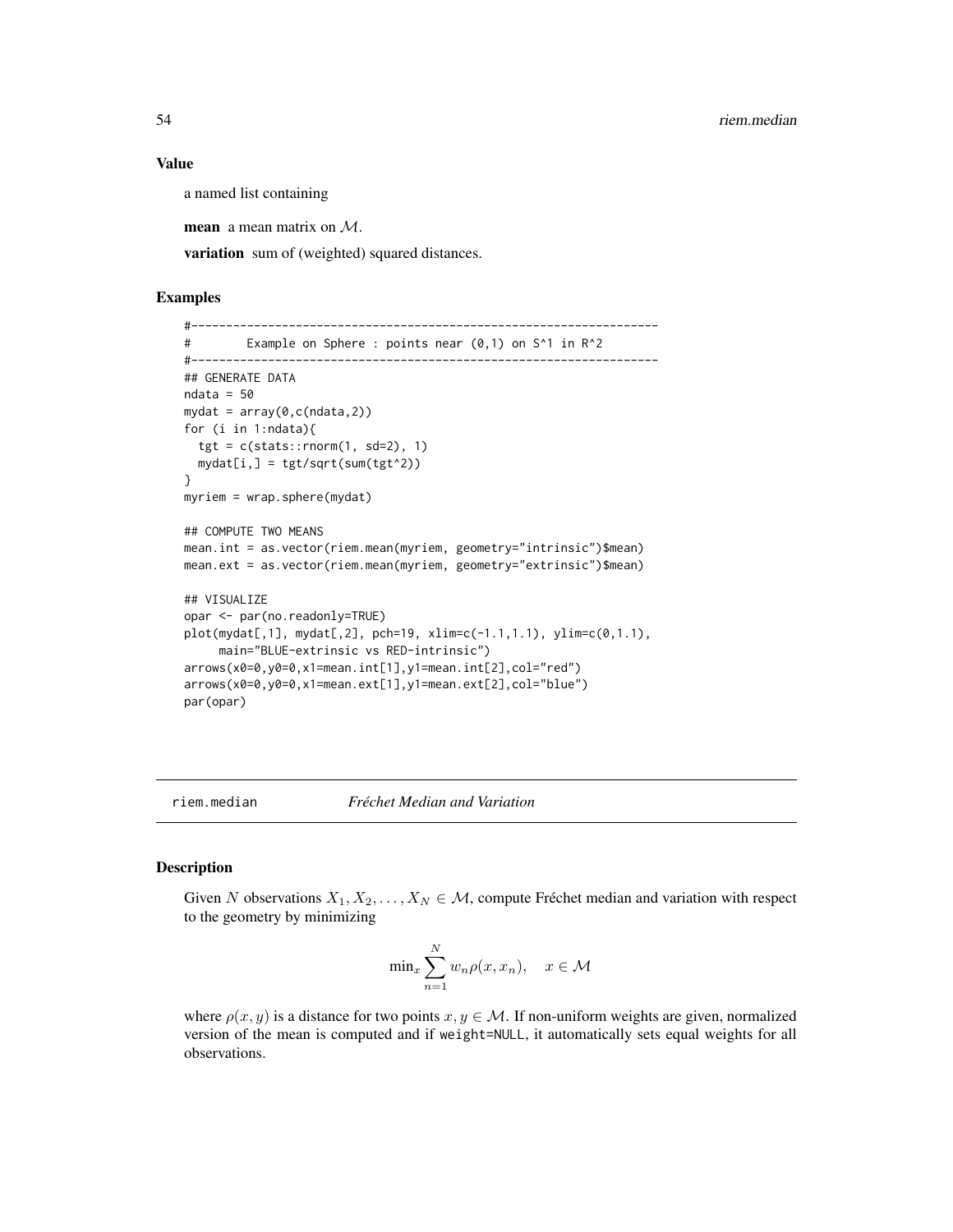#### Value

a named list containing

**mean** a mean matrix on  $M$ .

variation sum of (weighted) squared distances.

## Examples

```
#-------------------------------------------------------------------
# Example on Sphere : points near (0,1) on S^1 in R^2
#-------------------------------------------------------------------
## GENERATE DATA
ndata = 50mydat = array(0,c(ndata,2))
for (i in 1:ndata){
  tgt = c(stats::rnorm(1, sd=2), 1)mydat[i,] = tyt/sqrt(sum(tgt^2))}
myriem = wrap.sphere(mydat)
## COMPUTE TWO MEANS
mean.int = as.vector(riem.mean(myriem, geometry="intrinsic")$mean)
mean.ext = as.vector(riem.mean(myriem, geometry="extrinsic")$mean)
## VISUALIZE
opar <- par(no.readonly=TRUE)
plot(mydat[,1], mydat[,2], pch=19, xlim=c(-1.1,1.1), ylim=c(0,1.1),
     main="BLUE-extrinsic vs RED-intrinsic")
arrows(x0=0,y0=0,x1=mean.int[1],y1=mean.int[2],col="red")
arrows(x0=0,y0=0,x1=mean.ext[1],y1=mean.ext[2],col="blue")
par(opar)
```
riem.median *Fréchet Median and Variation*

### Description

Given N observations  $X_1, X_2, \ldots, X_N \in \mathcal{M}$ , compute Fréchet median and variation with respect to the geometry by minimizing

$$
\min_x \sum_{n=1}^N w_n \rho(x, x_n), \quad x \in \mathcal{M}
$$

where  $\rho(x, y)$  is a distance for two points  $x, y \in M$ . If non-uniform weights are given, normalized version of the mean is computed and if weight=NULL, it automatically sets equal weights for all observations.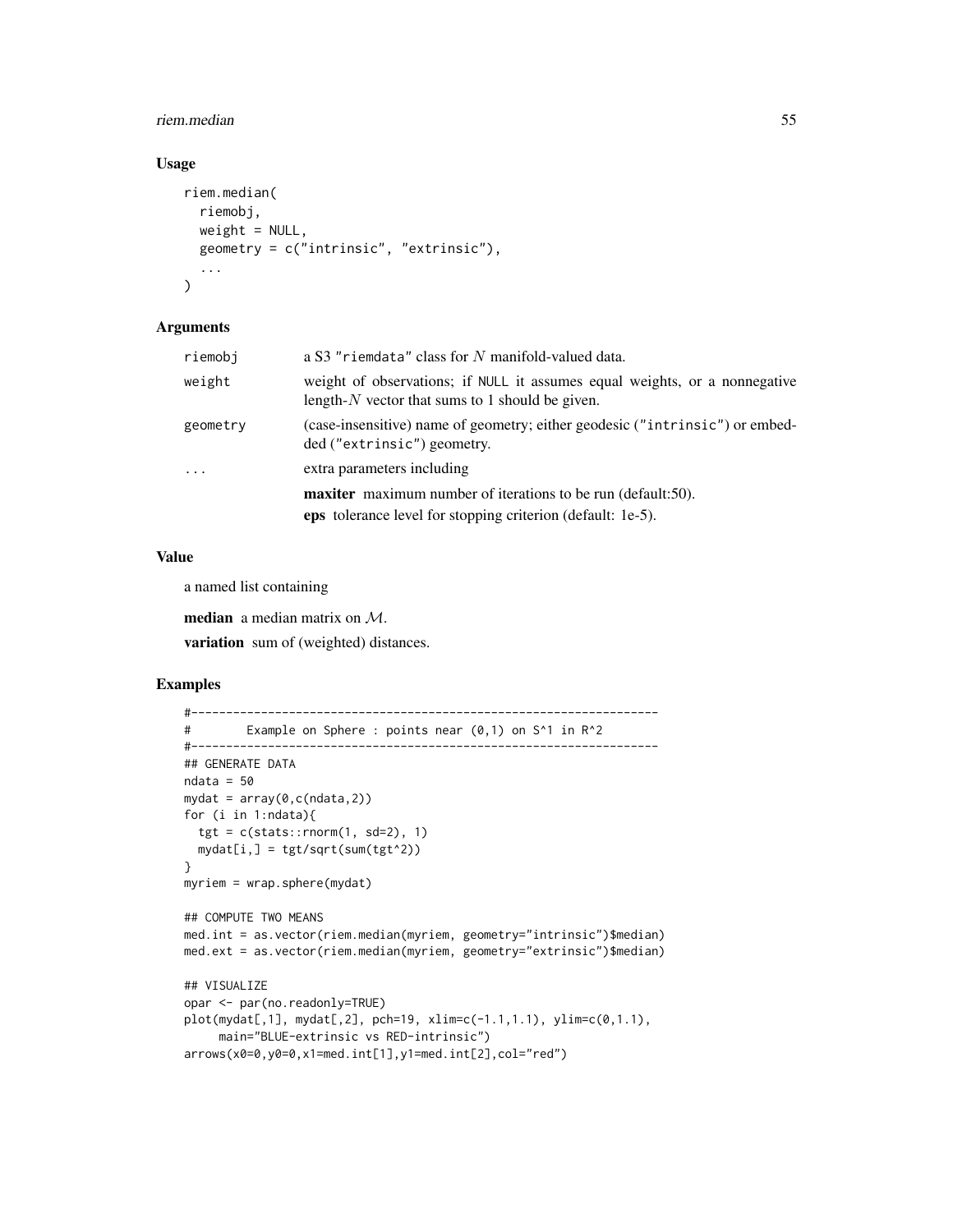#### riem.median 55

## Usage

```
riem.median(
  riemobj,
  weight = NULL,geometry = c("intrinsic", "extrinsic"),
  ...
\mathcal{L}
```
### Arguments

| riemobi  | a S3 "riemdata" class for N manifold-valued data.                                                                                |
|----------|----------------------------------------------------------------------------------------------------------------------------------|
| weight   | weight of observations; if NULL it assumes equal weights, or a nonnegative<br>length- $N$ vector that sums to 1 should be given. |
| geometry | (case-insensitive) name of geometry; either geodesic ("intrinsic") or embed-<br>ded ("extrinsic") geometry.                      |
| $\cdots$ | extra parameters including                                                                                                       |
|          | <b>maxiter</b> maximum number of iterations to be run (default:50).                                                              |
|          | eps tolerance level for stopping criterion (default: 1e-5).                                                                      |

## Value

a named list containing

median a median matrix on M.

variation sum of (weighted) distances.

```
#-------------------------------------------------------------------
# Example on Sphere : points near (0,1) on S^1 in R^2
#-------------------------------------------------------------------
## GENERATE DATA
ndata = 50mydat = array(0, c(ndata, 2))for (i in 1:ndata){
  tgt = c(stats::rnorm(1, sd=2), 1)mydat[i,] = ty/sqrt(sum(tgt^2))}
myriem = wrap.sphere(mydat)
## COMPUTE TWO MEANS
med.int = as.vector(riem.median(myriem, geometry="intrinsic")$median)
med.ext = as.vector(riem.median(myriem, geometry="extrinsic")$median)
## VISUALIZE
opar <- par(no.readonly=TRUE)
plot(mydat[,1], mydat[,2], pch=19, xlim=c(-1.1,1.1), ylim=c(0,1.1),
     main="BLUE-extrinsic vs RED-intrinsic")
arrows(x0=0,y0=0,x1=med.int[1],y1=med.int[2],col="red")
```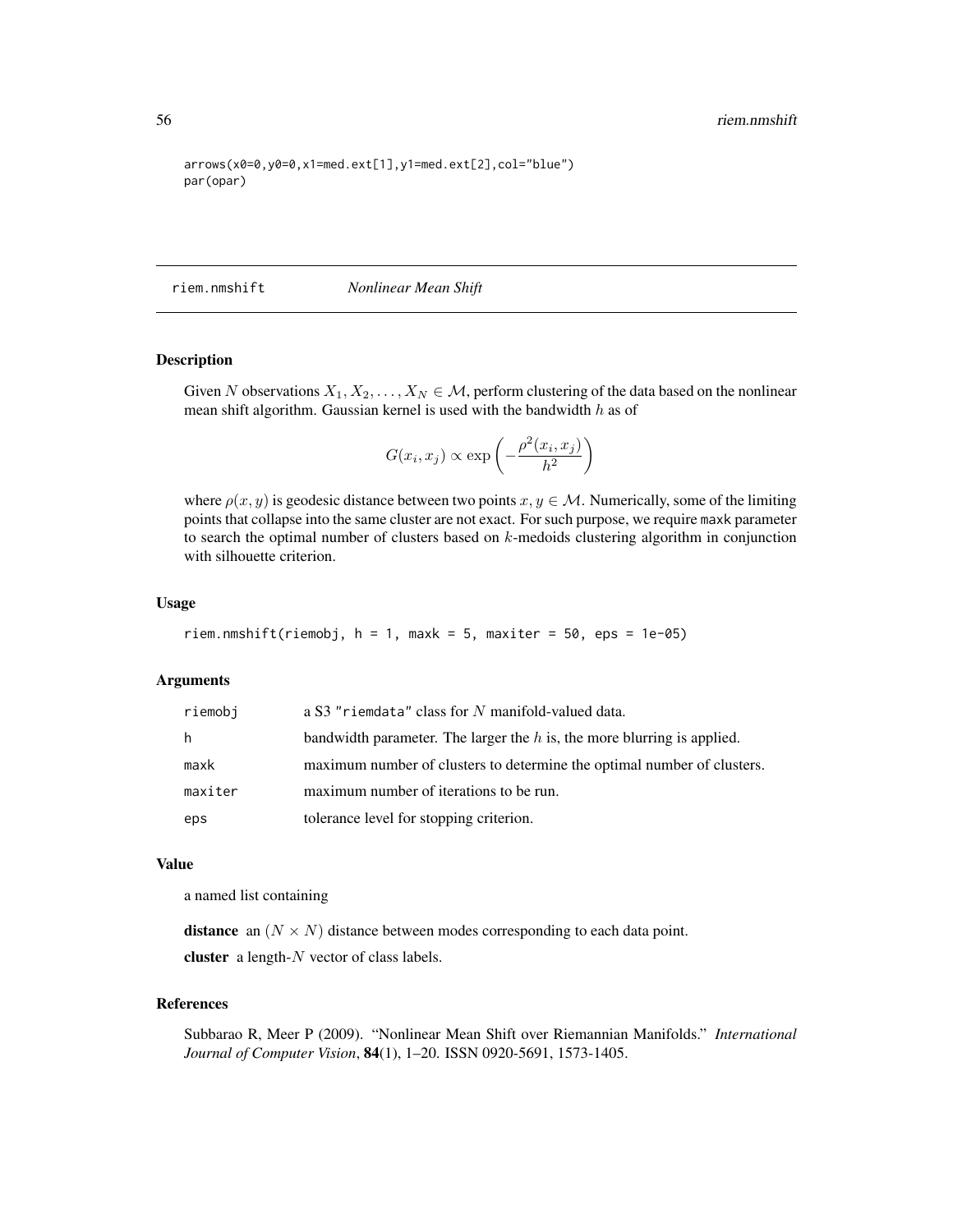```
arrows(x0=0,y0=0,x1=med.ext[1],y1=med.ext[2],col="blue")
par(opar)
```
riem.nmshift *Nonlinear Mean Shift*

## Description

Given N observations  $X_1, X_2, \ldots, X_N \in \mathcal{M}$ , perform clustering of the data based on the nonlinear mean shift algorithm. Gaussian kernel is used with the bandwidth  $h$  as of

$$
G(x_i, x_j) \propto \exp\left(-\frac{\rho^2(x_i, x_j)}{h^2}\right)
$$

where  $\rho(x, y)$  is geodesic distance between two points  $x, y \in M$ . Numerically, some of the limiting points that collapse into the same cluster are not exact. For such purpose, we require maxk parameter to search the optimal number of clusters based on  $k$ -medoids clustering algorithm in conjunction with silhouette criterion.

### Usage

```
riem.nmshift(riemobj, h = 1, maxk = 5, maxiter = 50, eps = 1e-05)
```
#### Arguments

| riemobj | a S3 "riemdata" class for N manifold-valued data.                         |
|---------|---------------------------------------------------------------------------|
| h.      | bandwidth parameter. The larger the $h$ is, the more blurring is applied. |
| maxk    | maximum number of clusters to determine the optimal number of clusters.   |
| maxiter | maximum number of iterations to be run.                                   |
| eps     | tolerance level for stopping criterion.                                   |

## Value

a named list containing

**distance** an  $(N \times N)$  distance between modes corresponding to each data point.

cluster a length-N vector of class labels.

## References

Subbarao R, Meer P (2009). "Nonlinear Mean Shift over Riemannian Manifolds." *International Journal of Computer Vision*, 84(1), 1–20. ISSN 0920-5691, 1573-1405.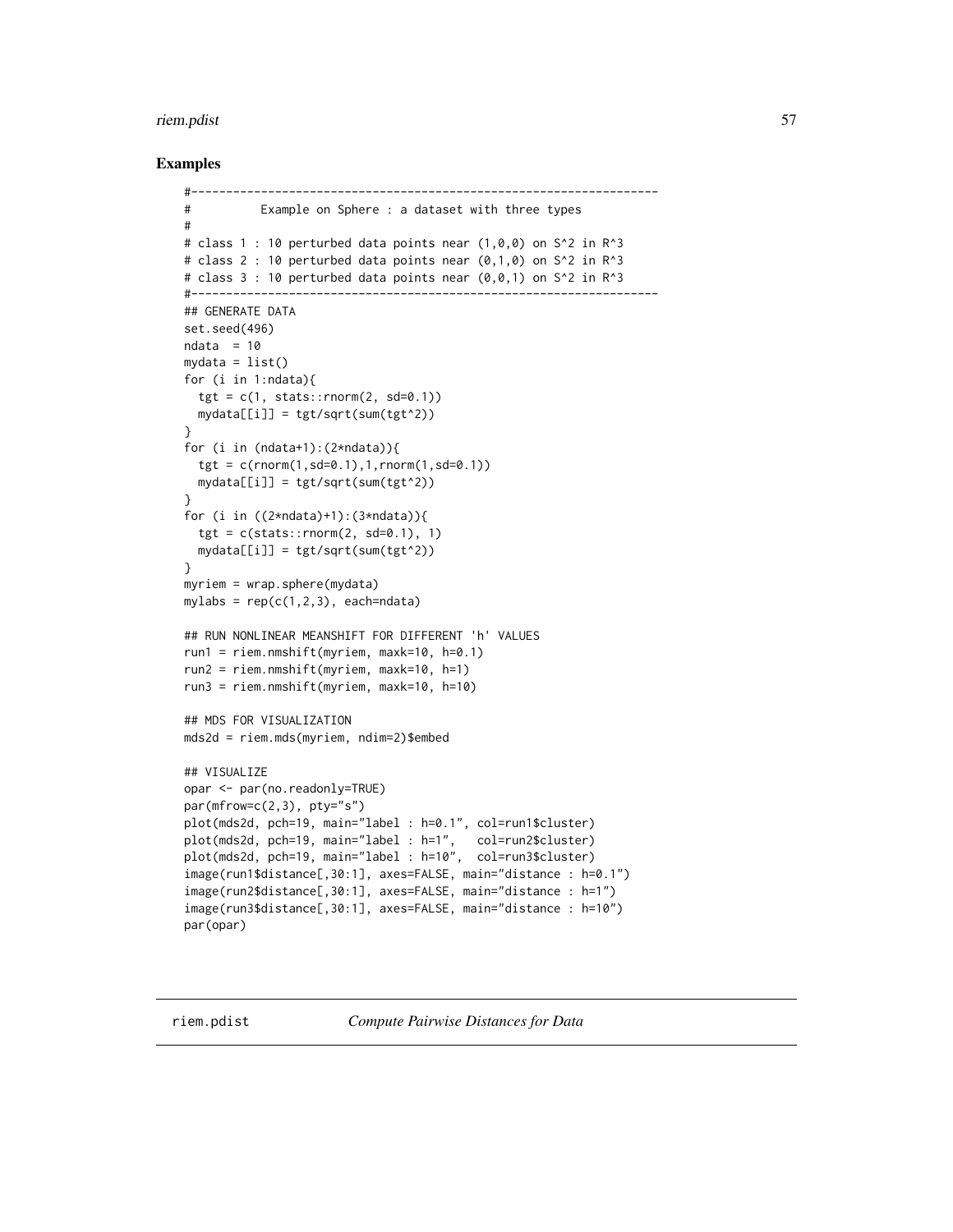#### riem.pdist 57

## Examples

```
#-------------------------------------------------------------------
# Example on Sphere : a dataset with three types
#
# class 1 : 10 perturbed data points near (1,0,0) on S<sup>^2</sup> in R<sup>^3</sup>
# class 2 : 10 perturbed data points near (0,1,0) on S^2 in R^3
# class 3 : 10 perturbed data points near (0,0,1) on S^2 in R<sup>o</sup>3
#-------------------------------------------------------------------
## GENERATE DATA
set.seed(496)
ndata = 10mydata = list()for (i in 1:ndata){
  tgt = c(1, stats::rnorm(2, sd=0.1))mydata[[i]] = tgt/sqrt(sum(tgt^2))}
for (i in (ndata+1):(2*ndata)){
  tgt = c(rnorm(1, sd=0.1), 1, rnorm(1, sd=0.1))mydata[[i]] = tgt/sqrt(sum(tgt^2))
}
for (i in ((2*ndata)+1):(3*ndata)){
  tgt = c(stats::rnorm(2, sd=0.1), 1)mydata[[i]] = tgt/sqrt(sum(tgt^2))
}
myriem = wrap.sphere(mydata)
mylabs = rep(c(1,2,3), each=ndata)## RUN NONLINEAR MEANSHIFT FOR DIFFERENT 'h' VALUES
run1 = riem.nmshift(myriem, maxk=10, h=0.1)
run2 = riem.nmshift(myriem, maxk=10, h=1)
run3 = riem.nmshift(myriem, maxk=10, h=10)
## MDS FOR VISUALIZATION
mds2d = riem.mds(myriem, ndim=2)$embed
## VISUALIZE
opar <- par(no.readonly=TRUE)
par(mfrow=c(2,3), pty="s")
plot(mds2d, pch=19, main="label : h=0.1", col=run1$cluster)
plot(mds2d, pch=19, main="label : h=1", col=run2$cluster)
plot(mds2d, pch=19, main="label : h=10", col=run3$cluster)
image(run1$distance[,30:1], axes=FALSE, main="distance : h=0.1")
image(run2$distance[,30:1], axes=FALSE, main="distance : h=1")
image(run3$distance[,30:1], axes=FALSE, main="distance : h=10")
par(opar)
```
riem.pdist *Compute Pairwise Distances for Data*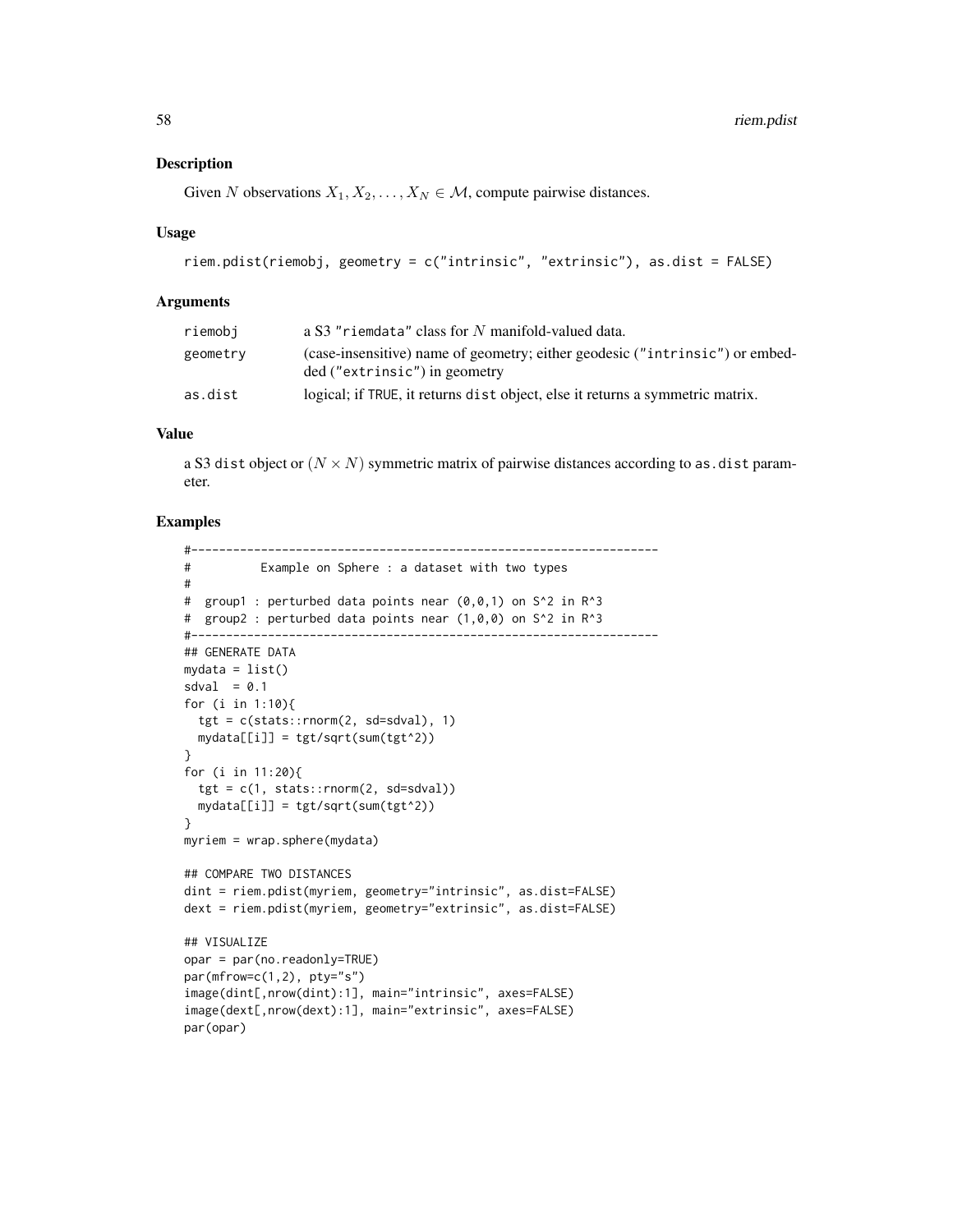### Description

Given N observations  $X_1, X_2, \ldots, X_N \in \mathcal{M}$ , compute pairwise distances.

### Usage

```
riem.pdist(riemobj, geometry = c("intrinsic", "extrinsic"), as.dist = FALSE)
```
### Arguments

| riemobi  | a S3 "riemdata" class for N manifold-valued data.                             |
|----------|-------------------------------------------------------------------------------|
| geometry | (case-insensitive) name of geometry; either geodesic ("intrinsic") or embed-  |
|          | ded ("extrinsic") in geometry                                                 |
| as.dist  | logical; if TRUE, it returns dist object, else it returns a symmetric matrix. |

## Value

a S3 dist object or  $(N \times N)$  symmetric matrix of pairwise distances according to as dist parameter.

```
#-------------------------------------------------------------------
# Example on Sphere : a dataset with two types
#
# group1 : perturbed data points near (0,0,1) on S^2 in R^3
# group2 : perturbed data points near (1,0,0) on S^2 in R^3
#-------------------------------------------------------------------
## GENERATE DATA
mydata = list()sdval = 0.1for (i in 1:10){
 tgt = c(stat::rnorm(2, sd=sdval), 1)mydata[[i]] = tgt/sqrt(sum(tgt^2))
}
for (i in 11:20){
 tgt = c(1, stats::rnorm(2, sd=sdval))mydata[[i]] = tgt/sqrt(sum(tgt^2))
}
myriem = wrap.sphere(mydata)
## COMPARE TWO DISTANCES
dint = riem.pdist(myriem, geometry="intrinsic", as.dist=FALSE)
dext = riem.pdist(myriem, geometry="extrinsic", as.dist=FALSE)
## VISUALIZE
opar = par(no.readonly=TRUE)
par(mfrow=c(1,2), pty="s")
image(dint[,nrow(dint):1], main="intrinsic", axes=FALSE)
image(dext[,nrow(dext):1], main="extrinsic", axes=FALSE)
par(opar)
```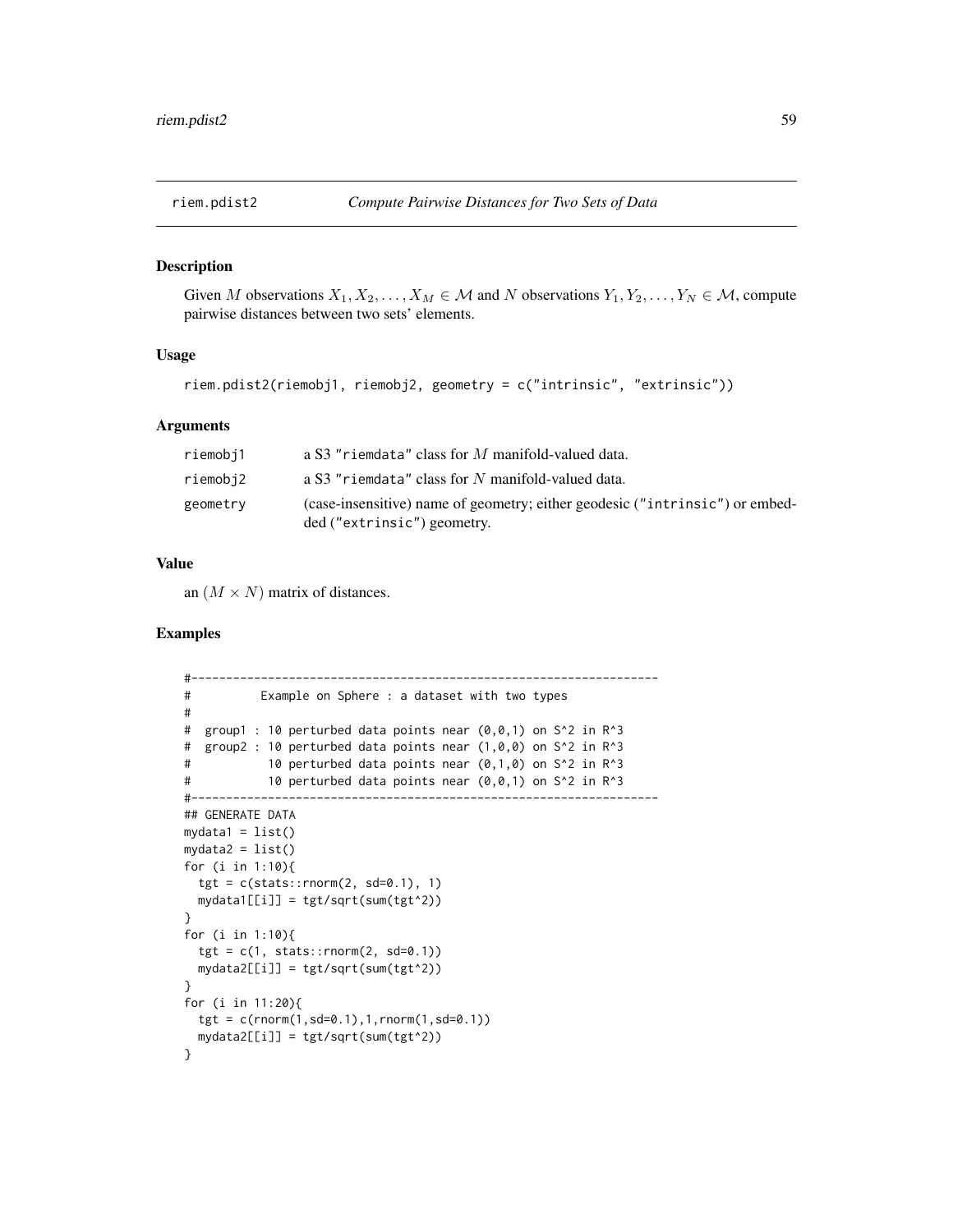## Description

Given M observations  $X_1, X_2, \ldots, X_M \in \mathcal{M}$  and N observations  $Y_1, Y_2, \ldots, Y_N \in \mathcal{M}$ , compute pairwise distances between two sets' elements.

## Usage

```
riem.pdist2(riemobj1, riemobj2, geometry = c("intrinsic", "extrinsic"))
```
### Arguments

| riemobj1 | a S3 "riemdata" class for M manifold-valued data.                                                           |
|----------|-------------------------------------------------------------------------------------------------------------|
| riemobj2 | a S3 "riemdata" class for N manifold-valued data.                                                           |
| geometry | (case-insensitive) name of geometry; either geodesic ("intrinsic") or embed-<br>ded ("extrinsic") geometry. |

## Value

an  $(M \times N)$  matrix of distances.

```
#-------------------------------------------------------------------
# Example on Sphere : a dataset with two types
#
# group1 : 10 perturbed data points near (0,0,1) on S^2 in R^3
# group2 : 10 perturbed data points near (1,0,0) on S^2 in R^3
# 10 perturbed data points near (0,1,0) on S^2 in R^3
# 10 perturbed data points near (0,0,1) on S^2 in R^3
#-------------------------------------------------------------------
## GENERATE DATA
mydata1 = list()mydata2 = list()for (i in 1:10){
 tgt = c(stats::rnorm(2, sd=0.1), 1)mydata1[[i]] = tgt/sqrt(sum(tgt^2))
}
for (i in 1:10){
 tgt = c(1, stats::rnorm(2, sd=0.1))mydata2[[i]] = tgt/sqrt(sum(tgt^2))
}
for (i in 11:20){
 tgt = c(rnorm(1, sd=0.1), 1, rnorm(1, sd=0.1))mydata2[[i]] = tgt/sqrt(sum(tgt^2))
}
```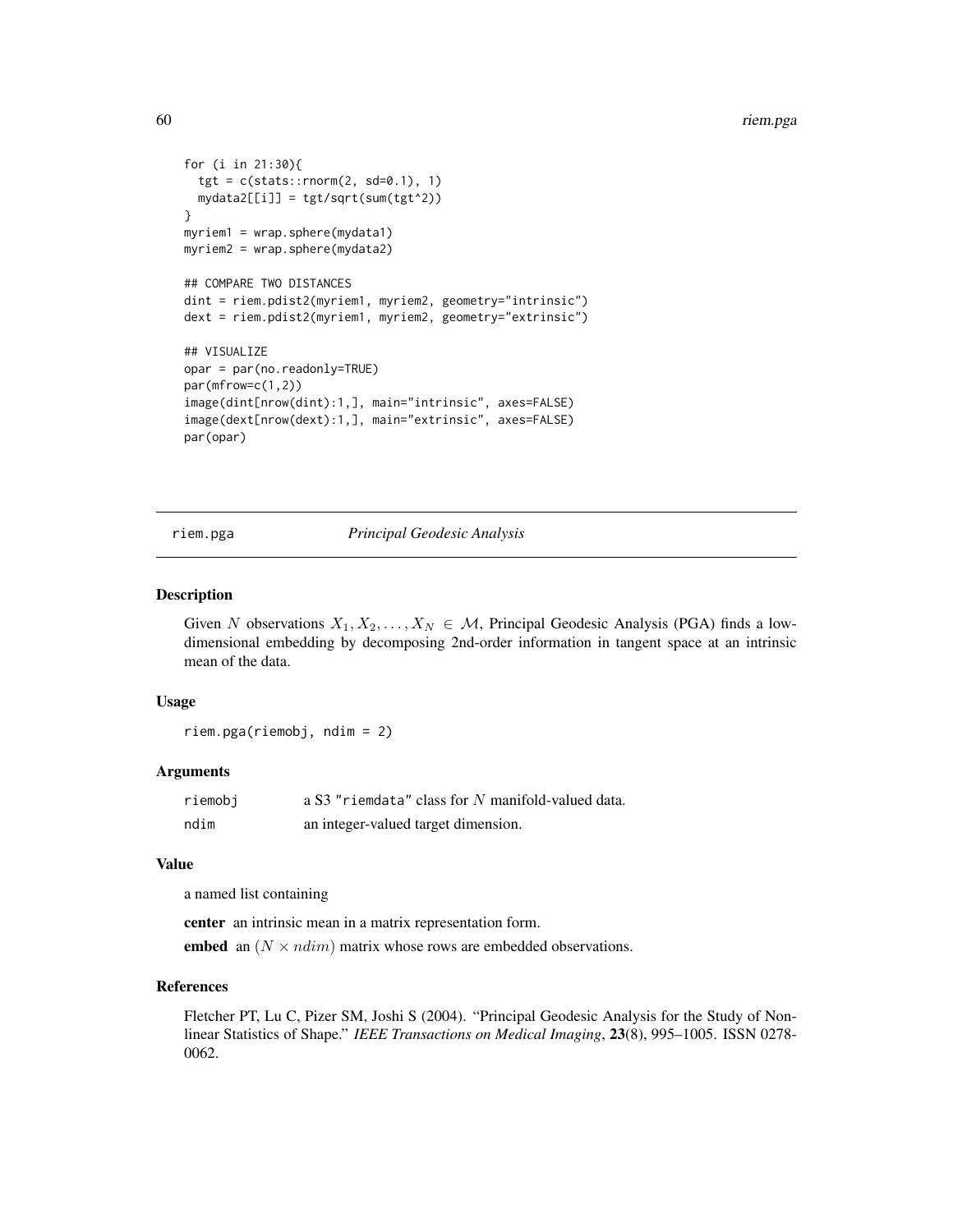```
for (i in 21:30){
  tgt = c(stats::rnorm(2, sd=0.1), 1)mydata2[[i]] = tgt/sqrt(sum(tgt^2))
}
myriem1 = wrap.sphere(mydata1)
myriem2 = wrap.sphere(mydata2)
## COMPARE TWO DISTANCES
dint = riem.pdist2(myriem1, myriem2, geometry="intrinsic")
dext = riem.pdist2(myriem1, myriem2, geometry="extrinsic")
## VISUALIZE
opar = par(no.readonly=TRUE)
par(mfrow=c(1,2))
image(dint[nrow(dint):1,], main="intrinsic", axes=FALSE)
image(dext[nrow(dext):1,], main="extrinsic", axes=FALSE)
par(opar)
```
riem.pga *Principal Geodesic Analysis*

#### Description

Given N observations  $X_1, X_2, \ldots, X_N \in \mathcal{M}$ , Principal Geodesic Analysis (PGA) finds a lowdimensional embedding by decomposing 2nd-order information in tangent space at an intrinsic mean of the data.

## Usage

riem.pga(riemobj, ndim = 2)

#### Arguments

| riemobi | a S3 "riemdata" class for N manifold-valued data. |
|---------|---------------------------------------------------|
| ndim    | an integer-valued target dimension.               |

## Value

a named list containing

center an intrinsic mean in a matrix representation form.

embed an  $(N \times ndim)$  matrix whose rows are embedded observations.

## References

Fletcher PT, Lu C, Pizer SM, Joshi S (2004). "Principal Geodesic Analysis for the Study of Nonlinear Statistics of Shape." *IEEE Transactions on Medical Imaging*, 23(8), 995–1005. ISSN 0278- 0062.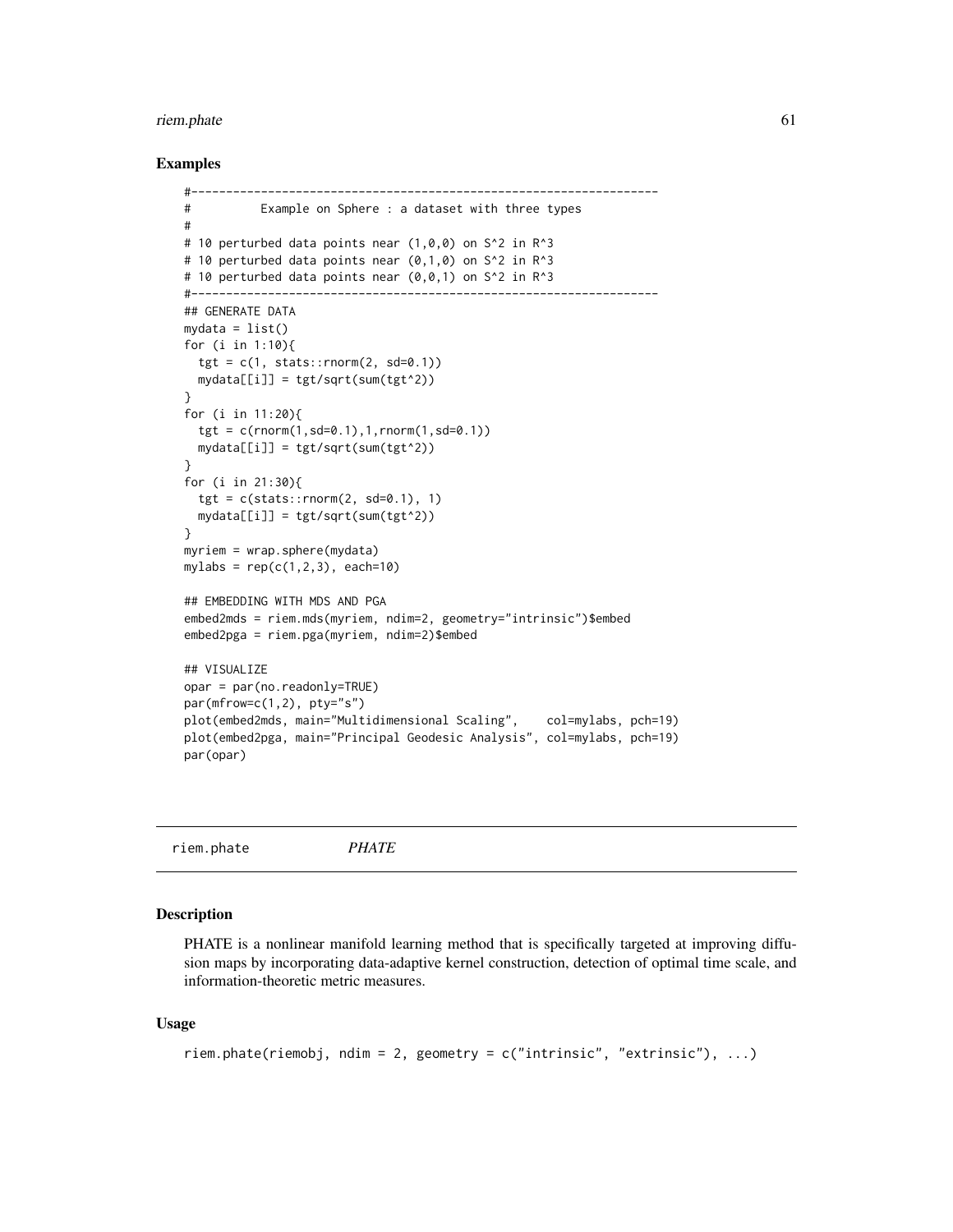#### riem.phate 61

## Examples

```
#-------------------------------------------------------------------
# Example on Sphere : a dataset with three types
#
# 10 perturbed data points near (1,0,0) on S<sup>^2</sup> in R<sup>^3</sup>
# 10 perturbed data points near (0,1,0) on S^2 in R^3
# 10 perturbed data points near (0,0,1) on S^2 in R^3
#-------------------------------------------------------------------
## GENERATE DATA
mydata = list()for (i in 1:10){
  tgt = c(1, stats::rnorm(2, sd=0.1))mydata[[i]] = tgt/sqrt(sum(tgt^2))
}
for (i in 11:20){
  tgt = c(rnorm(1, sd=0.1), 1, rnorm(1, sd=0.1)mydata[[i]] = tgt/sqrt(sum(tgt^2))
}
for (i in 21:30){
  tgt = c(stat::rnorm(2, sd=0.1), 1)mydata[[i]] = tgt/sqrt(sum(tgt^2))
}
myriem = wrap.sphere(mydata)
mylabs = rep(c(1, 2, 3), each=10)## EMBEDDING WITH MDS AND PGA
embed2mds = riem.mds(myriem, ndim=2, geometry="intrinsic")$embed
embed2pga = riem.pga(myriem, ndim=2)$embed
## VISUALIZE
opar = par(no.readonly=TRUE)
par(mfrow=c(1,2), pty="s")
plot(embed2mds, main="Multidimensional Scaling", col=mylabs, pch=19)
plot(embed2pga, main="Principal Geodesic Analysis", col=mylabs, pch=19)
par(opar)
```
riem.phate *PHATE*

## **Description**

PHATE is a nonlinear manifold learning method that is specifically targeted at improving diffusion maps by incorporating data-adaptive kernel construction, detection of optimal time scale, and information-theoretic metric measures.

### Usage

```
riem.phate(riemobj, ndim = 2, geometry = c("intrinsic", "extrinsic"), ...)
```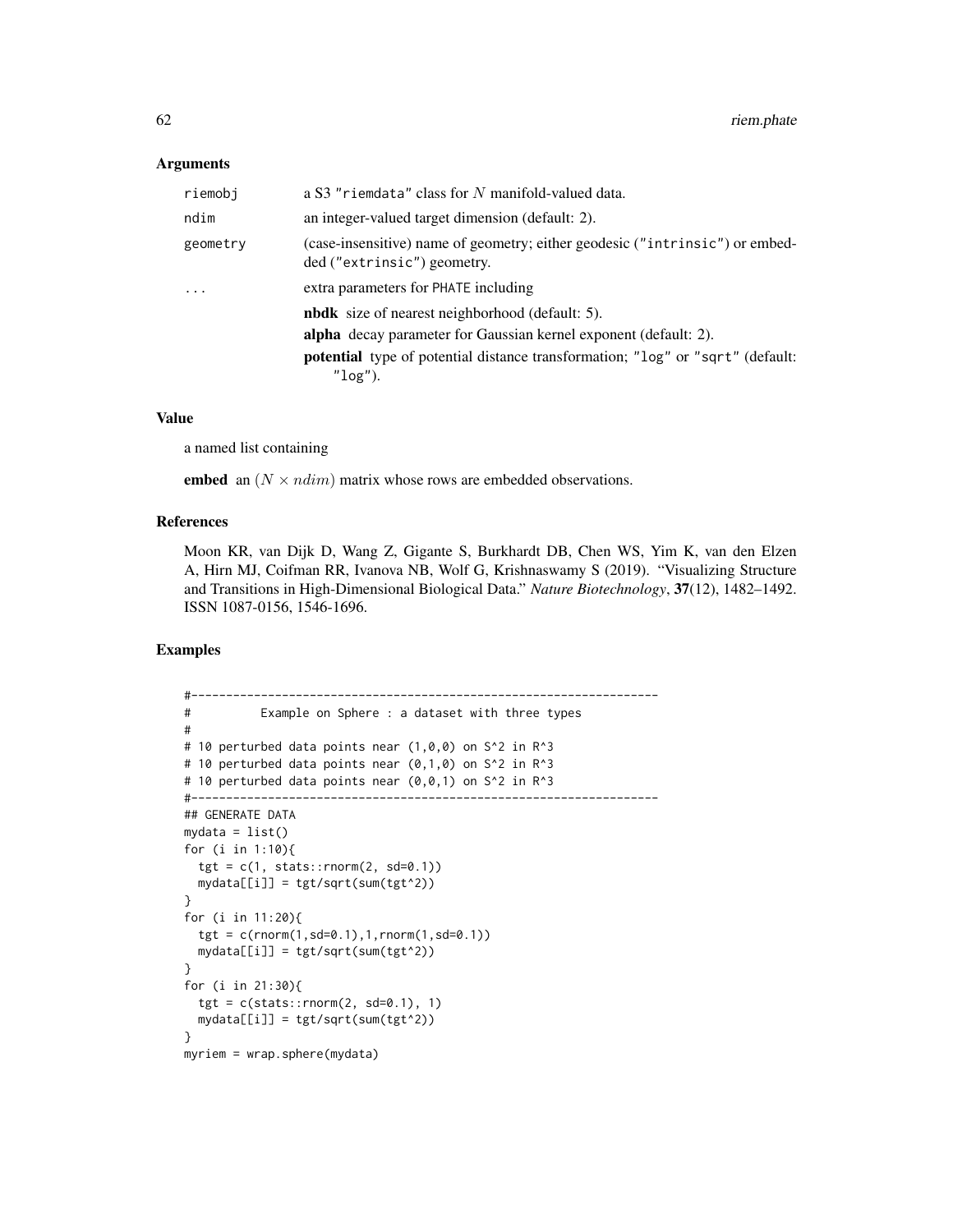### Arguments

| riemobj                 | a S3 "riemdata" class for N manifold-valued data.                                                           |
|-------------------------|-------------------------------------------------------------------------------------------------------------|
| ndim                    | an integer-valued target dimension (default: 2).                                                            |
| geometry                | (case-insensitive) name of geometry; either geodesic ("intrinsic") or embed-<br>ded ("extrinsic") geometry. |
| $\cdot$ $\cdot$ $\cdot$ | extra parameters for PHATE including                                                                        |
|                         | <b>nbdk</b> size of nearest neighborhood (default: 5).                                                      |
|                         | alpha decay parameter for Gaussian kernel exponent (default: 2).                                            |
|                         | <b>potential</b> type of potential distance transformation; "log" or "sqrt" (default:<br>$"log"$ ).         |

### Value

a named list containing

embed an  $(N \times ndim)$  matrix whose rows are embedded observations.

# References

Moon KR, van Dijk D, Wang Z, Gigante S, Burkhardt DB, Chen WS, Yim K, van den Elzen A, Hirn MJ, Coifman RR, Ivanova NB, Wolf G, Krishnaswamy S (2019). "Visualizing Structure and Transitions in High-Dimensional Biological Data." *Nature Biotechnology*, 37(12), 1482–1492. ISSN 1087-0156, 1546-1696.

```
#-------------------------------------------------------------------
# Example on Sphere : a dataset with three types
#
# 10 perturbed data points near (1,0,0) on S^2 in R<sup>o</sup>3
# 10 perturbed data points near (0,1,0) on S^2 in R^3
# 10 perturbed data points near (0,0,1) on S^2 in R^3
#-------------------------------------------------------------------
## GENERATE DATA
mydata = list()
for (i in 1:10){
  tgt = c(1, stats::rnorm(2, sd=0.1))mydata[[i]] = tgt/sqrt(sum(tgt^2))
}
for (i in 11:20){
  tgt = c(rnorm(1, sd=0.1), 1, rnorm(1, sd=0.1))mydata[[i]] = tgt/sqrt(sum(tgt^2))
}
for (i in 21:30){
  tgt = c(stats::rnorm(2, sd=0.1), 1)mydata[[i]] = tgt/sqrt(sum(tgt^2))
}
myriem = wrap.sphere(mydata)
```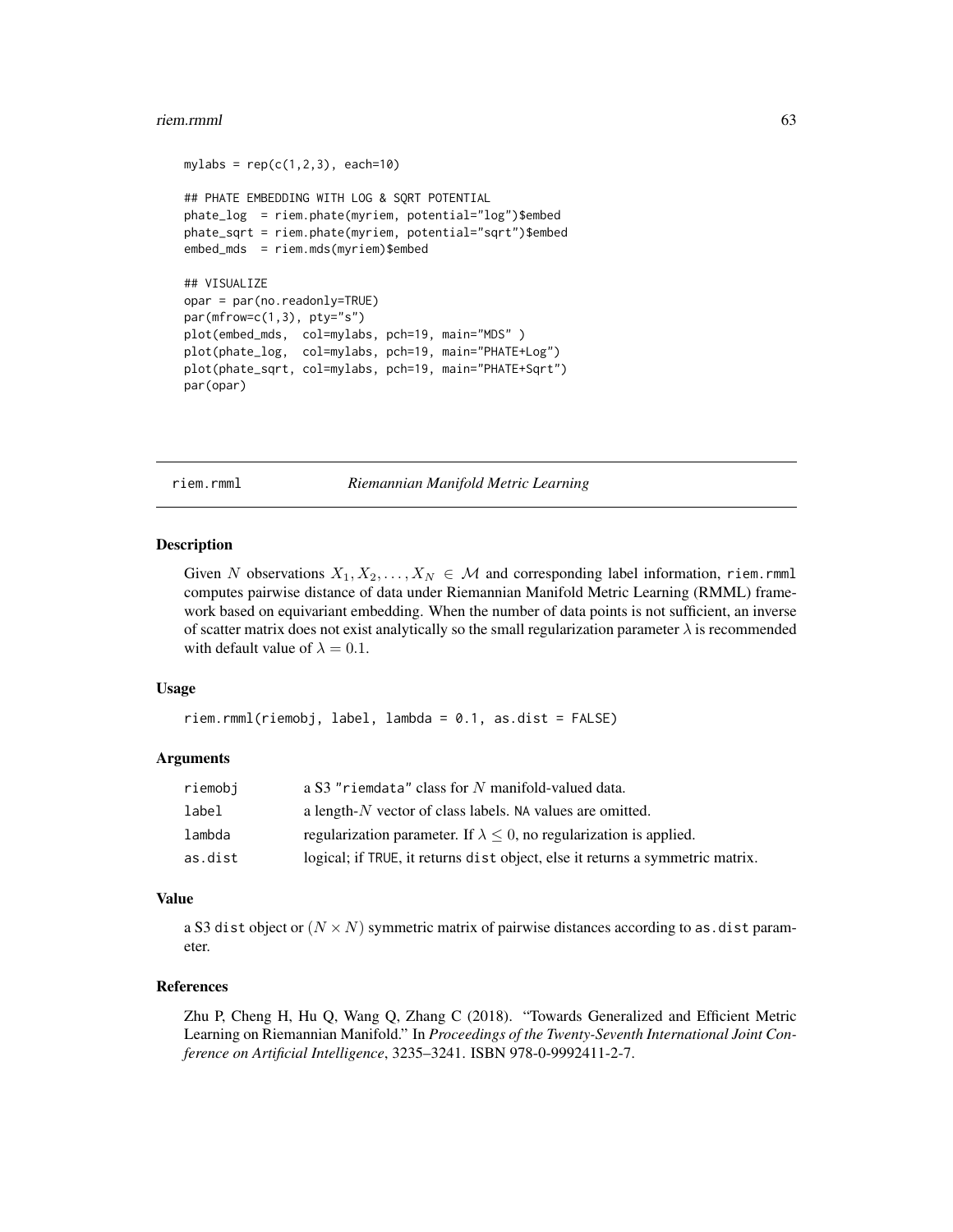#### riem.rmml 63

```
mylabs = rep(c(1, 2, 3), each=10)## PHATE EMBEDDING WITH LOG & SQRT POTENTIAL
phate_log = riem.phate(myriem, potential="log")$embed
phate_sqrt = riem.phate(myriem, potential="sqrt")$embed
embed_mds = riem.mds(myriem)$embed
## VISUALIZE
opar = par(no.readonly=TRUE)
par(mfrow=c(1,3), pty="s")
plot(embed_mds, col=mylabs, pch=19, main="MDS" )
plot(phate_log, col=mylabs, pch=19, main="PHATE+Log")
plot(phate_sqrt, col=mylabs, pch=19, main="PHATE+Sqrt")
par(opar)
```
riem.rmml *Riemannian Manifold Metric Learning*

## Description

Given N observations  $X_1, X_2, \ldots, X_N \in \mathcal{M}$  and corresponding label information, riem.rmml computes pairwise distance of data under Riemannian Manifold Metric Learning (RMML) framework based on equivariant embedding. When the number of data points is not sufficient, an inverse of scatter matrix does not exist analytically so the small regularization parameter  $\lambda$  is recommended with default value of  $\lambda = 0.1$ .

#### Usage

riem.rmml(riemobj, label, lambda = 0.1, as.dist = FALSE)

## Arguments

| riemobi | a S3 "riemdata" class for N manifold-valued data.                             |
|---------|-------------------------------------------------------------------------------|
| label   | a length- $N$ vector of class labels. NA values are omitted.                  |
| lambda  | regularization parameter. If $\lambda \leq 0$ , no regularization is applied. |
| as.dist | logical; if TRUE, it returns dist object, else it returns a symmetric matrix. |

## Value

a S3 dist object or  $(N \times N)$  symmetric matrix of pairwise distances according to as.dist parameter.

## References

Zhu P, Cheng H, Hu Q, Wang Q, Zhang C (2018). "Towards Generalized and Efficient Metric Learning on Riemannian Manifold." In *Proceedings of the Twenty-Seventh International Joint Conference on Artificial Intelligence*, 3235–3241. ISBN 978-0-9992411-2-7.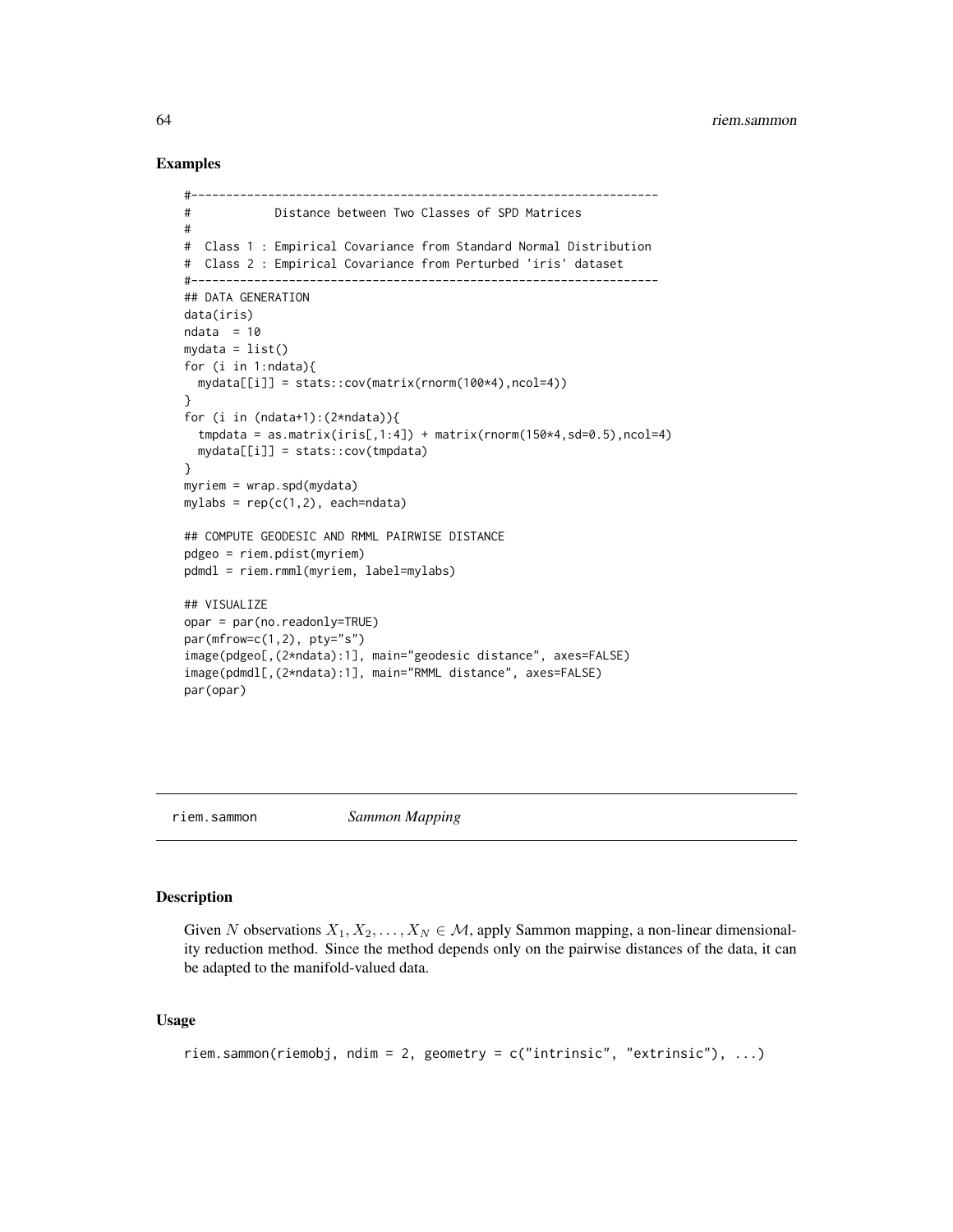### Examples

```
#-------------------------------------------------------------------
# Distance between Two Classes of SPD Matrices
#
# Class 1 : Empirical Covariance from Standard Normal Distribution
# Class 2 : Empirical Covariance from Perturbed 'iris' dataset
#-------------------------------------------------------------------
## DATA GENERATION
data(iris)
ndata = 10mydata = list()for (i in 1:ndata){
 mydata[[i]] = stats::cov(matrix(rnorm(100*4),ncol=4))
}
for (i in (ndata+1):(2*ndata)){
 tmpdata = as_matrix(iris[,1:4]) + matrix(rnorm(150*4, sd=0.5), ncol=4)mydata[[i]] = stats::cov(tmpdata)
}
myriem = wrap.spd(mydata)
mylabs = rep(c(1,2), each=ndata)## COMPUTE GEODESIC AND RMML PAIRWISE DISTANCE
pdgeo = riem.pdist(myriem)
pdmdl = riem.rmml(myriem, label=mylabs)
## VISUALIZE
opar = par(no.readonly=TRUE)
par(mfrow=c(1,2), pty="s")
image(pdgeo[,(2*ndata):1], main="geodesic distance", axes=FALSE)
image(pdmdl[,(2*ndata):1], main="RMML distance", axes=FALSE)
par(opar)
```
riem.sammon *Sammon Mapping*

## Description

Given N observations  $X_1, X_2, \ldots, X_N \in \mathcal{M}$ , apply Sammon mapping, a non-linear dimensionality reduction method. Since the method depends only on the pairwise distances of the data, it can be adapted to the manifold-valued data.

# Usage

```
riem.sammon(riemobj, ndim = 2, geometry = c("intrinsic", "extrinsic"), ...)
```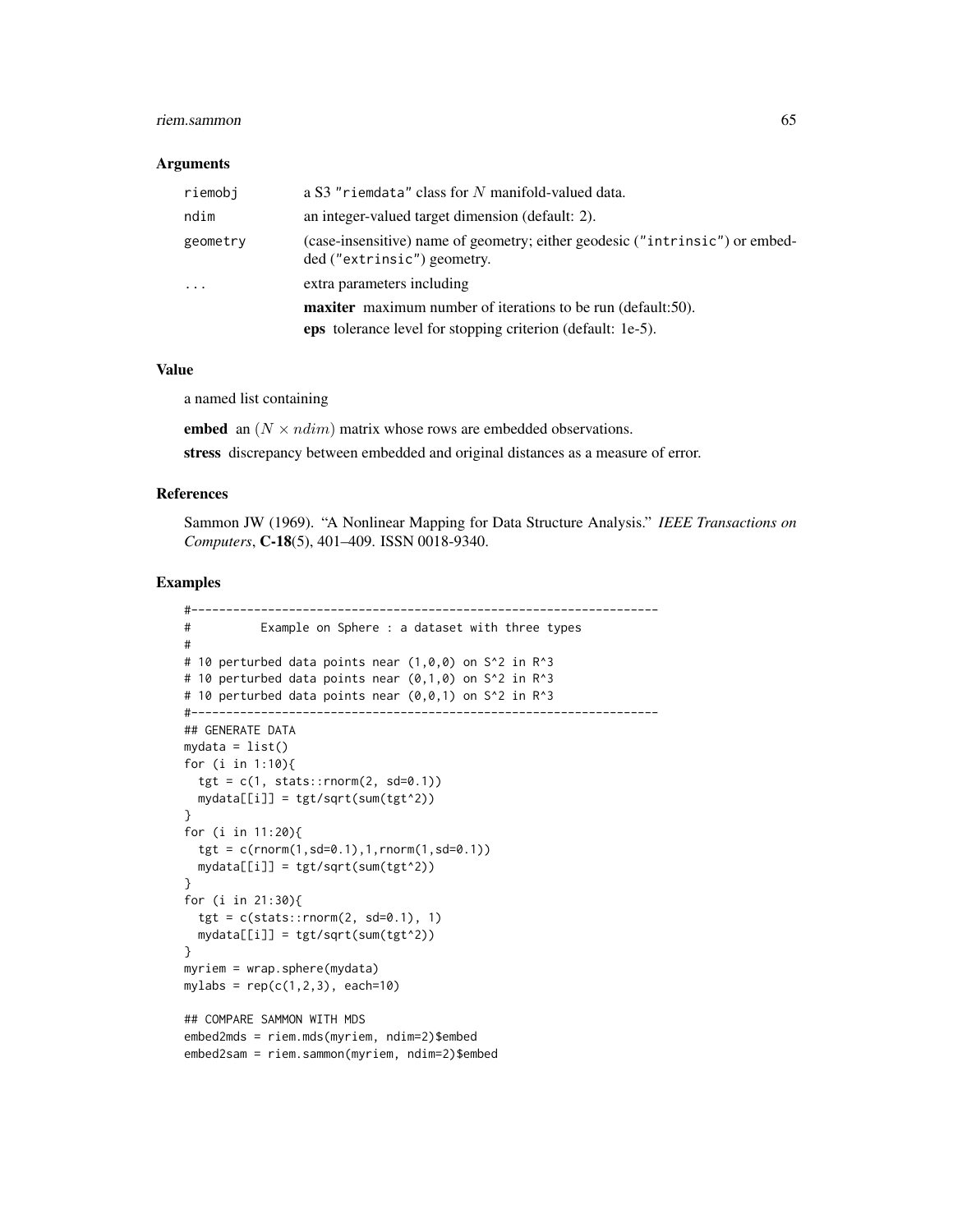#### riem.sammon 65

#### Arguments

| riemobi   | a S3 "riemdata" class for N manifold-valued data.                                                           |
|-----------|-------------------------------------------------------------------------------------------------------------|
| ndim      | an integer-valued target dimension (default: 2).                                                            |
| geometry  | (case-insensitive) name of geometry; either geodesic ("intrinsic") or embed-<br>ded ("extrinsic") geometry. |
| $\ddotsc$ | extra parameters including                                                                                  |
|           | <b>maxiter</b> maximum number of iterations to be run (default:50).                                         |
|           | <b>eps</b> tolerance level for stopping criterion (default: 1e-5).                                          |

### Value

a named list containing

embed an  $(N \times ndim)$  matrix whose rows are embedded observations.

stress discrepancy between embedded and original distances as a measure of error.

### References

Sammon JW (1969). "A Nonlinear Mapping for Data Structure Analysis." *IEEE Transactions on Computers*, C-18(5), 401–409. ISSN 0018-9340.

```
#-------------------------------------------------------------------
# Example on Sphere : a dataset with three types
#
# 10 perturbed data points near (1, 0, 0) on S<sup>^2</sup> in R<sup>^3</sup>
# 10 perturbed data points near (0,1,0) on S^2 in R^3
# 10 perturbed data points near (0,0,1) on S^2 in R^3
#-------------------------------------------------------------------
## GENERATE DATA
mydata = list()for (i in 1:10){
  tgt = c(1, stats::rnorm(2, sd=0.1))mydata[[i]] = tgt/sqrt(sum(tgt^2))
}
for (i in 11:20){
  tgt = c(rnorm(1, sd=0.1), 1, rnorm(1, sd=0.1)mydata[[i]] = tgt/sqrt(sum(tgt^2))
}
for (i in 21:30){
  tgt = c(stats::rnorm(2, sd=0.1), 1)mydata[[i]] = tgt/sqrt(sum(tgt^2))
}
myriem = wrap.sphere(mydata)
mylabs = rep(c(1, 2, 3), each=10)## COMPARE SAMMON WITH MDS
embed2mds = riem.mds(myriem, ndim=2)$embed
embed2sam = riem.sammon(myriem, ndim=2)$embed
```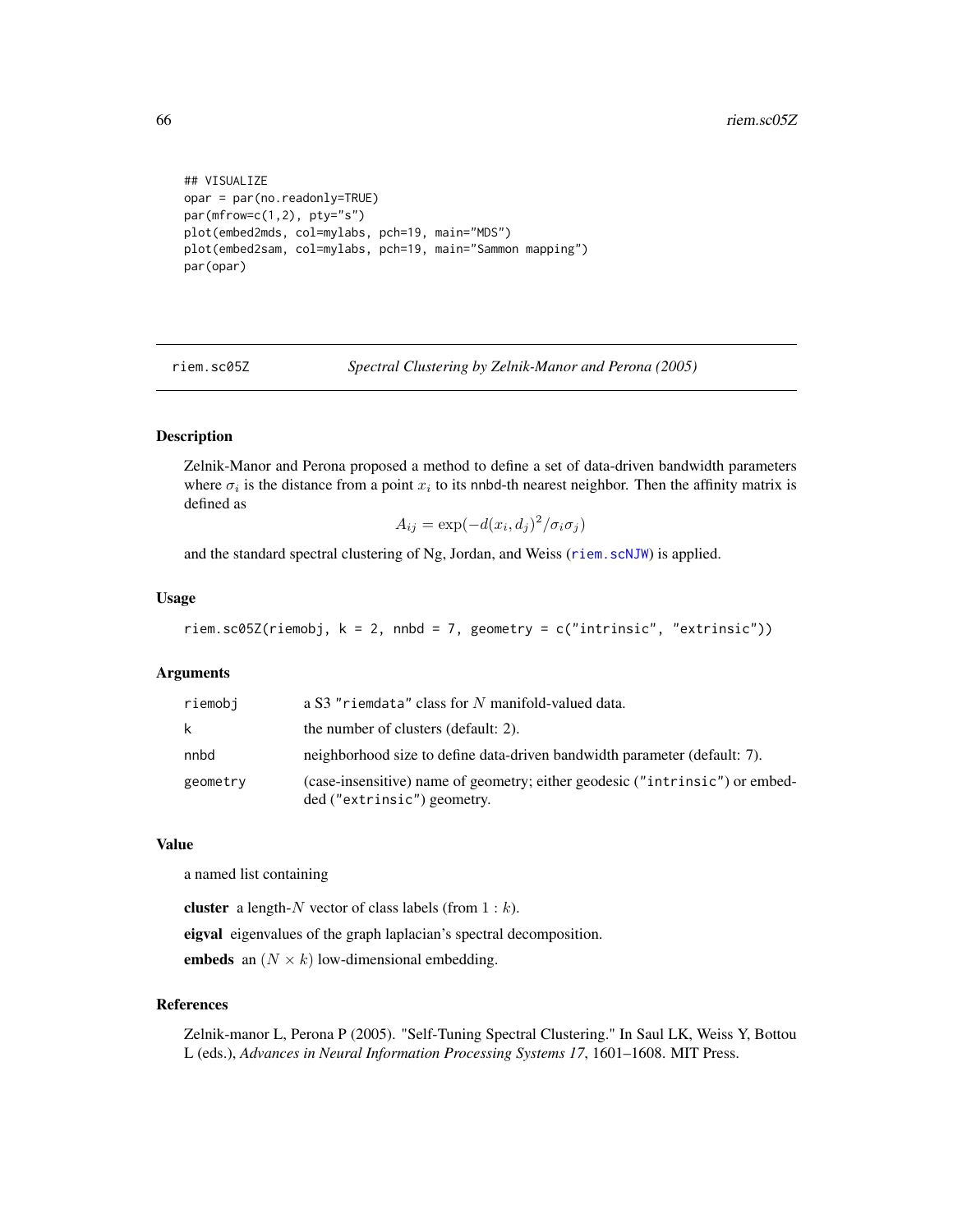```
## VISUALIZE
opar = par(no.readonly=TRUE)
par(mfrow=c(1,2), pty="s")plot(embed2mds, col=mylabs, pch=19, main="MDS")
plot(embed2sam, col=mylabs, pch=19, main="Sammon mapping")
par(opar)
```
riem.sc05Z *Spectral Clustering by Zelnik-Manor and Perona (2005)*

# Description

Zelnik-Manor and Perona proposed a method to define a set of data-driven bandwidth parameters where  $\sigma_i$  is the distance from a point  $x_i$  to its nnbd-th nearest neighbor. Then the affinity matrix is defined as

 $A_{ij} = \exp(-d(x_i, d_j)^2 / \sigma_i \sigma_j)$ 

and the standard spectral clustering of Ng, Jordan, and Weiss ([riem.scNJW](#page-66-0)) is applied.

## Usage

```
riem.sc05Z(riemobj, k = 2, nnbd = 7, geometry = c("intrinsic", "extrinsic"))
```
## Arguments

| riemobi  | a S3 "riemdata" class for N manifold-valued data.                                                           |
|----------|-------------------------------------------------------------------------------------------------------------|
| k        | the number of clusters (default: 2).                                                                        |
| nnbd     | neighborhood size to define data-driven bandwidth parameter (default: 7).                                   |
| geometry | (case-insensitive) name of geometry; either geodesic ("intrinsic") or embed-<br>ded ("extrinsic") geometry. |

#### Value

a named list containing

cluster a length- $N$  vector of class labels (from  $1 : k$ ).

eigval eigenvalues of the graph laplacian's spectral decomposition.

embeds an  $(N \times k)$  low-dimensional embedding.

### References

Zelnik-manor L, Perona P (2005). "Self-Tuning Spectral Clustering." In Saul LK, Weiss Y, Bottou L (eds.), *Advances in Neural Information Processing Systems 17*, 1601–1608. MIT Press.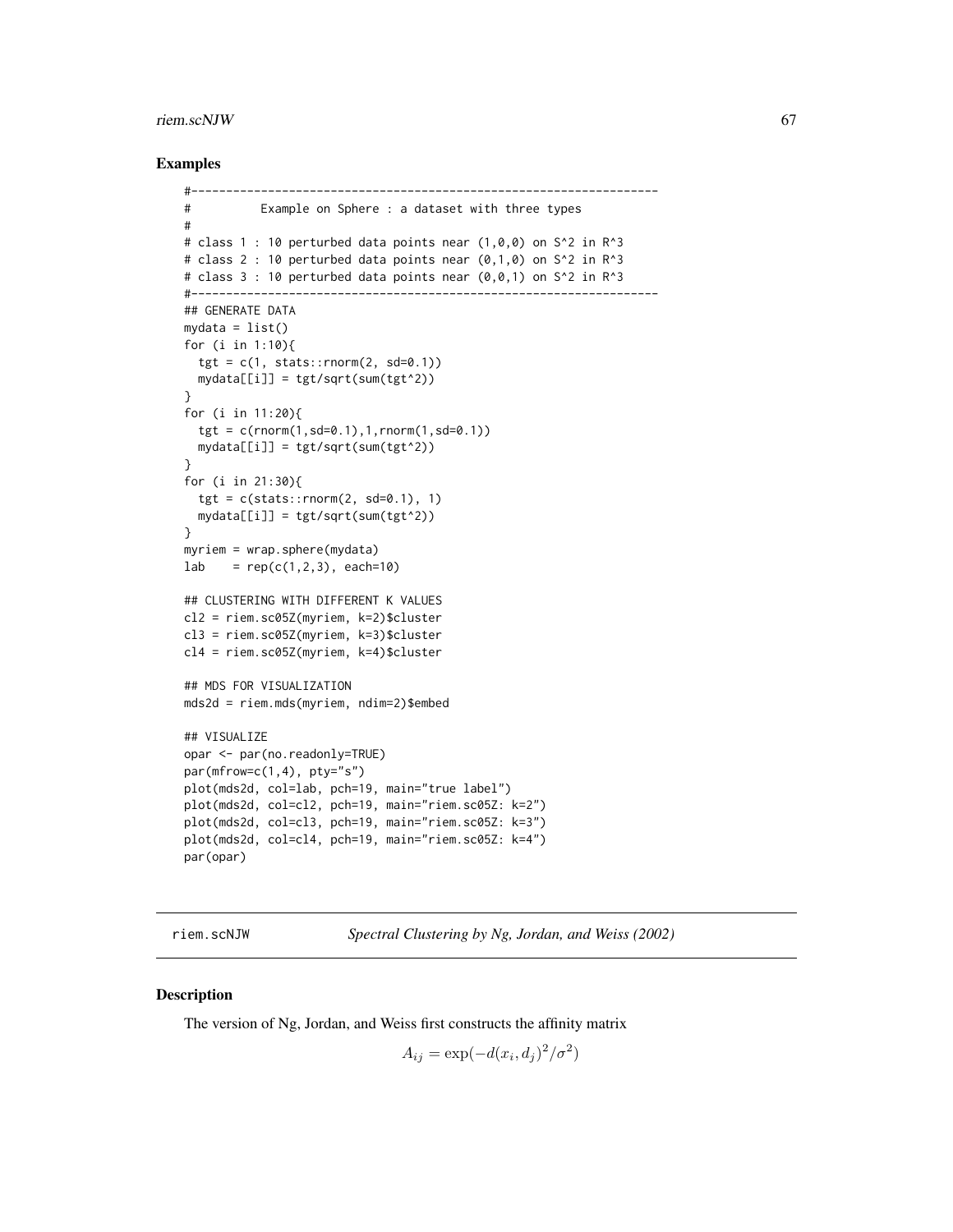#### riem.scNJW 67

## Examples

```
#-------------------------------------------------------------------
# Example on Sphere : a dataset with three types
#
# class 1 : 10 perturbed data points near (1,0,0) on S<sup>^2</sup> in R<sup>^3</sup>
# class 2 : 10 perturbed data points near (0,1,0) on S<sup>^2</sup> in R<sup>^3</sup>
# class 3 : 10 perturbed data points near (0,0,1) on S^2 in R^3
#-------------------------------------------------------------------
## GENERATE DATA
mydata = list()for (i in 1:10){
  tgt = c(1, stats::rnorm(2, sd=0.1))mydata[[i]] = tgt/sqrt(sum(tgt^2))
}
for (i in 11:20){
  tgt = c(rnorm(1, sd=0.1), 1, rnorm(1, sd=0.1))mydata[[i]] = tgt/sqrt(sum(tgt^2))
}
for (i in 21:30){
  tgt = c(stats::rnorm(2, sd=0.1), 1)mydata[[i]] = tgt/sqrt(sum(tgt^2))
}
myriem = wrap.sphere(mydata)
lab = rep(c(1,2,3), each=10)## CLUSTERING WITH DIFFERENT K VALUES
cl2 = riem.sc05Z(myriem, k=2)$cluster
cl3 = riem.sc05Z(myriem, k=3)$cluster
cl4 = riem.sc05Z(myriem, k=4)$cluster
## MDS FOR VISUALIZATION
mds2d = riem.mds(myriem, ndim=2)$embed
## VISUALIZE
opar <- par(no.readonly=TRUE)
par(mfrow=c(1,4), pty="s")plot(mds2d, col=lab, pch=19, main="true label")
plot(mds2d, col=cl2, pch=19, main="riem.sc05Z: k=2")
plot(mds2d, col=cl3, pch=19, main="riem.sc05Z: k=3")
plot(mds2d, col=cl4, pch=19, main="riem.sc05Z: k=4")
par(opar)
```
<span id="page-66-0"></span>riem.scNJW *Spectral Clustering by Ng, Jordan, and Weiss (2002)*

#### Description

The version of Ng, Jordan, and Weiss first constructs the affinity matrix

 $A_{ij} = \exp(-d(x_i, d_j)^2 / \sigma^2)$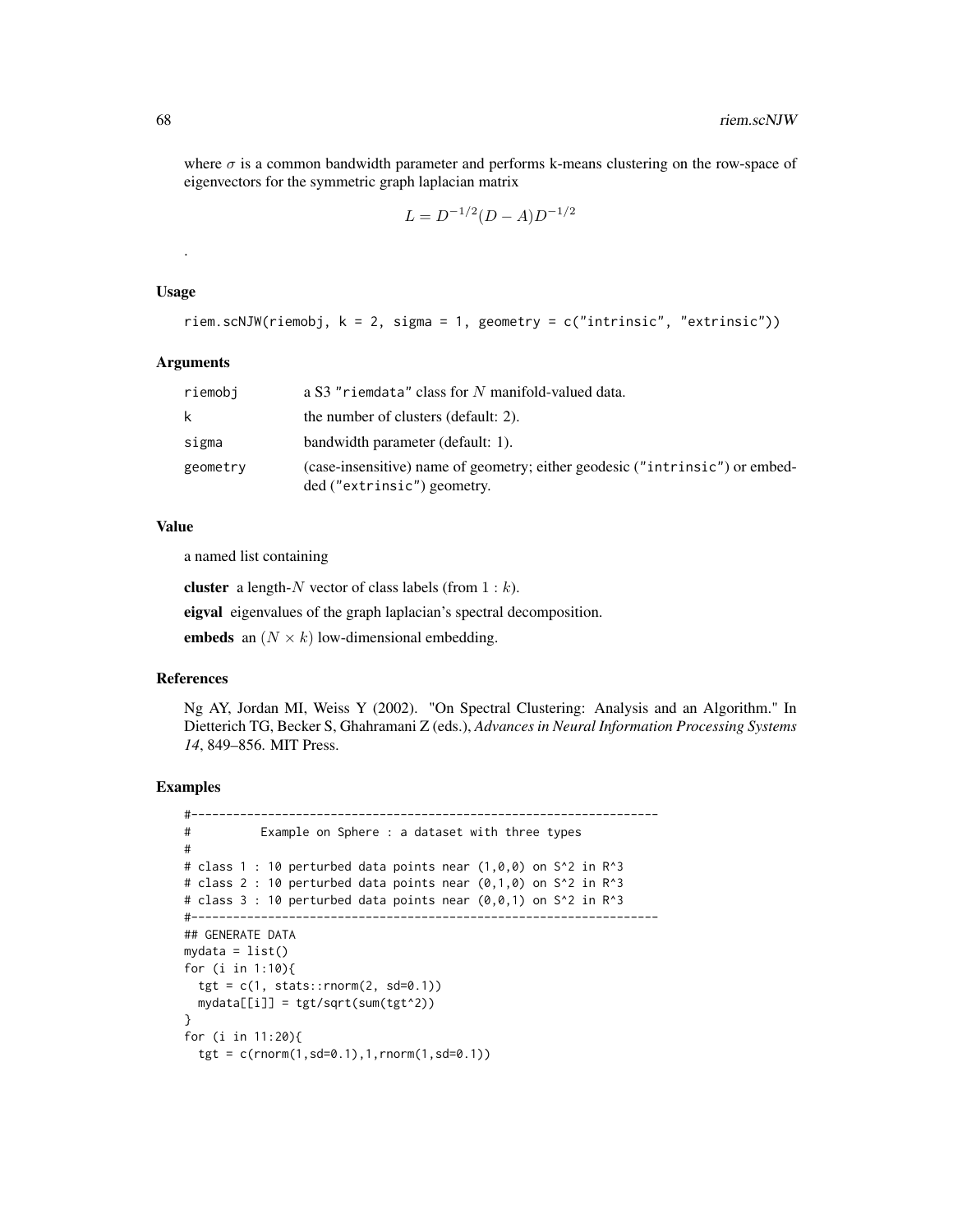where  $\sigma$  is a common bandwidth parameter and performs k-means clustering on the row-space of eigenvectors for the symmetric graph laplacian matrix

$$
L = D^{-1/2}(D - A)D^{-1/2}
$$

#### Usage

.

```
riem.scNJW(riemobj, k = 2, sigma = 1, geometry = c("intrinsic", "extrinsic"))
```
## Arguments

| riemobi  | a S3 "riemdata" class for N manifold-valued data.                                                           |
|----------|-------------------------------------------------------------------------------------------------------------|
| k        | the number of clusters (default: 2).                                                                        |
| sigma    | bandwidth parameter (default: 1).                                                                           |
| geometry | (case-insensitive) name of geometry; either geodesic ("intrinsic") or embed-<br>ded ("extrinsic") geometry. |

### Value

a named list containing

cluster a length- $N$  vector of class labels (from  $1 : k$ ).

eigval eigenvalues of the graph laplacian's spectral decomposition.

embeds an  $(N \times k)$  low-dimensional embedding.

### References

Ng AY, Jordan MI, Weiss Y (2002). "On Spectral Clustering: Analysis and an Algorithm." In Dietterich TG, Becker S, Ghahramani Z (eds.), *Advances in Neural Information Processing Systems 14*, 849–856. MIT Press.

```
#-------------------------------------------------------------------
# Example on Sphere : a dataset with three types
#
# class 1 : 10 perturbed data points near (1,0,0) on S^2 in R^3
# class 2 : 10 perturbed data points near (0,1,0) on S<sup>2</sup> in R<sup>2</sup>3
# class 3 : 10 perturbed data points near (0,0,1) on S^2 in R^3#-------------------------------------------------------------------
## GENERATE DATA
mydata = list()for (i in 1:10){
  tgt = c(1, stats::rnorm(2, sd=0.1))mydata[[i]] = tgt/sqrt(sum(tgt^2))
}
for (i in 11:20){
  tgt = c(rnorm(1, sd=0.1), 1, rnorm(1, sd=0.1))
```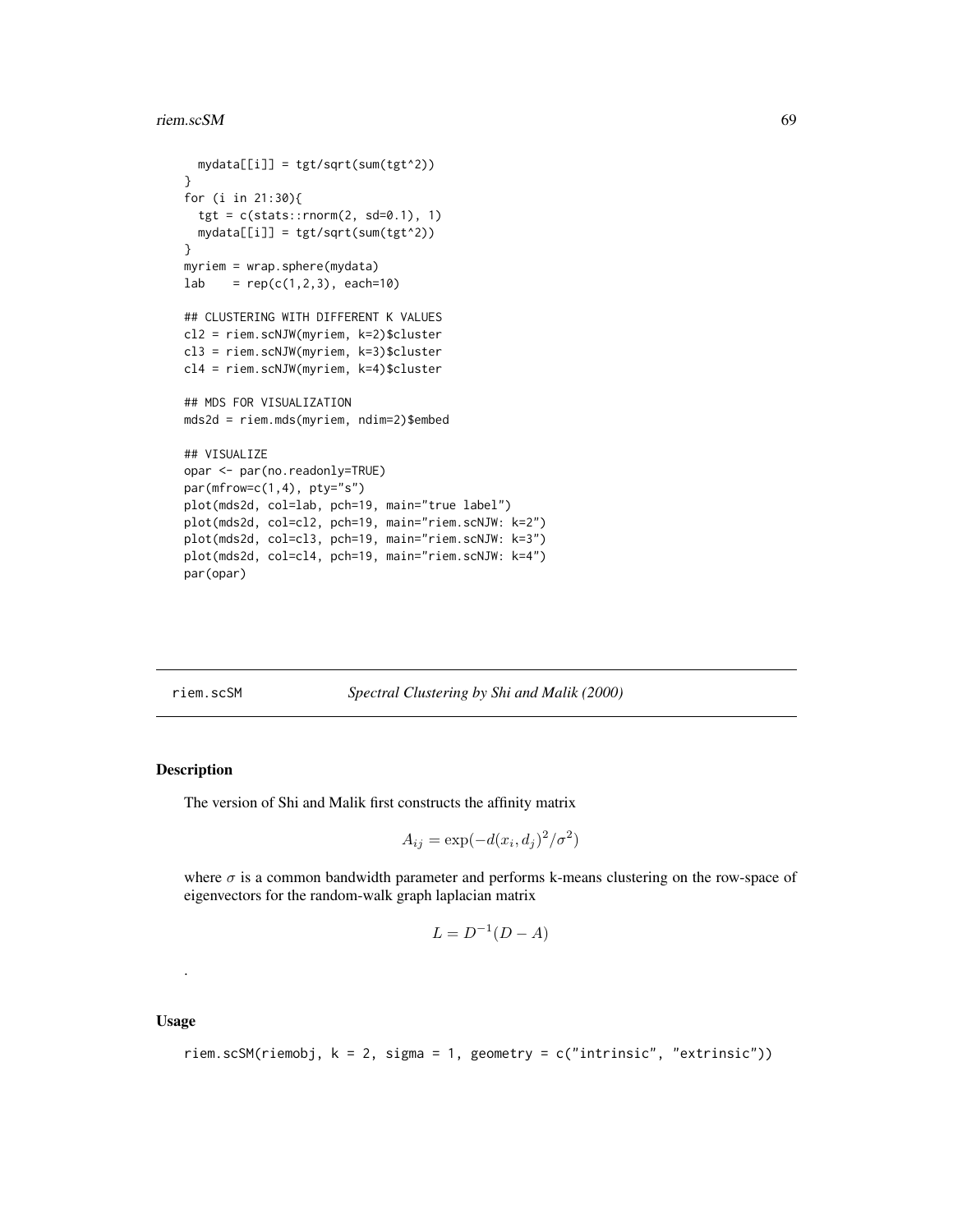#### riem.scSM 69

```
mydata[[i]] = tgt/sqrt(sum(tgt^2))
}
for (i in 21:30){
  tgt = c(stats::rnorm(2, sd=0.1), 1)mydata[[i]] = tgt/sqrt(sum(tgt^2))
}
myriem = wrap.sphere(mydata)
lab = rep(c(1,2,3), each=10)## CLUSTERING WITH DIFFERENT K VALUES
cl2 = riem.scNJW(myriem, k=2)$cluster
cl3 = riem.scNJW(myriem, k=3)$cluster
cl4 = riem.scNJW(myriem, k=4)$cluster
## MDS FOR VISUALIZATION
mds2d = riem.mds(myriem, ndim=2)$embed
## VISUALIZE
opar <- par(no.readonly=TRUE)
par(mfrow=c(1,4), pty="s")plot(mds2d, col=lab, pch=19, main="true label")
plot(mds2d, col=cl2, pch=19, main="riem.scNJW: k=2")
plot(mds2d, col=cl3, pch=19, main="riem.scNJW: k=3")
plot(mds2d, col=cl4, pch=19, main="riem.scNJW: k=4")
par(opar)
```
riem.scSM *Spectral Clustering by Shi and Malik (2000)*

## Description

The version of Shi and Malik first constructs the affinity matrix

$$
A_{ij} = \exp(-d(x_i, d_j)^2 / \sigma^2)
$$

where  $\sigma$  is a common bandwidth parameter and performs k-means clustering on the row-space of eigenvectors for the random-walk graph laplacian matrix

$$
L = D^{-1}(D - A)
$$

Usage

.

riem.scSM(riemobj, k = 2, sigma = 1, geometry = c("intrinsic", "extrinsic"))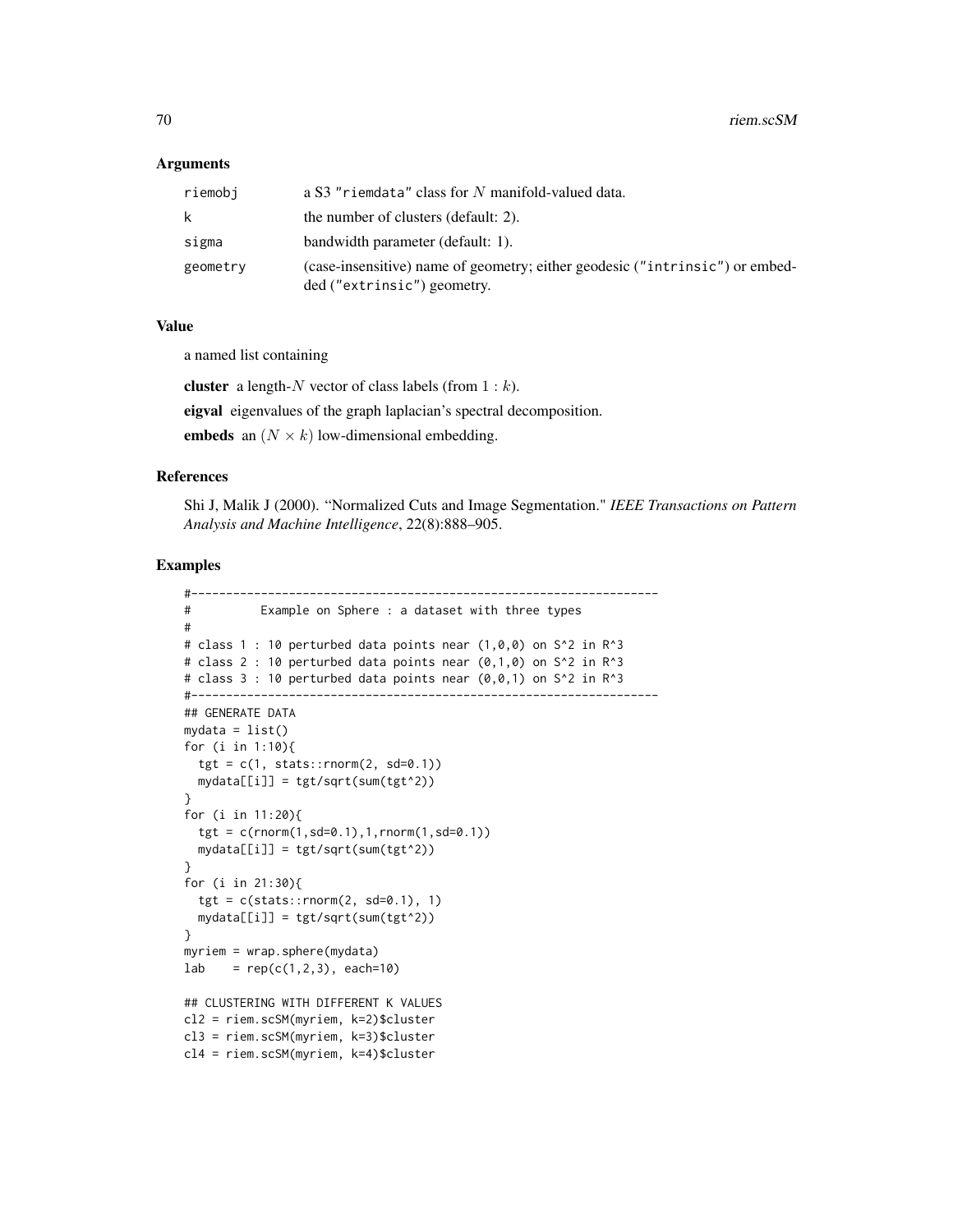## Arguments

| riemobi  | a S3 "riemdata" class for N manifold-valued data.                                                           |
|----------|-------------------------------------------------------------------------------------------------------------|
| k        | the number of clusters (default: 2).                                                                        |
| sigma    | bandwidth parameter (default: 1).                                                                           |
| geometry | (case-insensitive) name of geometry; either geodesic ("intrinsic") or embed-<br>ded ("extrinsic") geometry. |

# Value

a named list containing

cluster a length- $N$  vector of class labels (from  $1 : k$ ).

eigval eigenvalues of the graph laplacian's spectral decomposition.

embeds an  $(N \times k)$  low-dimensional embedding.

## References

Shi J, Malik J (2000). "Normalized Cuts and Image Segmentation." *IEEE Transactions on Pattern Analysis and Machine Intelligence*, 22(8):888–905.

```
#-------------------------------------------------------------------
# Example on Sphere : a dataset with three types
#
# class 1 : 10 perturbed data points near (1,0,0) on S<sup>^2</sup> in R<sup>^3</sup>
# class 2 : 10 perturbed data points near (0,1,0) on S^2 in R<sup>^3</sup>
# class 3 : 10 perturbed data points near (0,0,1) on S^2 in R^3
#-------------------------------------------------------------------
## GENERATE DATA
mydata = list()for (i in 1:10){
  tgt = c(1, stats::rnorm(2, sd=0.1))mydata[[i]] = tgt/sqrt(sum(tgt^2))
}
for (i in 11:20){
  tgt = c(rnorm(1, sd=0.1), 1, rnorm(1, sd=0.1))mydata[[i]] = tgt/sqrt(sum(tgt^2))
}
for (i in 21:30){
  tgt = c(stats::rnorm(2, sd=0.1), 1)mydata[[i]] = tgt/sqrt(sum(tgt^2))
}
myriem = wrap.sphere(mydata)
lab = rep(c(1,2,3), each=10)## CLUSTERING WITH DIFFERENT K VALUES
cl2 = riem.scSM(myriem, k=2)$cluster
cl3 = riem.scSM(myriem, k=3)$cluster
cl4 = riem.scSM(myriem, k=4)$cluster
```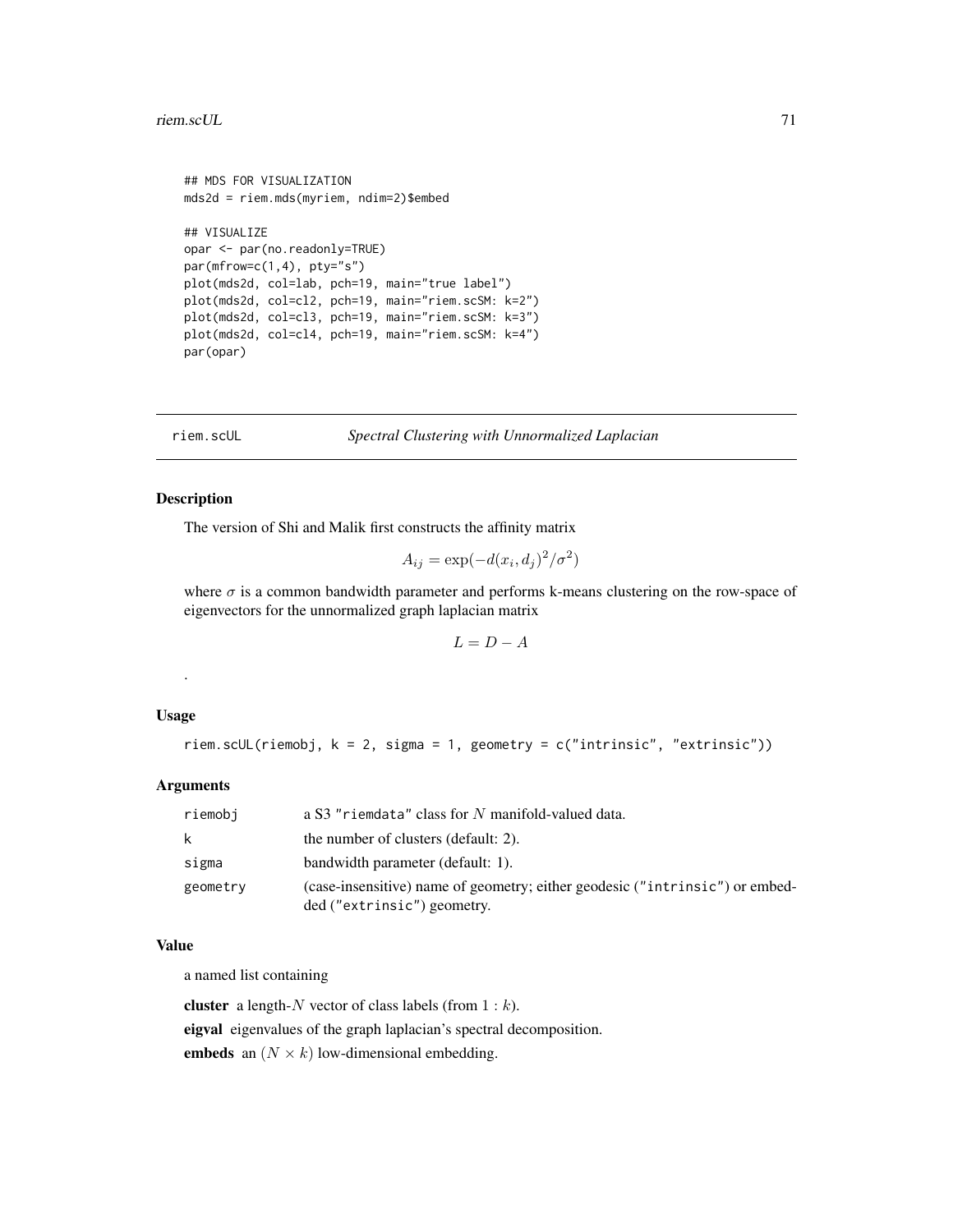```
## MDS FOR VISUALIZATION
mds2d = riem.mds(myriem, ndim=2)$embed
## VISUALIZE
opar <- par(no.readonly=TRUE)
par(mfrow=c(1,4), pty="s")plot(mds2d, col=lab, pch=19, main="true label")
plot(mds2d, col=cl2, pch=19, main="riem.scSM: k=2")
plot(mds2d, col=cl3, pch=19, main="riem.scSM: k=3")
plot(mds2d, col=cl4, pch=19, main="riem.scSM: k=4")
par(opar)
```
riem.scUL *Spectral Clustering with Unnormalized Laplacian*

## Description

The version of Shi and Malik first constructs the affinity matrix

$$
A_{ij} = \exp(-d(x_i, d_j)^2 / \sigma^2)
$$

where  $\sigma$  is a common bandwidth parameter and performs k-means clustering on the row-space of eigenvectors for the unnormalized graph laplacian matrix

$$
L = D - A
$$

# Usage

.

riem.scUL(riemobj, k = 2, sigma = 1, geometry = c("intrinsic", "extrinsic"))

# Arguments

| riemobi  | a S3 "riemdata" class for N manifold-valued data.                                                           |
|----------|-------------------------------------------------------------------------------------------------------------|
| k.       | the number of clusters (default: 2).                                                                        |
| sigma    | bandwidth parameter (default: 1).                                                                           |
| geometry | (case-insensitive) name of geometry; either geodesic ("intrinsic") or embed-<br>ded ("extrinsic") geometry. |

## Value

a named list containing

cluster a length- $N$  vector of class labels (from  $1 : k$ ). eigval eigenvalues of the graph laplacian's spectral decomposition. embeds an  $(N \times k)$  low-dimensional embedding.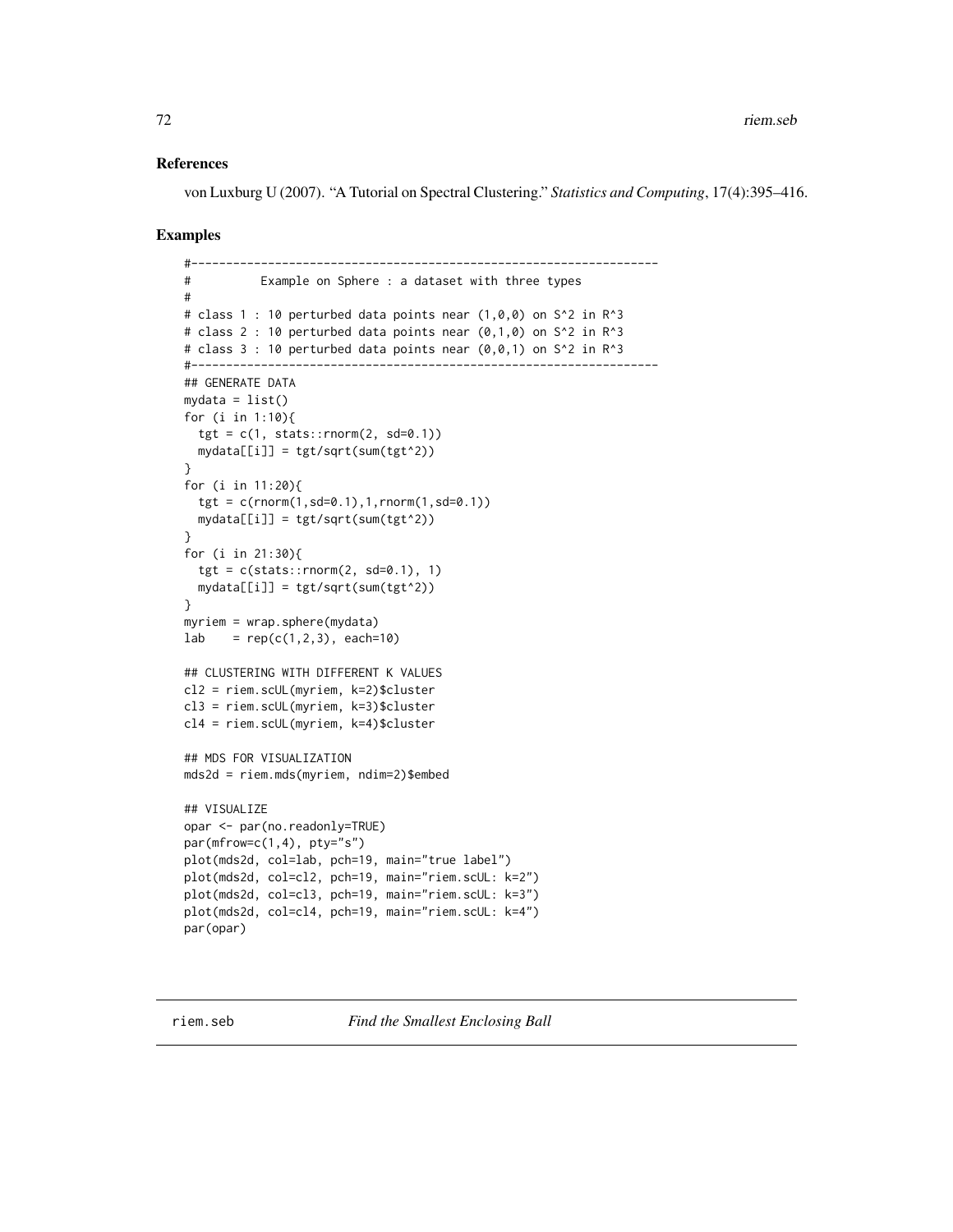## References

von Luxburg U (2007). "A Tutorial on Spectral Clustering." *Statistics and Computing*, 17(4):395–416.

### Examples

```
#-------------------------------------------------------------------
# Example on Sphere : a dataset with three types
#
# class 1 : 10 perturbed data points near (1,0,0) on S^2 in R^3
# class 2 : 10 perturbed data points near (0,1,0) on S^2 in R^3
# class 3 : 10 perturbed data points near (0,0,1) on S^2 in R<sup>^3</sup>
#-------------------------------------------------------------------
## GENERATE DATA
mydata = list()
for (i in 1:10){
  tgt = c(1, stats::rnorm(2, sd=0.1))mydata[[i]] = tgt/sqrt(sum(tgt^2))
}
for (i in 11:20){
  tgt = c(rnorm(1,sd=0.1),1,rnorm(1,sd=0.1))
  mydata[[i]] = tgt/sqrt(sum(tgt^2))
}
for (i in 21:30){
  tgt = c(stat::rnorm(2, sd=0.1), 1)mydata[[i]] = tgt/sqrt(sum(tgt^2))
}
myriem = wrap.sphere(mydata)
lab = rep(c(1, 2, 3), each=10)## CLUSTERING WITH DIFFERENT K VALUES
cl2 = riem.scUL(myriem, k=2)$cluster
cl3 = riem.scUL(myriem, k=3)$cluster
cl4 = riem.scUL(myriem, k=4)$cluster
## MDS FOR VISUALIZATION
mds2d = riem.mds(myriem, ndim=2)$embed
## VISUALIZE
opar <- par(no.readonly=TRUE)
par(mfrow=c(1,4), pty="s")plot(mds2d, col=lab, pch=19, main="true label")
plot(mds2d, col=cl2, pch=19, main="riem.scUL: k=2")
plot(mds2d, col=cl3, pch=19, main="riem.scUL: k=3")
plot(mds2d, col=cl4, pch=19, main="riem.scUL: k=4")
par(opar)
```
riem.seb *Find the Smallest Enclosing Ball*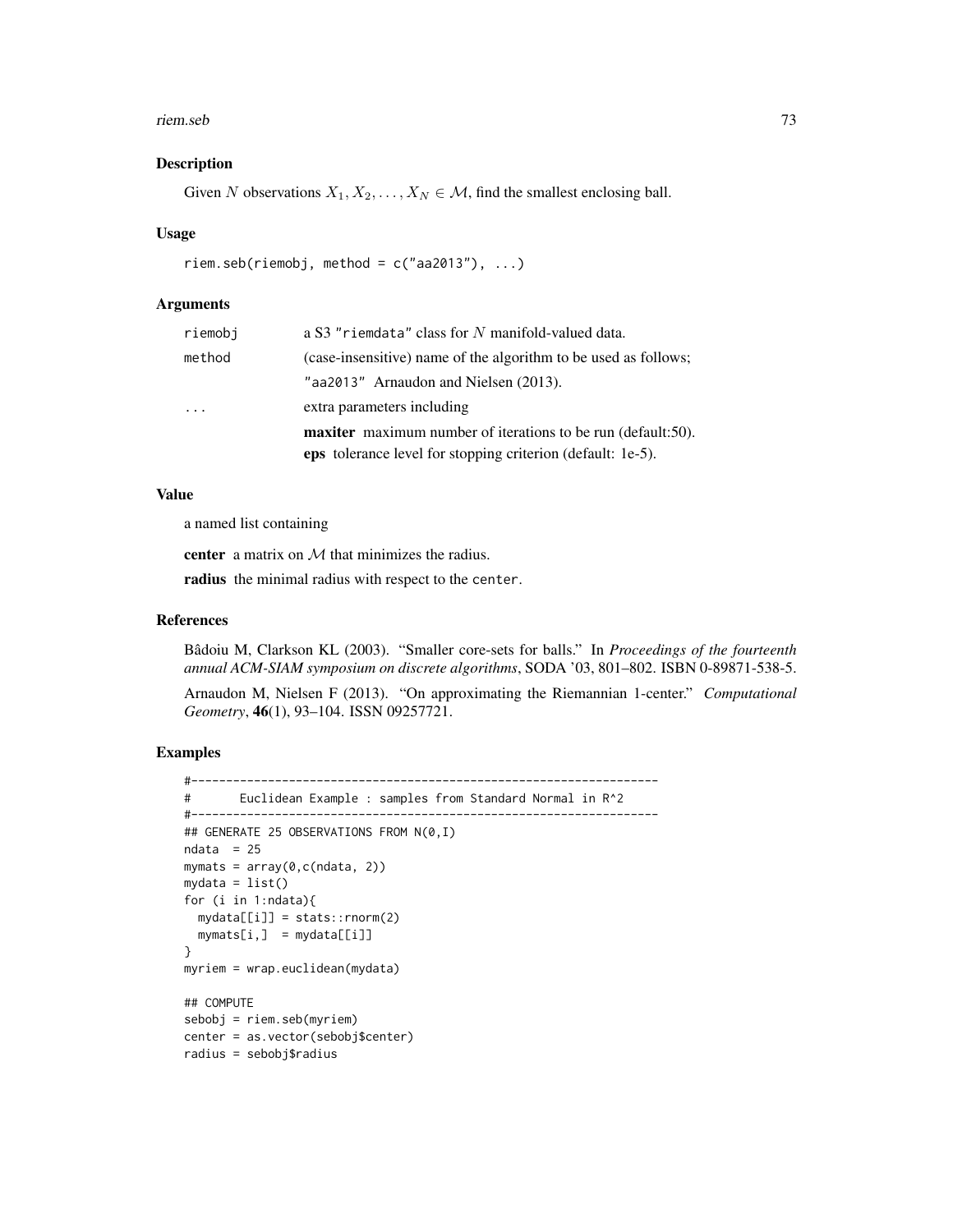#### riem.seb 73

#### Description

Given N observations  $X_1, X_2, \ldots, X_N \in \mathcal{M}$ , find the smallest enclosing ball.

#### Usage

```
riem.seb(riemobj, method = c("aa2013"), ...)
```
### Arguments

| riemobi | a S3 "riemdata" class for N manifold-valued data.                   |  |  |  |  |
|---------|---------------------------------------------------------------------|--|--|--|--|
| method  | (case-insensitive) name of the algorithm to be used as follows;     |  |  |  |  |
|         | "aa2013" Arnaudon and Nielsen (2013).                               |  |  |  |  |
|         | extra parameters including                                          |  |  |  |  |
|         | <b>maxiter</b> maximum number of iterations to be run (default:50). |  |  |  |  |
|         | <b>eps</b> tolerance level for stopping criterion (default: 1e-5).  |  |  |  |  |

#### Value

a named list containing

center a matrix on  $M$  that minimizes the radius.

radius the minimal radius with respect to the center.

#### References

Bâdoiu M, Clarkson KL (2003). "Smaller core-sets for balls." In *Proceedings of the fourteenth annual ACM-SIAM symposium on discrete algorithms*, SODA '03, 801–802. ISBN 0-89871-538-5.

Arnaudon M, Nielsen F (2013). "On approximating the Riemannian 1-center." *Computational Geometry*, 46(1), 93–104. ISSN 09257721.

```
#-------------------------------------------------------------------
# Euclidean Example : samples from Standard Normal in R^2
#-------------------------------------------------------------------
## GENERATE 25 OBSERVATIONS FROM N(0,I)
ndata = 25mymats = array(0, c(ndata, 2))mydata = list()for (i in 1:ndata){
 mydata[[i]] = stats::rnorm(2)
 mymats[i,] = mydata[[ij]]}
myriem = wrap.euclidean(mydata)
## COMPUTE
sebobj = riem.seb(myriem)
center = as.vector(sebobj$center)
radius = sebobj$radius
```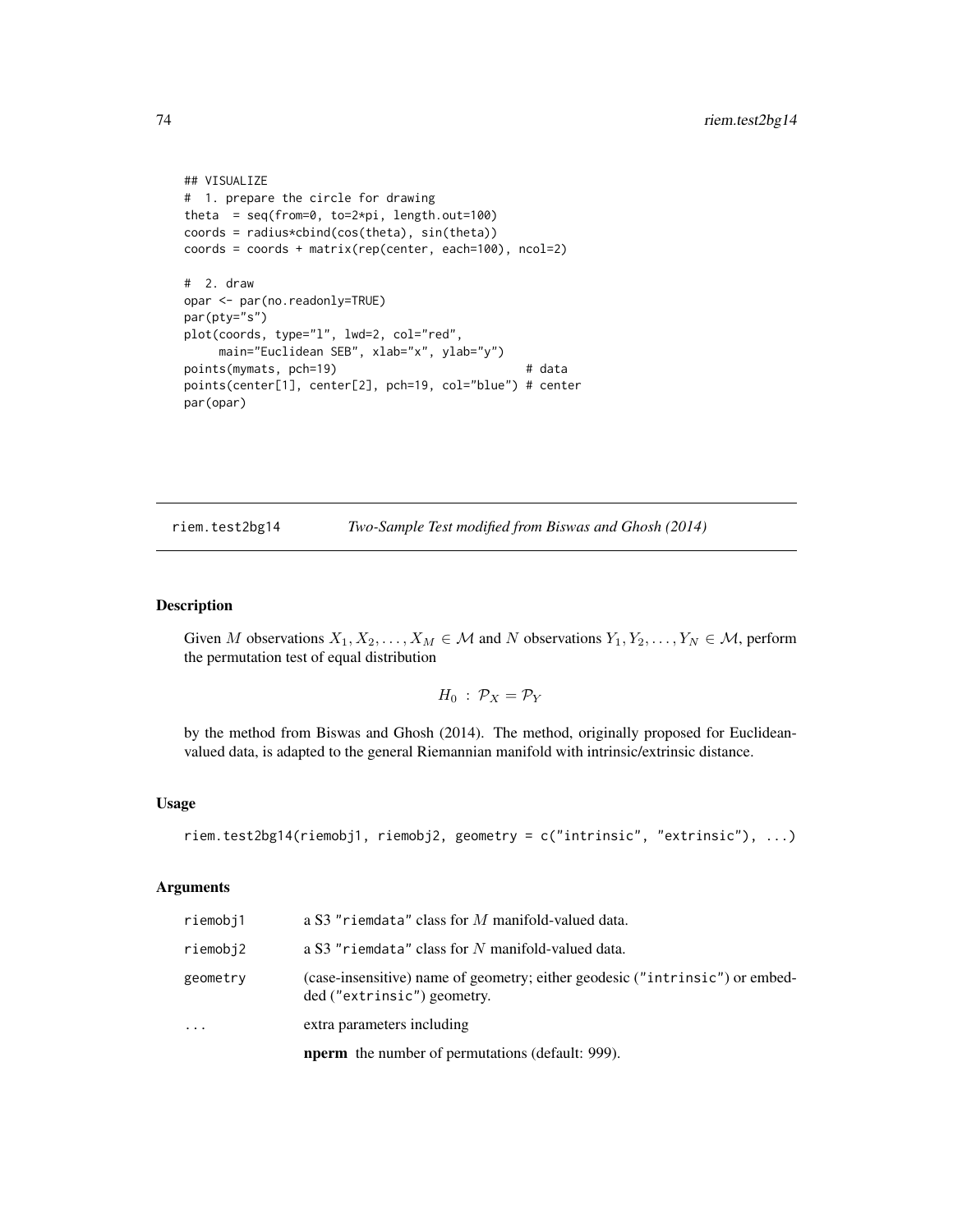```
## VISUALIZE
# 1. prepare the circle for drawing
theta = seq(from=0, to=2*pi, length.out=100)
coords = radius*cbind(cos(theta), sin(theta))
coords = coords + matrix(rep(center, each=100), ncol=2)
# 2. draw
opar <- par(no.readonly=TRUE)
par(pty="s")
plot(coords, type="l", lwd=2, col="red",
    main="Euclidean SEB", xlab="x", ylab="y")
points(mymats, pch=19) # data
points(center[1], center[2], pch=19, col="blue") # center
par(opar)
```
riem.test2bg14 *Two-Sample Test modified from Biswas and Ghosh (2014)*

#### Description

Given M observations  $X_1, X_2, \ldots, X_M \in \mathcal{M}$  and N observations  $Y_1, Y_2, \ldots, Y_N \in \mathcal{M}$ , perform the permutation test of equal distribution

$$
H_0: \mathcal{P}_X = \mathcal{P}_Y
$$

by the method from Biswas and Ghosh (2014). The method, originally proposed for Euclideanvalued data, is adapted to the general Riemannian manifold with intrinsic/extrinsic distance.

#### Usage

```
riem.test2bg14(riemobj1, riemobj2, geometry = c("intrinsic", "extrinsic"), ...)
```
#### Arguments

|          | <b>nperm</b> the number of permutations (default: 999).                                                     |
|----------|-------------------------------------------------------------------------------------------------------------|
| .        | extra parameters including                                                                                  |
| geometry | (case-insensitive) name of geometry; either geodesic ("intrinsic") or embed-<br>ded ("extrinsic") geometry. |
| riemobj2 | a S3 "riemdata" class for N manifold-valued data.                                                           |
| riemobj1 | a S3 "riemdata" class for $M$ manifold-valued data.                                                         |

<span id="page-73-0"></span>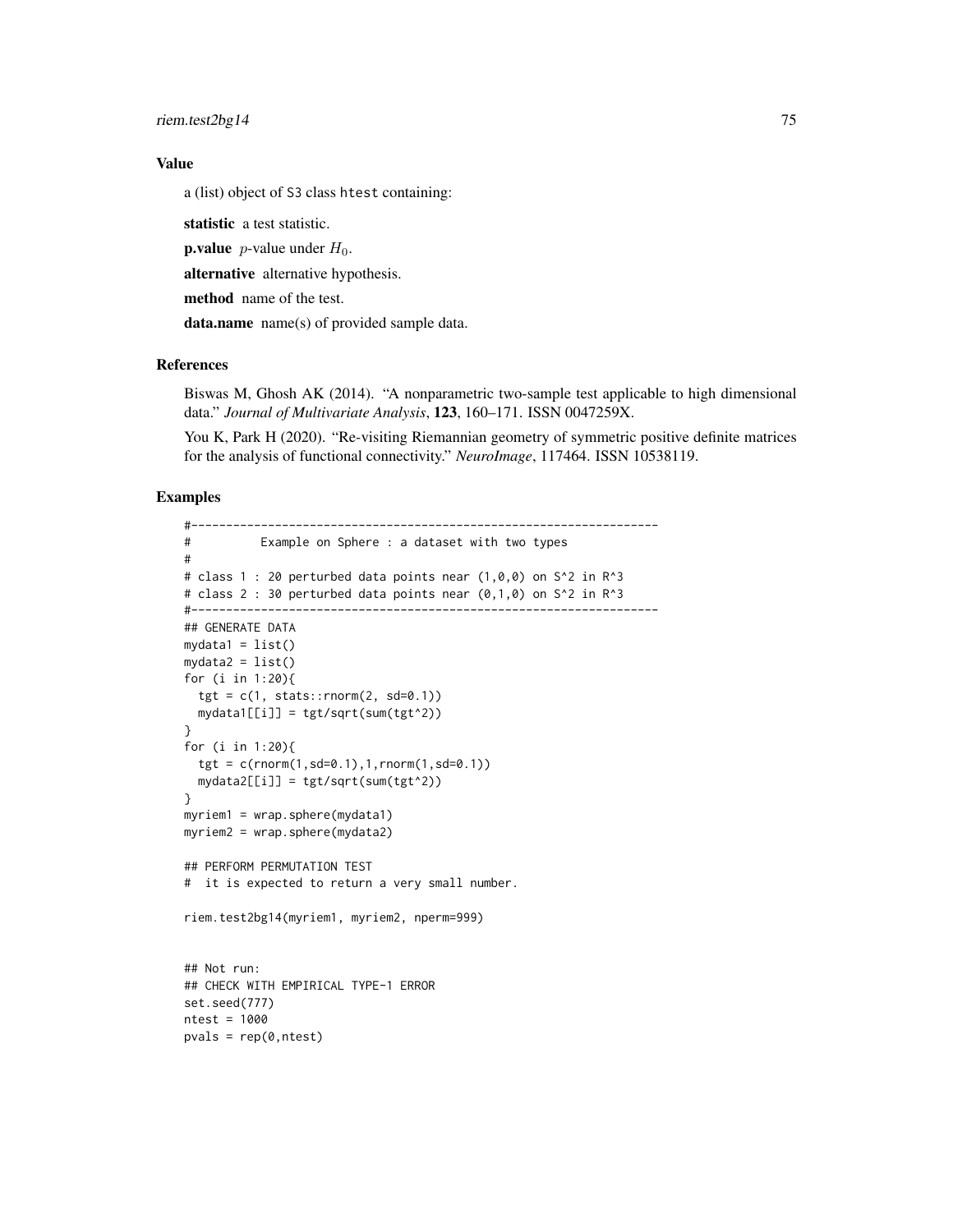riem.test2bg14 75

# Value

a (list) object of S3 class htest containing:

statistic a test statistic.

**p.value** *p*-value under  $H_0$ .

alternative alternative hypothesis.

method name of the test.

data.name name(s) of provided sample data.

#### References

Biswas M, Ghosh AK (2014). "A nonparametric two-sample test applicable to high dimensional data." *Journal of Multivariate Analysis*, 123, 160–171. ISSN 0047259X.

You K, Park H (2020). "Re-visiting Riemannian geometry of symmetric positive definite matrices for the analysis of functional connectivity." *NeuroImage*, 117464. ISSN 10538119.

```
#-------------------------------------------------------------------
# Example on Sphere : a dataset with two types
#
# class 1 : 20 perturbed data points near (1,0,0) on S^2 in R^3
# class 2 : 30 perturbed data points near (0,1,0) on S^2 in R^3
#-------------------------------------------------------------------
## GENERATE DATA
mydata1 = list()mydata2 = list()for (i in 1:20){
  tgt = c(1, stats::rnorm(2, sd=0.1))mydata1[[i]] = tgt/sqrt(sum(tgt^2))
}
for (i in 1:20){
  tgt = c(rnorm(1,sd=0.1),1,rnorm(1,sd=0.1))
  mydata2[[i]] = tgt/sqrt(sum(tgt^2))
}
myriem1 = wrap.sphere(mydata1)
myriem2 = wrap.sphere(mydata2)
## PERFORM PERMUTATION TEST
# it is expected to return a very small number.
riem.test2bg14(myriem1, myriem2, nperm=999)
## Not run:
## CHECK WITH EMPIRICAL TYPE-1 ERROR
set.seed(777)
ntest = 1000
pvals = rep(0,ntest)
```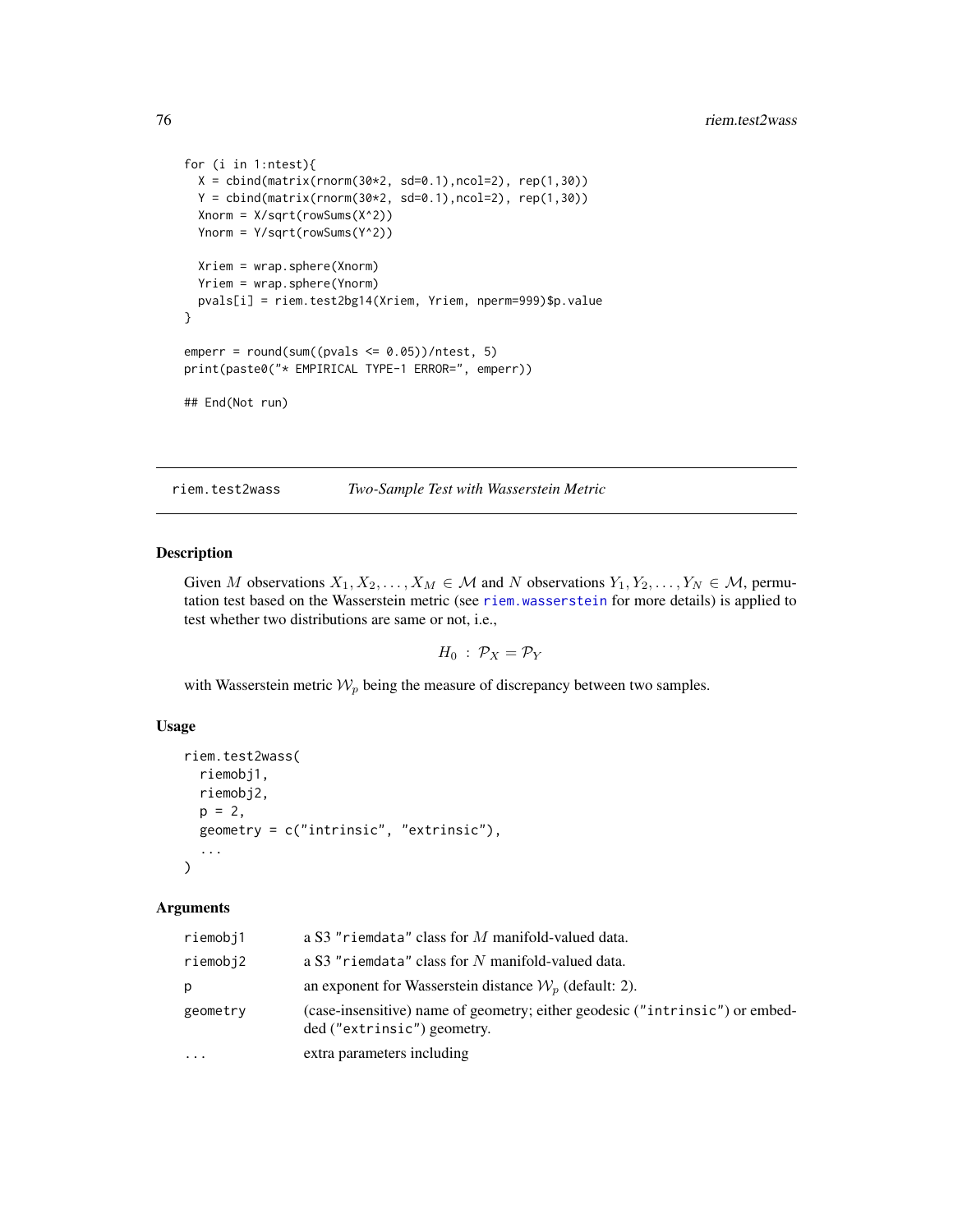```
for (i in 1:ntest){
 X = \text{cbind}(\text{matrix}(rnorm(30*2, sd=0.1), ncol=2), rep(1,30))Y = \text{cbind}(\text{matrix}(rnorm(30*2, sd=0.1), ncol=2), rep(1,30))Xnorm = X/sqrt(rowSums(X^2))
 Ynorm = Y/sqrt(rowSums(Y^2))
 Xriem = wrap.sphere(Xnorm)
 Yriem = wrap.sphere(Ynorm)
 pvals[i] = riem.test2bg14(Xriem, Yriem, nperm=999)$p.value
}
emperr = round(sum((pvals \le 0.05))/ntest, 5)print(paste0("* EMPIRICAL TYPE-1 ERROR=", emperr))
## End(Not run)
```
riem.test2wass *Two-Sample Test with Wasserstein Metric*

#### Description

Given M observations  $X_1, X_2, \ldots, X_M \in \mathcal{M}$  and N observations  $Y_1, Y_2, \ldots, Y_N \in \mathcal{M}$ , permutation test based on the Wasserstein metric (see [riem.wasserstein](#page-78-0) for more details) is applied to test whether two distributions are same or not, i.e.,

$$
H_0: \mathcal{P}_X = \mathcal{P}_Y
$$

with Wasserstein metric  $W_p$  being the measure of discrepancy between two samples.

#### Usage

```
riem.test2wass(
  riemobj1,
  riemobj2,
  p = 2,
  geometry = c("intrinsic", "extrinsic"),
  ...
)
```
#### Arguments

| riemobj1 | a S3 "riemdata" class for $M$ manifold-valued data.                                                         |
|----------|-------------------------------------------------------------------------------------------------------------|
| riemobj2 | a S3 "riemdata" class for N manifold-valued data.                                                           |
| р        | an exponent for Wasserstein distance $\mathcal{W}_p$ (default: 2).                                          |
| geometry | (case-insensitive) name of geometry; either geodesic ("intrinsic") or embed-<br>ded ("extrinsic") geometry. |
| $\cdots$ | extra parameters including                                                                                  |

<span id="page-75-0"></span>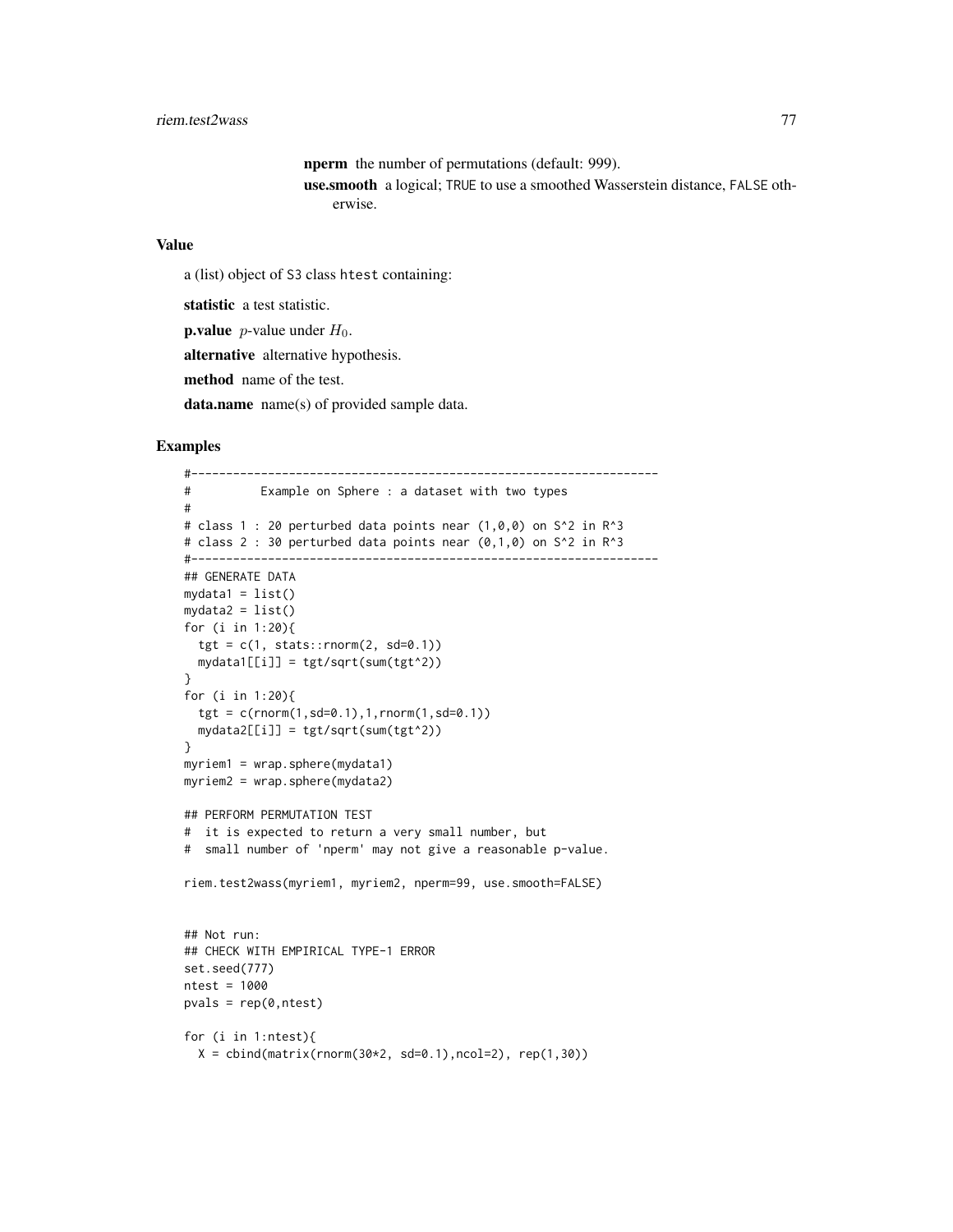nperm the number of permutations (default: 999). use.smooth a logical; TRUE to use a smoothed Wasserstein distance, FALSE otherwise.

# Value

```
a (list) object of S3 class htest containing:
```
statistic a test statistic.

**p.value** *p*-value under  $H_0$ .

alternative alternative hypothesis.

method name of the test.

data.name name(s) of provided sample data.

```
#-------------------------------------------------------------------
# Example on Sphere : a dataset with two types
#
# class 1 : 20 perturbed data points near (1,0,0) on S<sup>^2</sup> in R<sup>^3</sup>
# class 2 : 30 perturbed data points near (0,1,0) on S^2 in R^3
#-------------------------------------------------------------------
## GENERATE DATA
mydata1 = list()mydata2 = list()for (i in 1:20){
  tgt = c(1, stats::rnorm(2, sd=0.1))mydata1[[i]] = tgt/sqrt(sum(tgt^2))
}
for (i in 1:20){
  tgt = c(rnorm(1, sd=0.1), 1, rnorm(1, sd=0.1))mydata2[[i]] = tgt/sqrt(sum(tgt^2))}
myriem1 = wrap.sphere(mydata1)
myriem2 = wrap.sphere(mydata2)
## PERFORM PERMUTATION TEST
# it is expected to return a very small number, but
# small number of 'nperm' may not give a reasonable p-value.
riem.test2wass(myriem1, myriem2, nperm=99, use.smooth=FALSE)
## Not run:
## CHECK WITH EMPIRICAL TYPE-1 ERROR
set.seed(777)
ntest = 1000
pvals = rep(0,ntest)for (i in 1:ntest){
  X = \text{cbind}(\text{matrix}(\text{norm}(30*2, sd=0.1), \text{ncol}=2), \text{rep}(1,30))
```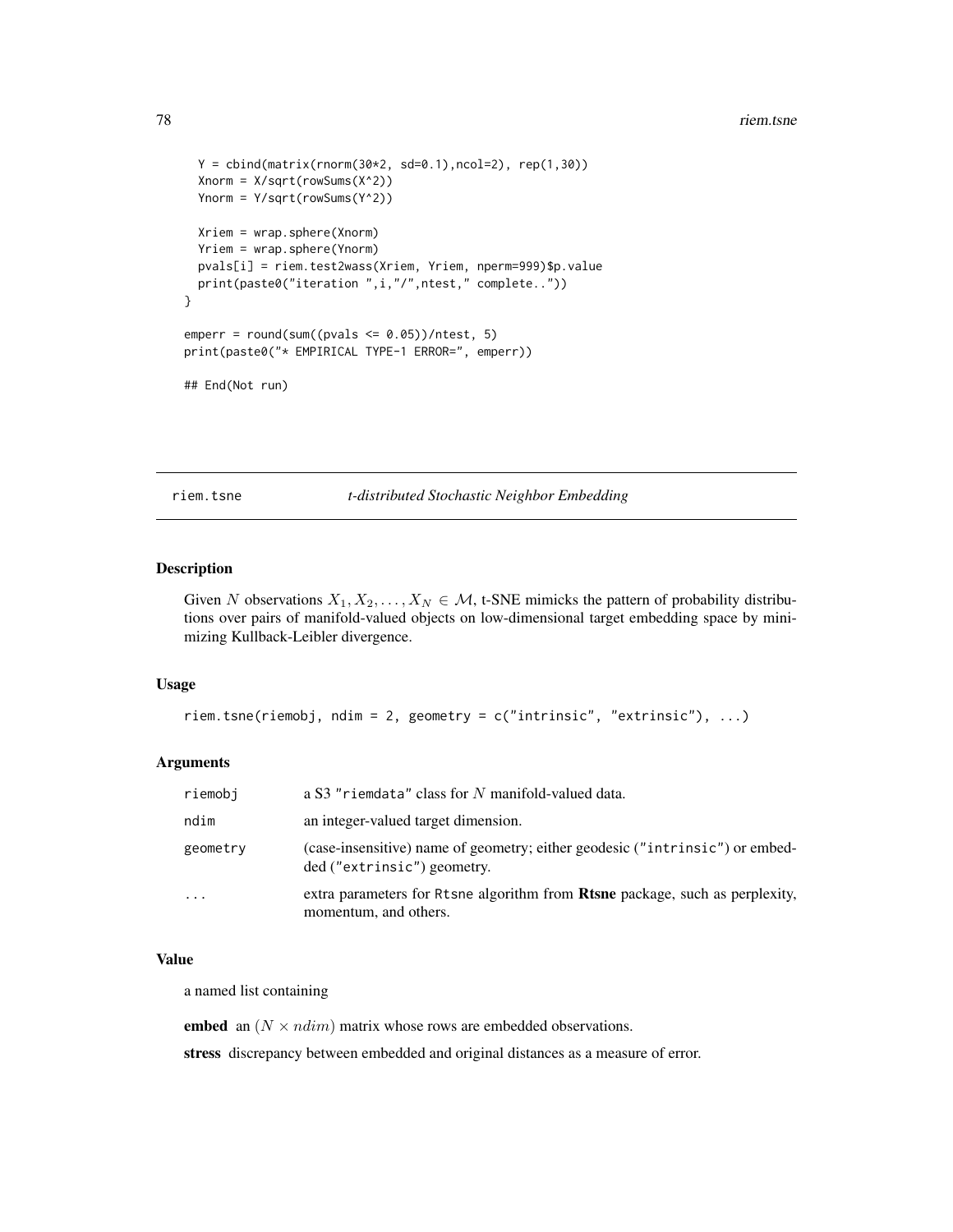#### 78 riem.tsne

```
Y = \text{cbind}(\text{matrix}(rnorm(30*2, sd=0.1), ncol=2), rep(1,30))Xnorm = X/sqrt(rowSums(X^2))
 Ynorm = Y/sqrt(rowSums(Y^2))
 Xriem = wrap.sphere(Xnorm)
 Yriem = wrap.sphere(Ynorm)
 pvals[i] = riem.test2wass(Xriem, Yriem, nperm=999)$p.value
 print(paste0("iteration ",i,"/",ntest," complete.."))
}
emperr = round(sum((pvals \le 0.05))/ntest, 5)print(paste0("* EMPIRICAL TYPE-1 ERROR=", emperr))
## End(Not run)
```
riem.tsne *t-distributed Stochastic Neighbor Embedding*

# Description

Given N observations  $X_1, X_2, \ldots, X_N \in \mathcal{M}$ , t-SNE mimicks the pattern of probability distributions over pairs of manifold-valued objects on low-dimensional target embedding space by minimizing Kullback-Leibler divergence.

#### Usage

```
riem.tsne(riemobj, ndim = 2, geometry = c("intrinsic", "extrinsic"), ...)
```
#### Arguments

| riemobi   | a S3 "riemdata" class for N manifold-valued data.                                                            |
|-----------|--------------------------------------------------------------------------------------------------------------|
| ndim      | an integer-valued target dimension.                                                                          |
| geometry  | (case-insensitive) name of geometry; either geodesic ("intrinsic") or embed-<br>ded ("extrinsic") geometry.  |
| $\ddotsc$ | extra parameters for Rtsne algorithm from <b>Rtsne</b> package, such as perplexity,<br>momentum, and others. |

#### Value

a named list containing

embed an  $(N \times ndim)$  matrix whose rows are embedded observations.

stress discrepancy between embedded and original distances as a measure of error.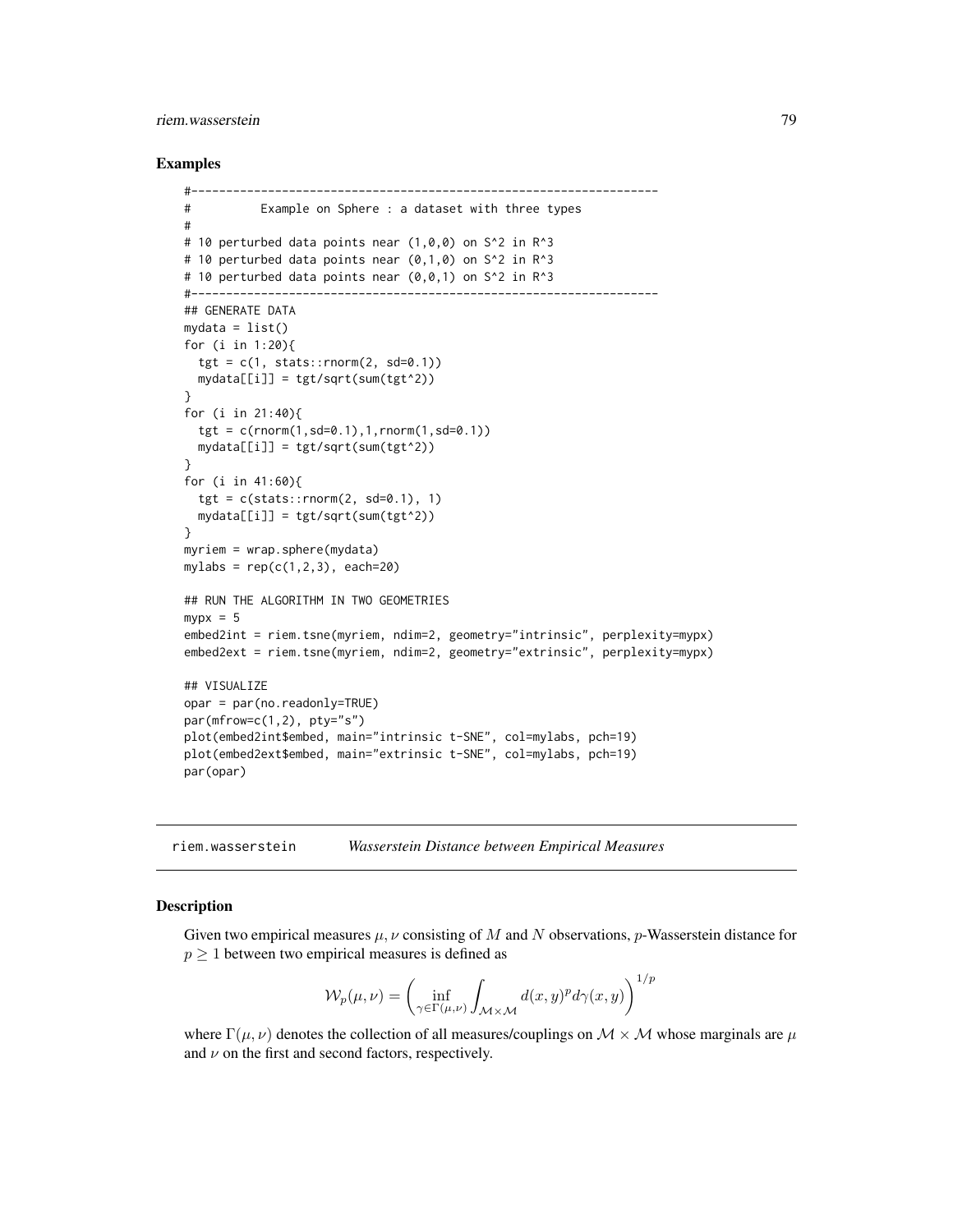# <span id="page-78-1"></span>riem.wasserstein 79

#### Examples

```
#-------------------------------------------------------------------
# Example on Sphere : a dataset with three types
#
# 10 perturbed data points near (1,0,0) on S<sup>^2</sup> in R<sup>^3</sup>
# 10 perturbed data points near (0,1,0) on S^2 in R^3# 10 perturbed data points near (0,0,1) on S^2 in R^3
#-------------------------------------------------------------------
## GENERATE DATA
mydata = list()for (i in 1:20){
  tgt = c(1, stats::rnorm(2, sd=0.1))mydata[[i]] = tgt/sqrt(sum(tgt^2))
}
for (i in 21:40){
  tgt = c(rnorm(1, sd=0.1), 1, rnorm(1, sd=0.1))mydata[[i]] = tgt/sqrt(sum(tgt^2))
}
for (i in 41:60){
  tgt = c(stats::rnorm(2, sd=0.1), 1)mydata[[i]] = tgt/sqrt(sum(tgt^2))
}
myriem = wrap.sphere(mydata)
mylabs = rep(c(1, 2, 3), each=20)## RUN THE ALGORITHM IN TWO GEOMETRIES
mypx = 5embed2int = riem.tsne(myriem, ndim=2, geometry="intrinsic", perplexity=mypx)
embed2ext = riem.tsne(myriem, ndim=2, geometry="extrinsic", perplexity=mypx)
## VISUALIZE
opar = par(no.readonly=TRUE)
par(mfrow=c(1,2), pty="s")plot(embed2int$embed, main="intrinsic t-SNE", col=mylabs, pch=19)
plot(embed2ext$embed, main="extrinsic t-SNE", col=mylabs, pch=19)
par(opar)
```
<span id="page-78-0"></span>

| riem.wasserstein |  | Wasserstein Distance between Empirical Measures |
|------------------|--|-------------------------------------------------|
|------------------|--|-------------------------------------------------|

#### Description

Given two empirical measures  $\mu$ ,  $\nu$  consisting of M and N observations, p-Wasserstein distance for  $p \geq 1$  between two empirical measures is defined as

$$
\mathcal{W}_p(\mu,\nu)=\left(\inf_{\gamma\in\Gamma(\mu,\nu)}\int_{\mathcal{M}\times\mathcal{M}}d(x,y)^pd\gamma(x,y)\right)^{1/p}
$$

where  $\Gamma(\mu, \nu)$  denotes the collection of all measures/couplings on  $\mathcal{M} \times \mathcal{M}$  whose marginals are  $\mu$ and  $\nu$  on the first and second factors, respectively.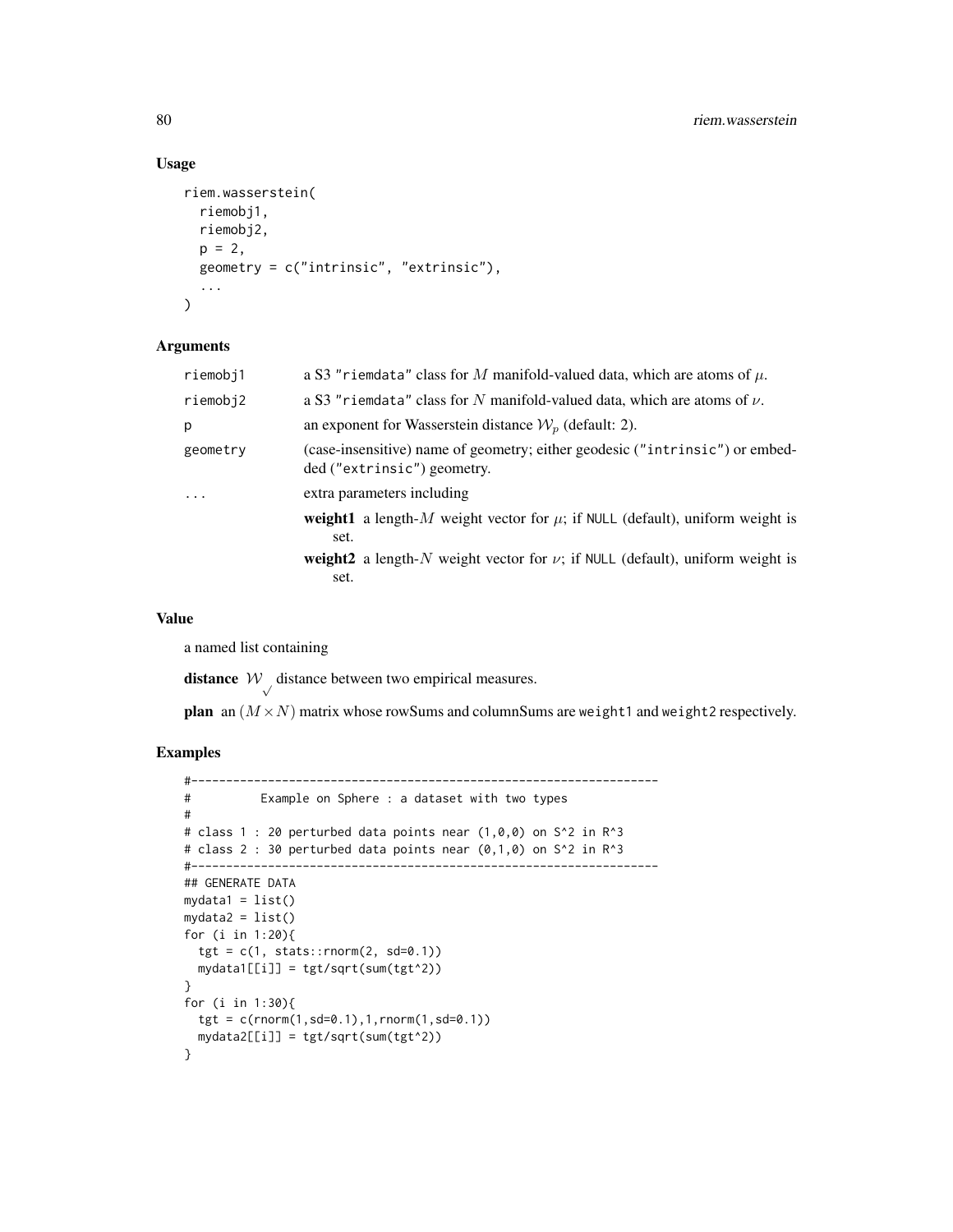# Usage

```
riem.wasserstein(
  riemobj1,
  riemobj2,
 p = 2,
  geometry = c("intrinsic", "extrinsic"),
  ...
\lambda
```
# Arguments

| a S3 "riemdata" class for M manifold-valued data, which are atoms of $\mu$ .                                |  |  |  |
|-------------------------------------------------------------------------------------------------------------|--|--|--|
| a S3 "riemdata" class for N manifold-valued data, which are atoms of $\nu$ .                                |  |  |  |
| an exponent for Wasserstein distance $W_n$ (default: 2).                                                    |  |  |  |
| (case-insensitive) name of geometry; either geodesic ("intrinsic") or embed-<br>ded ("extrinsic") geometry. |  |  |  |
| extra parameters including                                                                                  |  |  |  |
| <b>weight1</b> a length-M weight vector for $\mu$ ; if NULL (default), uniform weight is<br>set.            |  |  |  |
| <b>weight2</b> a length-N weight vector for $\nu$ ; if NULL (default), uniform weight is<br>set.            |  |  |  |
|                                                                                                             |  |  |  |

#### Value

a named list containing

**distance**  $W$  distance between two empirical measures.

plan an  $(M \times N)$  matrix whose rowSums and columnSums are weight1 and weight2 respectively.

```
#-------------------------------------------------------------------
# Example on Sphere : a dataset with two types
#
# class 1 : 20 perturbed data points near (1,0,0) on S^2 in R^3
# class 2 : 30 perturbed data points near (0,1,0) on S<sup>^2</sup> in R<sup>^3</sup>
#-------------------------------------------------------------------
## GENERATE DATA
mydata1 = list()mydata2 = list()for (i in 1:20){
  tgt = c(1, stats::rnorm(2, sd=0.1))mydata1[[i]] = tgt/sqrt(sum(tgt^2))
}
for (i in 1:30){
  tgt = c(rnorm(1, sd=0.1), 1, rnorm(1, sd=0.1))mydata2[[i]] = tgt/sqrt(sum(tgt^2))
}
```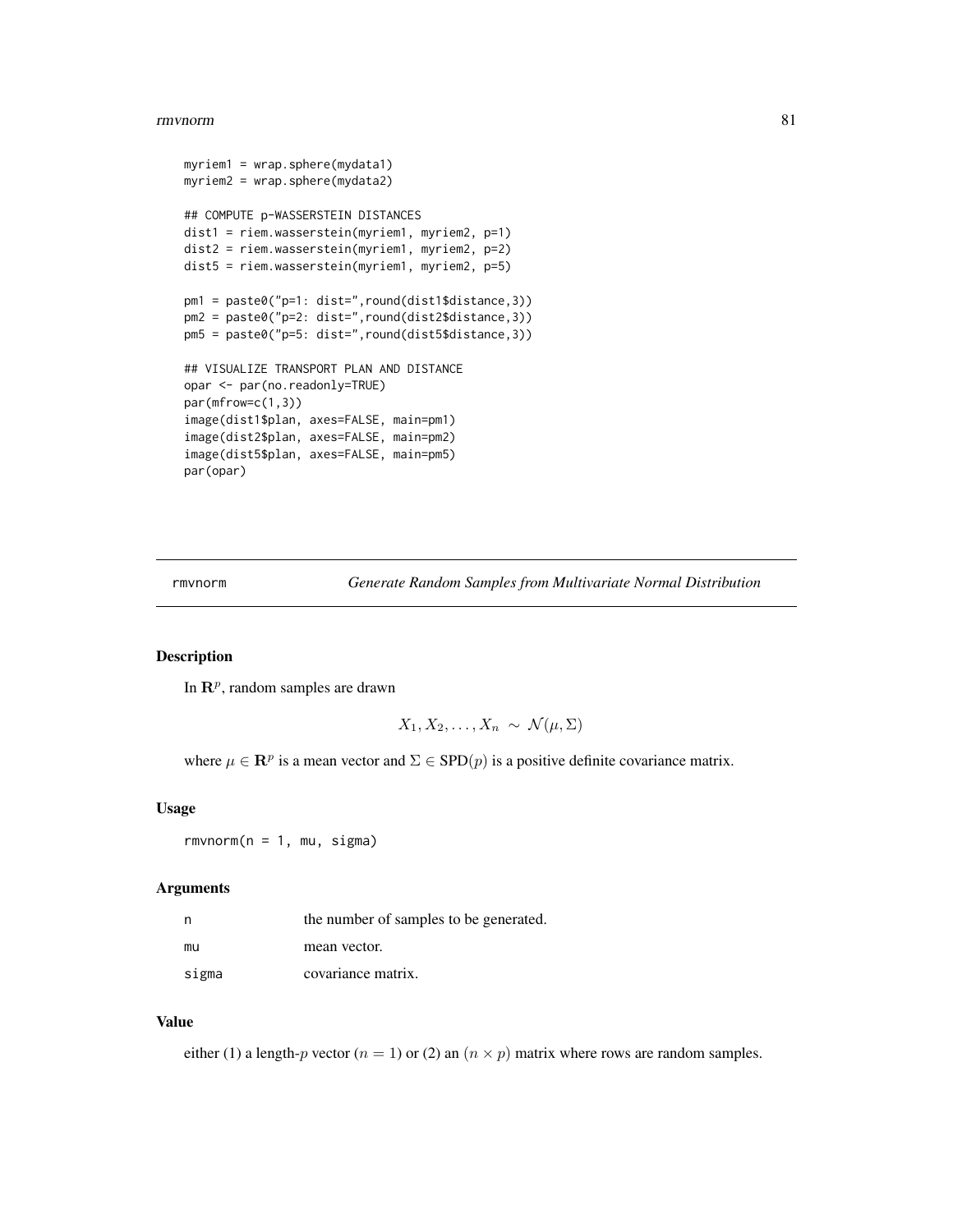#### <span id="page-80-0"></span>rmvnorm 81

```
myriem1 = wrap.sphere(mydata1)
myriem2 = wrap.sphere(mydata2)
## COMPUTE p-WASSERSTEIN DISTANCES
dist1 = riem.wasserstein(myriem1, myriem2, p=1)
dist2 = riem.wasserstein(myriem1, myriem2, p=2)
dist5 = riem.wasserstein(myriem1, myriem2, p=5)
pm1 = paste0("p=1: dist=",round(dist1$distance,3))
pm2 = paste0("p=2: dist=",round(dist2$distance,3))
pm5 = paste0("p=5: dist=",round(dist5$distance,3))
## VISUALIZE TRANSPORT PLAN AND DISTANCE
opar <- par(no.readonly=TRUE)
par(mfrow=c(1,3))
image(dist1$plan, axes=FALSE, main=pm1)
image(dist2$plan, axes=FALSE, main=pm2)
image(dist5$plan, axes=FALSE, main=pm5)
par(opar)
```
rmvnorm *Generate Random Samples from Multivariate Normal Distribution*

#### Description

In  $\mathbb{R}^p$ , random samples are drawn

$$
X_1, X_2, \ldots, X_n \sim \mathcal{N}(\mu, \Sigma)
$$

where  $\mu \in \mathbb{R}^p$  is a mean vector and  $\Sigma \in \text{SPD}(p)$  is a positive definite covariance matrix.

#### Usage

 $r$ mvnorm $(n = 1, mu, sigma)$ 

#### Arguments

|       | the number of samples to be generated. |  |  |
|-------|----------------------------------------|--|--|
| mu    | mean vector.                           |  |  |
| sigma | covariance matrix.                     |  |  |

#### Value

either (1) a length-p vector ( $n = 1$ ) or (2) an ( $n \times p$ ) matrix where rows are random samples.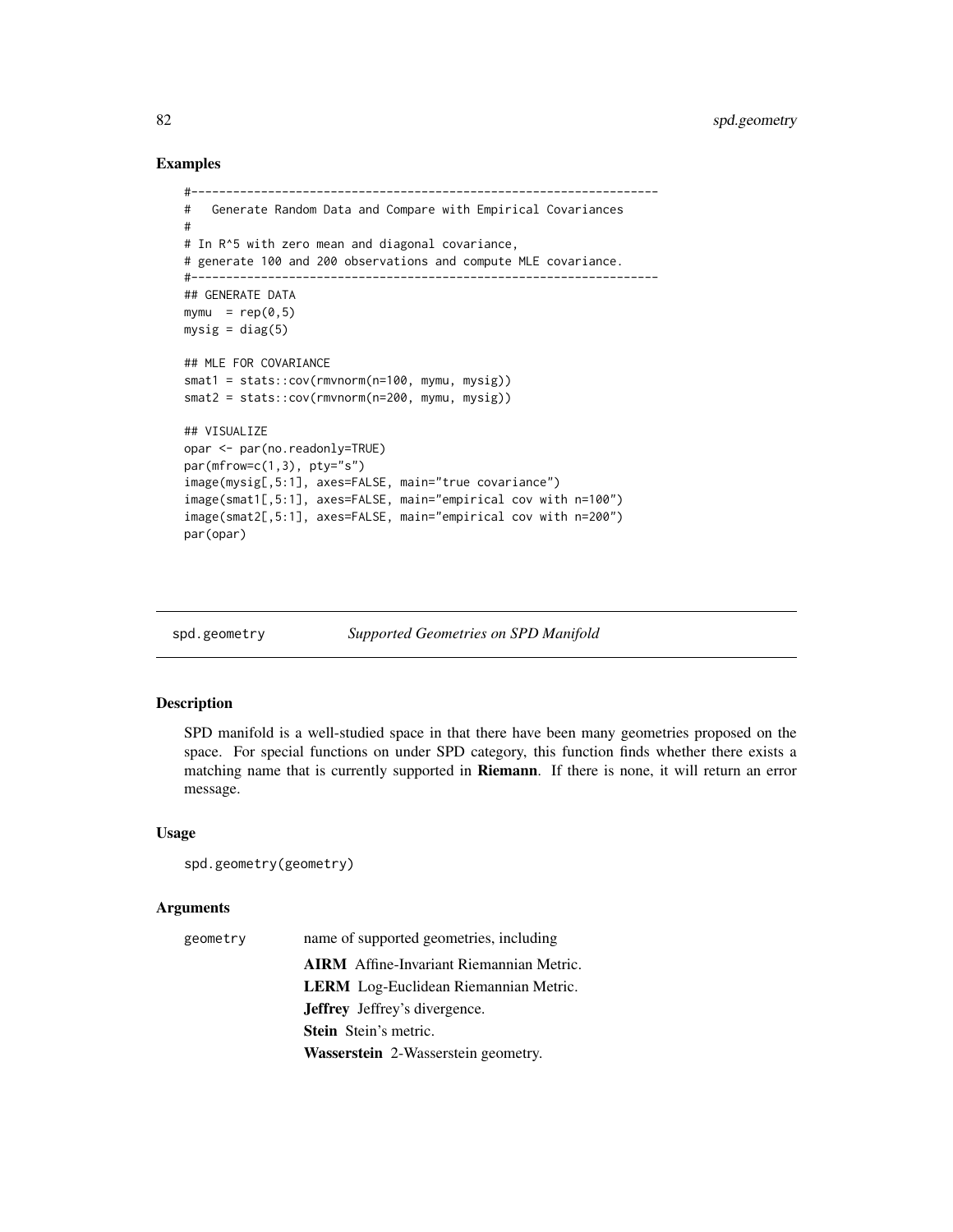# Examples

```
#-------------------------------------------------------------------
# Generate Random Data and Compare with Empirical Covariances
#
# In R^5 with zero mean and diagonal covariance,
# generate 100 and 200 observations and compute MLE covariance.
#-------------------------------------------------------------------
## GENERATE DATA
mymu = rep(0, 5)mysig = diag(5)## MLE FOR COVARIANCE
smat1 = stats::cov(rmvnorm(n=100, mymu, mysig))
smat2 = stats::cov(rmvnorm(n=200, mymu, mysig))
## VISUALIZE
opar <- par(no.readonly=TRUE)
par(mfrow=c(1,3), pty="s")
image(mysig[,5:1], axes=FALSE, main="true covariance")
image(smat1[,5:1], axes=FALSE, main="empirical cov with n=100")
image(smat2[,5:1], axes=FALSE, main="empirical cov with n=200")
par(opar)
```

```
spd.geometry Supported Geometries on SPD Manifold
```
# Description

SPD manifold is a well-studied space in that there have been many geometries proposed on the space. For special functions on under SPD category, this function finds whether there exists a matching name that is currently supported in Riemann. If there is none, it will return an error message.

#### Usage

```
spd.geometry(geometry)
```
# **Arguments**

| geometry | name of supported geometries, including         |  |  |  |
|----------|-------------------------------------------------|--|--|--|
|          | <b>AIRM</b> Affine-Invariant Riemannian Metric. |  |  |  |
|          | <b>LERM</b> Log-Euclidean Riemannian Metric.    |  |  |  |
|          | <b>Jeffrey</b> Jeffrey's divergence.            |  |  |  |
|          | <b>Stein</b> Stein's metric.                    |  |  |  |
|          | Wasserstein 2-Wasserstein geometry.             |  |  |  |

<span id="page-81-1"></span>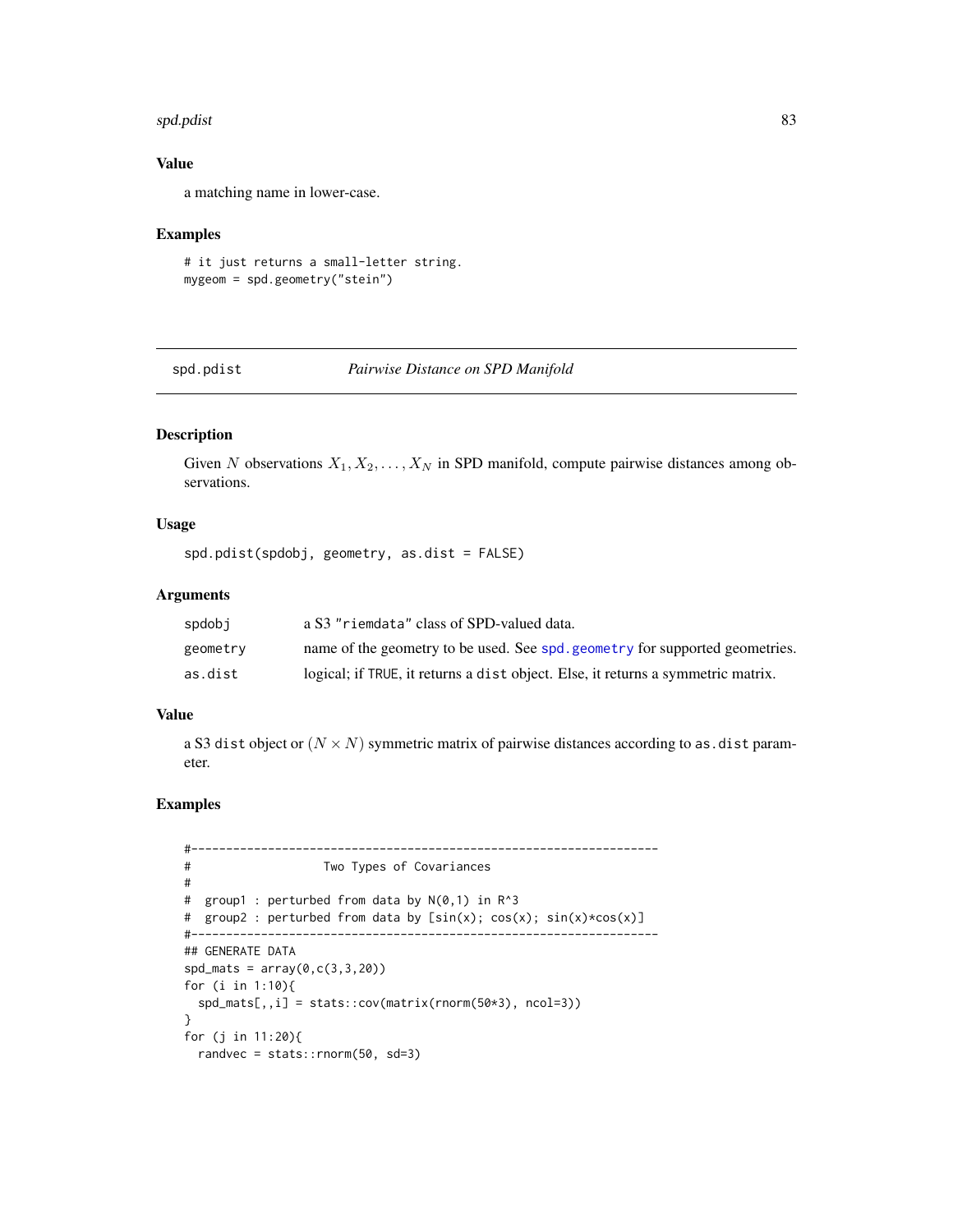#### <span id="page-82-0"></span>spd.pdist 83

# Value

a matching name in lower-case.

#### Examples

```
# it just returns a small-letter string.
mygeom = spd.geometry("stein")
```
spd.pdist *Pairwise Distance on SPD Manifold*

# Description

Given N observations  $X_1, X_2, \ldots, X_N$  in SPD manifold, compute pairwise distances among observations.

# Usage

```
spd.pdist(spdobj, geometry, as.dist = FALSE)
```
#### Arguments

| spdobi   | a S3 "riemdata" class of SPD-valued data.                                        |
|----------|----------------------------------------------------------------------------------|
| geometry | name of the geometry to be used. See spd. geometry for supported geometries.     |
| as.dist  | logical; if TRUE, it returns a dist object. Else, it returns a symmetric matrix. |

#### Value

a S3 dist object or  $(N \times N)$  symmetric matrix of pairwise distances according to as.dist parameter.

```
#-------------------------------------------------------------------
# Two Types of Covariances
#
# group1 : perturbed from data by N(0,1) in R^3
# group2 : perturbed from data by [sin(x); cos(x); sin(x)*cos(x)]
#-------------------------------------------------------------------
## GENERATE DATA
sd\_mats = array(0, c(3, 3, 20))for (i in 1:10){
 sd\_mats[,, i] = stats::cov(matrix(rnorm(50*3), ncol=3))}
for (j in 11:20){
 randvec = stats::rnorm(50, sd=3)
```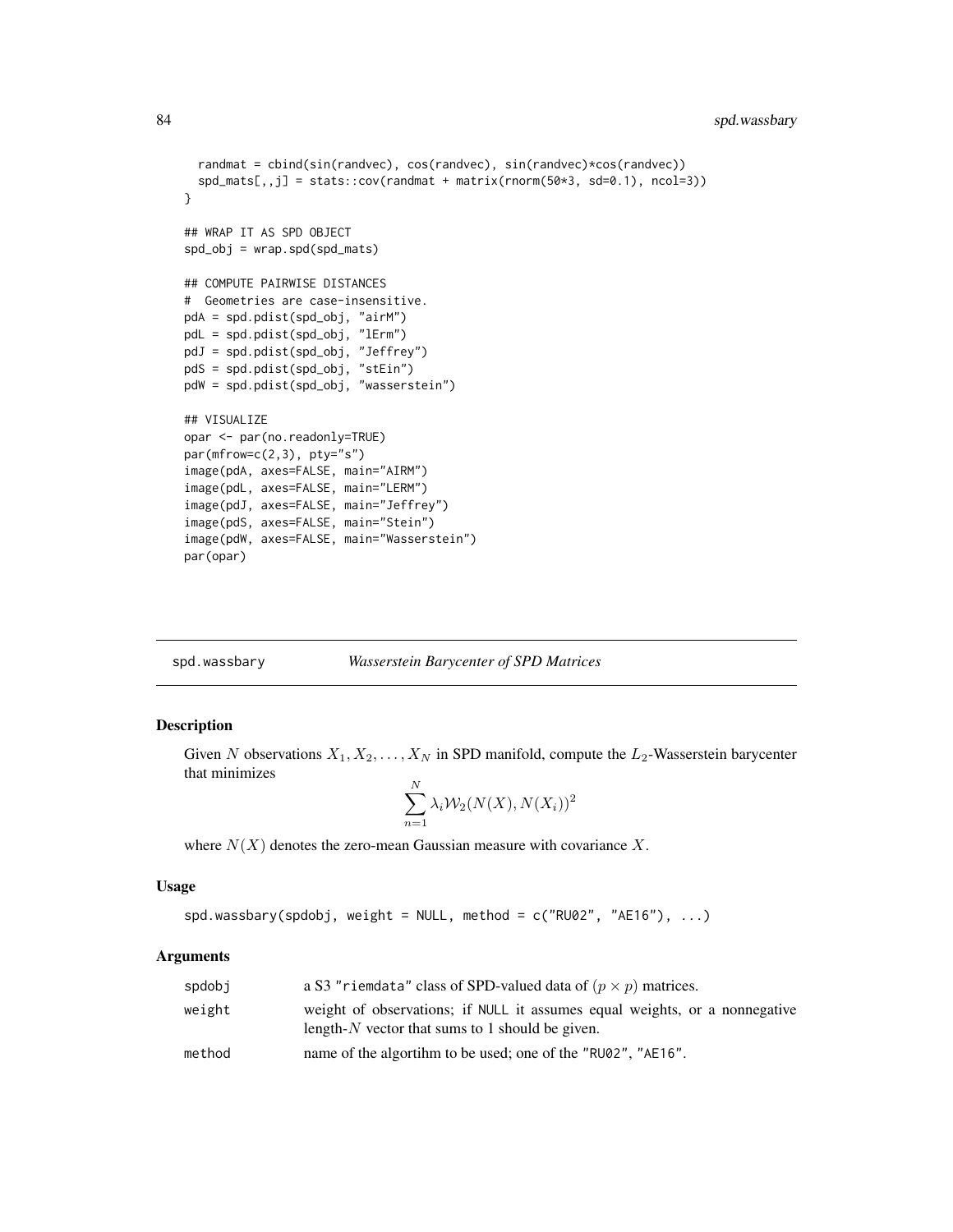```
randmat = cbind(sin(randvec), cos(randvec), sin(randvec)*cos(randvec))
 spd\_mats[,jj = stats::cov(randmat + matrix(rnorm(50*3, sd=0.1), ncol=3))}
## WRAP IT AS SPD OBJECT
spd_obj = wrap.spd(spd_mats)
## COMPUTE PAIRWISE DISTANCES
# Geometries are case-insensitive.
pdA = spd.pdist(spd_obj, "airM")
pdL = spd.pdist(spd_obj, "lErm")
pdJ = spd.pdist(spd_obj, "Jeffrey")
pdS = spd.pdist(spd_obj, "stEin")
pdW = spd.pdist(spd_obj, "wasserstein")
## VISUALIZE
opar <- par(no.readonly=TRUE)
par(mfrow=c(2,3), pty="s")
image(pdA, axes=FALSE, main="AIRM")
image(pdL, axes=FALSE, main="LERM")
image(pdJ, axes=FALSE, main="Jeffrey")
image(pdS, axes=FALSE, main="Stein")
image(pdW, axes=FALSE, main="Wasserstein")
par(opar)
```
#### spd.wassbary *Wasserstein Barycenter of SPD Matrices*

#### Description

Given N observations  $X_1, X_2, \ldots, X_N$  in SPD manifold, compute the  $L_2$ -Wasserstein barycenter that minimizes  $\mathbf{v}$ 

$$
\sum_{n=1}^{N} \lambda_i \mathcal{W}_2(N(X), N(X_i))^2
$$

where  $N(X)$  denotes the zero-mean Gaussian measure with covariance X.

#### Usage

spd.wassbary(spdobj, weight = NULL, method =  $c("RU02", "AE16"), ...$ )

#### Arguments

| spdobj | a S3 "riemdata" class of SPD-valued data of $(p \times p)$ matrices.                                                             |
|--------|----------------------------------------------------------------------------------------------------------------------------------|
| weight | weight of observations; if NULL it assumes equal weights, or a nonnegative<br>length- $N$ vector that sums to 1 should be given. |
| method | name of the algorithm to be used; one of the "RU02", "AE16".                                                                     |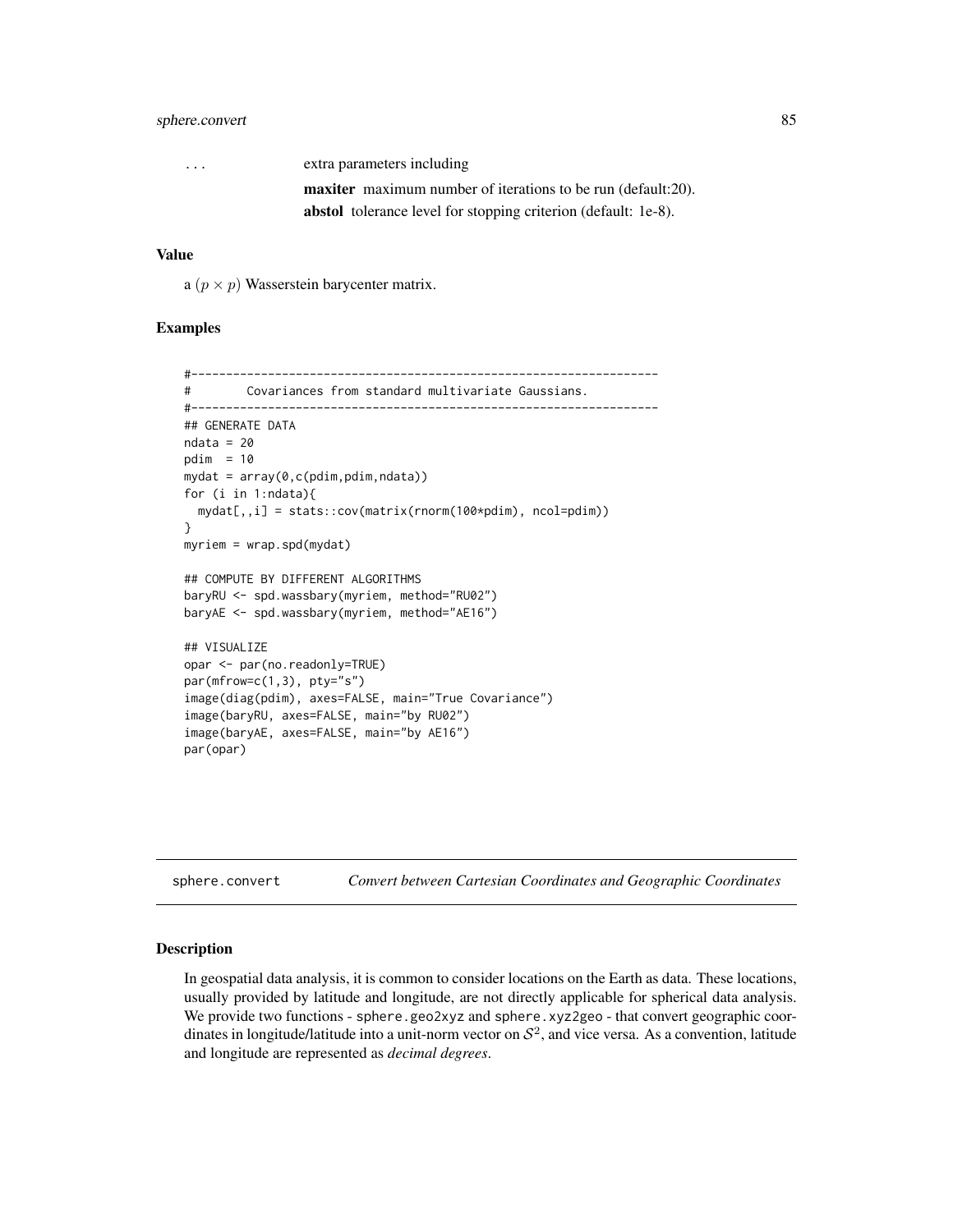# <span id="page-84-0"></span>sphere.convert 85

| $\cdots$ | extra parameters including                                            |
|----------|-----------------------------------------------------------------------|
|          | <b>maxiter</b> maximum number of iterations to be run (default:20).   |
|          | <b>abstol</b> tolerance level for stopping criterion (default: 1e-8). |

# Value

a  $(p \times p)$  Wasserstein barycenter matrix.

#### Examples

```
#-------------------------------------------------------------------
# Covariances from standard multivariate Gaussians.
#-------------------------------------------------------------------
## GENERATE DATA
ndata = 20pdim = 10mydat = array(0, c( pdim, pdim, ndata))for (i in 1:ndata){
  mydat[,,i] = stats::cov(matrix(rnorm(100*pdim), ncol=pdim))
}
myriem = wrap.spd(mydat)
## COMPUTE BY DIFFERENT ALGORITHMS
baryRU <- spd.wassbary(myriem, method="RU02")
baryAE <- spd.wassbary(myriem, method="AE16")
## VISUALIZE
opar <- par(no.readonly=TRUE)
par(mfrow=c(1,3), pty="s")
image(diag(pdim), axes=FALSE, main="True Covariance")
image(baryRU, axes=FALSE, main="by RU02")
image(baryAE, axes=FALSE, main="by AE16")
par(opar)
```

| sphere.convert | Convert between Cartesian Coordinates and Geographic Coordinates |  |  |  |  |
|----------------|------------------------------------------------------------------|--|--|--|--|
|----------------|------------------------------------------------------------------|--|--|--|--|

# Description

In geospatial data analysis, it is common to consider locations on the Earth as data. These locations, usually provided by latitude and longitude, are not directly applicable for spherical data analysis. We provide two functions - sphere.geo2xyz and sphere.xyz2geo - that convert geographic coordinates in longitude/latitude into a unit-norm vector on  $S^2$ , and vice versa. As a convention, latitude and longitude are represented as *decimal degrees*.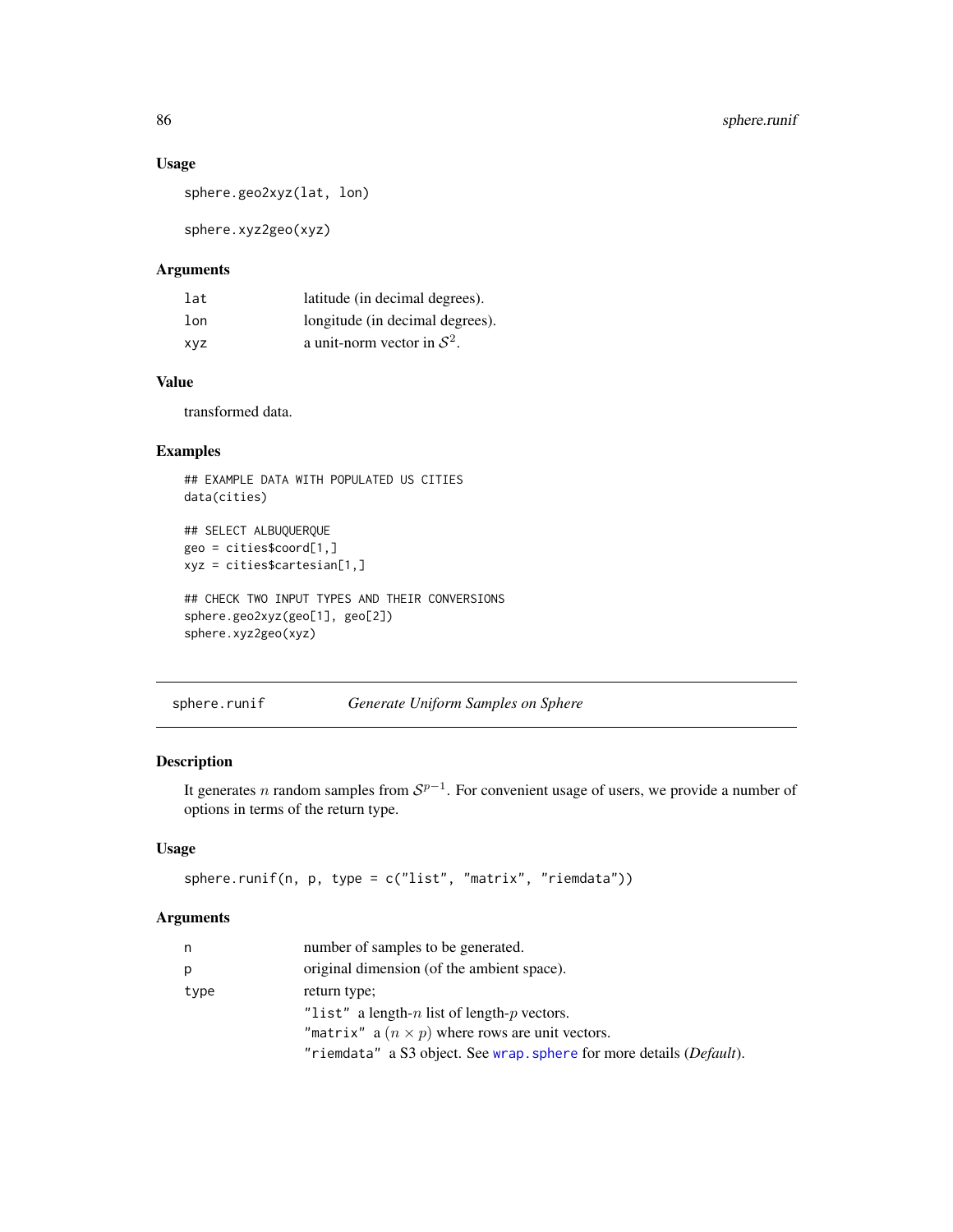# Usage

```
sphere.geo2xyz(lat, lon)
```
sphere.xyz2geo(xyz)

# Arguments

| lat | latitude (in decimal degrees).  |
|-----|---------------------------------|
| lon | longitude (in decimal degrees). |
| XVZ | a unit-norm vector in $S^2$ .   |

# Value

transformed data.

# Examples

```
## EXAMPLE DATA WITH POPULATED US CITIES
data(cities)
```

```
## SELECT ALBUQUERQUE
geo = cities$coord[1,]
xyz = cities$cartesian[1,]
```

```
## CHECK TWO INPUT TYPES AND THEIR CONVERSIONS
sphere.geo2xyz(geo[1], geo[2])
sphere.xyz2geo(xyz)
```
sphere.runif *Generate Uniform Samples on Sphere*

# Description

It generates *n* random samples from  $S^{p-1}$ . For convenient usage of users, we provide a number of options in terms of the return type.

# Usage

```
sphere.runif(n, p, type = c("list", "matrix", "riemdata"))
```
# Arguments

| n    | number of samples to be generated.                                   |
|------|----------------------------------------------------------------------|
| р    | original dimension (of the ambient space).                           |
| type | return type;                                                         |
|      | "list" a length-n list of length-p vectors.                          |
|      | "matrix" a $(n \times p)$ where rows are unit vectors.               |
|      | "riemdata" a S3 object. See wrap. sphere for more details (Default). |

<span id="page-85-0"></span>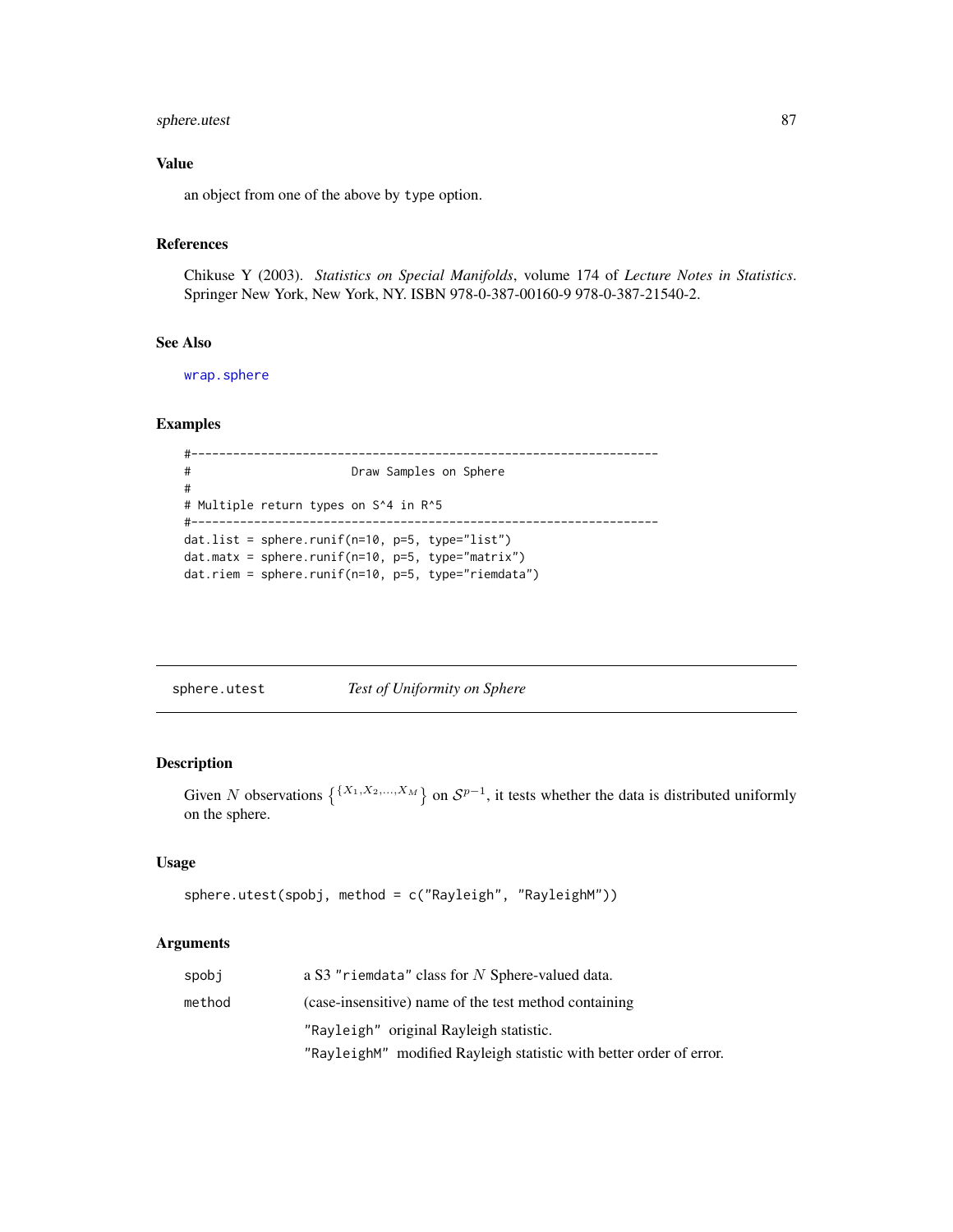# <span id="page-86-0"></span>sphere.utest 87

# Value

an object from one of the above by type option.

# References

Chikuse Y (2003). *Statistics on Special Manifolds*, volume 174 of *Lecture Notes in Statistics*. Springer New York, New York, NY. ISBN 978-0-387-00160-9 978-0-387-21540-2.

# See Also

[wrap.sphere](#page-104-0)

#### Examples

```
#-------------------------------------------------------------------
# Draw Samples on Sphere
#
# Multiple return types on S^4 in R^5
#-------------------------------------------------------------------
dat.list = sphere.runif(n=10, p=5, type="list")
dat.matx = sphere.runif(n=10, p=5, type="matrix")
dat.riem = sphere.runif(n=10, p=5, type="riemdata")
```
sphere.utest *Test of Uniformity on Sphere*

# Description

Given N observations  $\{^{X_1, X_2, ..., X_M}\}$  on  $S^{p-1}$ , it tests whether the data is distributed uniformly on the sphere.

# Usage

```
sphere.utest(spobj, method = c("Rayleigh", "RayleighM"))
```
#### Arguments

| spobj  | a S3 "riemdata" class for N Sphere-valued data.                     |
|--------|---------------------------------------------------------------------|
| method | (case-insensitive) name of the test method containing               |
|        | "Rayleigh" original Rayleigh statistic.                             |
|        | "RayleighM" modified Rayleigh statistic with better order of error. |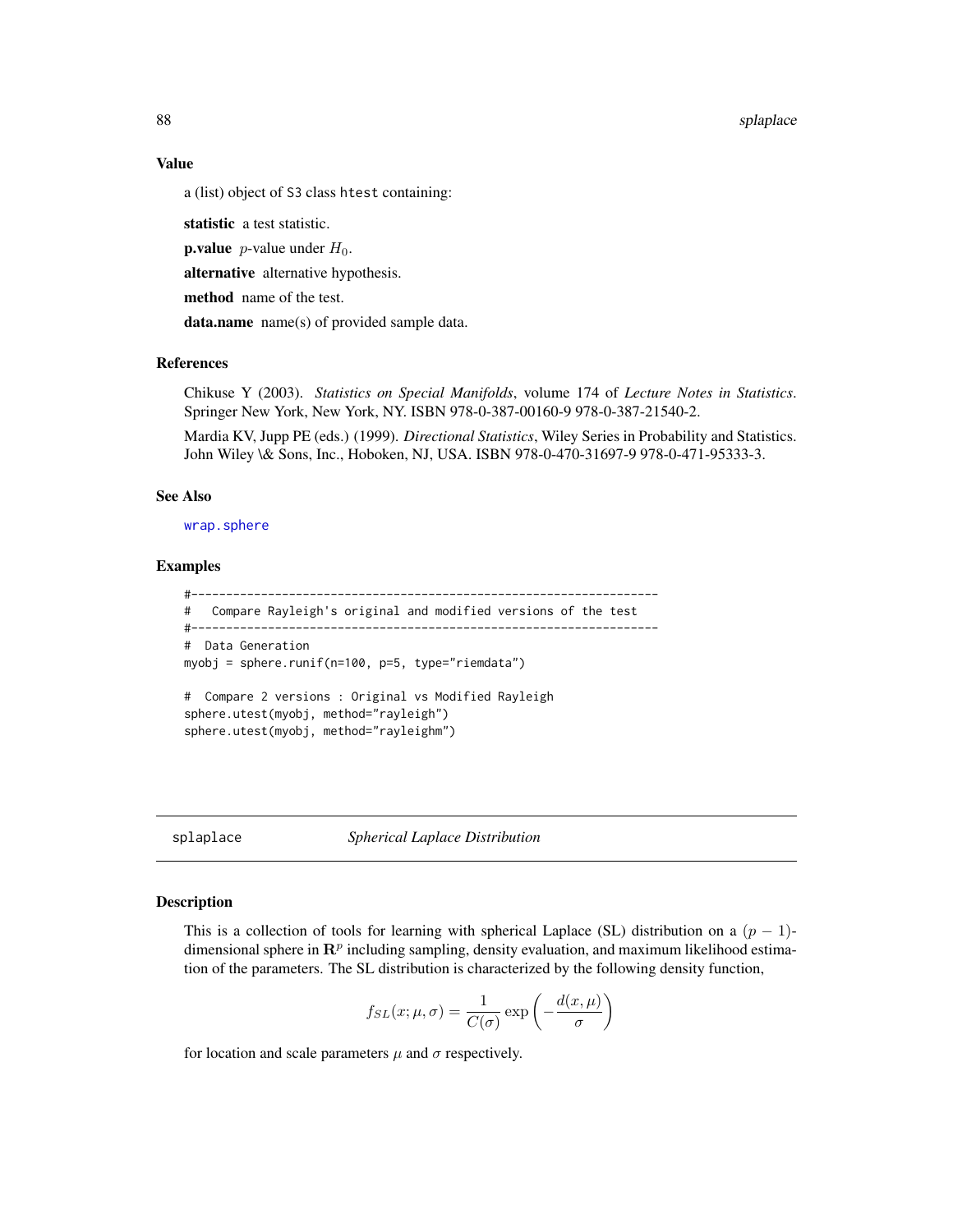<span id="page-87-0"></span>88 splaplace

#### Value

a (list) object of S3 class htest containing:

statistic a test statistic.

**p.value** *p*-value under  $H_0$ .

alternative alternative hypothesis.

method name of the test.

data.name name(s) of provided sample data.

# References

Chikuse Y (2003). *Statistics on Special Manifolds*, volume 174 of *Lecture Notes in Statistics*. Springer New York, New York, NY. ISBN 978-0-387-00160-9 978-0-387-21540-2.

Mardia KV, Jupp PE (eds.) (1999). *Directional Statistics*, Wiley Series in Probability and Statistics. John Wiley \& Sons, Inc., Hoboken, NJ, USA. ISBN 978-0-470-31697-9 978-0-471-95333-3.

#### See Also

[wrap.sphere](#page-104-0)

#### Examples

```
#-------------------------------------------------------------------
# Compare Rayleigh's original and modified versions of the test
#-------------------------------------------------------------------
# Data Generation
myobj = sphere.runif(n=100, p=5, type="riemdata")
# Compare 2 versions : Original vs Modified Rayleigh
sphere.utest(myobj, method="rayleigh")
sphere.utest(myobj, method="rayleighm")
```
splaplace *Spherical Laplace Distribution*

# Description

This is a collection of tools for learning with spherical Laplace (SL) distribution on a  $(p - 1)$ dimensional sphere in  $\mathbb{R}^p$  including sampling, density evaluation, and maximum likelihood estimation of the parameters. The SL distribution is characterized by the following density function,

$$
f_{SL}(x; \mu, \sigma) = \frac{1}{C(\sigma)} \exp\left(-\frac{d(x, \mu)}{\sigma}\right)
$$

for location and scale parameters  $\mu$  and  $\sigma$  respectively.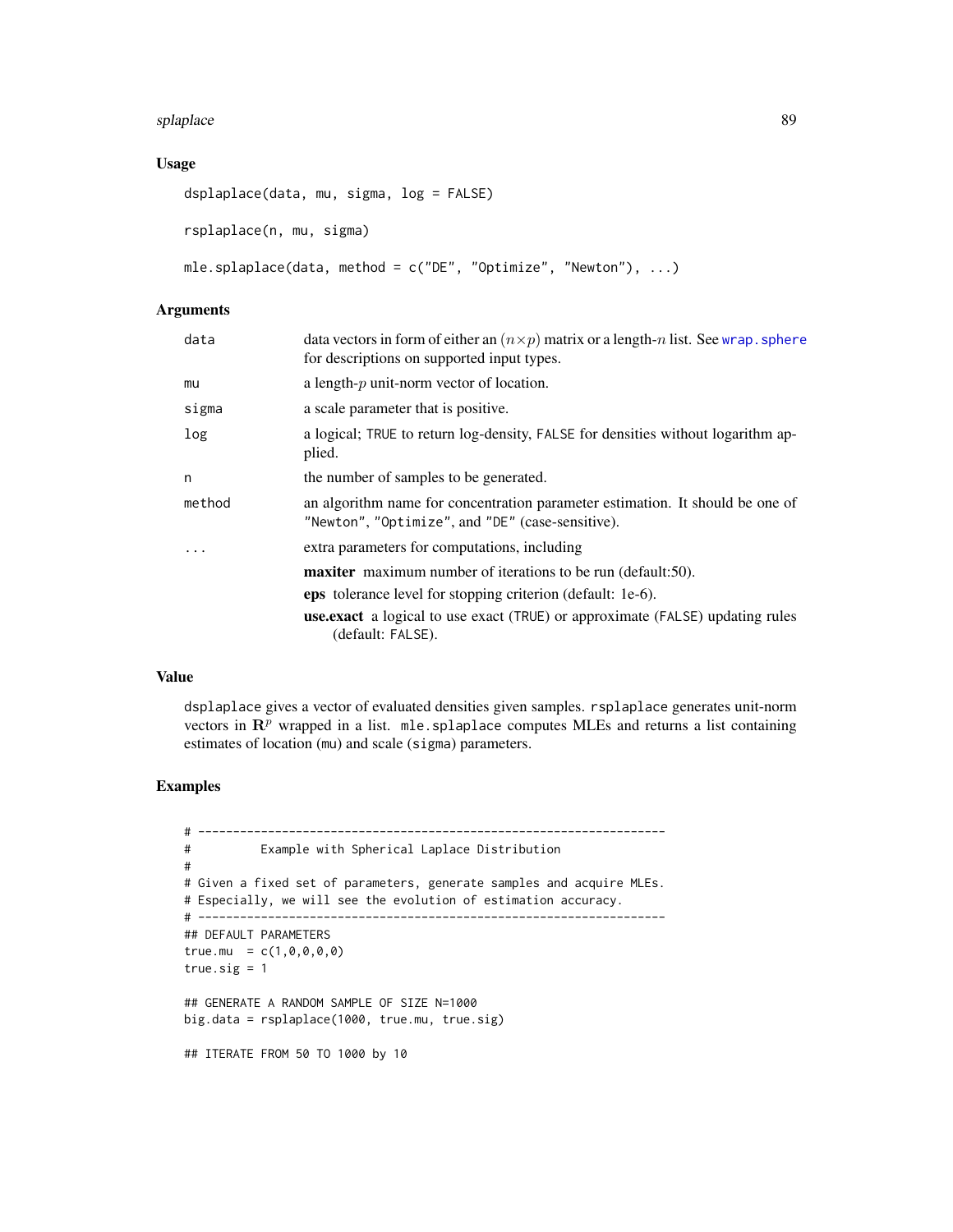#### splaplace 89

# Usage

```
dsplaplace(data, mu, sigma, log = FALSE)
rsplaplace(n, mu, sigma)
mle.splaplace(data, method = c("DE", "Optimize", "Newton"), ...)
```
# Arguments

| data   | data vectors in form of either an $(n \times p)$ matrix or a length-n list. See wrap, sphere<br>for descriptions on supported input types. |
|--------|--------------------------------------------------------------------------------------------------------------------------------------------|
| mu     | a length- $p$ unit-norm vector of location.                                                                                                |
| sigma  | a scale parameter that is positive.                                                                                                        |
| log    | a logical; TRUE to return log-density, FALSE for densities without logarithm ap-<br>plied.                                                 |
| n      | the number of samples to be generated.                                                                                                     |
| method | an algorithm name for concentration parameter estimation. It should be one of<br>"Newton", "Optimize", and "DE" (case-sensitive).          |
| .      | extra parameters for computations, including                                                                                               |
|        | <b>maxiter</b> maximum number of iterations to be run (default:50).                                                                        |
|        | eps tolerance level for stopping criterion (default: 1e-6).                                                                                |
|        | <b>use.exact</b> a logical to use exact (TRUE) or approximate (FALSE) updating rules<br>(default: FALSE).                                  |
|        |                                                                                                                                            |

# Value

dsplaplace gives a vector of evaluated densities given samples. rsplaplace generates unit-norm vectors in  $\mathbb{R}^p$  wrapped in a list. mle.splaplace computes MLEs and returns a list containing estimates of location (mu) and scale (sigma) parameters.

```
# -------------------------------------------------------------------
# Example with Spherical Laplace Distribution
#
# Given a fixed set of parameters, generate samples and acquire MLEs.
# Especially, we will see the evolution of estimation accuracy.
# -------------------------------------------------------------------
## DEFAULT PARAMETERS
true.mu = c(1, 0, 0, 0, 0)true.sig = 1## GENERATE A RANDOM SAMPLE OF SIZE N=1000
big.data = rsplaplace(1000, true.mu, true.sig)
## ITERATE FROM 50 TO 1000 by 10
```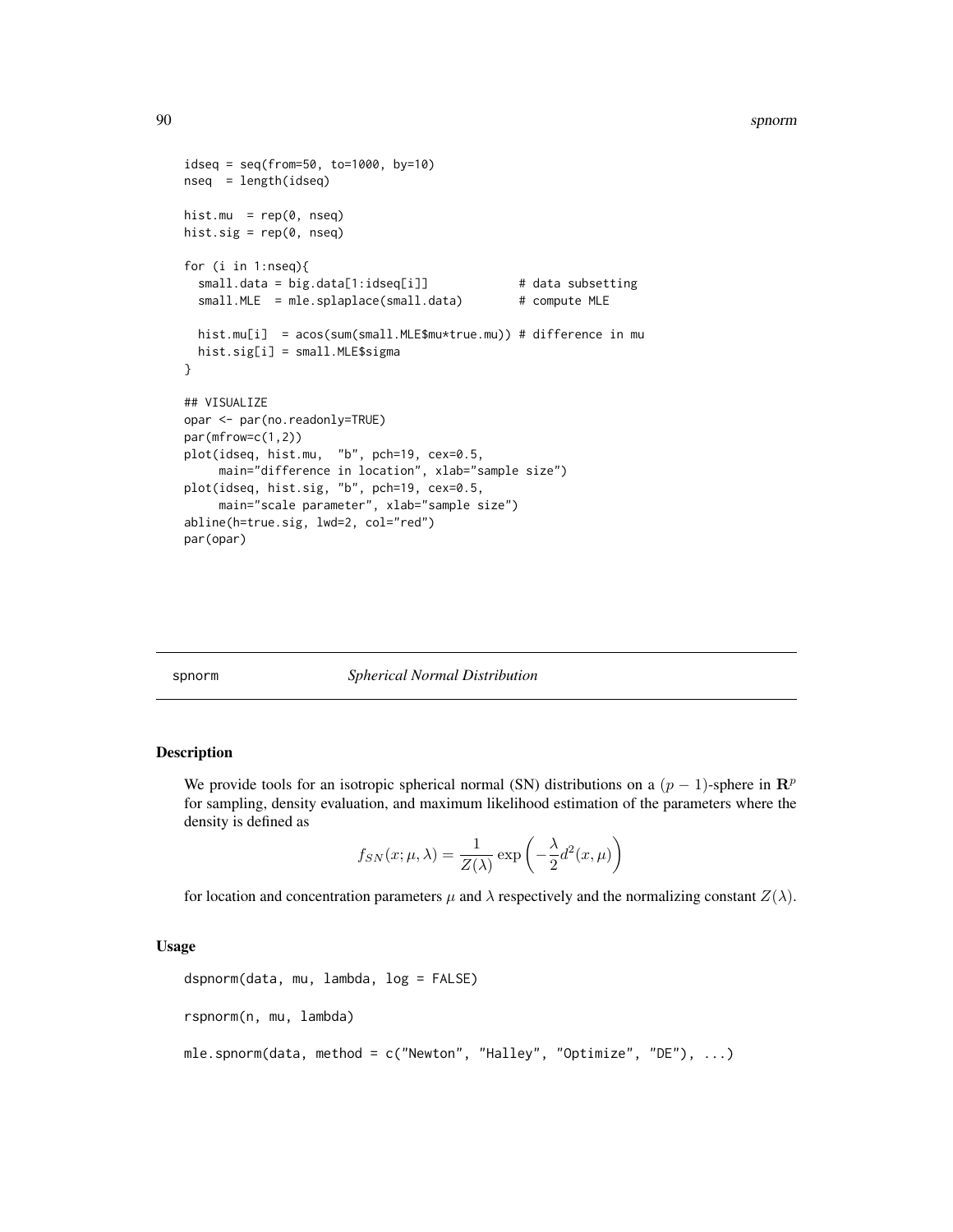```
idesq = seq(from=50, to=1000, by=10)nseq = length(idseq)
hist.mu = rep(0, nseq)hist.sig = rep(0, nseq)for (i in 1:nseq){
  small.data = big.data[1:idseq[i]] \qquad \qquad \qquad # data subsetting
  small.MLE = mle.splaplace(small.data) # compute MLE
  hist.mu[i] = acos(sum(small.MLE$mu*true.mu)) # difference in mu
  hist.sig[i] = small.MLE$sigma
}
## VISUALIZE
opar <- par(no.readonly=TRUE)
par(mfrow=c(1,2))
plot(idseq, hist.mu, "b", pch=19, cex=0.5,
     main="difference in location", xlab="sample size")
plot(idseq, hist.sig, "b", pch=19, cex=0.5,
     main="scale parameter", xlab="sample size")
abline(h=true.sig, lwd=2, col="red")
par(opar)
```

|  | spnorm |
|--|--------|

# spnorm *Spherical Normal Distribution*

# Description

We provide tools for an isotropic spherical normal (SN) distributions on a  $(p-1)$ -sphere in  $\mathbb{R}^p$ for sampling, density evaluation, and maximum likelihood estimation of the parameters where the density is defined as

$$
f_{SN}(x; \mu, \lambda) = \frac{1}{Z(\lambda)} \exp\left(-\frac{\lambda}{2}d^2(x, \mu)\right)
$$

for location and concentration parameters  $\mu$  and  $\lambda$  respectively and the normalizing constant  $Z(\lambda)$ .

#### Usage

```
dspnorm(data, mu, lambda, log = FALSE)
rspnorm(n, mu, lambda)
```
mle.spnorm(data, method = c("Newton", "Halley", "Optimize", "DE"), ...)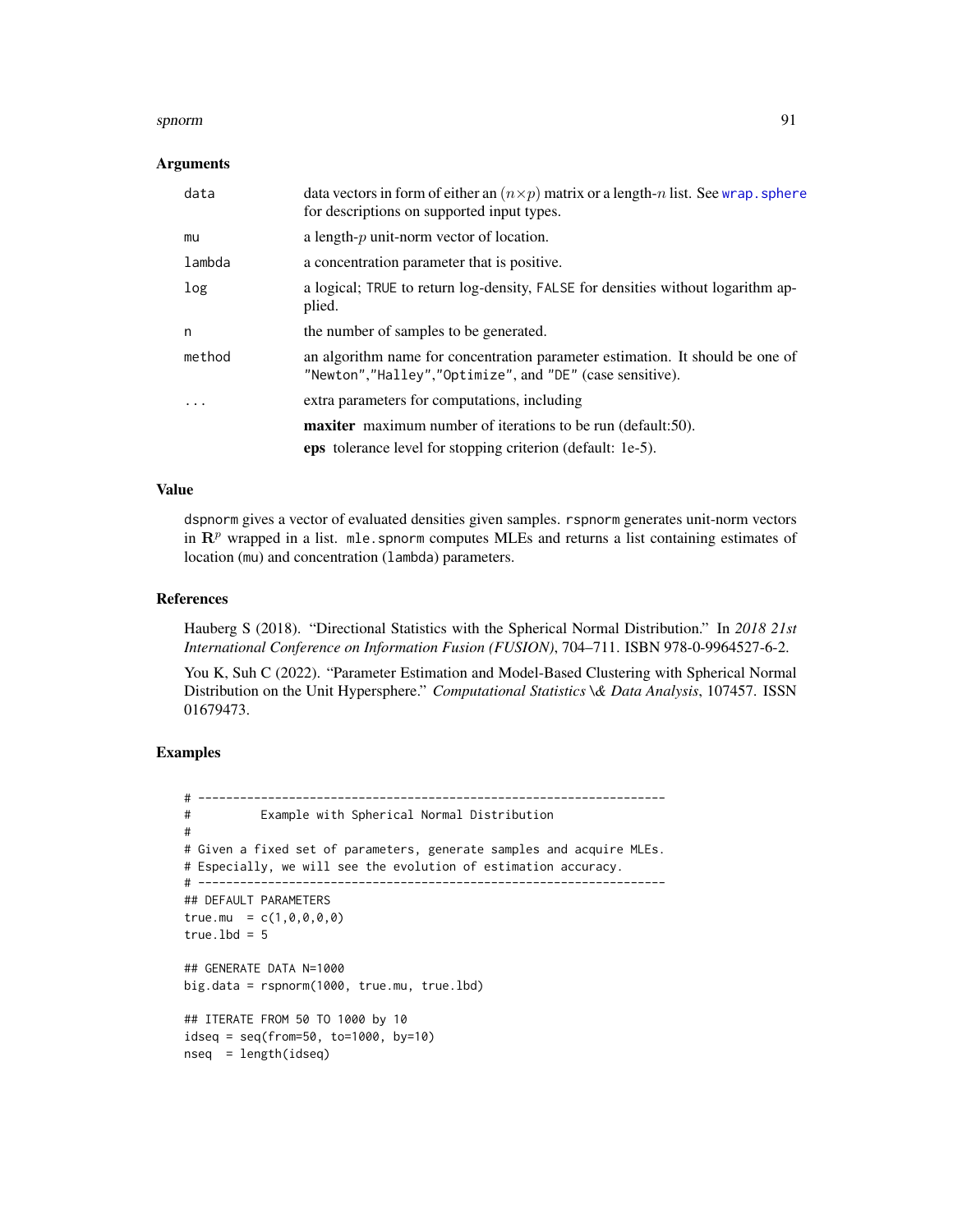#### spnorm 91

#### **Arguments**

| data   | data vectors in form of either an $(n \times p)$ matrix or a length-n list. See wrap. sphere<br>for descriptions on supported input types. |
|--------|--------------------------------------------------------------------------------------------------------------------------------------------|
| mu     | a length- $p$ unit-norm vector of location.                                                                                                |
| lambda | a concentration parameter that is positive.                                                                                                |
| log    | a logical; TRUE to return log-density, FALSE for densities without logarithm ap-<br>plied.                                                 |
| n      | the number of samples to be generated.                                                                                                     |
| method | an algorithm name for concentration parameter estimation. It should be one of<br>"Newton","Halley","Optimize", and "DE" (case sensitive).  |
| .      | extra parameters for computations, including                                                                                               |
|        | <b>maxiter</b> maximum number of iterations to be run (default:50).                                                                        |
|        | eps tolerance level for stopping criterion (default: 1e-5).                                                                                |

# Value

dspnorm gives a vector of evaluated densities given samples. rspnorm generates unit-norm vectors in  $\mathbb{R}^p$  wrapped in a list. mle.spnorm computes MLEs and returns a list containing estimates of location (mu) and concentration (lambda) parameters.

#### References

Hauberg S (2018). "Directional Statistics with the Spherical Normal Distribution." In *2018 21st International Conference on Information Fusion (FUSION)*, 704–711. ISBN 978-0-9964527-6-2.

You K, Suh C (2022). "Parameter Estimation and Model-Based Clustering with Spherical Normal Distribution on the Unit Hypersphere." *Computational Statistics \& Data Analysis*, 107457. ISSN 01679473.

```
# -------------------------------------------------------------------
# Example with Spherical Normal Distribution
#
# Given a fixed set of parameters, generate samples and acquire MLEs.
# Especially, we will see the evolution of estimation accuracy.
# -------------------------------------------------------------------
## DEFAULT PARAMETERS
true.mu = c(1, 0, 0, 0, 0)true.lbd = 5## GENERATE DATA N=1000
big.data = rspnorm(1000, true.mu, true.lbd)
## ITERATE FROM 50 TO 1000 by 10
idesq = seq(from=50, to=1000, by=10)nseq = length(idseq)
```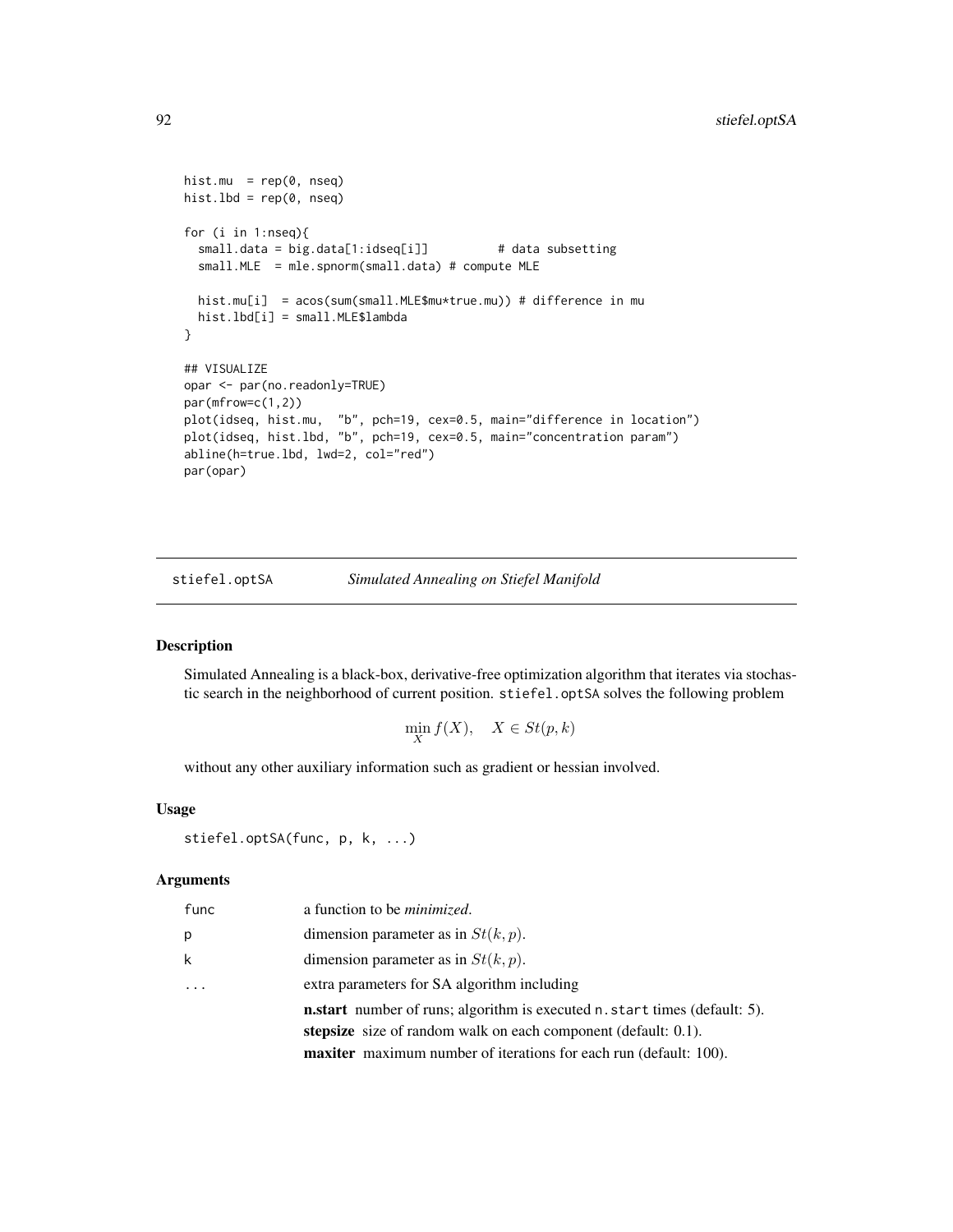```
hist.mu = rep(0, nseq)hist.lbd = rep(0, nseq)for (i in 1:nseq){
 small.data = big.data[1:idseq[i]] # data subsetting
 small.MLE = mle.spnorm(small.data) # compute MLE
 hist.mu[i] = acos(sum(small.MLE$mu*true.mu)) # difference in mu
 hist.lbd[i] = small.MLE$lambda
}
## VISUALIZE
opar <- par(no.readonly=TRUE)
par(mfrow=c(1,2))
plot(idseq, hist.mu, "b", pch=19, cex=0.5, main="difference in location")
plot(idseq, hist.lbd, "b", pch=19, cex=0.5, main="concentration param")
abline(h=true.lbd, lwd=2, col="red")
par(opar)
```
stiefel.optSA *Simulated Annealing on Stiefel Manifold*

#### Description

Simulated Annealing is a black-box, derivative-free optimization algorithm that iterates via stochastic search in the neighborhood of current position. stiefel.optSA solves the following problem

$$
\min_{X} f(X), \quad X \in St(p,k)
$$

without any other auxiliary information such as gradient or hessian involved.

#### Usage

```
stiefel.optSA(func, p, k, ...)
```
# Arguments

| func | a function to be <i>minimized</i> .                                              |
|------|----------------------------------------------------------------------------------|
| p    | dimension parameter as in $St(k, p)$ .                                           |
| k    | dimension parameter as in $St(k, p)$ .                                           |
|      | extra parameters for SA algorithm including                                      |
|      | <b>n.start</b> number of runs; algorithm is executed n.start times (default: 5). |
|      | stepsize size of random walk on each component (default: 0.1).                   |
|      | <b>maxiter</b> maximum number of iterations for each run (default: 100).         |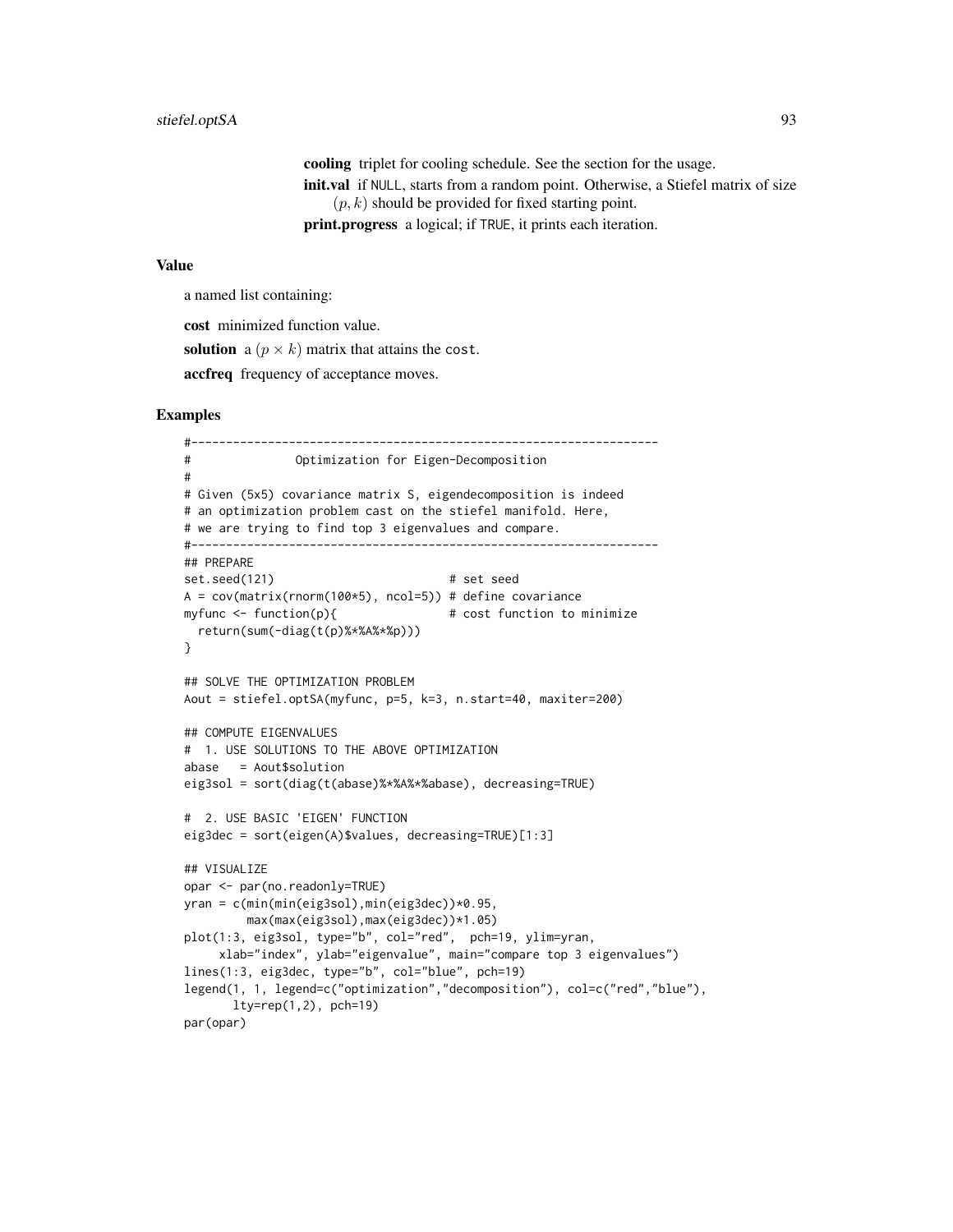cooling triplet for cooling schedule. See the section for the usage. init.val if NULL, starts from a random point. Otherwise, a Stiefel matrix of size  $(p, k)$  should be provided for fixed starting point. print.progress a logical; if TRUE, it prints each iteration.

#### Value

a named list containing:

cost minimized function value.

solution a  $(p \times k)$  matrix that attains the cost.

accfreq frequency of acceptance moves.

```
#-------------------------------------------------------------------
# Optimization for Eigen-Decomposition
#
# Given (5x5) covariance matrix S, eigendecomposition is indeed
# an optimization problem cast on the stiefel manifold. Here,
# we are trying to find top 3 eigenvalues and compare.
#-------------------------------------------------------------------
## PREPARE
set.seed(121) # set seed
A = cov(matrix(rnorm(100*5), ncol=5)) # define covariance
myfunc <- function(p){ # cost function to minimize
 return(sum(-diag(t(p)%*%A%*%p)))
}
## SOLVE THE OPTIMIZATION PROBLEM
Aout = stiefel.optSA(myfunc, p=5, k=3, n.start=40, maxiter=200)
## COMPUTE EIGENVALUES
# 1. USE SOLUTIONS TO THE ABOVE OPTIMIZATION
abase = Aout$solution
eig3sol = sort(diag(t(abase)%*%A%*%abase), decreasing=TRUE)
# 2. USE BASIC 'EIGEN' FUNCTION
eig3dec = sort(eigen(A)$values, decreasing=TRUE)[1:3]
## VISUALIZE
opar <- par(no.readonly=TRUE)
yran = c(min(min(eig3sol),min(eig3dec))*0.95,
        max(max(eig3sol),max(eig3dec))*1.05)
plot(1:3, eig3sol, type="b", col="red", pch=19, ylim=yran,
    xlab="index", ylab="eigenvalue", main="compare top 3 eigenvalues")
lines(1:3, eig3dec, type="b", col="blue", pch=19)
legend(1, 1, legend=c("optimization","decomposition"), col=c("red","blue"),
      lty=rep(1,2), pch=19
```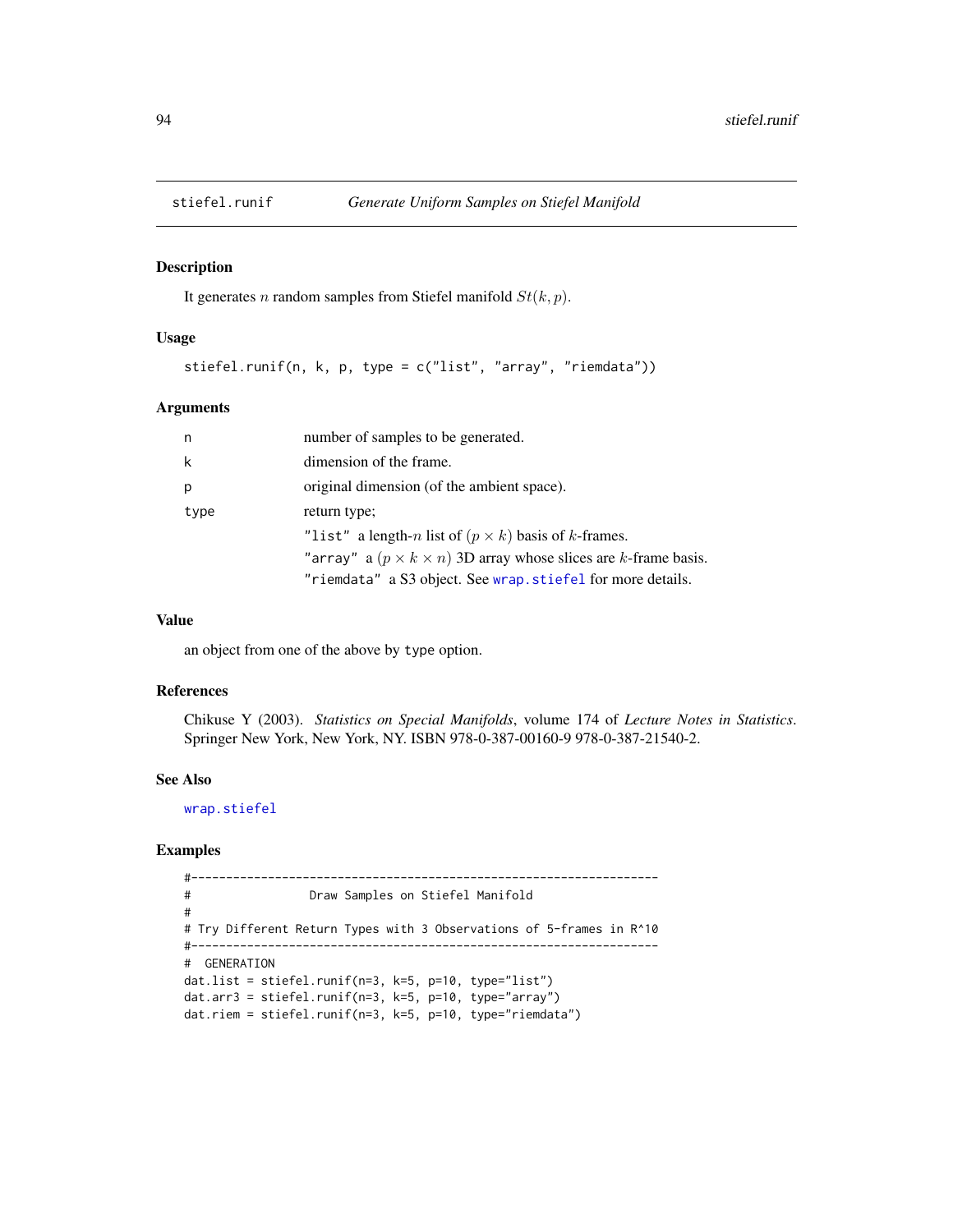<span id="page-93-0"></span>

#### Description

It generates *n* random samples from Stiefel manifold  $St(k, p)$ .

#### Usage

stiefel.runif(n, k, p, type = c("list", "array", "riemdata"))

#### Arguments

| n    | number of samples to be generated.                                         |
|------|----------------------------------------------------------------------------|
| k    | dimension of the frame.                                                    |
| p    | original dimension (of the ambient space).                                 |
| type | return type;                                                               |
|      | "list" a length-n list of $(p \times k)$ basis of k-frames.                |
|      | "array" a $(p \times k \times n)$ 3D array whose slices are k-frame basis. |
|      | "riemdata" a S3 object. See wrap. stiefel for more details.                |

#### Value

an object from one of the above by type option.

#### References

Chikuse Y (2003). *Statistics on Special Manifolds*, volume 174 of *Lecture Notes in Statistics*. Springer New York, New York, NY. ISBN 978-0-387-00160-9 978-0-387-21540-2.

#### See Also

[wrap.stiefel](#page-105-0)

```
#-------------------------------------------------------------------
# Draw Samples on Stiefel Manifold
#
# Try Different Return Types with 3 Observations of 5-frames in R^10
#-------------------------------------------------------------------
# GENERATION
dat.list = stiefel.runif(n=3, k=5, p=10, type="list")
dat.arr3 = stiefel.runif(n=3, k=5, p=10, type="array")
dat.riem = stiefel.runif(n=3, k=5, p=10, type="riemdata")
```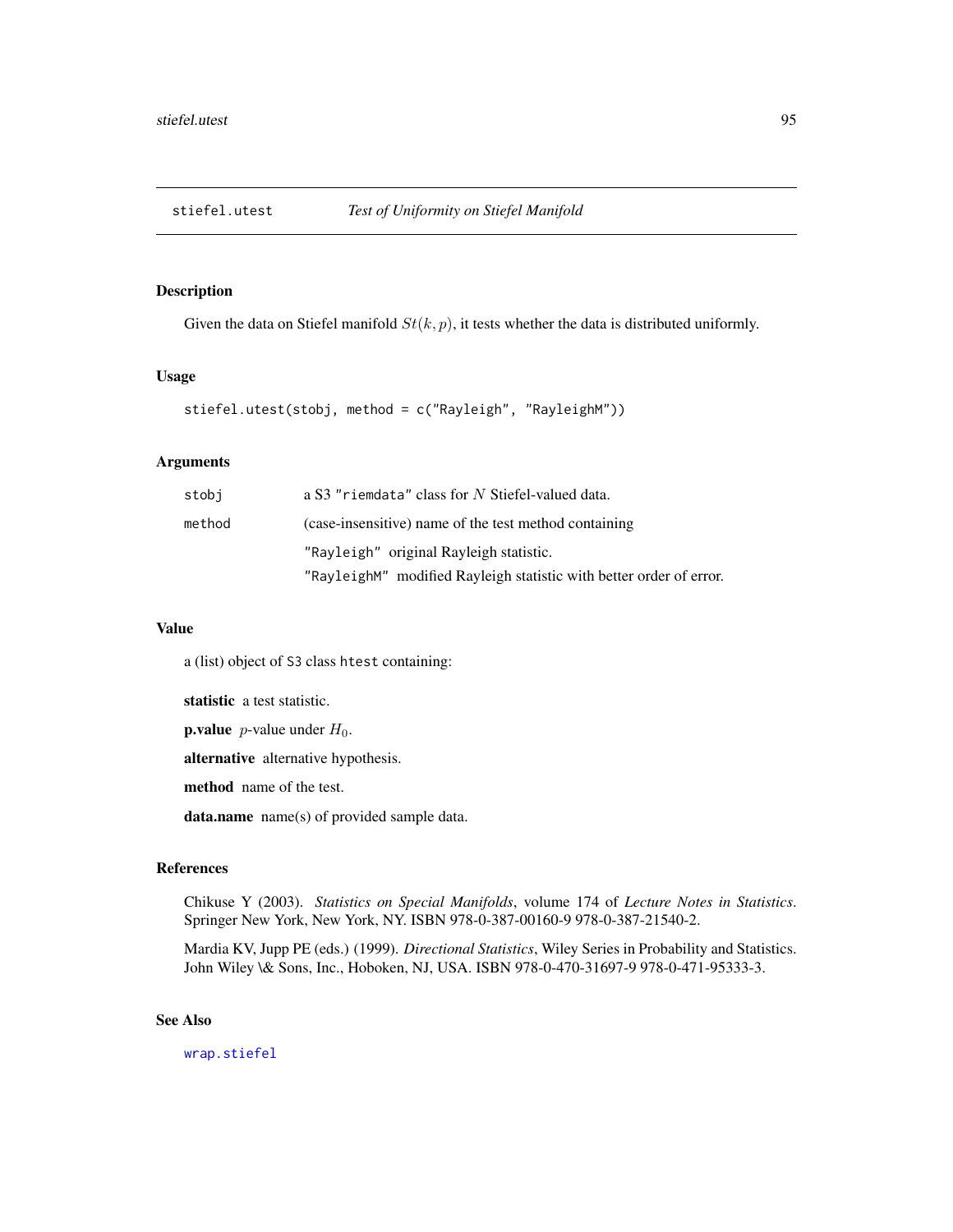<span id="page-94-0"></span>

# Description

Given the data on Stiefel manifold  $St(k, p)$ , it tests whether the data is distributed uniformly.

# Usage

```
stiefel.utest(stobj, method = c("Rayleigh", "RayleighM"))
```
# Arguments

| stobi  | a S3 "riemdata" class for N Stiefel-valued data.                    |
|--------|---------------------------------------------------------------------|
| method | (case-insensitive) name of the test method containing               |
|        | "Rayleigh" original Rayleigh statistic.                             |
|        | "RayleighM" modified Rayleigh statistic with better order of error. |

#### Value

a (list) object of S3 class htest containing:

statistic a test statistic.

**p.value** *p*-value under  $H_0$ .

alternative alternative hypothesis.

method name of the test.

data.name name(s) of provided sample data.

# References

Chikuse Y (2003). *Statistics on Special Manifolds*, volume 174 of *Lecture Notes in Statistics*. Springer New York, New York, NY. ISBN 978-0-387-00160-9 978-0-387-21540-2.

Mardia KV, Jupp PE (eds.) (1999). *Directional Statistics*, Wiley Series in Probability and Statistics. John Wiley \& Sons, Inc., Hoboken, NJ, USA. ISBN 978-0-470-31697-9 978-0-471-95333-3.

# See Also

[wrap.stiefel](#page-105-0)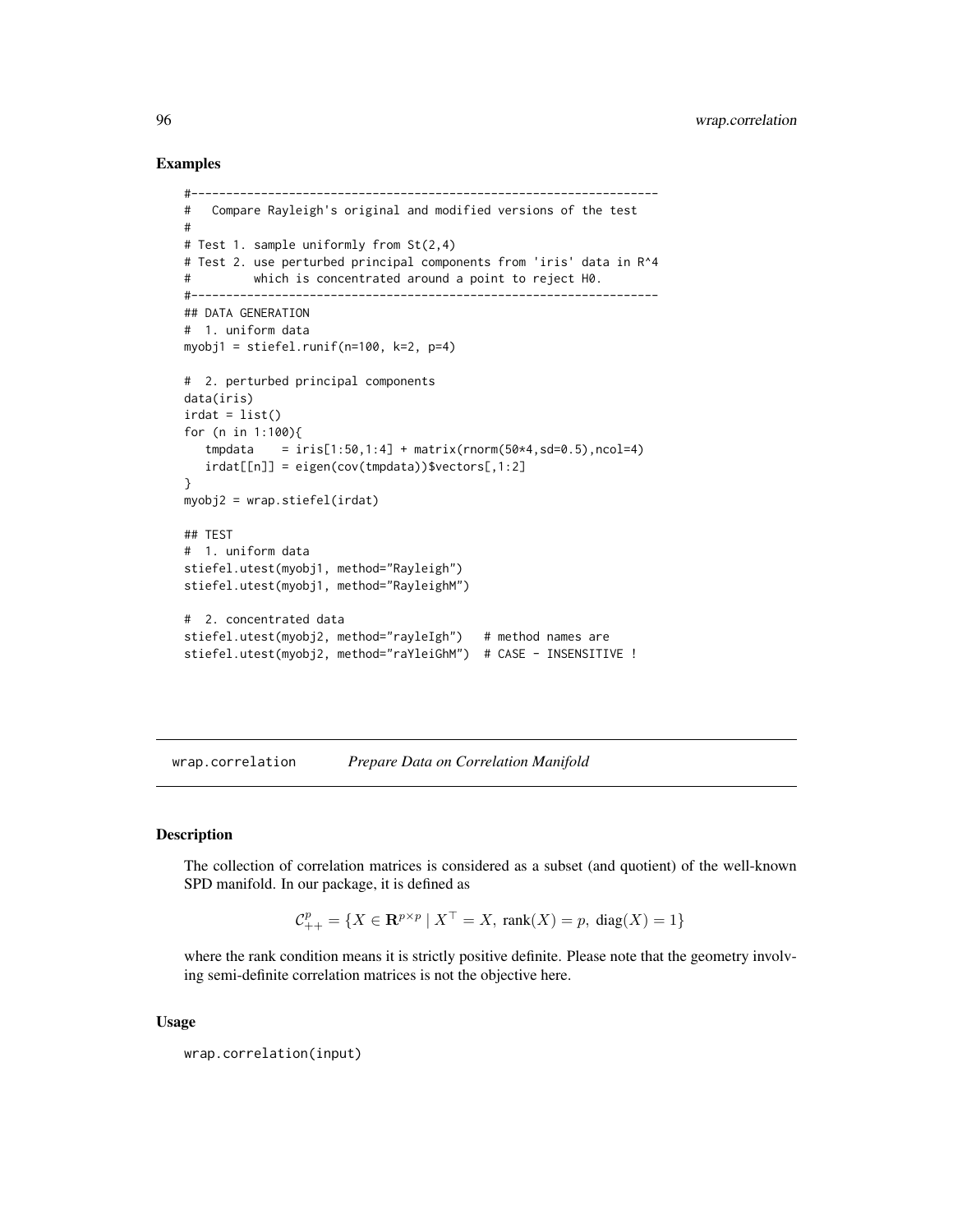#### Examples

```
#-------------------------------------------------------------------
# Compare Rayleigh's original and modified versions of the test
#
# Test 1. sample uniformly from St(2,4)
# Test 2. use perturbed principal components from 'iris' data in R^4
# which is concentrated around a point to reject H0.
#-------------------------------------------------------------------
## DATA GENERATION
# 1. uniform data
myobj1 = stiefel.runif(n=100, k=2, p=4)
# 2. perturbed principal components
data(iris)
irdat = list()
for (n in 1:100){
   tmpdata = iris[1:50, 1:4] + matrix(rnorm(50*4, sd=0.5), ncol=4)irdat[[n]] = eigen(cov(tmpdata))$vectors[,1:2]
}
myobj2 = wrap.stiefel(irdat)
## TEST
# 1. uniform data
stiefel.utest(myobj1, method="Rayleigh")
stiefel.utest(myobj1, method="RayleighM")
# 2. concentrated data
stiefel.utest(myobj2, method="rayleIgh") # method names are
stiefel.utest(myobj2, method="raYleiGhM") # CASE - INSENSITIVE !
```
wrap.correlation *Prepare Data on Correlation Manifold*

#### Description

The collection of correlation matrices is considered as a subset (and quotient) of the well-known SPD manifold. In our package, it is defined as

 $C_{++}^p = \{ X \in \mathbf{R}^{p \times p} \mid X^{\top} = X, \text{ rank}(X) = p, \text{ diag}(X) = 1 \}$ 

where the rank condition means it is strictly positive definite. Please note that the geometry involving semi-definite correlation matrices is not the objective here.

#### Usage

wrap.correlation(input)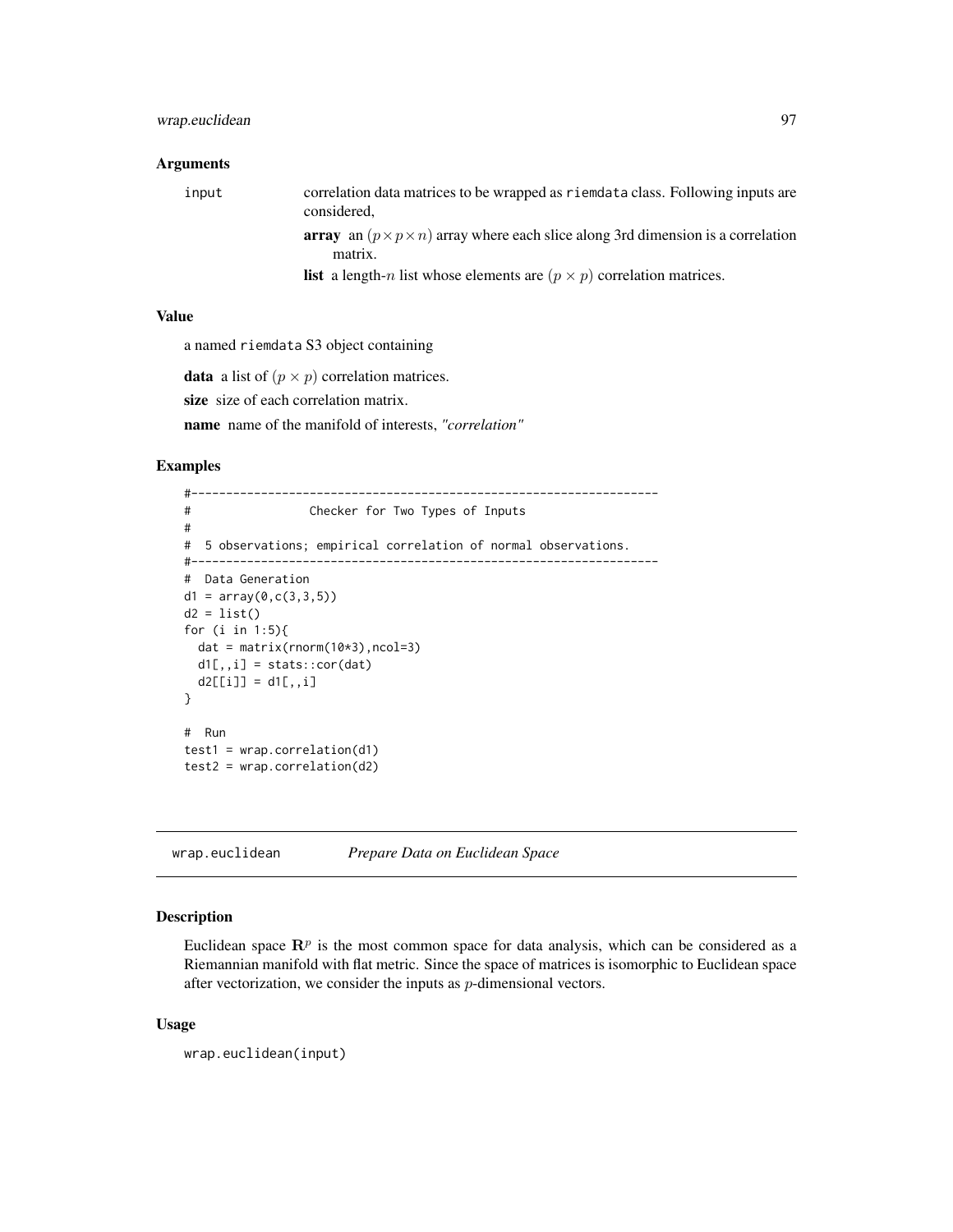# wrap.euclidean 97

#### Arguments

input correlation data matrices to be wrapped as riemdata class. Following inputs are considered,

array an  $(p \times p \times n)$  array where each slice along 3rd dimension is a correlation matrix.

**list** a length-n list whose elements are  $(p \times p)$  correlation matrices.

# Value

a named riemdata S3 object containing

**data** a list of  $(p \times p)$  correlation matrices.

size size of each correlation matrix.

name name of the manifold of interests, *"correlation"*

#### Examples

```
#-------------------------------------------------------------------
# Checker for Two Types of Inputs
#
# 5 observations; empirical correlation of normal observations.
#-------------------------------------------------------------------
# Data Generation
d1 = array(0, c(3, 3, 5))d2 = list()for (i in 1:5){
 dat = matrix(rnorm(10*3),ncol=3)d1[,, i] = stats::cor(data)d2[[i]] = d1[,, i]}
# Run
test1 = wrap.correlation(d1)test2 = wrap.correlation(d2)
```
wrap.euclidean *Prepare Data on Euclidean Space*

# Description

Euclidean space  $\mathbb{R}^p$  is the most common space for data analysis, which can be considered as a Riemannian manifold with flat metric. Since the space of matrices is isomorphic to Euclidean space after vectorization, we consider the inputs as  $p$ -dimensional vectors.

#### Usage

wrap.euclidean(input)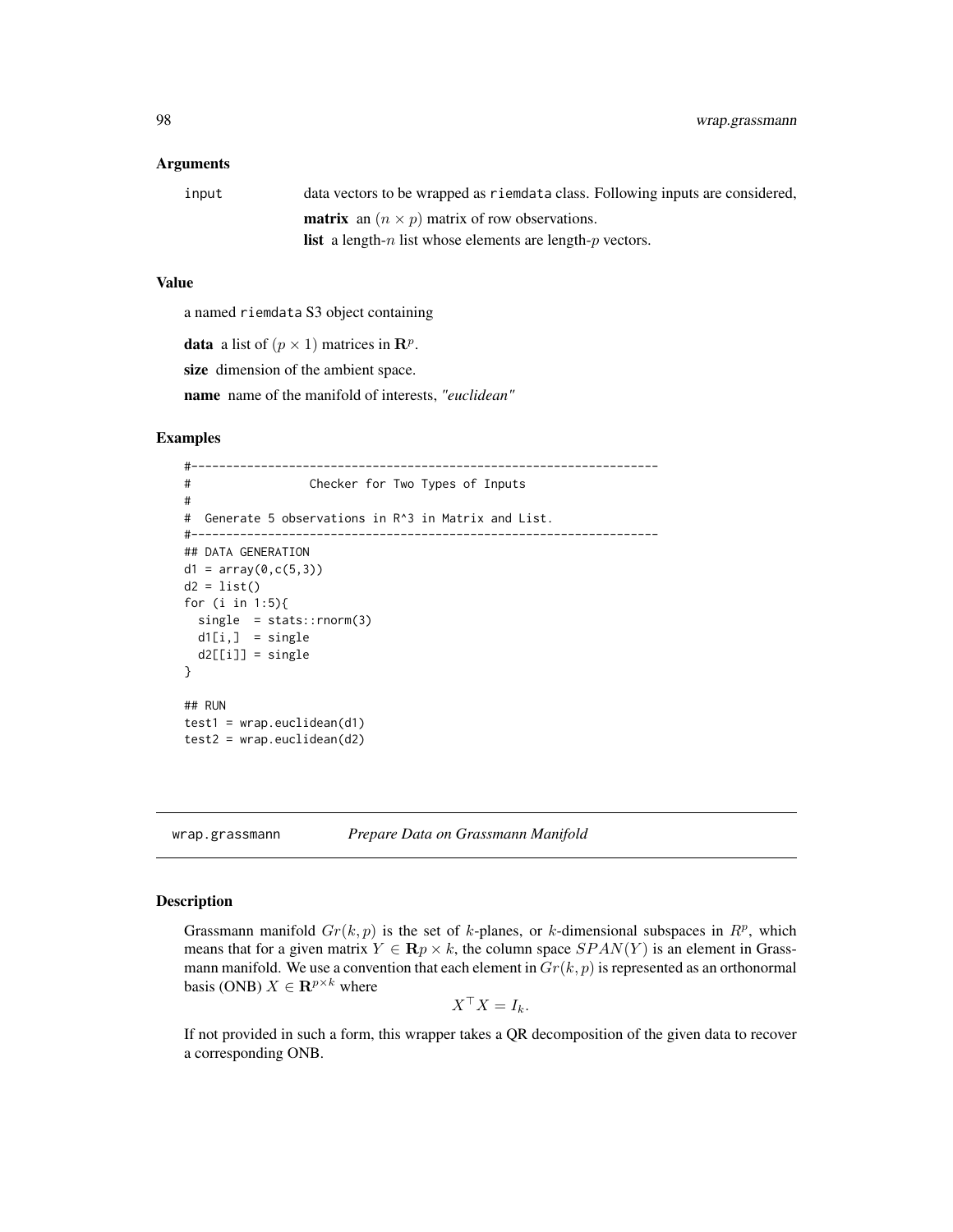#### Arguments

| input | data vectors to be wrapped as riemdata class. Following inputs are considered,   |
|-------|----------------------------------------------------------------------------------|
|       | <b>matrix</b> an $(n \times p)$ matrix of row observations.                      |
|       | <b>list</b> a length- <i>n</i> list whose elements are length- <i>p</i> vectors. |

#### Value

a named riemdata S3 object containing

**data** a list of  $(p \times 1)$  matrices in  $\mathbb{R}^p$ .

size dimension of the ambient space.

name name of the manifold of interests, *"euclidean"*

#### Examples

```
#-------------------------------------------------------------------
# Checker for Two Types of Inputs
#
# Generate 5 observations in R^3 in Matrix and List.
#-------------------------------------------------------------------
## DATA GENERATION
d1 = array(0, c(5, 3))d2 = list()for (i in 1:5){
  single = stats::rnorm(3)d1[i,] = single
  d2[[i]] = single}
## RUN
test1 = wrap<u>euclidean(d1)</u>
test2 = wrap.euclidean(d2)
```
wrap.grassmann *Prepare Data on Grassmann Manifold*

# Description

Grassmann manifold  $Gr(k, p)$  is the set of k-planes, or k-dimensional subspaces in  $\mathbb{R}^p$ , which means that for a given matrix  $Y \in \mathbf{R} p \times k$ , the column space  $SPAN(Y)$  is an element in Grassmann manifold. We use a convention that each element in  $Gr(k, p)$  is represented as an orthonormal basis (ONB)  $X \in \mathbf{R}^{p \times k}$  where

$$
X^{\top} X = I_k.
$$

If not provided in such a form, this wrapper takes a QR decomposition of the given data to recover a corresponding ONB.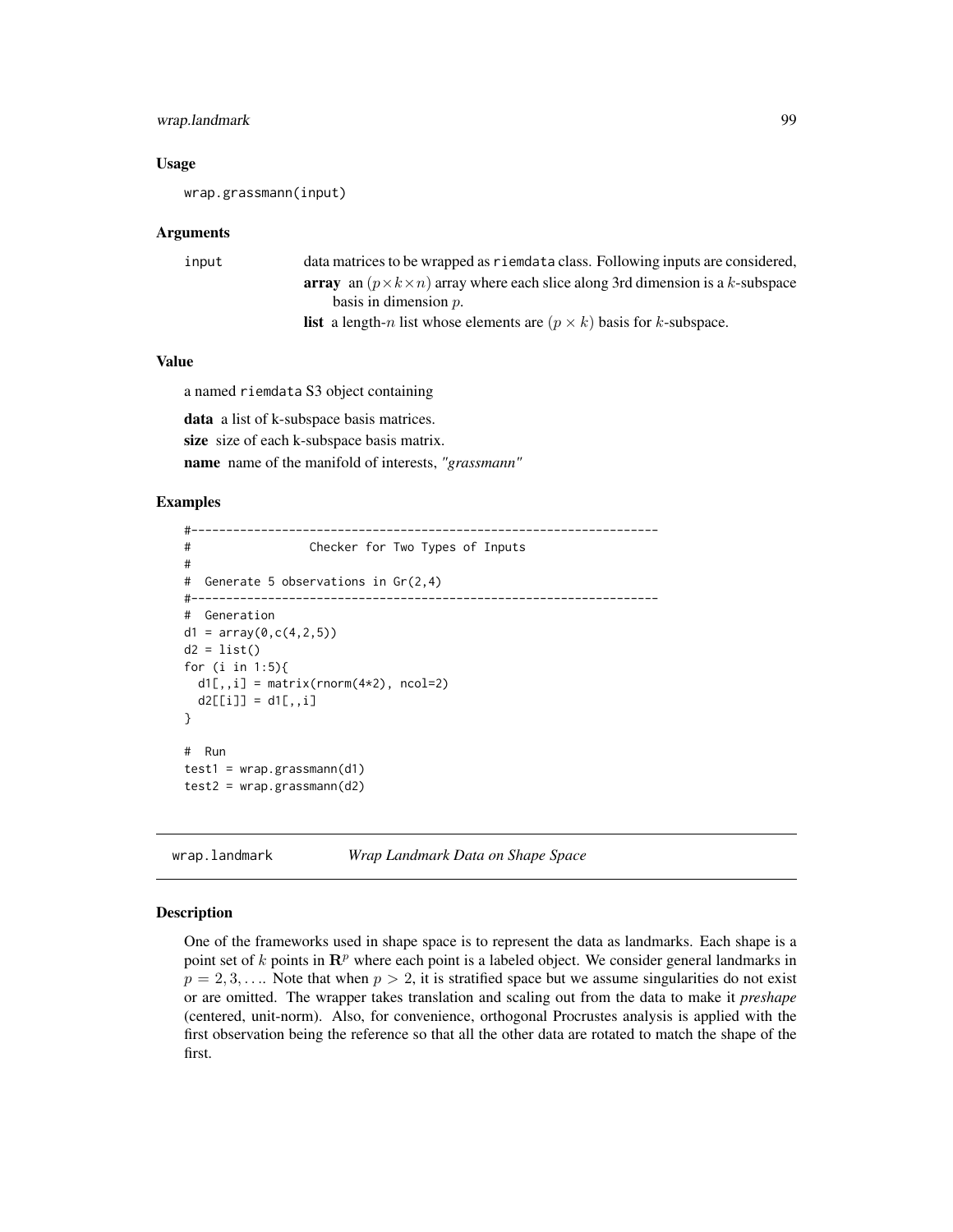# wrap.landmark 99

#### Usage

wrap.grassmann(input)

#### Arguments

| input | data matrices to be wrapped as riemdata class. Following inputs are considered,                    |
|-------|----------------------------------------------------------------------------------------------------|
|       | <b>array</b> an $(p \times k \times n)$ array where each slice along 3rd dimension is a k-subspace |
|       | basis in dimension $p$ .                                                                           |
|       | <b>list</b> a length-n list whose elements are $(p \times k)$ basis for k-subspace.                |

#### Value

a named riemdata S3 object containing

data a list of k-subspace basis matrices. size size of each k-subspace basis matrix. name name of the manifold of interests, *"grassmann"*

#### Examples

```
#-------------------------------------------------------------------
# Checker for Two Types of Inputs
#
# Generate 5 observations in Gr(2,4)
#-------------------------------------------------------------------
# Generation
d1 = array(0, c(4, 2, 5))d2 = list()for (i in 1:5){
 dl[,, i] = matrix(rnorm(4*2), ncol=2)d2[[i]] = d1[,, i]}
# Run
test1 = wrap.grassmann(d1)
test2 = wrap.grassmann(d2)
```
wrap.landmark *Wrap Landmark Data on Shape Space*

#### Description

One of the frameworks used in shape space is to represent the data as landmarks. Each shape is a point set of k points in  $\mathbb{R}^p$  where each point is a labeled object. We consider general landmarks in  $p = 2, 3, \ldots$  Note that when  $p > 2$ , it is stratified space but we assume singularities do not exist or are omitted. The wrapper takes translation and scaling out from the data to make it *preshape* (centered, unit-norm). Also, for convenience, orthogonal Procrustes analysis is applied with the first observation being the reference so that all the other data are rotated to match the shape of the first.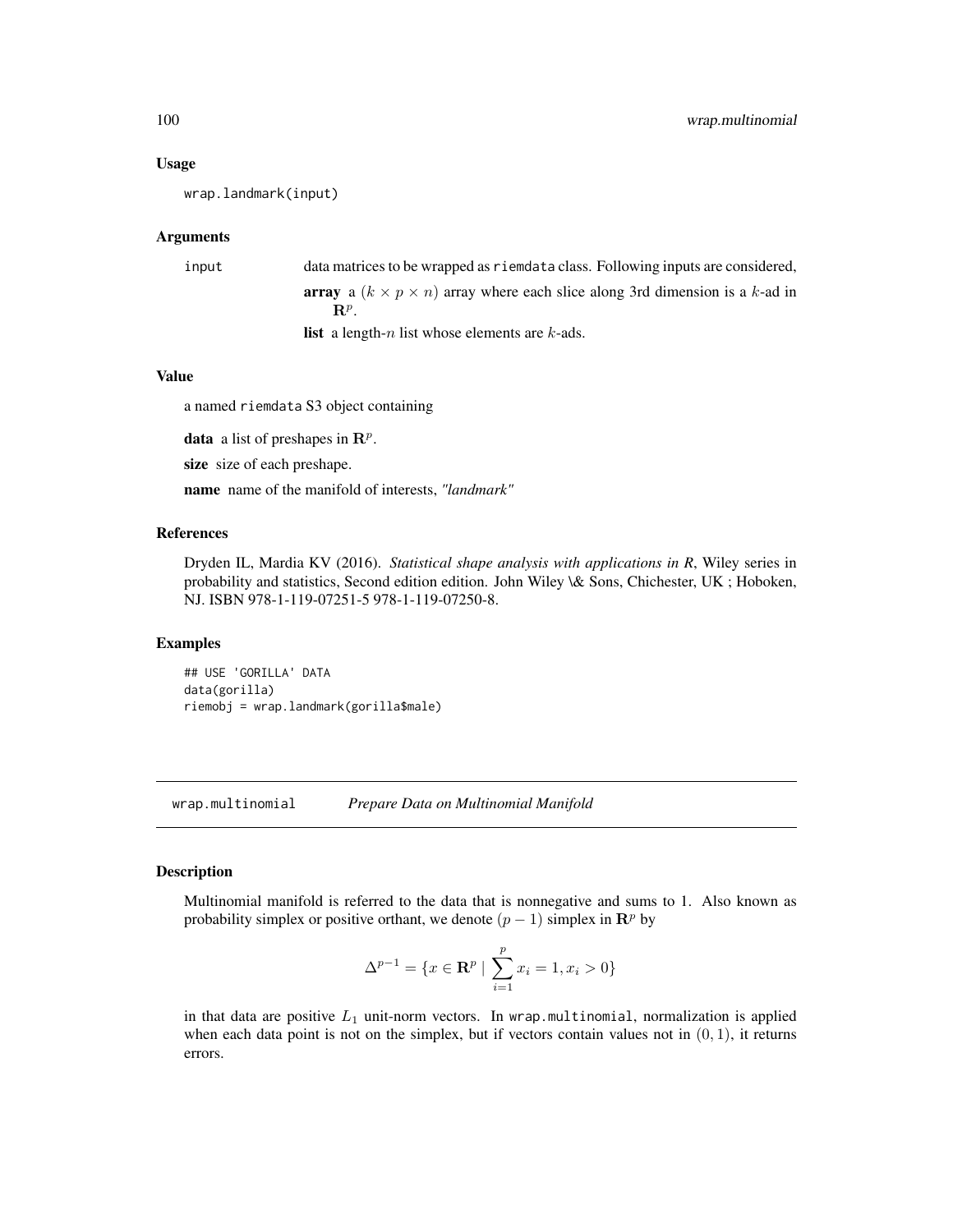#### Usage

wrap.landmark(input)

#### Arguments

| input | data matrices to be wrapped as riemdata class. Following inputs are considered,                |
|-------|------------------------------------------------------------------------------------------------|
|       | <b>array</b> a $(k \times p \times n)$ array where each slice along 3rd dimension is a k-ad in |
|       | $\mathbf{R}^p$                                                                                 |
|       | <b>list</b> a length- <i>n</i> list whose elements are $k$ -ads.                               |

# Value

a named riemdata S3 object containing

**data** a list of preshapes in  $\mathbb{R}^p$ .

size size of each preshape.

name name of the manifold of interests, *"landmark"*

#### References

Dryden IL, Mardia KV (2016). *Statistical shape analysis with applications in R*, Wiley series in probability and statistics, Second edition edition. John Wiley \& Sons, Chichester, UK ; Hoboken, NJ. ISBN 978-1-119-07251-5 978-1-119-07250-8.

#### Examples

## USE 'GORILLA' DATA data(gorilla) riemobj = wrap.landmark(gorilla\$male)

wrap.multinomial *Prepare Data on Multinomial Manifold*

# Description

Multinomial manifold is referred to the data that is nonnegative and sums to 1. Also known as probability simplex or positive orthant, we denote  $(p - 1)$  simplex in  $\mathbb{R}^p$  by

$$
\Delta^{p-1} = \{ x \in \mathbf{R}^p \mid \sum_{i=1}^p x_i = 1, x_i > 0 \}
$$

in that data are positive  $L_1$  unit-norm vectors. In wrap.multinomial, normalization is applied when each data point is not on the simplex, but if vectors contain values not in  $(0, 1)$ , it returns errors.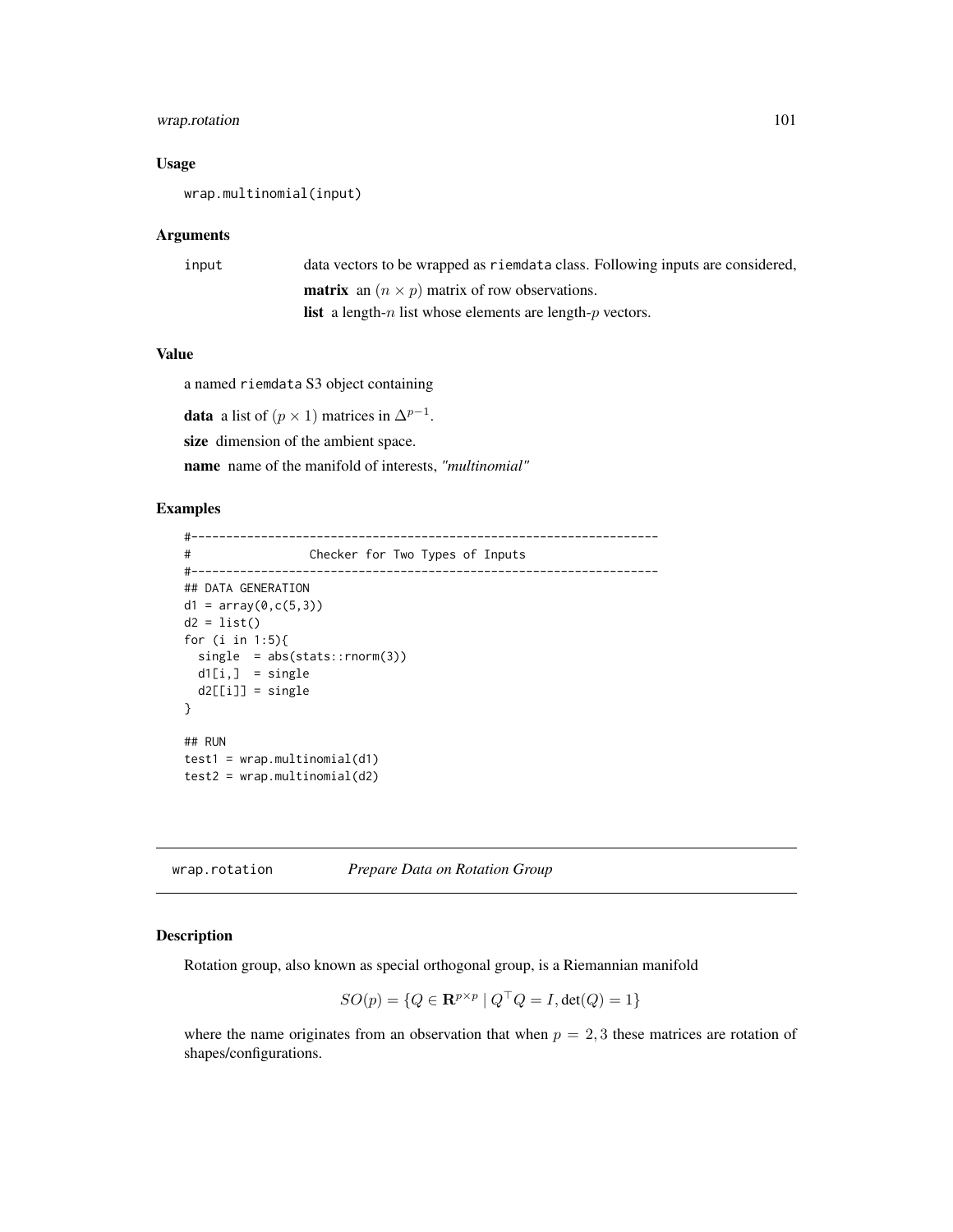# wrap.rotation 101

# Usage

wrap.multinomial(input)

# Arguments

| input | data vectors to be wrapped as riemdata class. Following inputs are considered, |
|-------|--------------------------------------------------------------------------------|
|       | <b>matrix</b> an $(n \times p)$ matrix of row observations.                    |
|       | <b>list</b> a length-n list whose elements are length-p vectors.               |

# Value

a named riemdata S3 object containing

**data** a list of  $(p \times 1)$  matrices in  $\Delta^{p-1}$ . size dimension of the ambient space. name name of the manifold of interests, *"multinomial"*

#### Examples

```
#-------------------------------------------------------------------
# Checker for Two Types of Inputs
#-------------------------------------------------------------------
## DATA GENERATION
d1 = array(0, c(5, 3))d2 = list()for (i in 1:5){
 single = abs(stats::rnorm(3))
 d1[i,] = singled2[[i]] = single}
## RUN
test1 = wrap.multinomial(d1)test2 = wrap.multinomial(d2)
```
wrap.rotation *Prepare Data on Rotation Group*

# Description

Rotation group, also known as special orthogonal group, is a Riemannian manifold

$$
SO(p) = \{ Q \in \mathbf{R}^{p \times p} \mid Q^{\top} Q = I, \det(Q) = 1 \}
$$

where the name originates from an observation that when  $p = 2, 3$  these matrices are rotation of shapes/configurations.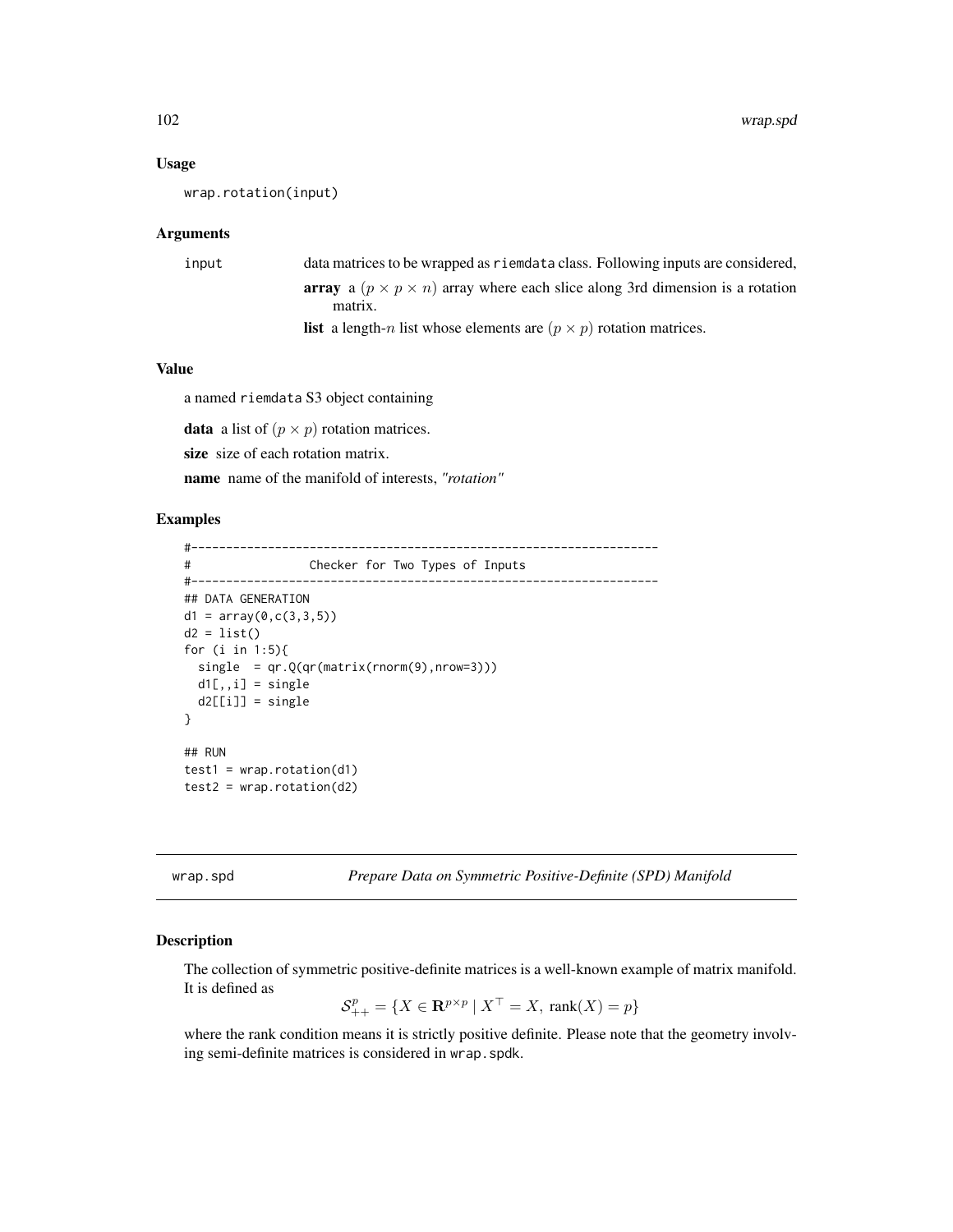#### Usage

```
wrap.rotation(input)
```
#### Arguments

```
input data matrices to be wrapped as riemdata class. Following inputs are considered,
                   array a (p \times p \times n) array where each slice along 3rd dimension is a rotation
                       matrix.
                  list a length-n list whose elements are (p \times p) rotation matrices.
```
#### Value

a named riemdata S3 object containing

**data** a list of  $(p \times p)$  rotation matrices.

size size of each rotation matrix.

name name of the manifold of interests, *"rotation"*

#### Examples

```
#-------------------------------------------------------------------
# Checker for Two Types of Inputs
#-------------------------------------------------------------------
## DATA GENERATION
d1 = array(0, c(3, 3, 5))d2 = list()for (i in 1:5){
 single = qr.Q(qr(matrix(rnorm(9),nrow=3)))
 d1[,, i] = singled2[[i]] = single}
## RUN
test1 = wrap.rotation(d1)test2 = wrap.rotation(d2)
```
wrap.spd *Prepare Data on Symmetric Positive-Definite (SPD) Manifold*

#### Description

The collection of symmetric positive-definite matrices is a well-known example of matrix manifold. It is defined as

$$
\mathcal{S}_{++}^p = \{ X \in \mathbf{R}^{p \times p} \mid X^\top = X, \text{ rank}(X) = p \}
$$

where the rank condition means it is strictly positive definite. Please note that the geometry involving semi-definite matrices is considered in wrap. spdk.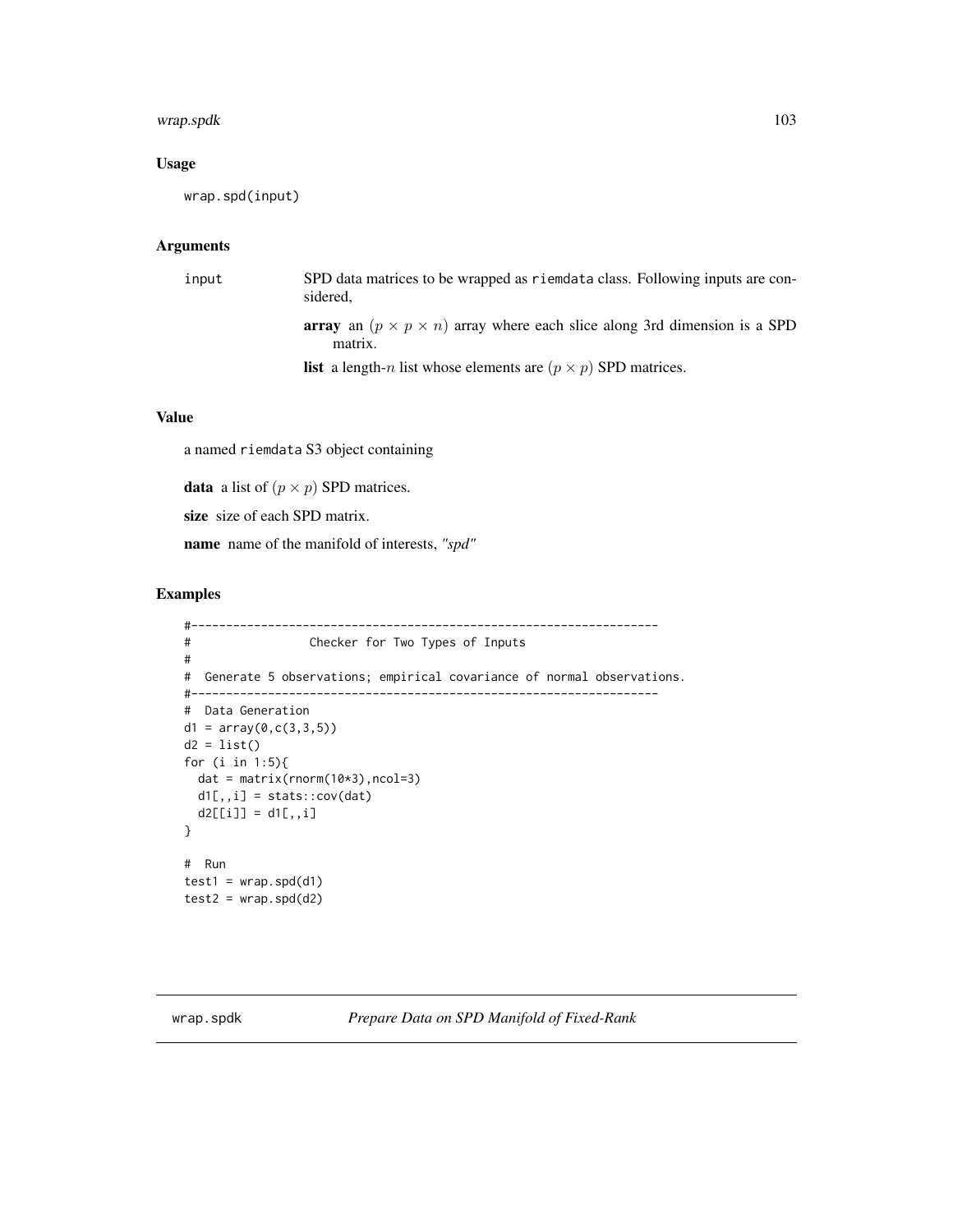# wrap.spdk 103

# Usage

```
wrap.spd(input)
```
#### Arguments

| input | SPD data matrices to be wrapped as riemdata class. Following inputs are con-<br>sidered,               |
|-------|--------------------------------------------------------------------------------------------------------|
|       | <b>array</b> an $(p \times p \times n)$ array where each slice along 3rd dimension is a SPD<br>matrix. |
|       | <b>list</b> a length- <i>n</i> list whose elements are $(p \times p)$ SPD matrices.                    |

# Value

a named riemdata S3 object containing

**data** a list of  $(p \times p)$  SPD matrices.

size size of each SPD matrix.

name name of the manifold of interests, *"spd"*

# Examples

```
#-------------------------------------------------------------------
# Checker for Two Types of Inputs
#
# Generate 5 observations; empirical covariance of normal observations.
#-------------------------------------------------------------------
# Data Generation
d1 = array(0, c(3, 3, 5))d2 = list()for (i in 1:5){
 dat = matrix(rnorm(10*3),ncol=3)
 d1[,,i] = stats::cov(dat)
 d2[[i]] = d1[,, i]}
# Run
test1 = wrap.split(d1)test2 = wrap.split(d2)
```
wrap.spdk *Prepare Data on SPD Manifold of Fixed-Rank*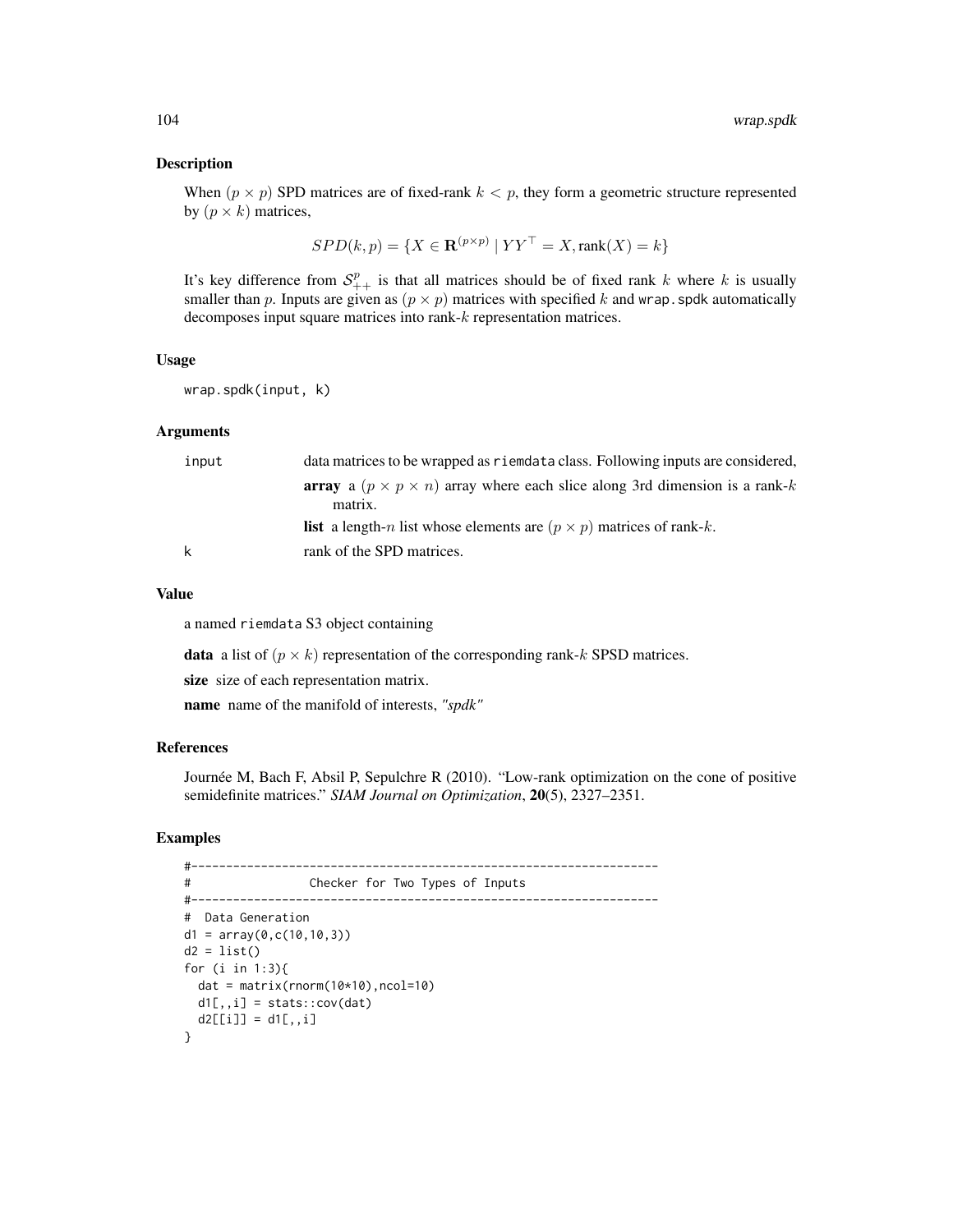#### Description

When  $(p \times p)$  SPD matrices are of fixed-rank  $k < p$ , they form a geometric structure represented by  $(p \times k)$  matrices,

$$
SPD(k, p) = \{ X \in \mathbf{R}^{(p \times p)} \mid YY^{\top} = X, \text{rank}(X) = k \}
$$

It's key difference from  $S^p_{++}$  is that all matrices should be of fixed rank k where k is usually smaller than p. Inputs are given as  $(p \times p)$  matrices with specified k and wrap. spdk automatically decomposes input square matrices into rank-k representation matrices.

#### Usage

wrap.spdk(input, k)

#### Arguments

| input | data matrices to be wrapped as riemdata class. Following inputs are considered,                          |
|-------|----------------------------------------------------------------------------------------------------------|
|       | <b>array</b> a $(p \times p \times n)$ array where each slice along 3rd dimension is a rank-k<br>matrix. |
|       | <b>list</b> a length-n list whose elements are $(p \times p)$ matrices of rank-k.                        |
| k     | rank of the SPD matrices.                                                                                |

### Value

a named riemdata S3 object containing

**data** a list of  $(p \times k)$  representation of the corresponding rank-k SPSD matrices.

size size of each representation matrix.

name name of the manifold of interests, *"spdk"*

#### References

Journée M, Bach F, Absil P, Sepulchre R (2010). "Low-rank optimization on the cone of positive semidefinite matrices." *SIAM Journal on Optimization*, 20(5), 2327–2351.

```
#-------------------------------------------------------------------
# Checker for Two Types of Inputs
#-------------------------------------------------------------------
# Data Generation
d1 = array(0, c(10, 10, 3))d2 = list()for (i in 1:3){
 dat = matrix(rnorm(10*10),ncol=10)
 d1[,, i] = stats::cov(data)d2[[i]] = d1[,, i]}
```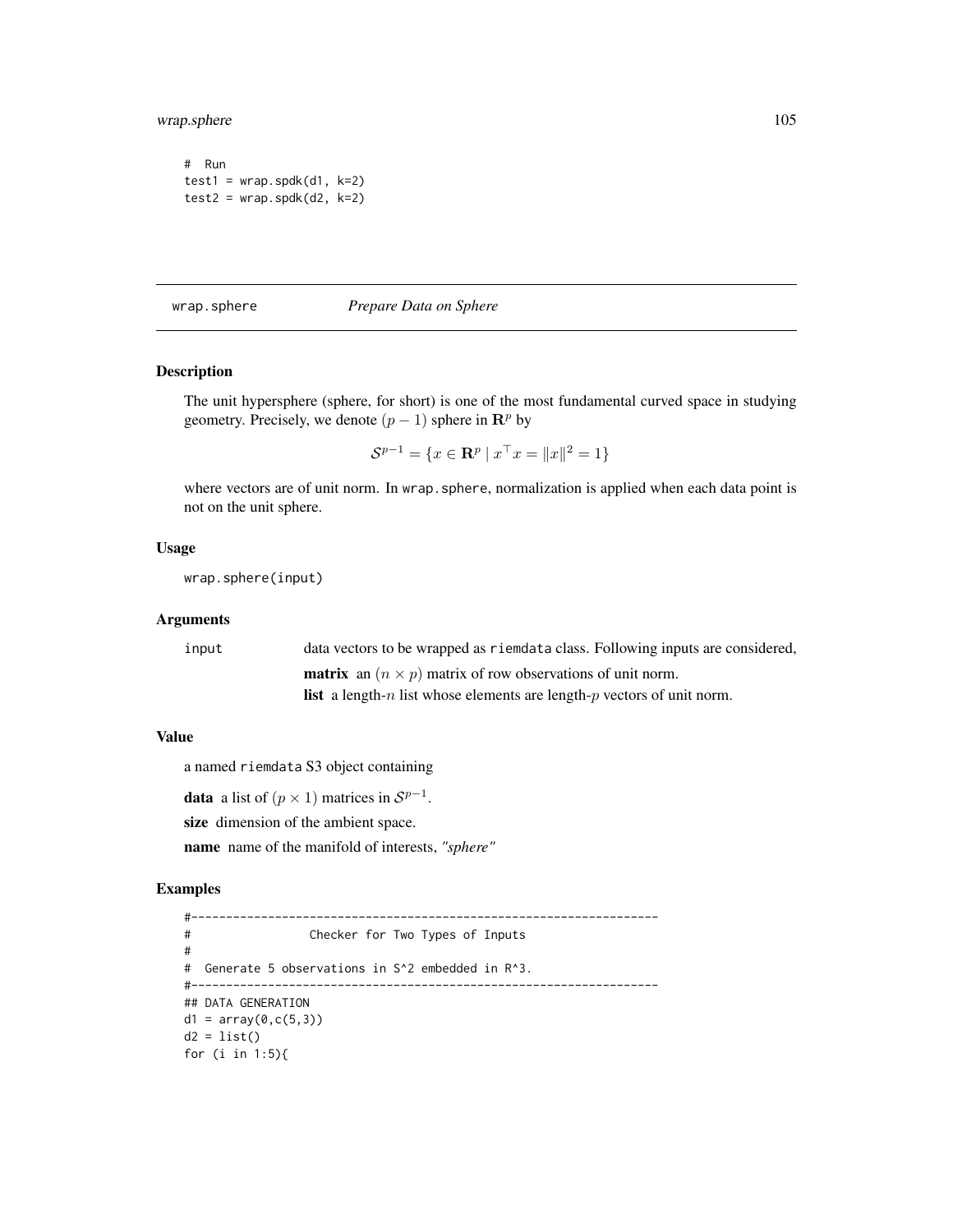wrap.sphere 105

```
# Run
test1 = wrap.split(d1, k=2)test2 = wrap.split(d2, k=2)
```
<span id="page-104-0"></span>wrap.sphere *Prepare Data on Sphere*

# Description

The unit hypersphere (sphere, for short) is one of the most fundamental curved space in studying geometry. Precisely, we denote  $(p - 1)$  sphere in  $\mathbb{R}^p$  by

 $S^{p-1} = \{x \in \mathbf{R}^p \mid x^\top x = ||x||^2 = 1\}$ 

where vectors are of unit norm. In wrap. sphere, normalization is applied when each data point is not on the unit sphere.

# Usage

wrap.sphere(input)

#### Arguments

| input | data vectors to be wrapped as riemdata class. Following inputs are considered,                |
|-------|-----------------------------------------------------------------------------------------------|
|       | <b>matrix</b> an $(n \times p)$ matrix of row observations of unit norm.                      |
|       | <b>list</b> a length- <i>n</i> list whose elements are length- <i>p</i> vectors of unit norm. |

# Value

a named riemdata S3 object containing

**data** a list of  $(p \times 1)$  matrices in  $S^{p-1}$ .

size dimension of the ambient space.

name name of the manifold of interests, *"sphere"*

```
#-------------------------------------------------------------------
# Checker for Two Types of Inputs
#
# Generate 5 observations in S^2 embedded in R^3.
#-------------------------------------------------------------------
## DATA GENERATION
d1 = array(0, c(5, 3))d2 = list()for (i in 1:5){
```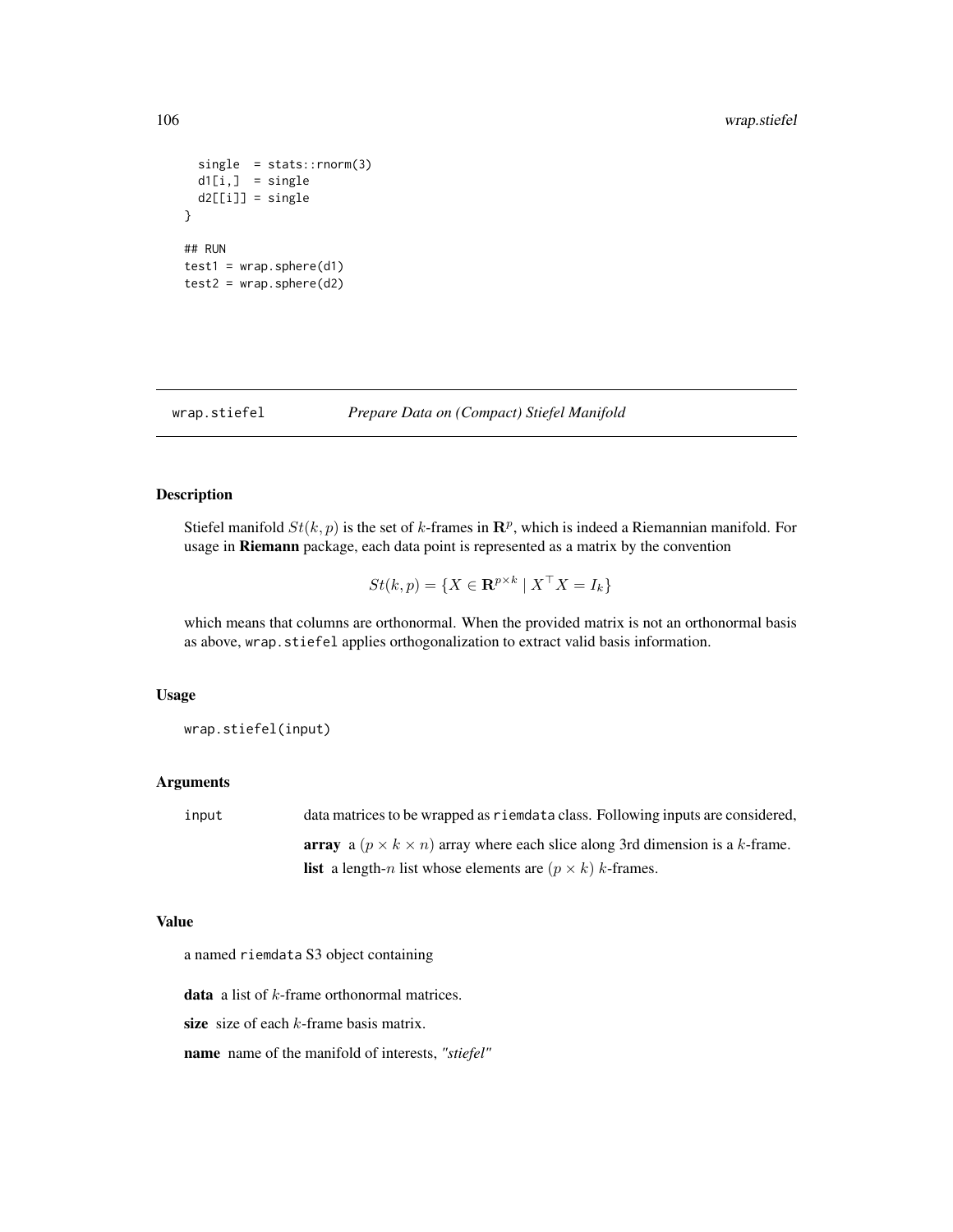```
single = stats::rnorm(3)d1[i,] = single
 d2[[i]] = single
}
## RUN
test1 = wrap.\,sphere(d1)test2 = wrap.\,sphere(d2)
```
<span id="page-105-0"></span>wrap.stiefel *Prepare Data on (Compact) Stiefel Manifold*

#### Description

Stiefel manifold  $St(k, p)$  is the set of k-frames in  $\mathbb{R}^p$ , which is indeed a Riemannian manifold. For usage in Riemann package, each data point is represented as a matrix by the convention

$$
St(k, p) = \{ X \in \mathbf{R}^{p \times k} \mid X^\top X = I_k \}
$$

which means that columns are orthonormal. When the provided matrix is not an orthonormal basis as above, wrap.stiefel applies orthogonalization to extract valid basis information.

#### Usage

wrap.stiefel(input)

#### Arguments

input data matrices to be wrapped as riemdata class. Following inputs are considered, array a  $(p \times k \times n)$  array where each slice along 3rd dimension is a k-frame. **list** a length-n list whose elements are  $(p \times k)$  k-frames.

#### Value

a named riemdata S3 object containing

**data** a list of  $k$ -frame orthonormal matrices.

size size of each  $k$ -frame basis matrix.

name name of the manifold of interests, *"stiefel"*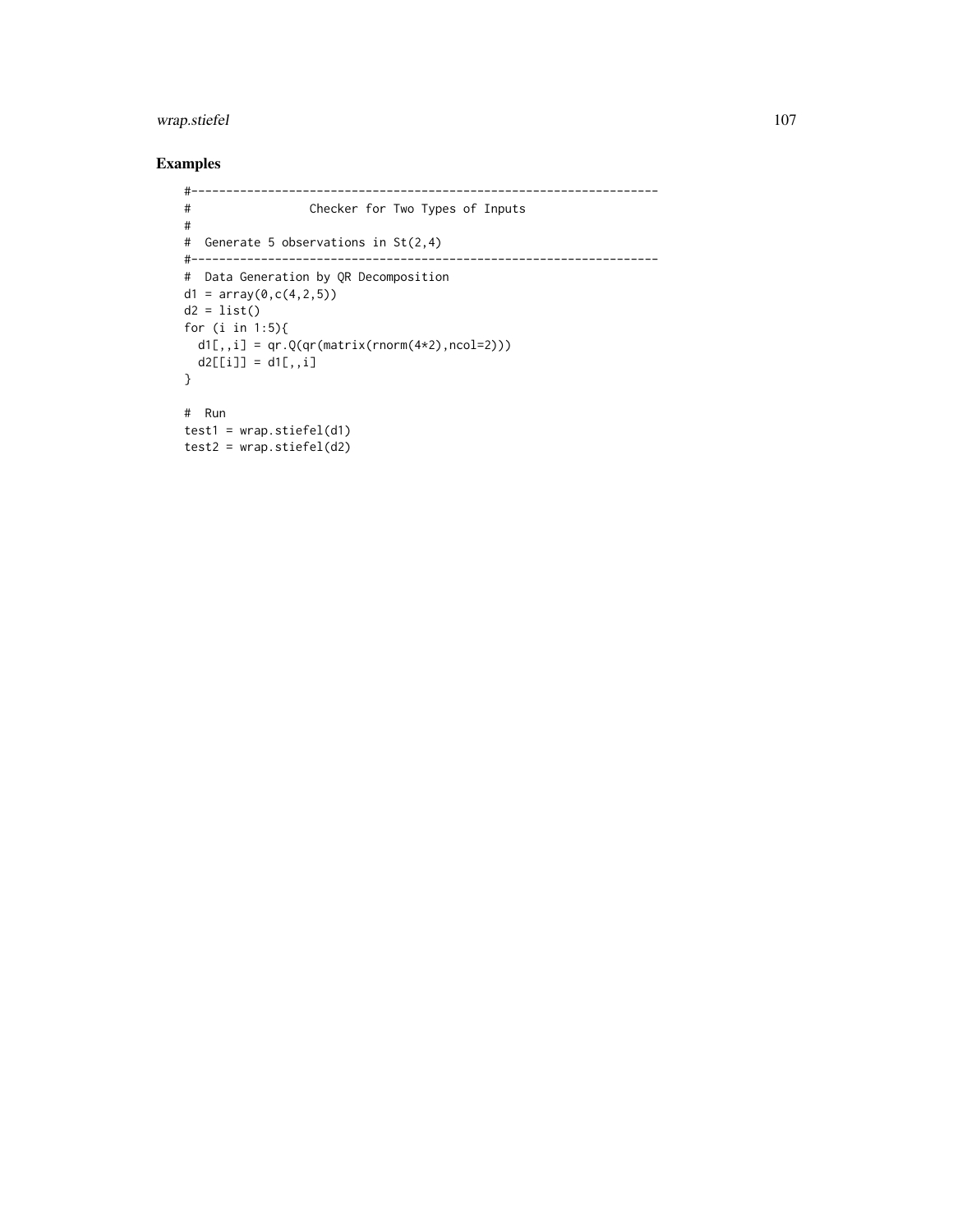# wrap.stiefel 107

```
#-------------------------------------------------------------------
# Checker for Two Types of Inputs
#
# Generate 5 observations in St(2,4)
#-------------------------------------------------------------------
# Data Generation by QR Decomposition
d1 = array(0, c(4, 2, 5))d2 = list()for (i in 1:5){
 d1[,,i] = qr.Q(qr(maxrix(rnorm(4*2),ncol=2)))d2[[i]] = d1[,, i]}
# Run
test1 = wrap.stiefel(d1)
test2 = wrap.stiefel(d2)
```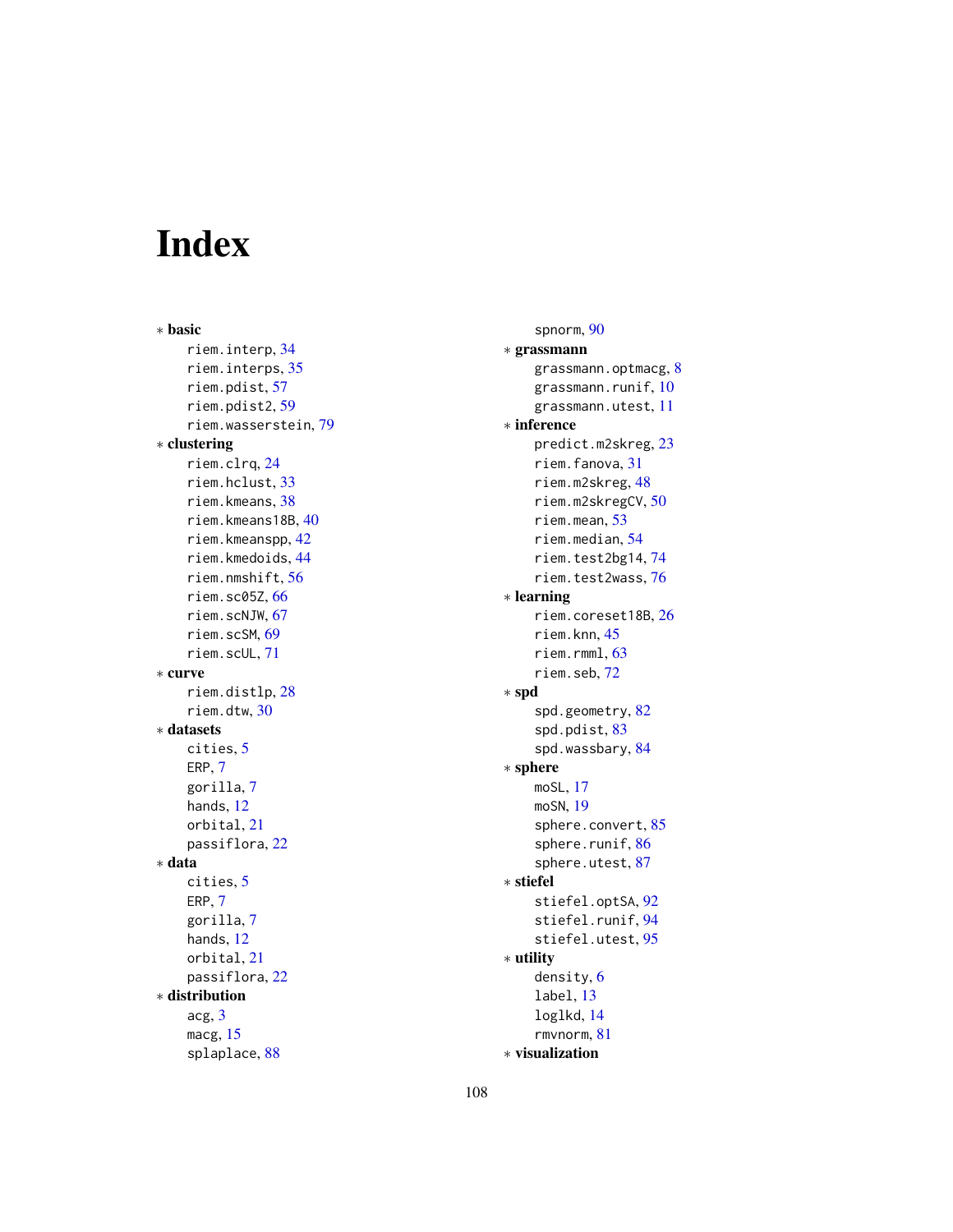# Index

∗ basic riem.interp, [34](#page-33-0) riem.interps, [35](#page-34-0) riem.pdist, [57](#page-56-0) riem.pdist2, [59](#page-58-0) riem.wasserstein, [79](#page-78-1) ∗ clustering riem.clrq, [24](#page-23-0) riem.hclust, [33](#page-32-0) riem.kmeans, [38](#page-37-0) riem.kmeans18B, [40](#page-39-0) riem.kmeanspp, [42](#page-41-0) riem.kmedoids, [44](#page-43-0) riem.nmshift, [56](#page-55-0) riem.sc05Z, [66](#page-65-0) riem.scNJW, [67](#page-66-0) riem.scSM, [69](#page-68-0) riem.scUL, [71](#page-70-0) ∗ curve riem.distlp, [28](#page-27-0) riem.dtw, [30](#page-29-0) ∗ datasets cities, [5](#page-4-0) ERP, [7](#page-6-0) gorilla, [7](#page-6-0) hands, [12](#page-11-0) orbital, [21](#page-20-0) passiflora, [22](#page-21-0) ∗ data cities, [5](#page-4-0) ERP, [7](#page-6-0) gorilla, [7](#page-6-0) hands, [12](#page-11-0) orbital, [21](#page-20-0) passiflora, [22](#page-21-0) ∗ distribution acg, [3](#page-2-0) macg, [15](#page-14-0) splaplace, [88](#page-87-0)

spnorm, [90](#page-89-0) ∗ grassmann grassmann.optmacg, [8](#page-7-0) grassmann.runif, [10](#page-9-0) grassmann.utest, [11](#page-10-0) ∗ inference predict.m2skreg, [23](#page-22-0) riem.fanova, [31](#page-30-0) riem.m2skreg, [48](#page-47-0) riem.m2skregCV, [50](#page-49-0) riem.mean, [53](#page-52-0) riem.median, [54](#page-53-0) riem.test2bg14, [74](#page-73-0) riem.test2wass, [76](#page-75-0) ∗ learning riem.coreset18B, [26](#page-25-0) riem.knn, [45](#page-44-0) riem.rmml, [63](#page-62-0) riem.seb, [72](#page-71-0) ∗ spd spd.geometry, [82](#page-81-1) spd.pdist, [83](#page-82-0) spd.wassbary, [84](#page-83-0) ∗ sphere moSL, [17](#page-16-0) moSN, [19](#page-18-0) sphere.convert, [85](#page-84-0) sphere.runif, [86](#page-85-0) sphere.utest, [87](#page-86-0) ∗ stiefel stiefel.optSA, [92](#page-91-0) stiefel.runif, [94](#page-93-0) stiefel.utest, [95](#page-94-0) ∗ utility density, [6](#page-5-0) label, [13](#page-12-0) loglkd, [14](#page-13-0) rmvnorm, [81](#page-80-0)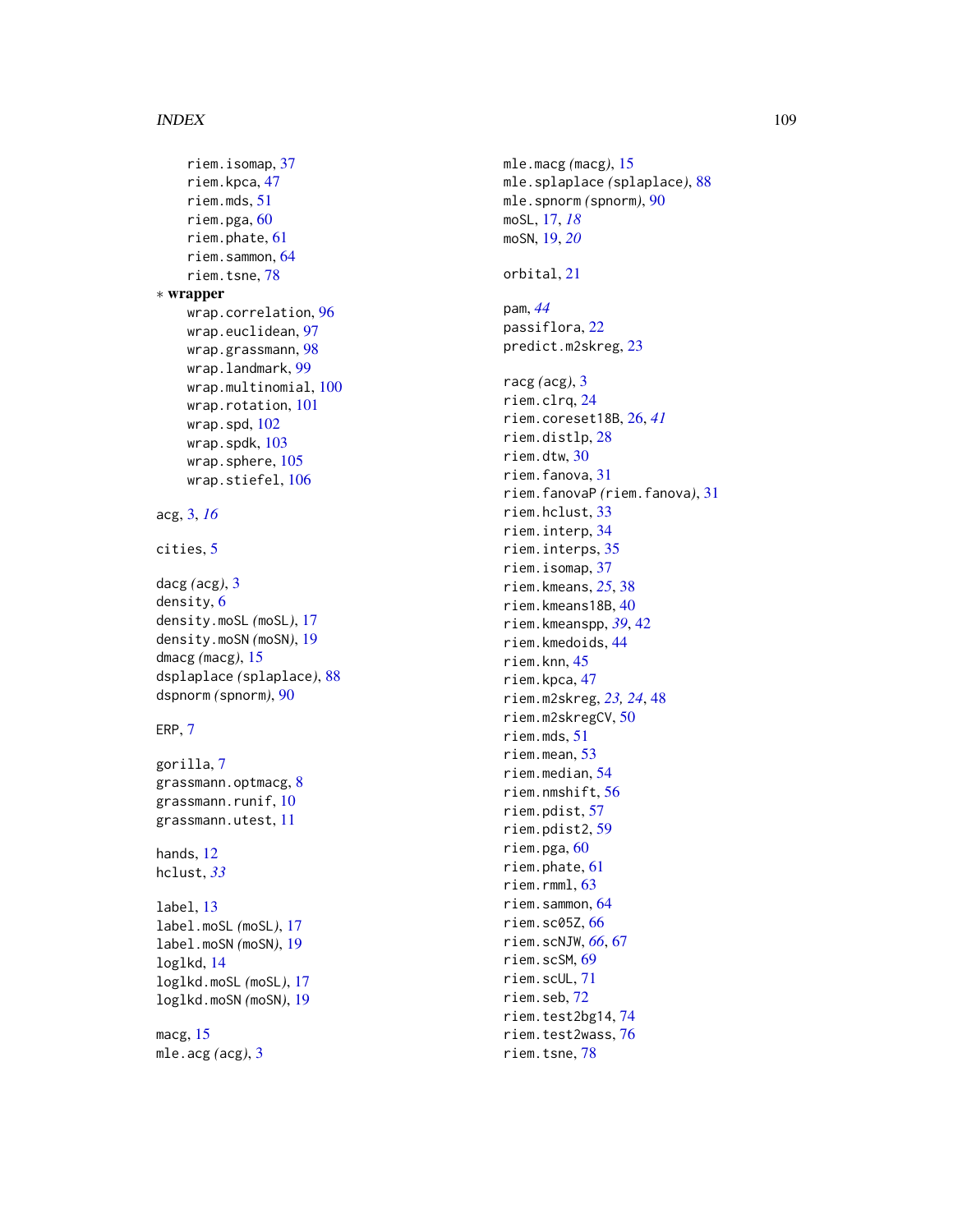## INDEX 109

```
riem.isomap
, 37
    riem.kpca
, 47
    riem.mds
, 51
    60
    riem.phate
, 61
    riem.sammon
, 64
    riem.tsne
, 78
∗ wrapper
    wrap.correlation
, 96
    wrap.euclidean
, 97
    wrap.grassmann
, 98
    99
    100
    101
    102
    103
    105
    106
acg
,
3
, 16
cities
,
5
dacg
(acg
)
,
3
density
,
6
density.moSL
(moSL
)
, 17
density.moSN
(moSN
)
, 19
dmacg
(macg
)
, 15
dsplaplace
(splaplace
)
, 88
dspnorm
(spnorm
)
, 90
ERP
,
7
gorilla
,
7
8
10
grassmann.utest
, 11
12
hclust
, 33
label
, 13
label.moSL
(moSL
)
, 17
label.moSN
(moSN
)
, 19
loglkd
, 14
loglkd.moSL
(moSL
)
, 17
loglkd.moSN
(moSN
)
, 19
macg
, 15
mle.acg
(acg
)
,
3
```
mle.macg *(*macg *)* , [15](#page-14-0) mle.splaplace *(*splaplace *)* , [88](#page-87-0) mle.spnorm *(*spnorm *)* , [90](#page-89-0) moSL , [17](#page-16-0) , *[18](#page-17-0)* moSN , [19](#page-18-0) , *[20](#page-19-0)* orbital , [21](#page-20-0) pam , *[44](#page-43-0)* passiflora , [22](#page-21-0) predict.m2skreg , [23](#page-22-0) racg *(*acg *)* , [3](#page-2-0) riem.clrq , [24](#page-23-0) riem.coreset18B , [26](#page-25-0) , *[41](#page-40-0)* riem.distlp , [28](#page-27-0) riem.dtw , [30](#page-29-0) riem.fanova , [31](#page-30-0) riem.fanovaP *(*riem.fanova *)* , [31](#page-30-0) riem.hclust , [33](#page-32-0) riem.interp , [34](#page-33-0) riem.interps , [35](#page-34-0) riem.isomap , [37](#page-36-0) riem.kmeans , *[25](#page-24-0)* , [38](#page-37-0) riem.kmeans18B , [40](#page-39-0) riem.kmeanspp , *[39](#page-38-0)* , [42](#page-41-0) riem.kmedoids , [44](#page-43-0) riem.knn , [45](#page-44-0) riem.kpca , [47](#page-46-0) riem.m2skreg , *[23](#page-22-0) , [24](#page-23-0)* , [48](#page-47-0) riem.m2skregCV , [50](#page-49-0) riem.mds , [51](#page-50-0) riem.mean , [53](#page-52-0) riem.median , [54](#page-53-0) riem.nmshift , [56](#page-55-0) riem.pdist , [57](#page-56-0) riem.pdist2 , [59](#page-58-0) riem.pga, [60](#page-59-0) riem.phate , [61](#page-60-0) riem.rmml , [63](#page-62-0) riem.sammon , [64](#page-63-0) riem.sc05Z , [66](#page-65-0) riem.scNJW , *[66](#page-65-0)* , [67](#page-66-0) riem.scSM , [69](#page-68-0) riem.scUL , [71](#page-70-0) riem.seb , [72](#page-71-0) riem.test2bg14 , [74](#page-73-0) riem.test2wass , [76](#page-75-0) riem.tsne , [78](#page-77-0)